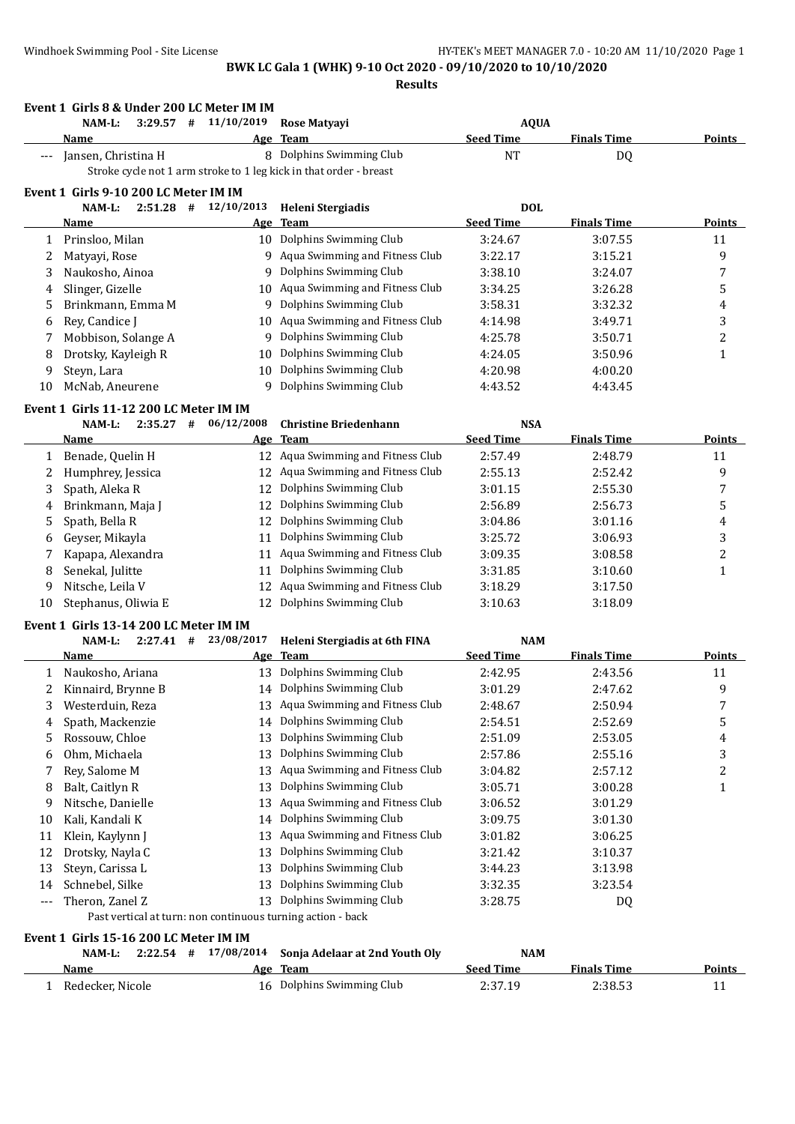**Event 1 Girls 8 & Under 200 LC Meter IM IM NAM-L: 3:29.57 # 11/10/2019 Rose Matyayi AQUA Name Age Team Seed Time Finals Time Points** --- Jansen, Christina H 8 Dolphins Swimming Club NT DQ Stroke cycle not 1 arm stroke to 1 leg kick in that order - breast **Event 1 Girls 9-10 200 LC Meter IM IM NAM-L: 2:51.28 # 12/10/2013 Heleni Stergiadis DOL Name Age Team Seed Time Finals Time Points** 1 Prinsloo, Milan 10 Dolphins Swimming Club 3:24.67 3:07.55 11 2 Matyayi, Rose 9 Aqua Swimming and Fitness Club 3:22.17 3:15.21 9 3 Naukosho, Ainoa 9 Dolphins Swimming Club 3:38.10 3:24.07 7 4 Slinger, Gizelle 10 Aqua Swimming and Fitness Club 3:34.25 3:26.28 5 5 Brinkmann, Emma M 9 Dolphins Swimming Club 3:58.31 3:32.32 4 6 Rey, Candice J 10 Aqua Swimming and Fitness Club 4:14.98 3:49.71 3 7 Mobbison, Solange A 9 Dolphins Swimming Club 4:25.78 3:50.71 2 8 Drotsky, Kayleigh R 10 Dolphins Swimming Club 4:24.05 3:50.96 1 9 Steyn, Lara 10 Dolphins Swimming Club 4:20.98 4:00.20 10 McNab, Aneurene 9 Dolphins Swimming Club 4:43.52 4:43.45 **Event 1 Girls 11-12 200 LC Meter IM IM NAM-L: 2:35.27 # 06/12/2008 Christine Briedenhann NSA Name Age Team Seed Time Finals Time Points** 1 Benade, Quelin H 12 Aqua Swimming and Fitness Club 2:57.49 2:48.79 2:48.79 2 Humphrey, Jessica 12 Aqua Swimming and Fitness Club 2:55.13 2:52.42 9 3 Spath, Aleka R 12 Dolphins Swimming Club 3:01.15 2:55.30 7 4 Brinkmann, Maja J 12 Dolphins Swimming Club 2:56.89 2:56.73 5 5 Spath, Bella R 12 Dolphins Swimming Club 3:04.86 3:01.16 4 6 Geyser, Mikayla 11 Dolphins Swimming Club 3:25.72 3:06.93 3 7 Kapapa, Alexandra 11 Aqua Swimming and Fitness Club 3:09.35 3:08.58 2 8 Senekal, Julitte 11 Dolphins Swimming Club 3:31.85 3:10.60 1 9 Nitsche, Leila V 12 Aqua Swimming and Fitness Club 3:18.29 3:17.50 10 Stephanus, Oliwia E 12 Dolphins Swimming Club 3:10.63 3:18.09 **Event 1 Girls 13-14 200 LC Meter IM IM NAM-L: 2:27.41 # 23/08/2017 Heleni Stergiadis at 6th FINA NAM Name Age Team Seed Time Finals Time Points** 1 Naukosho, Ariana 13 Dolphins Swimming Club 2:42.95 2:43.56 11 2 Kinnaird, Brynne B 14 Dolphins Swimming Club 3:01.29 2:47.62 9 3 Westerduin, Reza 13 Aqua Swimming and Fitness Club 2:48.67 2:50.94 7 4 Spath, Mackenzie 14 Dolphins Swimming Club 2:54.51 2:52.69 5 5 Rossouw, Chloe 13 Dolphins Swimming Club 2:51.09 2:53.05 4 6 Ohm, Michaela 13 Dolphins Swimming Club 2:57.86 2:55.16 3 7 Rey, Salome M 13 Aqua Swimming and Fitness Club 3:04.82 2:57.12 2 8 Balt, Caitlyn R 13 Dolphins Swimming Club 3:05.71 3:00.28 1 9 Nitsche, Danielle 13 Aqua Swimming and Fitness Club 3:06.52 3:01.29 10 Kali, Kandali K 14 Dolphins Swimming Club 3:09.75 3:01.30 11 Klein, Kaylynn J 13 Aqua Swimming and Fitness Club 3:01.82 3:06.25 12 Drotsky, Nayla C 13 Dolphins Swimming Club 3:21.42 3:10.37 13 Steyn, Carissa L 13 Dolphins Swimming Club 3:44.23 3:13.98 14 Schnebel, Silke 13 Dolphins Swimming Club 3:32.35 3:23.54 Theron, Zanel Z 13 Dolphins Swimming Club 3:28.75 DQ Past vertical at turn: non continuous turning action - back **Event 1 Girls 15-16 200 LC Meter IM IM**

|                  |  | NAM-L: $2:22.54$ # $17/08/2014$ Sonja Adelaar at 2nd Youth Oly | <b>NAM</b> |                    |               |
|------------------|--|----------------------------------------------------------------|------------|--------------------|---------------|
| Name             |  | Age Team                                                       | Seed Time  | <b>Finals Time</b> | <b>Points</b> |
| Redecker, Nicole |  | 16 Dolphins Swimming Club                                      | 2:37.19    | 2:38.53            |               |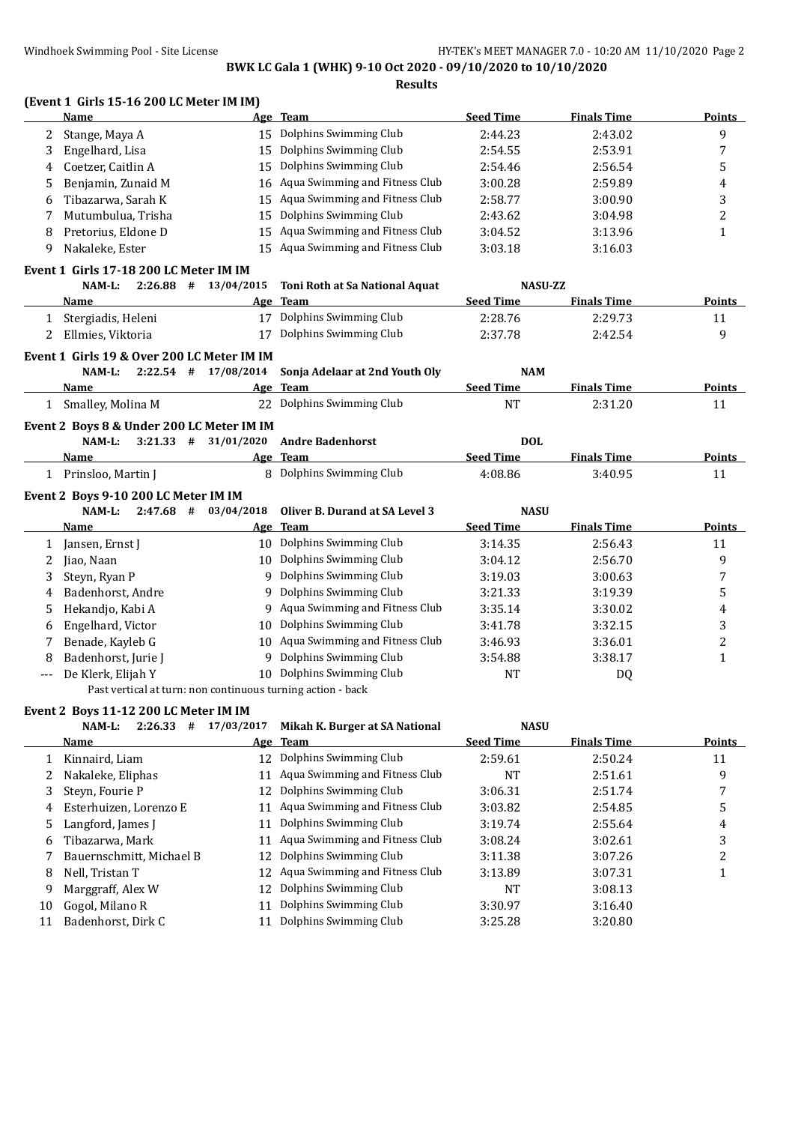|   |                                                             |                          | DWN LG Gala 1 (WIIN) 5-10 OCC 2020 - 03/10/2020 to 10/10/2020<br><b>Results</b> |                  |                    |                |
|---|-------------------------------------------------------------|--------------------------|---------------------------------------------------------------------------------|------------------|--------------------|----------------|
|   | (Event 1 Girls 15-16 200 LC Meter IM IM)<br>Name            |                          | Age Team                                                                        | <b>Seed Time</b> | <b>Finals Time</b> | Points         |
| 2 | Stange, Maya A                                              |                          | 15 Dolphins Swimming Club                                                       | 2:44.23          | 2:43.02            | 9              |
| 3 | Engelhard, Lisa                                             | 15                       | Dolphins Swimming Club                                                          | 2:54.55          | 2:53.91            | 7              |
| 4 | Coetzer, Caitlin A                                          | 15                       | Dolphins Swimming Club                                                          | 2:54.46          | 2:56.54            | 5              |
| 5 | Benjamin, Zunaid M                                          |                          | 16 Aqua Swimming and Fitness Club                                               | 3:00.28          | 2:59.89            | 4              |
| 6 | Tibazarwa, Sarah K                                          | 15                       | Aqua Swimming and Fitness Club                                                  | 2:58.77          | 3:00.90            | 3              |
| 7 | Mutumbulua, Trisha                                          | 15                       | Dolphins Swimming Club                                                          | 2:43.62          | 3:04.98            | $\overline{c}$ |
| 8 | Pretorius, Eldone D                                         | 15                       | Aqua Swimming and Fitness Club                                                  | 3:04.52          | 3:13.96            | $\mathbf{1}$   |
| 9 | Nakaleke, Ester                                             |                          | 15 Aqua Swimming and Fitness Club                                               | 3:03.18          | 3:16.03            |                |
|   | Event 1 Girls 17-18 200 LC Meter IM IM                      |                          |                                                                                 |                  |                    |                |
|   | NAM-L:                                                      | $2:26.88$ # $13/04/2015$ | Toni Roth at Sa National Aquat                                                  | <b>NASU-ZZ</b>   |                    |                |
|   | Name                                                        |                          | Age Team                                                                        | <b>Seed Time</b> | <b>Finals Time</b> | Points         |
| 1 | Stergiadis, Heleni                                          |                          | 17 Dolphins Swimming Club                                                       | 2:28.76          | 2:29.73            | 11             |
| 2 | Ellmies, Viktoria                                           | 17                       | Dolphins Swimming Club                                                          | 2:37.78          | 2:42.54            | 9              |
|   | Event 1 Girls 19 & Over 200 LC Meter IM IM                  |                          |                                                                                 |                  |                    |                |
|   | NAM-L:                                                      | $2:22.54$ # 17/08/2014   | Sonja Adelaar at 2nd Youth Oly                                                  | <b>NAM</b>       |                    |                |
|   | Name                                                        |                          | Age Team                                                                        | <b>Seed Time</b> | <b>Finals Time</b> | Points         |
|   | 1 Smalley, Molina M                                         |                          | 22 Dolphins Swimming Club                                                       | <b>NT</b>        | 2:31.20            | 11             |
|   | Event 2 Boys 8 & Under 200 LC Meter IM IM                   |                          |                                                                                 |                  |                    |                |
|   | NAM-L:                                                      | $3:21.33$ # $31/01/2020$ | <b>Andre Badenhorst</b>                                                         | <b>DOL</b>       |                    |                |
|   | Name                                                        |                          | Age Team                                                                        | <b>Seed Time</b> | <b>Finals Time</b> | <b>Points</b>  |
|   | 1 Prinsloo, Martin J                                        |                          | 8 Dolphins Swimming Club                                                        | 4:08.86          | 3:40.95            | 11             |
|   | Event 2 Boys 9-10 200 LC Meter IM IM                        |                          |                                                                                 |                  |                    |                |
|   | $2:47.68$ #<br>NAM-L:                                       | 03/04/2018               | <b>Oliver B. Durand at SA Level 3</b>                                           | <b>NASU</b>      |                    |                |
|   | Name                                                        |                          | Age Team                                                                        | <b>Seed Time</b> | <b>Finals Time</b> | <b>Points</b>  |
| 1 | Jansen, Ernst J                                             |                          | 10 Dolphins Swimming Club                                                       | 3:14.35          | 2:56.43            | 11             |
| 2 | Jiao, Naan                                                  |                          | 10 Dolphins Swimming Club                                                       | 3:04.12          | 2:56.70            | 9              |
| 3 | Steyn, Ryan P                                               | 9                        | Dolphins Swimming Club                                                          | 3:19.03          | 3:00.63            | 7              |
| 4 | Badenhorst, Andre                                           | 9                        | Dolphins Swimming Club                                                          | 3:21.33          | 3:19.39            | 5              |
| 5 | Hekandjo, Kabi A                                            | 9                        | Aqua Swimming and Fitness Club                                                  | 3:35.14          | 3:30.02            | 4              |
| 6 | Engelhard, Victor                                           | 10                       | Dolphins Swimming Club                                                          | 3:41.78          | 3:32.15            | 3              |
| 7 | Benade, Kayleb G                                            | 10                       | Aqua Swimming and Fitness Club                                                  | 3:46.93          | 3:36.01            | $\overline{c}$ |
| 8 | Badenhorst, Jurie J                                         |                          | 9 Dolphins Swimming Club                                                        | 3:54.88          | 3:38.17            | $\mathbf{1}$   |
|   | De Klerk, Elijah Y                                          |                          | 10 Dolphins Swimming Club                                                       | NT               | DQ                 |                |
|   | Past vertical at turn: non continuous turning action - back |                          |                                                                                 |                  |                    |                |
|   | Event 2 Boys 11-12 200 LC Meter IM IM                       |                          |                                                                                 |                  |                    |                |
|   | $2:26.33$ #<br>NAM-L:                                       | 17/03/2017               | Mikah K. Burger at SA National                                                  | <b>NASU</b>      |                    |                |
|   | <b>Name</b>                                                 | <u>Age</u>               | <b>Team</b>                                                                     | <b>Seed Time</b> | <b>Finals Time</b> | <b>Points</b>  |
| 1 | Kinnaird, Liam                                              |                          | 12 Dolphins Swimming Club                                                       | 2:59.61          | 2:50.24            | 11             |
| 2 | Nakaleke, Eliphas                                           | 11                       | Aqua Swimming and Fitness Club                                                  | NT               | 2:51.61            | 9              |
| 3 | Steyn, Fourie P                                             | 12                       | Dolphins Swimming Club                                                          | 3:06.31          | 2:51.74            | 7              |
| 4 | Esterhuizen, Lorenzo E                                      | 11                       | Aqua Swimming and Fitness Club                                                  | 3:03.82          | 2:54.85            | 5              |
| 5 | Langford, James J                                           |                          | 11 Dolphins Swimming Club                                                       | 3:19.74          | 2:55.64            | 4              |

6 Tibazarwa, Mark 11 Aqua Swimming and Fitness Club 3:08.24 3:02.61 3 7 Bauernschmitt, Michael B 12 Dolphins Swimming Club 3:11.38 3:07.26 3:07.26 8 Nell, Tristan T 12 Aqua Swimming and Fitness Club 3:13.89 3:07.31 1

9 Marggraff, Alex W 12 Dolphins Swimming Club NT 3:08.13 10 Gogol, Milano R 11 Dolphins Swimming Club 3:30.97 3:16.40 11 Badenhorst, Dirk C 11 Dolphins Swimming Club 3:25.28 3:20.80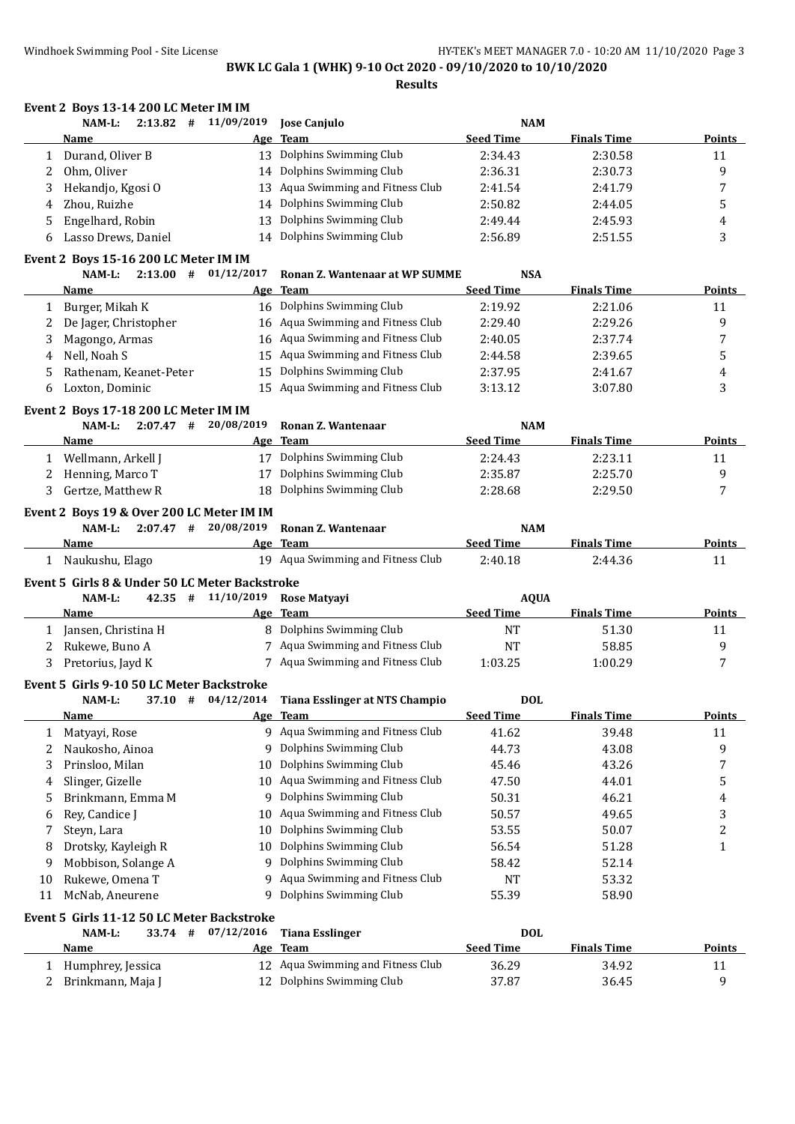|              | Event 2 Boys 13-14 200 LC Meter IM IM          |                        |                                                             |                                |                    |                          |
|--------------|------------------------------------------------|------------------------|-------------------------------------------------------------|--------------------------------|--------------------|--------------------------|
|              | $2:13.82$ #<br>NAM-L:                          | 11/09/2019             | <b>Jose Canjulo</b>                                         | <b>NAM</b><br><b>Seed Time</b> |                    |                          |
|              | Name                                           | Age                    | Team                                                        |                                | <b>Finals Time</b> | <b>Points</b>            |
| $\mathbf{1}$ | Durand, Oliver B                               |                        | 13 Dolphins Swimming Club                                   | 2:34.43                        | 2:30.58            | 11                       |
| 2            | Ohm, Oliver                                    |                        | 14 Dolphins Swimming Club                                   | 2:36.31                        | 2:30.73            | 9                        |
| 3            | Hekandjo, Kgosi O                              | 13                     | Aqua Swimming and Fitness Club                              | 2:41.54                        | 2:41.79            | 7                        |
| 4            | Zhou, Ruizhe                                   | 14                     | Dolphins Swimming Club                                      | 2:50.82                        | 2:44.05            | 5                        |
| 5            | Engelhard, Robin                               | 13                     | Dolphins Swimming Club                                      | 2:49.44                        | 2:45.93            | 4                        |
| 6            | Lasso Drews, Daniel                            |                        | 14 Dolphins Swimming Club                                   | 2:56.89                        | 2:51.55            | 3                        |
|              | Event 2 Boys 15-16 200 LC Meter IM IM          |                        |                                                             |                                |                    |                          |
|              | $2:13.00$ #<br>NAM-L:                          | 01/12/2017             | <b>Ronan Z. Wantenaar at WP SUMME</b>                       | <b>NSA</b>                     |                    |                          |
|              | Name                                           |                        | Age Team                                                    | <b>Seed Time</b>               | <b>Finals Time</b> | <b>Points</b>            |
|              | 1 Burger, Mikah K                              |                        | 16 Dolphins Swimming Club                                   | 2:19.92                        | 2:21.06            | 11                       |
| 2            | De Jager, Christopher                          |                        | 16 Aqua Swimming and Fitness Club                           | 2:29.40                        | 2:29.26            | 9                        |
| 3            | Magongo, Armas                                 | 16                     | Aqua Swimming and Fitness Club                              | 2:40.05                        | 2:37.74            | 7                        |
| 4            | Nell, Noah S                                   | 15                     | Aqua Swimming and Fitness Club                              | 2:44.58                        | 2:39.65            | 5                        |
| 5            | Rathenam, Keanet-Peter                         | 15                     | Dolphins Swimming Club                                      | 2:37.95                        | 2:41.67            | 4                        |
| 6            | Loxton, Dominic                                | 15                     | Aqua Swimming and Fitness Club                              | 3:13.12                        | 3:07.80            | 3                        |
|              | Event 2 Boys 17-18 200 LC Meter IM IM          |                        |                                                             |                                |                    |                          |
|              | NAM-L:                                         | $2:07.47$ # 20/08/2019 | Ronan Z. Wantenaar                                          | <b>NAM</b>                     |                    |                          |
|              | Name                                           |                        | Age Team                                                    | <b>Seed Time</b>               | <b>Finals Time</b> | <b>Points</b>            |
|              | 1 Wellmann, Arkell J                           |                        | 17 Dolphins Swimming Club                                   | 2:24.43                        | 2:23.11            | 11                       |
| 2            | Henning, Marco T                               | 17                     | Dolphins Swimming Club                                      | 2:35.87                        | 2:25.70            | 9                        |
| 3            | Gertze, Matthew R                              | 18                     | Dolphins Swimming Club                                      | 2:28.68                        | 2:29.50            | 7                        |
|              | Event 2 Boys 19 & Over 200 LC Meter IM IM      |                        |                                                             |                                |                    |                          |
|              | NAM-L:                                         | $2:07.47$ # 20/08/2019 | Ronan Z. Wantenaar                                          | <b>NAM</b>                     |                    |                          |
|              | Name                                           |                        | Age Team                                                    | <b>Seed Time</b>               | <b>Finals Time</b> | <b>Points</b>            |
|              | 1 Naukushu, Elago                              |                        | 19 Aqua Swimming and Fitness Club                           | 2:40.18                        | 2:44.36            | 11                       |
|              | Event 5 Girls 8 & Under 50 LC Meter Backstroke |                        |                                                             |                                |                    |                          |
|              | NAM-L:                                         | $42.35$ # $11/10/2019$ | <b>Rose Matyayi</b>                                         | <b>AQUA</b>                    |                    |                          |
|              | Name                                           |                        | Age Team                                                    | <b>Seed Time</b>               | <b>Finals Time</b> | <b>Points</b>            |
|              | 1 Jansen, Christina H                          |                        | 8 Dolphins Swimming Club                                    | NT                             | 51.30              | 11                       |
| 2            | Rukewe, Buno A                                 |                        | 7 Aqua Swimming and Fitness Club                            | <b>NT</b>                      | 58.85              | 9                        |
| 3            | Pretorius, Jayd K                              |                        | 7 Aqua Swimming and Fitness Club                            | 1:03.25                        | 1:00.29            | 7                        |
|              | Event 5 Girls 9-10 50 LC Meter Backstroke      |                        |                                                             |                                |                    |                          |
|              | NAM-L:                                         | $37.10$ # $04/12/2014$ | Tiana Esslinger at NTS Champio                              | <b>DOL</b>                     |                    |                          |
|              | <u>Name</u>                                    |                        | Age Team                                                    | <b>Seed Time</b>               | <b>Finals Time</b> | Points                   |
| $\mathbf{1}$ | Matyayi, Rose                                  |                        | 9 Aqua Swimming and Fitness Club                            | 41.62                          | 39.48              | 11                       |
| 2            | Naukosho, Ainoa                                |                        | 9 Dolphins Swimming Club                                    | 44.73                          | 43.08              | 9                        |
| 3            | Prinsloo, Milan                                | 10                     | Dolphins Swimming Club                                      | 45.46                          | 43.26              | 7                        |
| 4            | Slinger, Gizelle                               | 10                     | Aqua Swimming and Fitness Club                              | 47.50                          | 44.01              | 5                        |
| 5            | Brinkmann, Emma M                              | 9                      | Dolphins Swimming Club                                      | 50.31                          | 46.21              | 4                        |
|              |                                                |                        | Aqua Swimming and Fitness Club                              | 50.57                          | 49.65              | 3                        |
|              |                                                |                        |                                                             |                                |                    |                          |
| 6            | Rey, Candice J                                 | 10                     |                                                             |                                |                    |                          |
| 7            | Steyn, Lara                                    | 10                     | Dolphins Swimming Club                                      | 53.55                          | 50.07              | $\overline{c}$           |
| 8            | Drotsky, Kayleigh R                            | 10                     | Dolphins Swimming Club                                      | 56.54                          | 51.28              | $\mathbf{1}$             |
| 9            | Mobbison, Solange A                            | 9                      | Dolphins Swimming Club                                      | 58.42                          | 52.14              |                          |
| 10           | Rukewe, Omena T                                | 9                      | Aqua Swimming and Fitness Club                              | NT                             | 53.32              |                          |
| 11           | McNab, Aneurene                                | 9                      | Dolphins Swimming Club                                      | 55.39                          | 58.90              |                          |
|              | Event 5 Girls 11-12 50 LC Meter Backstroke     |                        |                                                             |                                |                    |                          |
|              | NAM-L:<br>33.74 #                              | 07/12/2016             | <b>Tiana Esslinger</b>                                      | <b>DOL</b>                     |                    |                          |
|              | <b>Name</b>                                    |                        | Age Team                                                    | <b>Seed Time</b>               | <b>Finals Time</b> |                          |
| 1<br>2       | Humphrey, Jessica<br>Brinkmann, Maja J         | 12                     | 12 Aqua Swimming and Fitness Club<br>Dolphins Swimming Club | 36.29<br>37.87                 | 34.92<br>36.45     | <b>Points</b><br>11<br>9 |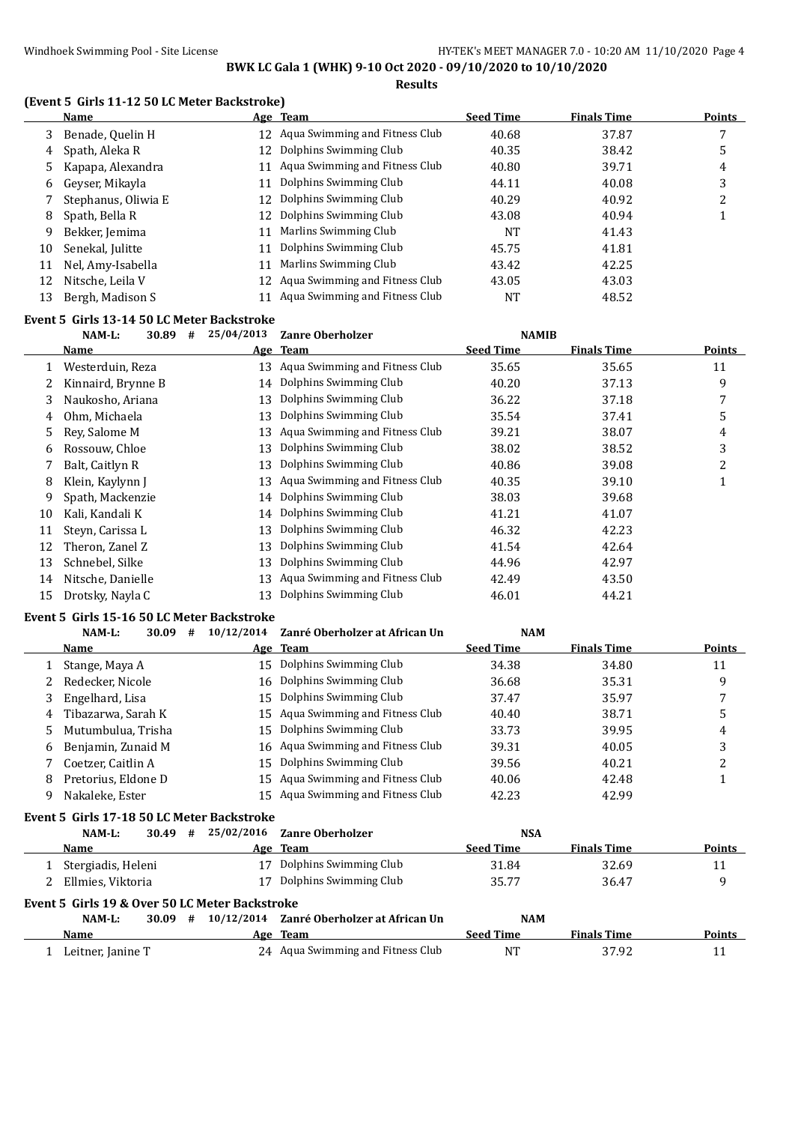**Results**

#### **(Event 5 Girls 11-12 50 LC Meter Backstroke)**

|    | Name                |    | Age Team                          | <b>Seed Time</b> | <b>Finals Time</b> | Points |
|----|---------------------|----|-----------------------------------|------------------|--------------------|--------|
| 3  | Benade, Quelin H    |    | 12 Aqua Swimming and Fitness Club | 40.68            | 37.87              |        |
| 4  | Spath, Aleka R      | 12 | Dolphins Swimming Club            | 40.35            | 38.42              | 5      |
|    | Kapapa, Alexandra   | 11 | Aqua Swimming and Fitness Club    | 40.80            | 39.71              | 4      |
| 6  | Geyser, Mikayla     | 11 | Dolphins Swimming Club            | 44.11            | 40.08              | 3      |
|    | Stephanus, Oliwia E | 12 | Dolphins Swimming Club            | 40.29            | 40.92              | າ      |
| 8  | Spath, Bella R      | 12 | Dolphins Swimming Club            | 43.08            | 40.94              |        |
| 9  | Bekker, Jemima      | 11 | Marlins Swimming Club             | <b>NT</b>        | 41.43              |        |
| 10 | Senekal, Julitte    | 11 | Dolphins Swimming Club            | 45.75            | 41.81              |        |
| 11 | Nel, Amy-Isabella   | 11 | Marlins Swimming Club             | 43.42            | 42.25              |        |
| 12 | Nitsche, Leila V    |    | 12 Agua Swimming and Fitness Club | 43.05            | 43.03              |        |
| 13 | Bergh, Madison S    | 11 | Aqua Swimming and Fitness Club    | <b>NT</b>        | 48.52              |        |
|    |                     |    |                                   |                  |                    |        |

#### **Event 5 Girls 13-14 50 LC Meter Backstroke**

|    | NAM-L:<br>30.89<br># | 25/04/2013 | <b>Zanre Oberholzer</b>           | <b>NAMIB</b>     |                    |               |
|----|----------------------|------------|-----------------------------------|------------------|--------------------|---------------|
|    | <b>Name</b>          |            | Age Team                          | <b>Seed Time</b> | <b>Finals Time</b> | <b>Points</b> |
|    | Westerduin, Reza     |            | 13 Aqua Swimming and Fitness Club | 35.65            | 35.65              | 11            |
|    | Kinnaird, Brynne B   | 14         | Dolphins Swimming Club            | 40.20            | 37.13              | 9             |
| 3  | Naukosho, Ariana     | 13         | Dolphins Swimming Club            | 36.22            | 37.18              | 7             |
| 4  | Ohm, Michaela        | 13         | Dolphins Swimming Club            | 35.54            | 37.41              | 5             |
| 5  | Rev. Salome M        | 13         | Aqua Swimming and Fitness Club    | 39.21            | 38.07              | 4             |
| 6  | Rossouw, Chloe       | 13         | Dolphins Swimming Club            | 38.02            | 38.52              | 3             |
|    | Balt, Caitlyn R      | 13         | Dolphins Swimming Club            | 40.86            | 39.08              | 2             |
| 8  | Klein, Kaylynn J     | 13         | Aqua Swimming and Fitness Club    | 40.35            | 39.10              | 1             |
| 9  | Spath, Mackenzie     |            | 14 Dolphins Swimming Club         | 38.03            | 39.68              |               |
| 10 | Kali, Kandali K      | 14         | Dolphins Swimming Club            | 41.21            | 41.07              |               |
| 11 | Steyn, Carissa L     | 13         | Dolphins Swimming Club            | 46.32            | 42.23              |               |
| 12 | Theron, Zanel Z      | 13         | Dolphins Swimming Club            | 41.54            | 42.64              |               |
| 13 | Schnebel, Silke      | 13         | Dolphins Swimming Club            | 44.96            | 42.97              |               |
| 14 | Nitsche, Danielle    | 13         | Aqua Swimming and Fitness Club    | 42.49            | 43.50              |               |
| 15 | Drotsky, Nayla C     | 13         | Dolphins Swimming Club            | 46.01            | 44.21              |               |

#### **Event 5 Girls 15-16 50 LC Meter Backstroke**

|    | $NAM-L$ :<br>30.09<br># | 10/12/2014 | Zanré Oberholzer at African Un    | <b>NAM</b>       |                    |        |
|----|-------------------------|------------|-----------------------------------|------------------|--------------------|--------|
|    | Name                    |            | Age Team                          | <b>Seed Time</b> | <b>Finals Time</b> | Points |
|    | Stange, Maya A          |            | 15 Dolphins Swimming Club         | 34.38            | 34.80              | 11     |
|    | Redecker, Nicole        | 16         | Dolphins Swimming Club            | 36.68            | 35.31              | 9      |
| 3  | Engelhard, Lisa         |            | 15 Dolphins Swimming Club         | 37.47            | 35.97              |        |
|    | Tibazarwa, Sarah K      |            | 15 Agua Swimming and Fitness Club | 40.40            | 38.71              |        |
| 5. | Mutumbulua, Trisha      |            | 15 Dolphins Swimming Club         | 33.73            | 39.95              | 4      |
| 6  | Benjamin, Zunaid M      |            | 16 Agua Swimming and Fitness Club | 39.31            | 40.05              | 3      |
|    | Coetzer, Caitlin A      | 15         | Dolphins Swimming Club            | 39.56            | 40.21              | າ      |
| 8  | Pretorius, Eldone D     |            | 15 Agua Swimming and Fitness Club | 40.06            | 42.48              |        |
|    | Nakaleke, Ester         |            | 15 Agua Swimming and Fitness Club | 42.23            | 42.99              |        |
|    |                         |            |                                   |                  |                    |        |

### **Event 5 Girls 17-18 50 LC Meter Backstroke**

| NAM-L:                                         | 30.49 | # |  | 25/02/2016 Zanre Oberholzer               | <b>NSA</b>       |                    |               |  |  |
|------------------------------------------------|-------|---|--|-------------------------------------------|------------------|--------------------|---------------|--|--|
| Name                                           |       |   |  | Age Team                                  | <b>Seed Time</b> | <b>Finals Time</b> | <b>Points</b> |  |  |
| Stergiadis, Heleni                             |       |   |  | Dolphins Swimming Club                    | 31.84            | 32.69              | 11            |  |  |
| 2 Ellmies, Viktoria                            |       |   |  | Dolphins Swimming Club                    | 35.77            | 36.47              | q             |  |  |
| Event 5 Girls 19 & Over 50 LC Meter Backstroke |       |   |  |                                           |                  |                    |               |  |  |
| NAM-L:                                         | 30.09 | # |  | 10/12/2014 Zanré Oberholzer at African Un | <b>NAM</b>       |                    |               |  |  |
| Name                                           |       |   |  | Age Team                                  | <b>Seed Time</b> | <b>Finals Time</b> | <b>Points</b> |  |  |
| Leitner, Janine T                              |       |   |  | 24 Aqua Swimming and Fitness Club         | NT               | 37.92              |               |  |  |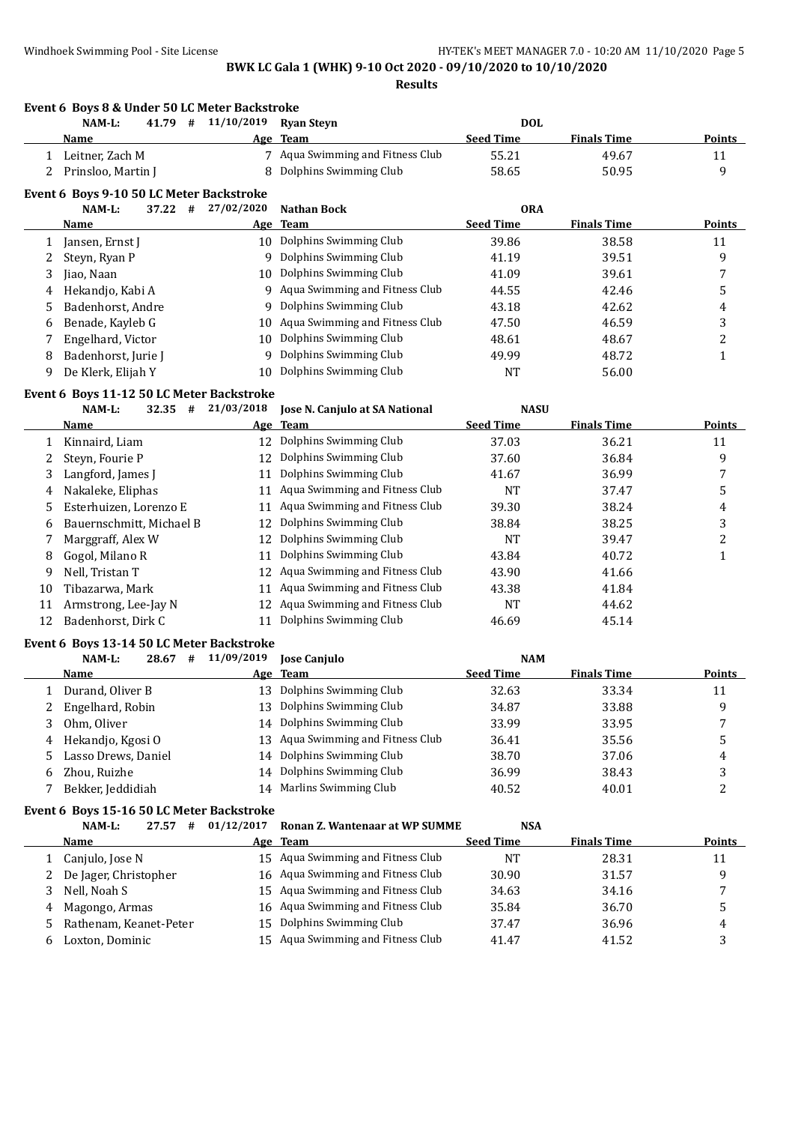**Event 6 Boys 8 & Under 50 LC Meter Backstroke**

### **BWK LC Gala 1 (WHK) 9-10 Oct 2020 - 09/10/2020 to 10/10/2020 Results**

**NAM-L: 41.79 # 11/10/2019 Ryan Steyn DOL**

|        | Name                                      |            | Age Team                          | <b>Seed Time</b> | <b>Finals Time</b> | <b>Points</b> |
|--------|-------------------------------------------|------------|-----------------------------------|------------------|--------------------|---------------|
|        | 1 Leitner, Zach M                         |            | 7 Aqua Swimming and Fitness Club  | 55.21            | 49.67              | 11            |
|        | 2 Prinsloo, Martin J                      | 8          | Dolphins Swimming Club            | 58.65            | 50.95              | 9             |
|        | Event 6 Boys 9-10 50 LC Meter Backstroke  |            |                                   |                  |                    |               |
|        | NAM-L:<br>37.22 #                         | 27/02/2020 | <b>Nathan Bock</b>                | <b>ORA</b>       |                    |               |
|        | Name                                      |            | Age Team                          | <b>Seed Time</b> | <b>Finals Time</b> | <b>Points</b> |
|        | Jansen, Ernst J                           |            | 10 Dolphins Swimming Club         | 39.86            | 38.58              | 11            |
| 1<br>2 |                                           |            | 9 Dolphins Swimming Club          | 41.19            | 39.51              | 9             |
|        | Steyn, Ryan P                             | 10         | Dolphins Swimming Club            | 41.09            | 39.61              |               |
| 3      | Jiao, Naan                                | 9.         | Aqua Swimming and Fitness Club    | 44.55            | 42.46              | 7             |
| 4      | Hekandjo, Kabi A<br>Badenhorst, Andre     | 9          | Dolphins Swimming Club            | 43.18            | 42.62              | 5             |
| 5      |                                           |            | Aqua Swimming and Fitness Club    | 47.50            | 46.59              | 4             |
| 6      | Benade, Kayleb G                          | 10         | Dolphins Swimming Club            |                  |                    | 3             |
| 7      | Engelhard, Victor                         | 10         |                                   | 48.61            | 48.67              | 2             |
| 8      | Badenhorst, Jurie J                       | 9          | Dolphins Swimming Club            | 49.99            | 48.72              | $\mathbf{1}$  |
| 9      | De Klerk, Elijah Y                        | 10         | Dolphins Swimming Club            | <b>NT</b>        | 56.00              |               |
|        | Event 6 Boys 11-12 50 LC Meter Backstroke |            |                                   |                  |                    |               |
|        | NAM-L:<br>$32.35$ #                       | 21/03/2018 | Jose N. Canjulo at SA National    | <b>NASU</b>      |                    |               |
|        | Name                                      |            | Age Team                          | <b>Seed Time</b> | <b>Finals Time</b> | <b>Points</b> |
| 1      | Kinnaird, Liam                            |            | 12 Dolphins Swimming Club         | 37.03            | 36.21              | 11            |
| 2      | Steyn, Fourie P                           | 12         | Dolphins Swimming Club            | 37.60            | 36.84              | 9             |
| 3      | Langford, James J                         | 11         | Dolphins Swimming Club            | 41.67            | 36.99              | 7             |
| 4      | Nakaleke, Eliphas                         |            | 11 Aqua Swimming and Fitness Club | <b>NT</b>        | 37.47              | 5             |
| 5      | Esterhuizen, Lorenzo E                    | 11         | Aqua Swimming and Fitness Club    | 39.30            | 38.24              | 4             |
| 6      | Bauernschmitt, Michael B                  | 12         | Dolphins Swimming Club            | 38.84            | 38.25              | 3             |
| 7      | Marggraff, Alex W                         | 12         | Dolphins Swimming Club            | NT               | 39.47              | 2             |
| 8      | Gogol, Milano R                           | 11         | Dolphins Swimming Club            | 43.84            | 40.72              | $\mathbf{1}$  |
| 9      | Nell, Tristan T                           | 12         | Aqua Swimming and Fitness Club    | 43.90            | 41.66              |               |
| 10     | Tibazarwa, Mark                           | 11         | Aqua Swimming and Fitness Club    | 43.38            | 41.84              |               |
| 11     | Armstrong, Lee-Jay N                      | 12         | Aqua Swimming and Fitness Club    | <b>NT</b>        | 44.62              |               |
| 12     | Badenhorst, Dirk C                        |            | 11 Dolphins Swimming Club         | 46.69            | 45.14              |               |
|        | Event 6 Boys 13-14 50 LC Meter Backstroke |            |                                   |                  |                    |               |
|        | NAM-L:<br>$28.67$ #                       | 11/09/2019 | Jose Canjulo                      | <b>NAM</b>       |                    |               |
|        | <u>Name</u>                               |            | Age Team                          | <b>Seed Time</b> | <b>Finals Time</b> | <b>Points</b> |
| 1      | Durand, Oliver B                          |            | 13 Dolphins Swimming Club         | 32.63            | 33.34              | 11            |
| 2      | Engelhard, Robin                          | 13         | Dolphins Swimming Club            | 34.87            | 33.88              | 9             |
| 3      | Ohm, Oliver                               |            | 14 Dolphins Swimming Club         | 33.99            | 33.95              | 7             |
| 4      | Hekandjo, Kgosi O                         | 13         | Aqua Swimming and Fitness Club    | 36.41            | 35.56              | 5             |
| 5      | Lasso Drews, Daniel                       | 14         | Dolphins Swimming Club            | 38.70            | 37.06              | 4             |
| 6      | Zhou, Ruizhe                              | 14         | Dolphins Swimming Club            | 36.99            | 38.43              | 3             |
| 7      | Bekker, Jeddidiah                         | 14         | Marlins Swimming Club             | 40.52            | 40.01              | 2             |
|        |                                           |            |                                   |                  |                    |               |
|        | Event 6 Boys 15-16 50 LC Meter Backstroke |            |                                   |                  |                    |               |
|        | NAM-L:<br>27.57 #                         | 01/12/2017 | Ronan Z. Wantenaar at WP SUMME    | <b>NSA</b>       |                    |               |
|        | Name                                      | <u>Age</u> | <b>Team</b>                       | <b>Seed Time</b> | <b>Finals Time</b> | <b>Points</b> |
| 1      | Canjulo, Jose N                           |            | 15 Aqua Swimming and Fitness Club | <b>NT</b>        | 28.31              | 11            |
| 2      | De Jager, Christopher                     | 16         | Aqua Swimming and Fitness Club    | 30.90            | 31.57              | 9             |
| 3      | Nell, Noah S                              | 15         | Aqua Swimming and Fitness Club    | 34.63            | 34.16              | 7             |
| 4      | Magongo, Armas                            | 16         | Aqua Swimming and Fitness Club    | 35.84            | 36.70              | 5             |
| 5      | Rathenam, Keanet-Peter                    | 15         | Dolphins Swimming Club            | 37.47            | 36.96              | 4             |
| 6      | Loxton, Dominic                           |            | 15 Aqua Swimming and Fitness Club | 41.47            | 41.52              | 3             |
|        |                                           |            |                                   |                  |                    |               |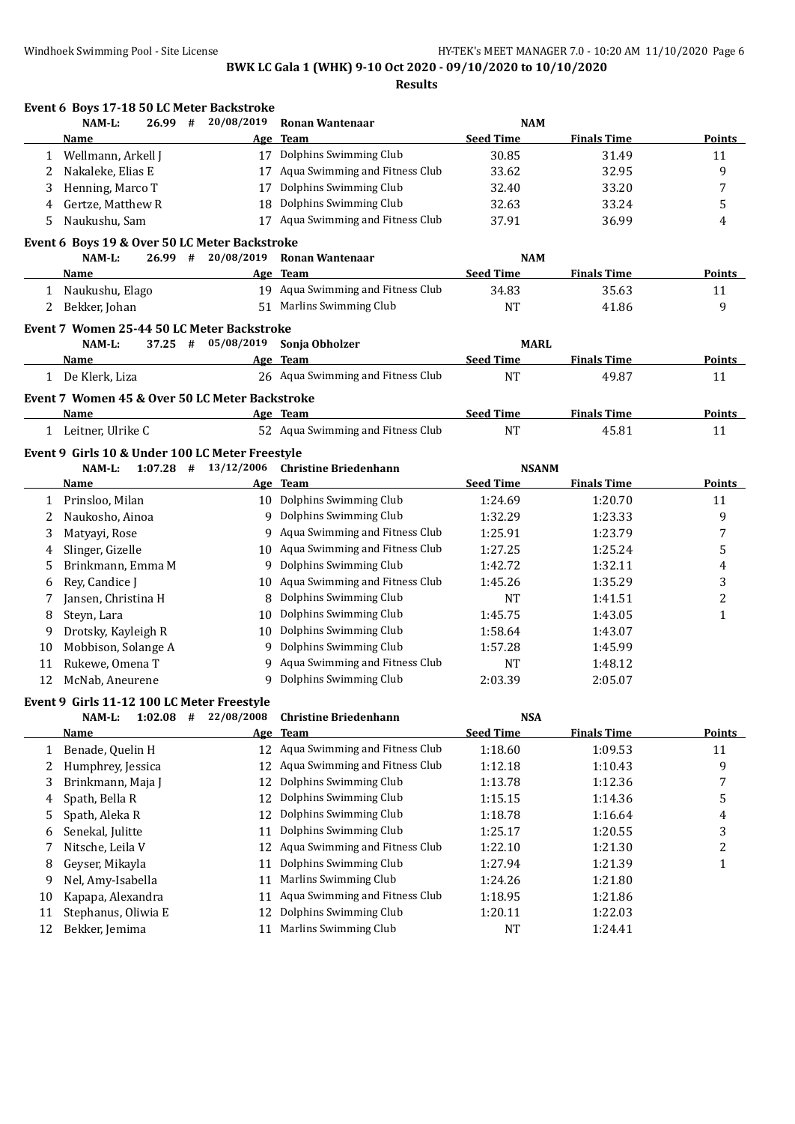|    | Event 6 Boys 17-18 50 LC Meter Backstroke       |                          |                                   |                  |                    |                |
|----|-------------------------------------------------|--------------------------|-----------------------------------|------------------|--------------------|----------------|
|    | NAM-L:<br>26.99                                 | 20/08/2019<br>#          | <b>Ronan Wantenaar</b>            | <b>NAM</b>       |                    |                |
|    | Name                                            | Age                      | <b>Team</b>                       | <b>Seed Time</b> | <b>Finals Time</b> | Points         |
| 1  | Wellmann, Arkell J                              |                          | 17 Dolphins Swimming Club         | 30.85            | 31.49              | 11             |
| 2  | Nakaleke, Elias E                               | 17                       | Aqua Swimming and Fitness Club    | 33.62            | 32.95              | 9              |
| 3  | Henning, Marco T                                | 17                       | Dolphins Swimming Club            | 32.40            | 33.20              | $\overline{7}$ |
| 4  | Gertze, Matthew R                               | 18                       | Dolphins Swimming Club            | 32.63            | 33.24              | 5              |
| 5  | Naukushu, Sam                                   |                          | 17 Aqua Swimming and Fitness Club | 37.91            | 36.99              | 4              |
|    | Event 6 Boys 19 & Over 50 LC Meter Backstroke   |                          |                                   |                  |                    |                |
|    | NAM-L:<br>$26.99$ #                             | 20/08/2019               | <b>Ronan Wantenaar</b>            | <b>NAM</b>       |                    |                |
|    | Name                                            |                          | Age Team                          | <b>Seed Time</b> | <b>Finals Time</b> | <b>Points</b>  |
|    | 1 Naukushu, Elago                               |                          | 19 Aqua Swimming and Fitness Club | 34.83            | 35.63              | 11             |
| 2  | Bekker, Johan                                   |                          | 51 Marlins Swimming Club          | <b>NT</b>        | 41.86              | 9              |
|    | Event 7 Women 25-44 50 LC Meter Backstroke      |                          |                                   |                  |                    |                |
|    | NAM-L:<br>$37.25$ #                             | 05/08/2019               | Sonja Obholzer                    | <b>MARL</b>      |                    |                |
|    | Name                                            | Age                      | <b>Team</b>                       | <b>Seed Time</b> | <b>Finals Time</b> | Points         |
|    | 1 De Klerk, Liza                                |                          | 26 Aqua Swimming and Fitness Club | <b>NT</b>        | 49.87              | 11             |
|    | Event 7 Women 45 & Over 50 LC Meter Backstroke  |                          |                                   |                  |                    |                |
|    | <b>Name</b>                                     |                          | Age Team                          | <b>Seed Time</b> | <b>Finals Time</b> | Points         |
|    | 1 Leitner, Ulrike C                             |                          | 52 Aqua Swimming and Fitness Club | <b>NT</b>        | 45.81              | 11             |
|    | Event 9 Girls 10 & Under 100 LC Meter Freestyle |                          |                                   |                  |                    |                |
|    | NAM-L:                                          | $1:07.28$ # $13/12/2006$ | <b>Christine Briedenhann</b>      | <b>NSANM</b>     |                    |                |
|    | Name                                            |                          | Age Team                          | <b>Seed Time</b> | <b>Finals Time</b> | Points         |
| 1  | Prinsloo, Milan                                 |                          | 10 Dolphins Swimming Club         | 1:24.69          | 1:20.70            | 11             |
| 2  | Naukosho, Ainoa                                 |                          | 9 Dolphins Swimming Club          | 1:32.29          | 1:23.33            | 9              |
| 3  | Matyayi, Rose                                   |                          | 9 Aqua Swimming and Fitness Club  | 1:25.91          | 1:23.79            | 7              |
| 4  | Slinger, Gizelle                                | 10                       | Aqua Swimming and Fitness Club    | 1:27.25          | 1:25.24            | 5              |
| 5  | Brinkmann, Emma M                               |                          | 9 Dolphins Swimming Club          | 1:42.72          | 1:32.11            | 4              |
| 6  | Rey, Candice J                                  | 10                       | Aqua Swimming and Fitness Club    | 1:45.26          | 1:35.29            | 3              |
|    | Jansen, Christina H                             | 8                        | Dolphins Swimming Club            | NT               | 1:41.51            | $\overline{c}$ |
| 8  | Steyn, Lara                                     | 10                       | Dolphins Swimming Club            | 1:45.75          | 1:43.05            | $\mathbf{1}$   |
| 9  | Drotsky, Kayleigh R                             | 10                       | Dolphins Swimming Club            | 1:58.64          | 1:43.07            |                |
| 10 | Mobbison, Solange A                             | 9                        | Dolphins Swimming Club            | 1:57.28          | 1:45.99            |                |
| 11 | Rukewe, Omena T                                 |                          | 9 Aqua Swimming and Fitness Club  | <b>NT</b>        | 1:48.12            |                |
| 12 | McNab, Aneurene                                 |                          | 9 Dolphins Swimming Club          | 2:03.39          | 2:05.07            |                |
|    |                                                 |                          |                                   |                  |                    |                |
|    | Event 9 Girls 11-12 100 LC Meter Freestyle      |                          |                                   |                  |                    |                |
|    | 1:02.08<br>NAM-L:                               | 22/08/2008<br>#          | <b>Christine Briedenhann</b>      | <b>NSA</b>       |                    |                |
|    | <b>Name</b>                                     |                          | Age Team                          | <b>Seed Time</b> | <b>Finals Time</b> | <b>Points</b>  |
| 1  | Benade, Quelin H                                | 12                       | Aqua Swimming and Fitness Club    | 1:18.60          | 1:09.53            | 11             |
| 2  | Humphrey, Jessica                               | 12                       | Aqua Swimming and Fitness Club    | 1:12.18          | 1:10.43            | 9              |
| 3  | Brinkmann, Maja J                               | 12                       | Dolphins Swimming Club            | 1:13.78          | 1:12.36            | 7              |
| 4  | Spath, Bella R                                  | 12                       | Dolphins Swimming Club            | 1:15.15          | 1:14.36            | 5              |
| 5  | Spath, Aleka R                                  | 12                       | Dolphins Swimming Club            | 1:18.78          | 1:16.64            | 4              |
| 6  | Senekal, Julitte                                | 11                       | Dolphins Swimming Club            | 1:25.17          | 1:20.55            | 3              |
| 7  | Nitsche, Leila V                                | 12                       | Aqua Swimming and Fitness Club    | 1:22.10          | 1:21.30            | $\overline{c}$ |
| 8  | Geyser, Mikayla                                 | 11                       | Dolphins Swimming Club            | 1:27.94          | 1:21.39            | $\mathbf{1}$   |
| 9  | Nel, Amy-Isabella                               | 11                       | Marlins Swimming Club             | 1:24.26          | 1:21.80            |                |
| 10 | Kapapa, Alexandra                               | 11                       | Aqua Swimming and Fitness Club    | 1:18.95          | 1:21.86            |                |
| 11 | Stephanus, Oliwia E                             | 12                       | Dolphins Swimming Club            | 1:20.11          | 1:22.03            |                |
| 12 | Bekker, Jemima                                  | 11                       | Marlins Swimming Club             | NT               | 1:24.41            |                |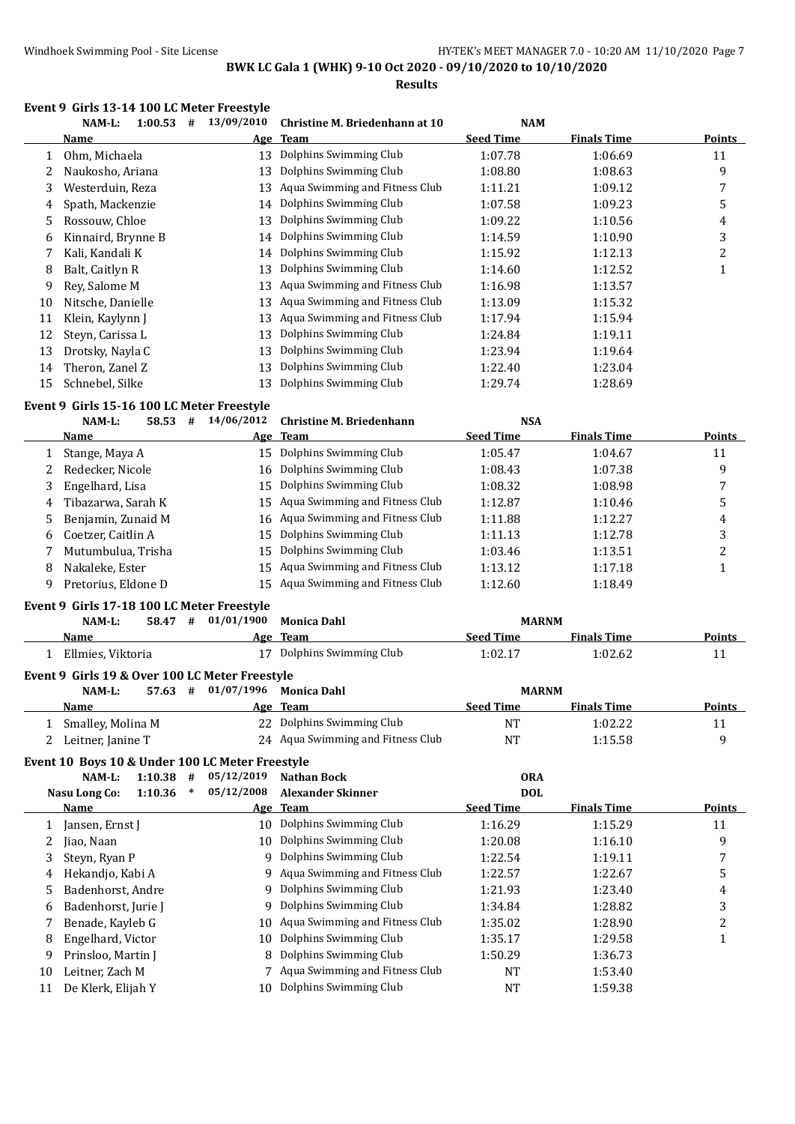**Results**

#### **Event 9 Girls 13-14 100 LC Meter Freestyle**

|    | and to the too burnette inceptive<br>1:00.53<br>NAM-L:<br># | 13/09/2010 | Christine M. Briedenhann at 10 | <b>NAM</b>       |                    |        |
|----|-------------------------------------------------------------|------------|--------------------------------|------------------|--------------------|--------|
|    | Name                                                        |            | Age Team                       | <b>Seed Time</b> | <b>Finals Time</b> | Points |
|    | Ohm, Michaela                                               | 13         | Dolphins Swimming Club         | 1:07.78          | 1:06.69            | 11     |
|    | Naukosho, Ariana                                            | 13         | Dolphins Swimming Club         | 1:08.80          | 1:08.63            | 9      |
| 3  | Westerduin, Reza                                            | 13         | Aqua Swimming and Fitness Club | 1:11.21          | 1:09.12            | 7      |
| 4  | Spath, Mackenzie                                            | 14         | Dolphins Swimming Club         | 1:07.58          | 1:09.23            | 5      |
| 5  | Rossouw, Chloe                                              | 13         | Dolphins Swimming Club         | 1:09.22          | 1:10.56            | 4      |
| 6  | Kinnaird, Brynne B                                          |            | 14 Dolphins Swimming Club      | 1:14.59          | 1:10.90            | 3      |
|    | Kali, Kandali K                                             | 14         | Dolphins Swimming Club         | 1:15.92          | 1:12.13            | 2      |
| 8  | Balt, Caitlyn R                                             | 13         | Dolphins Swimming Club         | 1:14.60          | 1:12.52            |        |
| 9  | Rev. Salome M                                               | 13         | Aqua Swimming and Fitness Club | 1:16.98          | 1:13.57            |        |
| 10 | Nitsche, Danielle                                           | 13         | Aqua Swimming and Fitness Club | 1:13.09          | 1:15.32            |        |
| 11 | Klein, Kaylynn J                                            | 13         | Aqua Swimming and Fitness Club | 1:17.94          | 1:15.94            |        |
| 12 | Steyn, Carissa L                                            | 13         | Dolphins Swimming Club         | 1:24.84          | 1:19.11            |        |
| 13 | Drotsky, Nayla C                                            | 13         | Dolphins Swimming Club         | 1:23.94          | 1:19.64            |        |
| 14 | Theron, Zanel Z                                             | 13         | Dolphins Swimming Club         | 1:22.40          | 1:23.04            |        |
| 15 | Schnebel, Silke                                             | 13         | Dolphins Swimming Club         | 1:29.74          | 1:28.69            |        |

#### **Event 9 Girls 15-16 100 LC Meter Freestyle**

|    | NAM-L:<br>58.53<br># | 14/06/2012 | <b>Christine M. Briedenhann</b>   | <b>NSA</b>       |                    |               |
|----|----------------------|------------|-----------------------------------|------------------|--------------------|---------------|
|    | <b>Name</b>          |            | Age Team                          | <b>Seed Time</b> | <b>Finals Time</b> | <b>Points</b> |
|    | Stange, Maya A       | 15         | Dolphins Swimming Club            | 1:05.47          | 1:04.67            | 11            |
|    | Redecker, Nicole     |            | 16 Dolphins Swimming Club         | 1:08.43          | 1:07.38            | 9             |
| 3  | Engelhard, Lisa      | 15         | Dolphins Swimming Club            | 1:08.32          | 1:08.98            |               |
| 4  | Tibazarwa, Sarah K   |            | 15 Aqua Swimming and Fitness Club | 1:12.87          | 1:10.46            | 5             |
| 5. | Benjamin, Zunaid M   |            | 16 Aqua Swimming and Fitness Club | 1:11.88          | 1:12.27            | 4             |
| 6  | Coetzer, Caitlin A   |            | 15 Dolphins Swimming Club         | 1:11.13          | 1:12.78            | 3             |
|    | Mutumbulua, Trisha   | 15         | Dolphins Swimming Club            | 1:03.46          | 1:13.51            |               |
| 8  | Nakaleke, Ester      | 15         | Aqua Swimming and Fitness Club    | 1:13.12          | 1:17.18            |               |
|    | Pretorius, Eldone D  | 15         | Aqua Swimming and Fitness Club    | 1:12.60          | 1:18.49            |               |

#### **Event 9 Girls 17-18 100 LC Meter Freestyle**

| 58.47<br>NAM-L:<br>#                           | 01/01/1900 | Monica Dahl               | <b>MARNM</b>     |                    |               |  |  |  |  |
|------------------------------------------------|------------|---------------------------|------------------|--------------------|---------------|--|--|--|--|
| Name                                           |            | Age Team                  | <b>Seed Time</b> | <b>Finals Time</b> | <b>Points</b> |  |  |  |  |
| Ellmies. Viktoria                              |            | 17 Dolphins Swimming Club | 1:02.17          | 1:02.62            |               |  |  |  |  |
| Event 9 Girls 19 & Over 100 LC Meter Freestyle |            |                           |                  |                    |               |  |  |  |  |

| $NAM-L$ :         | 57.63 | # | 01/07/1996 Monica Dahl            | <b>MARNM</b>     |                    |               |
|-------------------|-------|---|-----------------------------------|------------------|--------------------|---------------|
| Name              |       |   | Age Team                          | <b>Seed Time</b> | <b>Finals Time</b> | <b>Points</b> |
| Smalley, Molina M |       |   | 22 Dolphins Swimming Club         | ΝT               | 1:02.22            |               |
| Leitner, Janine T |       |   | 24 Aqua Swimming and Fitness Club | $N^{T}$          | 1:15.58            |               |

#### **Event 10 Boys 10 & Under 100 LC Meter Freestyle**

|    | 1:10.38<br>NAM-L:<br>#        | 05/12/2019 | <b>Nathan Bock</b>               | <b>ORA</b>       |                    |        |
|----|-------------------------------|------------|----------------------------------|------------------|--------------------|--------|
|    | 1:10.36<br>Nasu Long Co:<br>∗ | 05/12/2008 | Alexander Skinner                | <b>DOL</b>       |                    |        |
|    | Name                          |            | Age Team                         | <b>Seed Time</b> | <b>Finals Time</b> | Points |
|    | Jansen, Ernst J               | 10         | Dolphins Swimming Club           | 1:16.29          | 1:15.29            | 11     |
|    | Jiao, Naan                    | 10.        | Dolphins Swimming Club           | 1:20.08          | 1:16.10            | 9      |
| 3  | Steyn, Ryan P                 | q          | Dolphins Swimming Club           | 1:22.54          | 1:19.11            |        |
| 4  | Hekandjo, Kabi A              |            | 9 Aqua Swimming and Fitness Club | 1:22.57          | 1:22.67            | 5      |
|    | Badenhorst, Andre             |            | 9 Dolphins Swimming Club         | 1:21.93          | 1:23.40            | 4      |
| 6  | Badenhorst, Jurie J           | 9          | Dolphins Swimming Club           | 1:34.84          | 1:28.82            | 3      |
|    | Benade, Kayleb G              | 10.        | Aqua Swimming and Fitness Club   | 1:35.02          | 1:28.90            | າ      |
| 8  | Engelhard, Victor             | 10         | Dolphins Swimming Club           | 1:35.17          | 1:29.58            |        |
| 9  | Prinsloo, Martin J            | 8          | Dolphins Swimming Club           | 1:50.29          | 1:36.73            |        |
| 10 | Leitner, Zach M               |            | 7 Aqua Swimming and Fitness Club | NT               | 1:53.40            |        |
| 11 | De Klerk, Elijah Y            | 10         | Dolphins Swimming Club           | NT               | 1:59.38            |        |
|    |                               |            |                                  |                  |                    |        |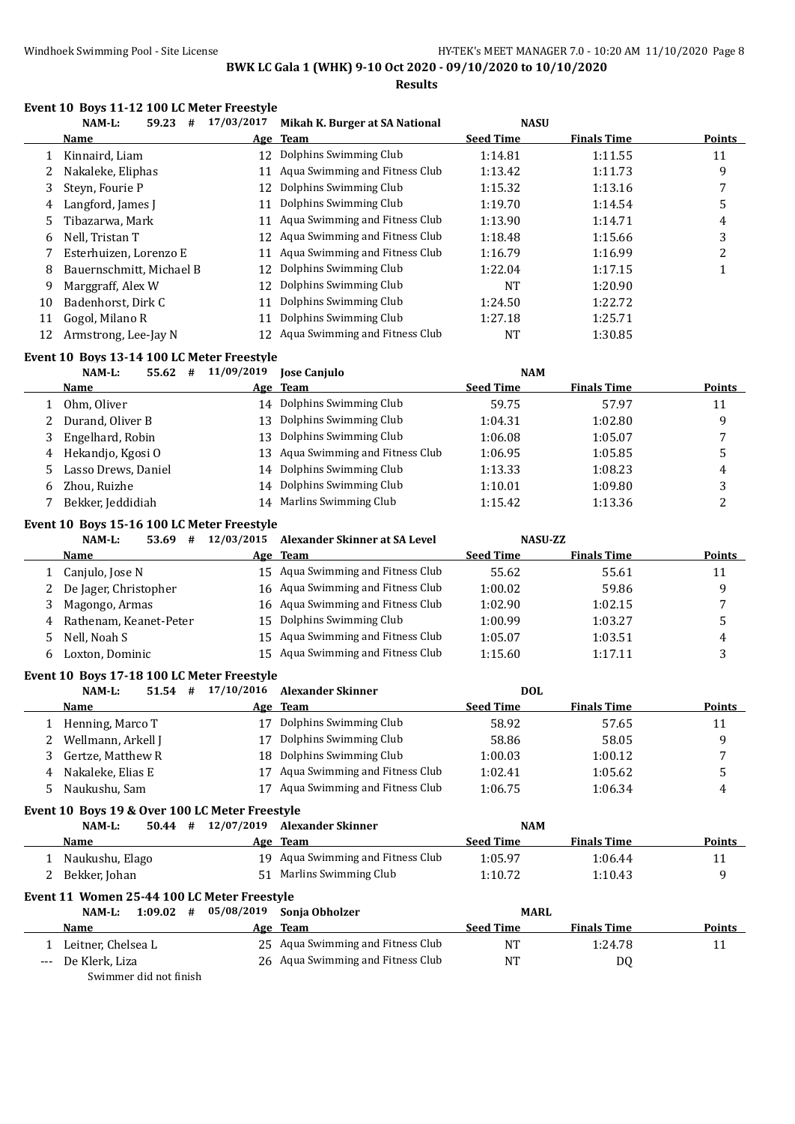**Results**

#### **Event 10 Boys 11-12 100 LC Meter Freestyle**

|    | 59.23<br>NAM-L:<br>#     | 17/03/2017 | Mikah K. Burger at SA National    | <b>NASU</b>      |                    |               |
|----|--------------------------|------------|-----------------------------------|------------------|--------------------|---------------|
|    | <b>Name</b>              |            | Age Team                          | <b>Seed Time</b> | <b>Finals Time</b> | <b>Points</b> |
|    | Kinnaird, Liam           | 12         | Dolphins Swimming Club            | 1:14.81          | 1:11.55            | 11            |
|    | Nakaleke, Eliphas        | 11         | Aqua Swimming and Fitness Club    | 1:13.42          | 1:11.73            | 9             |
| 3  | Steyn, Fourie P          | 12         | Dolphins Swimming Club            | 1:15.32          | 1:13.16            | 7             |
| 4  | Langford, James J        | 11         | Dolphins Swimming Club            | 1:19.70          | 1:14.54            | 5             |
| 5  | Tibazarwa, Mark          | 11         | Aqua Swimming and Fitness Club    | 1:13.90          | 1:14.71            | 4             |
| 6  | Nell. Tristan T          | 12         | Aqua Swimming and Fitness Club    | 1:18.48          | 1:15.66            | 3             |
|    | Esterhuizen, Lorenzo E   | 11         | Aqua Swimming and Fitness Club    | 1:16.79          | 1:16.99            | ົ             |
| 8  | Bauernschmitt. Michael B | 12         | Dolphins Swimming Club            | 1:22.04          | 1:17.15            |               |
| 9  | Marggraff, Alex W        | 12         | Dolphins Swimming Club            | NT               | 1:20.90            |               |
| 10 | Badenhorst, Dirk C       | 11         | Dolphins Swimming Club            | 1:24.50          | 1:22.72            |               |
| 11 | Gogol, Milano R          | 11         | Dolphins Swimming Club            | 1:27.18          | 1:25.71            |               |
| 12 | Armstrong, Lee-Jay N     |            | 12 Aqua Swimming and Fitness Club | NT               | 1:30.85            |               |

#### **Event 10 Boys 13-14 100 LC Meter Freestyle**

|    | NAM-L:<br>55.62<br>#  | 11/09/2019 | <b>Jose Canjulo</b>               | <b>NAM</b>       |                    |               |
|----|-----------------------|------------|-----------------------------------|------------------|--------------------|---------------|
|    | Name                  |            | Age Team                          | <b>Seed Time</b> | <b>Finals Time</b> | <b>Points</b> |
|    | Ohm. Oliver           | 14         | Dolphins Swimming Club            | 59.75            | 57.97              | 11            |
|    | 2 Durand, Oliver B    | 13.        | Dolphins Swimming Club            | 1:04.31          | 1:02.80            | q             |
|    | 3 Engelhard, Robin    | 13.        | Dolphins Swimming Club            | 1:06.08          | 1:05.07            |               |
| 4  | Hekandjo, Kgosi O     |            | 13 Agua Swimming and Fitness Club | 1:06.95          | 1:05.85            |               |
|    | 5 Lasso Drews, Daniel |            | 14 Dolphins Swimming Club         | 1:13.33          | 1:08.23            | 4             |
| 6. | Zhou, Ruizhe          | 14         | Dolphins Swimming Club            | 1:10.01          | 1:09.80            |               |
|    | Bekker, Jeddidiah     | 14         | Marlins Swimming Club             | 1:15.42          | 1:13.36            |               |

#### **Event 10 Boys 15-16 100 LC Meter Freestyle**

|    | NAM-L:<br>53.69<br>#    | 12/03/2015 | Alexander Skinner at SA Level     | <b>NASU-ZZ</b>   |                    |        |
|----|-------------------------|------------|-----------------------------------|------------------|--------------------|--------|
|    | Name                    |            | Age Team                          | <b>Seed Time</b> | <b>Finals Time</b> | Points |
|    | Canjulo, Jose N         |            | 15 Agua Swimming and Fitness Club | 55.62            | 55.61              | 11     |
|    | 2 De Jager, Christopher |            | 16 Aqua Swimming and Fitness Club | 1:00.02          | 59.86              | a      |
|    | Magongo, Armas          |            | 16 Aqua Swimming and Fitness Club | 1:02.90          | 1:02.15            |        |
| 4  | Rathenam, Keanet-Peter  |            | 15 Dolphins Swimming Club         | 1:00.99          | 1:03.27            |        |
|    | Nell, Noah S            |            | 15 Aqua Swimming and Fitness Club | 1:05.07          | 1:03.51            | 4      |
| b. | Loxton, Dominic         | 15.        | Aqua Swimming and Fitness Club    | 1:15.60          | 1:17.11            |        |

#### **Event 10 Boys 17-18 100 LC Meter Freestyle**

|   | NAM-L:<br>#<br>51.54 | 17/10/2016 Alexander Skinner   | <b>DOL</b>       |                    |        |
|---|----------------------|--------------------------------|------------------|--------------------|--------|
|   | <b>Name</b>          | Age Team                       | <b>Seed Time</b> | <b>Finals Time</b> | Points |
|   | Henning, Marco T     | Dolphins Swimming Club         | 58.92            | 57.65              | 11     |
|   | Wellmann, Arkell J   | Dolphins Swimming Club         | 58.86            | 58.05              |        |
|   | Gertze, Matthew R    | 18 Dolphins Swimming Club      | 1:00.03          | 1:00.12            |        |
| 4 | Nakaleke. Elias E    | Aqua Swimming and Fitness Club | 1:02.41          | 1:05.62            |        |
|   | Naukushu, Sam        | Aqua Swimming and Fitness Club | 1:06.75          | 1:06.34            | 4      |

#### **Event 10 Boys 19 & Over 100 LC Meter Freestyle**

| $NAM-L$ :<br>50.44<br># | 12/07/2019 | Alexander Skinner                 | <b>NAM</b>       |                    |        |
|-------------------------|------------|-----------------------------------|------------------|--------------------|--------|
| <b>Name</b>             | Age Team   |                                   | <b>Seed Time</b> | <b>Finals Time</b> | Points |
| Naukushu, Elago         |            | 19 Agua Swimming and Fitness Club | 1:05.97          | 1:06.44            |        |
| Bekker, Johan           |            | 51 Marlins Swimming Club          | 1:10.72          | 1:10.43            |        |

#### **Event 11 Women 25-44 100 LC Meter Freestyle**

| NAM-L:<br>1:09.02<br># | 05/08/2019 Sonja Obholzer         | <b>MARL</b>      |                    |               |
|------------------------|-----------------------------------|------------------|--------------------|---------------|
| <b>Name</b>            | Age Team                          | <b>Seed Time</b> | <b>Finals Time</b> | <b>Points</b> |
| Leitner, Chelsea L     | 25 Agua Swimming and Fitness Club | NT               | 1:24.78            |               |
| --- De Klerk, Liza     | 26 Aqua Swimming and Fitness Club | NT               | DQ                 |               |
|                        |                                   |                  |                    |               |

Swimmer did not finish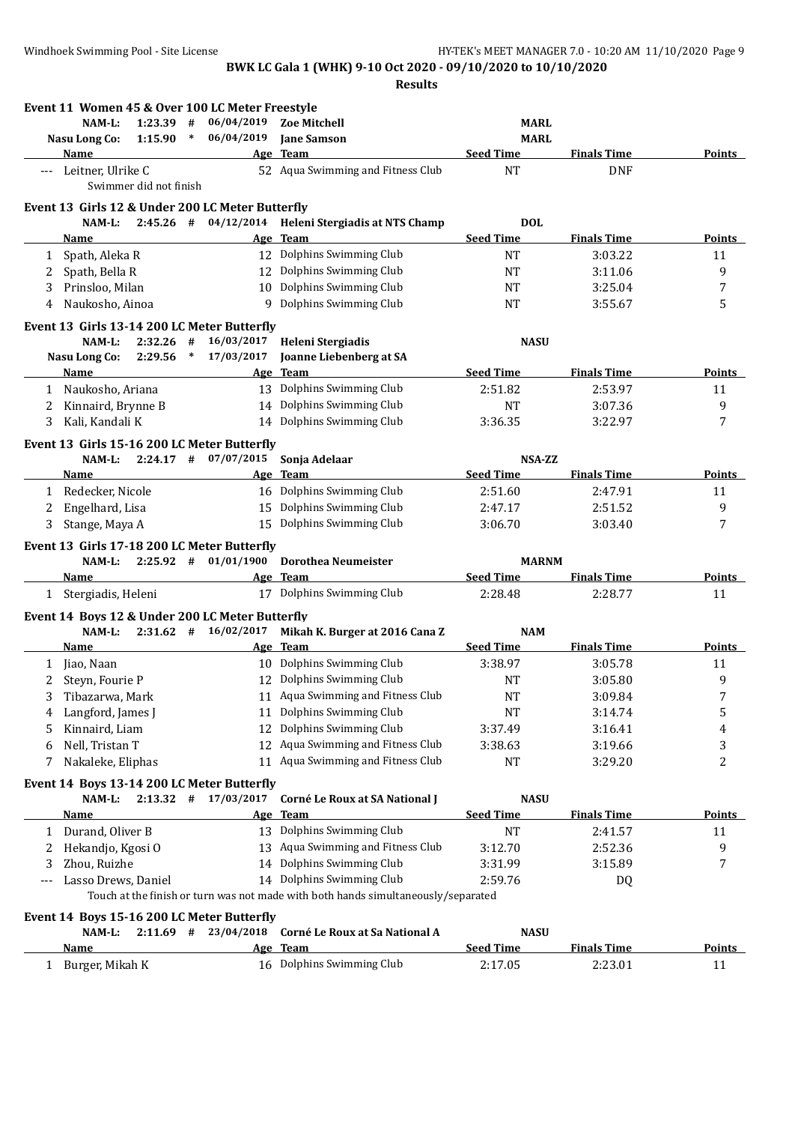**Results**

|     |                                      |                        |        | Event 11 Women 45 & Over 100 LC Meter Freestyle                       |                                                                                   |                                |                    |                       |
|-----|--------------------------------------|------------------------|--------|-----------------------------------------------------------------------|-----------------------------------------------------------------------------------|--------------------------------|--------------------|-----------------------|
|     | $NAM-L$ :                            | 1:23.39                | #      | 06/04/2019                                                            | <b>Zoe Mitchell</b>                                                               | <b>MARL</b>                    |                    |                       |
|     | Nasu Long Co:                        | $1:15.90$ *            |        | 06/04/2019                                                            | <b>Jane Samson</b>                                                                | <b>MARL</b>                    |                    |                       |
|     | Name                                 |                        |        |                                                                       | Age Team                                                                          | <b>Seed Time</b>               | <b>Finals Time</b> | <b>Points</b>         |
|     | Leitner, Ulrike C                    | Swimmer did not finish |        |                                                                       | 52 Aqua Swimming and Fitness Club                                                 | <b>NT</b>                      | <b>DNF</b>         |                       |
|     |                                      |                        |        | Event 13 Girls 12 & Under 200 LC Meter Butterfly                      |                                                                                   |                                |                    |                       |
|     |                                      |                        |        |                                                                       | NAM-L: 2:45.26 # 04/12/2014 Heleni Stergiadis at NTS Champ                        | <b>DOL</b>                     |                    |                       |
|     | Name                                 |                        |        |                                                                       | Age Team                                                                          | <b>Seed Time</b>               | <b>Finals Time</b> | <b>Points</b>         |
| 1   | Spath, Aleka R                       |                        |        |                                                                       | 12 Dolphins Swimming Club                                                         | <b>NT</b>                      | 3:03.22            | 11                    |
| 2   | Spath, Bella R                       |                        |        |                                                                       | 12 Dolphins Swimming Club                                                         | NT                             | 3:11.06            | 9                     |
| 3   | Prinsloo, Milan                      |                        |        |                                                                       | 10 Dolphins Swimming Club                                                         | <b>NT</b>                      | 3:25.04            | 7                     |
| 4   | Naukosho, Ainoa                      |                        |        |                                                                       | 9 Dolphins Swimming Club                                                          | <b>NT</b>                      | 3:55.67            | 5                     |
|     |                                      |                        |        | Event 13 Girls 13-14 200 LC Meter Butterfly                           |                                                                                   |                                |                    |                       |
|     | $NAM-L$ :                            | $2:32.26$ #            |        | 16/03/2017                                                            | Heleni Stergiadis                                                                 | <b>NASU</b>                    |                    |                       |
|     | Nasu Long Co:                        | 2:29.56                | $\ast$ | 17/03/2017                                                            | <b>Joanne Liebenberg at SA</b>                                                    |                                |                    |                       |
|     | Name                                 |                        |        |                                                                       | Age Team                                                                          | <b>Seed Time</b>               | <b>Finals Time</b> | Points                |
|     | 1 Naukosho, Ariana                   |                        |        |                                                                       | 13 Dolphins Swimming Club                                                         | 2:51.82                        | 2:53.97            | 11                    |
| 2   | Kinnaird, Brynne B                   |                        |        |                                                                       | 14 Dolphins Swimming Club                                                         | <b>NT</b>                      | 3:07.36            | 9                     |
| 3   | Kali, Kandali K                      |                        |        |                                                                       | 14 Dolphins Swimming Club                                                         | 3:36.35                        | 3:22.97            | 7                     |
|     |                                      |                        |        | Event 13 Girls 15-16 200 LC Meter Butterfly                           |                                                                                   |                                |                    |                       |
|     | NAM-L:                               |                        |        | $2:24.17$ # 07/07/2015                                                | Sonja Adelaar                                                                     | NSA-ZZ                         |                    |                       |
|     | Name                                 |                        |        |                                                                       | Age Team                                                                          | <b>Seed Time</b>               | <b>Finals Time</b> | Points                |
|     | 1 Redecker, Nicole                   |                        |        |                                                                       | 16 Dolphins Swimming Club                                                         | 2:51.60                        | 2:47.91            | 11                    |
| 2   | Engelhard, Lisa                      |                        |        |                                                                       | 15 Dolphins Swimming Club                                                         | 2:47.17                        | 2:51.52            | 9                     |
| 3   | Stange, Maya A                       |                        |        |                                                                       | 15 Dolphins Swimming Club                                                         | 3:06.70                        | 3:03.40            | 7                     |
|     |                                      |                        |        |                                                                       |                                                                                   |                                |                    |                       |
|     | NAM-L:                               |                        |        | Event 13 Girls 17-18 200 LC Meter Butterfly<br>$2:25.92$ # 01/01/1900 | <b>Dorothea Neumeister</b>                                                        | <b>MARNM</b>                   |                    |                       |
|     | <b>Name</b>                          |                        |        |                                                                       | Age Team                                                                          | <b>Seed Time</b>               | <b>Finals Time</b> | <b>Points</b>         |
|     | 1 Stergiadis, Heleni                 |                        |        |                                                                       | 17 Dolphins Swimming Club                                                         | 2:28.48                        | 2:28.77            | 11                    |
|     |                                      |                        |        |                                                                       |                                                                                   |                                |                    |                       |
|     |                                      |                        |        | Event 14 Boys 12 & Under 200 LC Meter Butterfly                       |                                                                                   |                                |                    |                       |
|     | NAM-L:<br><b>Name</b>                |                        |        |                                                                       | 2:31.62 # 16/02/2017 Mikah K. Burger at 2016 Cana Z<br>Age Team                   | <b>NAM</b><br><b>Seed Time</b> | <b>Finals Time</b> | <b>Points</b>         |
|     |                                      |                        |        |                                                                       | 10 Dolphins Swimming Club                                                         | 3:38.97                        | 3:05.78            | 11                    |
|     | 1 Jiao, Naan                         |                        |        |                                                                       | 12 Dolphins Swimming Club                                                         |                                |                    |                       |
| 2   | Steyn, Fourie P<br>3 Tibazarwa, Mark |                        |        |                                                                       | 11 Aqua Swimming and Fitness Club                                                 | <b>NT</b><br>$\rm{NT}$         | 3:05.80<br>3:09.84 | 9<br>$\boldsymbol{7}$ |
|     |                                      |                        |        |                                                                       | 11 Dolphins Swimming Club                                                         |                                |                    |                       |
| 4   | Langford, James J                    |                        |        |                                                                       | Dolphins Swimming Club                                                            | NT                             | 3:14.74            | 5                     |
| 5   | Kinnaird, Liam                       |                        |        | 12                                                                    | 12 Aqua Swimming and Fitness Club                                                 | 3:37.49                        | 3:16.41            | 4                     |
| 6   | Nell, Tristan T                      |                        |        |                                                                       | Aqua Swimming and Fitness Club                                                    | 3:38.63                        | 3:19.66            | 3                     |
| 7   | Nakaleke, Eliphas                    |                        |        | 11                                                                    |                                                                                   | NT                             | 3:29.20            | 2                     |
|     |                                      |                        |        | Event 14 Boys 13-14 200 LC Meter Butterfly                            |                                                                                   |                                |                    |                       |
|     | NAM-L:                               | $2:13.32$ #            |        | 17/03/2017                                                            | Corné Le Roux at SA National J                                                    | <b>NASU</b>                    |                    |                       |
|     | <u>Name</u>                          |                        |        |                                                                       | Age Team                                                                          | <b>Seed Time</b>               | <b>Finals Time</b> | <b>Points</b>         |
|     | 1 Durand, Oliver B                   |                        |        |                                                                       | 13 Dolphins Swimming Club                                                         | NT                             | 2:41.57            | 11                    |
| 2   | Hekandjo, Kgosi O                    |                        |        |                                                                       | 13 Aqua Swimming and Fitness Club                                                 | 3:12.70                        | 2:52.36            | 9                     |
| 3   | Zhou, Ruizhe                         |                        |        |                                                                       | 14 Dolphins Swimming Club                                                         | 3:31.99                        | 3:15.89            | 7                     |
| --- | Lasso Drews, Daniel                  |                        |        |                                                                       | 14 Dolphins Swimming Club                                                         | 2:59.76                        | DQ                 |                       |
|     |                                      |                        |        |                                                                       | Touch at the finish or turn was not made with both hands simultaneously/separated |                                |                    |                       |
|     |                                      |                        |        | Event 14 Boys 15-16 200 LC Meter Butterfly                            |                                                                                   |                                |                    |                       |
|     | NAM-L:                               |                        |        | $2:11.69$ # $23/04/2018$                                              | Corné Le Roux at Sa National A                                                    | <b>NASU</b>                    |                    |                       |
|     | <u>Name</u>                          |                        |        |                                                                       | Age Team                                                                          | <b>Seed Time</b>               | <b>Finals Time</b> | <b>Points</b>         |
| 1   | Burger, Mikah K                      |                        |        |                                                                       | 16 Dolphins Swimming Club                                                         | 2:17.05                        | 2:23.01            | 11                    |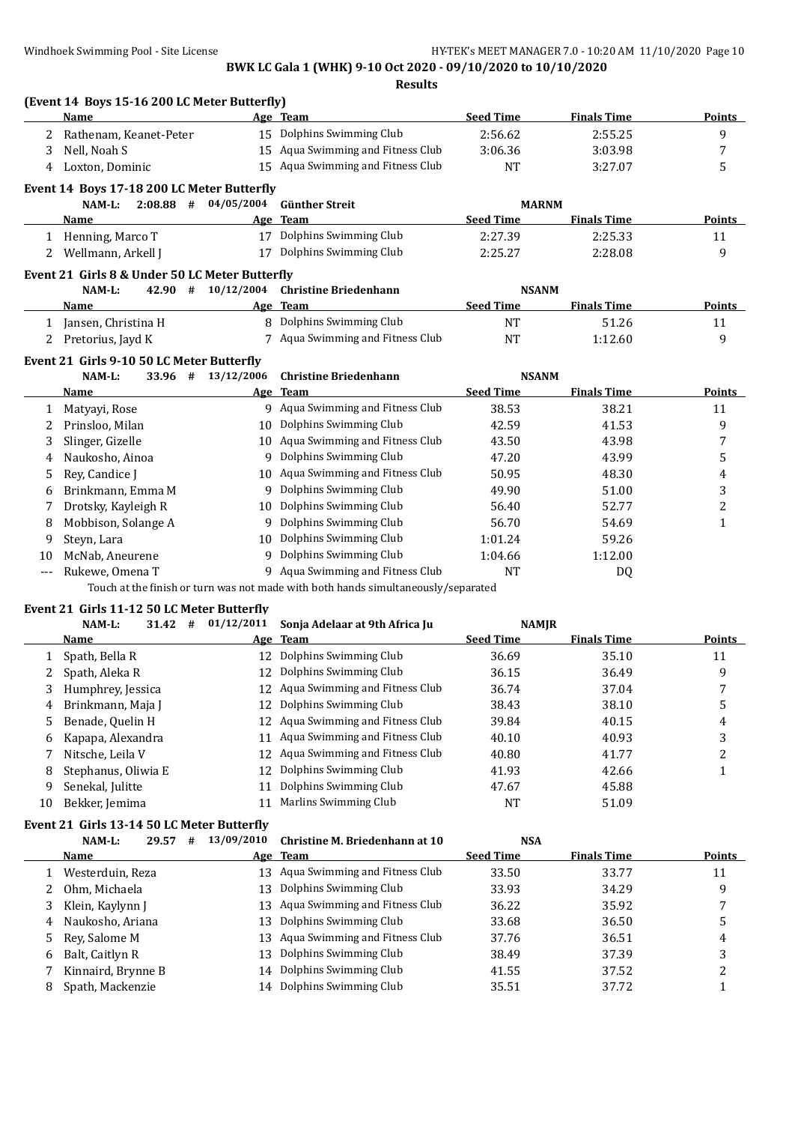|                            | (Event 14 Boys 15-16 200 LC Meter Butterfly)<br>Name                                                          |                                  | Age Team                                                                                                                                                                         | <b>Seed Time</b>                                            | <b>Finals Time</b>                                 | Points         |
|----------------------------|---------------------------------------------------------------------------------------------------------------|----------------------------------|----------------------------------------------------------------------------------------------------------------------------------------------------------------------------------|-------------------------------------------------------------|----------------------------------------------------|----------------|
| 2                          | Rathenam, Keanet-Peter                                                                                        |                                  | 15 Dolphins Swimming Club                                                                                                                                                        | 2:56.62                                                     | 2:55.25                                            | 9              |
| 3                          | Nell, Noah S                                                                                                  |                                  | 15 Aqua Swimming and Fitness Club                                                                                                                                                | 3:06.36                                                     | 3:03.98                                            | 7              |
| 4                          | Loxton, Dominic                                                                                               |                                  | 15 Aqua Swimming and Fitness Club                                                                                                                                                | <b>NT</b>                                                   | 3:27.07                                            | 5              |
|                            | Event 14 Boys 17-18 200 LC Meter Butterfly                                                                    |                                  |                                                                                                                                                                                  |                                                             |                                                    |                |
|                            | NAM-L:                                                                                                        | $2:08.88$ # $04/05/2004$         | <b>Günther Streit</b>                                                                                                                                                            | <b>MARNM</b>                                                |                                                    |                |
|                            | <b>Name</b>                                                                                                   |                                  | Age Team                                                                                                                                                                         | <b>Seed Time</b>                                            | <b>Finals Time</b>                                 | Points         |
|                            | 1 Henning, Marco T                                                                                            |                                  | 17 Dolphins Swimming Club                                                                                                                                                        | 2:27.39                                                     | 2:25.33                                            | 11             |
| 2                          | Wellmann, Arkell J                                                                                            |                                  | 17 Dolphins Swimming Club                                                                                                                                                        | 2:25.27                                                     | 2:28.08                                            | 9              |
|                            | Event 21 Girls 8 & Under 50 LC Meter Butterfly                                                                |                                  |                                                                                                                                                                                  |                                                             |                                                    |                |
|                            | NAM-L:                                                                                                        | 42.90 # 10/12/2004               | <b>Christine Briedenhann</b>                                                                                                                                                     | <b>NSANM</b>                                                |                                                    |                |
|                            | <b>Name</b>                                                                                                   |                                  | Age Team                                                                                                                                                                         | <b>Seed Time</b>                                            | <b>Finals Time</b>                                 | Points         |
|                            | 1 Jansen, Christina H                                                                                         |                                  | 8 Dolphins Swimming Club                                                                                                                                                         | <b>NT</b>                                                   | 51.26                                              | 11             |
|                            | 2 Pretorius, Jayd K                                                                                           |                                  | 7 Aqua Swimming and Fitness Club                                                                                                                                                 | <b>NT</b>                                                   | 1:12.60                                            | 9              |
|                            |                                                                                                               |                                  |                                                                                                                                                                                  |                                                             |                                                    |                |
|                            | Event 21 Girls 9-10 50 LC Meter Butterfly                                                                     |                                  |                                                                                                                                                                                  |                                                             |                                                    |                |
|                            | NAM-L:                                                                                                        | 33.96 # 13/12/2006               | <b>Christine Briedenhann</b>                                                                                                                                                     | <b>NSANM</b>                                                |                                                    |                |
|                            | Name                                                                                                          |                                  | Age Team                                                                                                                                                                         | <b>Seed Time</b>                                            | <b>Finals Time</b>                                 | <b>Points</b>  |
| 1                          | Matyayi, Rose                                                                                                 |                                  | 9 Aqua Swimming and Fitness Club                                                                                                                                                 | 38.53                                                       | 38.21                                              | 11             |
| 2                          | Prinsloo, Milan                                                                                               |                                  | 10 Dolphins Swimming Club                                                                                                                                                        | 42.59                                                       | 41.53                                              | 9              |
| 3                          | Slinger, Gizelle                                                                                              |                                  | 10 Aqua Swimming and Fitness Club                                                                                                                                                | 43.50                                                       | 43.98                                              | 7              |
| 4                          | Naukosho, Ainoa                                                                                               |                                  | 9 Dolphins Swimming Club                                                                                                                                                         | 47.20                                                       | 43.99                                              | 5              |
| 5                          | Rey, Candice J                                                                                                |                                  | 10 Aqua Swimming and Fitness Club                                                                                                                                                | 50.95                                                       | 48.30                                              | $\overline{4}$ |
| 6                          | Brinkmann, Emma M                                                                                             | 9                                | Dolphins Swimming Club                                                                                                                                                           | 49.90                                                       | 51.00                                              | 3              |
| 7                          | Drotsky, Kayleigh R                                                                                           | 10                               | Dolphins Swimming Club                                                                                                                                                           | 56.40                                                       | 52.77                                              | $\overline{c}$ |
| 8                          | Mobbison, Solange A                                                                                           | 9                                | Dolphins Swimming Club<br>Dolphins Swimming Club                                                                                                                                 | 56.70                                                       | 54.69                                              | $\mathbf{1}$   |
| 9                          | Steyn, Lara                                                                                                   | 10                               | Dolphins Swimming Club                                                                                                                                                           | 1:01.24                                                     | 59.26                                              |                |
| 10                         | McNab, Aneurene                                                                                               | 9                                | 9 Aqua Swimming and Fitness Club                                                                                                                                                 | 1:04.66<br><b>NT</b>                                        | 1:12.00                                            |                |
| $---$                      | Rukewe, Omena T                                                                                               |                                  | Touch at the finish or turn was not made with both hands simultaneously/separated                                                                                                |                                                             | DQ                                                 |                |
|                            |                                                                                                               |                                  |                                                                                                                                                                                  |                                                             |                                                    |                |
|                            | Event 21 Girls 11-12 50 LC Meter Butterfly<br>NAM-L:                                                          | $31.42$ # $01/12/2011$           | Sonja Adelaar at 9th Africa Ju                                                                                                                                                   | <b>NAMJR</b>                                                |                                                    |                |
|                            | Name                                                                                                          |                                  | Age Team                                                                                                                                                                         | <b>Seed Time</b>                                            | <b>Finals Time</b>                                 | <b>Points</b>  |
| $\mathbf{1}$               | Spath, Bella R                                                                                                |                                  | 12 Dolphins Swimming Club                                                                                                                                                        | 36.69                                                       | 35.10                                              | 11             |
| 2                          | Spath, Aleka R                                                                                                |                                  | 12 Dolphins Swimming Club                                                                                                                                                        | 36.15                                                       | 36.49                                              | 9              |
|                            | 3 Humphrey, Jessica                                                                                           |                                  | 12 Aqua Swimming and Fitness Club                                                                                                                                                | 36.74                                                       | 37.04                                              | 7              |
| 4                          | Brinkmann, Maja J                                                                                             | 12                               | Dolphins Swimming Club                                                                                                                                                           | 38.43                                                       | 38.10                                              | 5              |
| 5                          | Benade, Quelin H                                                                                              | 12                               | Aqua Swimming and Fitness Club                                                                                                                                                   | 39.84                                                       | 40.15                                              | 4              |
| 6                          | Kapapa, Alexandra                                                                                             | 11                               | Aqua Swimming and Fitness Club                                                                                                                                                   | 40.10                                                       | 40.93                                              | 3              |
| 7                          | Nitsche, Leila V                                                                                              | 12                               | Aqua Swimming and Fitness Club                                                                                                                                                   | 40.80                                                       | 41.77                                              | $\overline{c}$ |
| 8                          | Stephanus, Oliwia E                                                                                           | 12                               | Dolphins Swimming Club                                                                                                                                                           | 41.93                                                       | 42.66                                              | $\mathbf{1}$   |
| 9                          | Senekal, Julitte                                                                                              | 11                               | Dolphins Swimming Club                                                                                                                                                           | 47.67                                                       | 45.88                                              |                |
| 10                         | Bekker, Jemima                                                                                                | 11                               | Marlins Swimming Club                                                                                                                                                            | <b>NT</b>                                                   | 51.09                                              |                |
|                            |                                                                                                               |                                  |                                                                                                                                                                                  |                                                             |                                                    |                |
|                            | Event 21 Girls 13-14 50 LC Meter Butterfly<br>NAM-L:<br>$29.57$ #                                             | 13/09/2010                       | Christine M. Briedenhann at 10                                                                                                                                                   | <b>NSA</b>                                                  |                                                    |                |
|                            | <b>Name</b>                                                                                                   |                                  | Age Team                                                                                                                                                                         | <b>Seed Time</b>                                            | <b>Finals Time</b>                                 | <b>Points</b>  |
|                            |                                                                                                               |                                  |                                                                                                                                                                                  |                                                             |                                                    | 11             |
|                            |                                                                                                               |                                  |                                                                                                                                                                                  |                                                             |                                                    | 9              |
|                            |                                                                                                               |                                  |                                                                                                                                                                                  |                                                             |                                                    | 7              |
|                            |                                                                                                               |                                  |                                                                                                                                                                                  |                                                             |                                                    | 5              |
|                            |                                                                                                               |                                  |                                                                                                                                                                                  |                                                             |                                                    | 4              |
|                            |                                                                                                               |                                  |                                                                                                                                                                                  |                                                             |                                                    | 3              |
|                            | Kinnaird, Brynne B                                                                                            | 14                               | Dolphins Swimming Club                                                                                                                                                           |                                                             | 37.52                                              | $\overline{c}$ |
| 7                          |                                                                                                               |                                  |                                                                                                                                                                                  |                                                             |                                                    |                |
| 1<br>2<br>3<br>4<br>5<br>6 | Westerduin, Reza<br>Ohm, Michaela<br>Klein, Kaylynn J<br>Naukosho, Ariana<br>Rey, Salome M<br>Balt, Caitlyn R | 13<br>13<br>13<br>13<br>13<br>13 | Aqua Swimming and Fitness Club<br>Dolphins Swimming Club<br>Aqua Swimming and Fitness Club<br>Dolphins Swimming Club<br>Aqua Swimming and Fitness Club<br>Dolphins Swimming Club | 33.50<br>33.93<br>36.22<br>33.68<br>37.76<br>38.49<br>41.55 | 33.77<br>34.29<br>35.92<br>36.50<br>36.51<br>37.39 |                |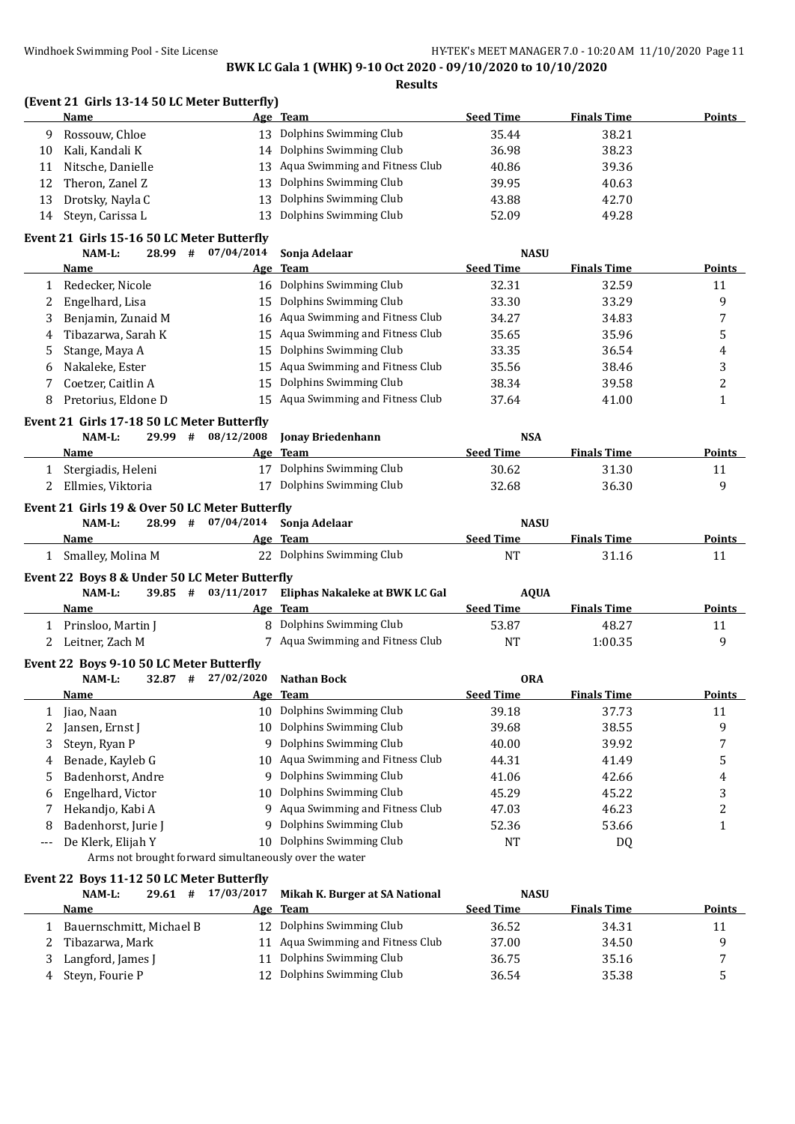|             | Name                                                            |                    | Age Team                                                    | <b>Seed Time</b> | <b>Finals Time</b> | <b>Points</b>    |
|-------------|-----------------------------------------------------------------|--------------------|-------------------------------------------------------------|------------------|--------------------|------------------|
| 9           | Rossouw, Chloe                                                  |                    | 13 Dolphins Swimming Club                                   | 35.44            | 38.21              |                  |
| 10          | Kali, Kandali K                                                 |                    | 14 Dolphins Swimming Club                                   | 36.98            | 38.23              |                  |
| 11          | Nitsche, Danielle                                               | 13                 | Aqua Swimming and Fitness Club                              | 40.86            | 39.36              |                  |
| 12          | Theron, Zanel Z                                                 | 13                 | Dolphins Swimming Club                                      | 39.95            | 40.63              |                  |
| 13          | Drotsky, Nayla C                                                | 13                 | Dolphins Swimming Club                                      | 43.88            | 42.70              |                  |
| 14          | Steyn, Carissa L                                                | 13                 | Dolphins Swimming Club                                      | 52.09            | 49.28              |                  |
|             | Event 21 Girls 15-16 50 LC Meter Butterfly                      |                    |                                                             |                  |                    |                  |
|             | NAM-L:<br>28.99#                                                | 07/04/2014         | Sonja Adelaar                                               | <b>NASU</b>      |                    |                  |
|             | Name                                                            |                    | Age Team                                                    | <b>Seed Time</b> | <b>Finals Time</b> | Points           |
| 1           | Redecker, Nicole                                                |                    | 16 Dolphins Swimming Club                                   | 32.31            | 32.59              | 11               |
| 2           | Engelhard, Lisa                                                 |                    | 15 Dolphins Swimming Club                                   | 33.30            | 33.29              | 9                |
| 3           | Benjamin, Zunaid M                                              |                    | 16 Aqua Swimming and Fitness Club                           | 34.27            | 34.83              | 7                |
| 4           | Tibazarwa, Sarah K                                              | 15                 | Aqua Swimming and Fitness Club                              | 35.65            | 35.96              | 5                |
|             |                                                                 | 15                 | Dolphins Swimming Club                                      | 33.35            | 36.54              |                  |
| 5<br>6      | Stange, Maya A<br>Nakaleke, Ester                               | 15                 | Aqua Swimming and Fitness Club                              | 35.56            | 38.46              | 4<br>3           |
|             |                                                                 | 15                 | Dolphins Swimming Club                                      |                  |                    | $\overline{c}$   |
| 7           | Coetzer, Caitlin A<br>Pretorius, Eldone D                       |                    | 15 Aqua Swimming and Fitness Club                           | 38.34<br>37.64   | 39.58<br>41.00     | $\mathbf{1}$     |
| 8           |                                                                 |                    |                                                             |                  |                    |                  |
|             | Event 21 Girls 17-18 50 LC Meter Butterfly                      |                    |                                                             |                  |                    |                  |
|             | NAM-L:<br>29.99 #                                               | 08/12/2008         | <b>Jonay Briedenhann</b>                                    | <b>NSA</b>       |                    |                  |
|             | Name                                                            |                    | Age Team                                                    | <b>Seed Time</b> | <b>Finals Time</b> | Points           |
| 1           | Stergiadis, Heleni                                              | 17                 | Dolphins Swimming Club                                      | 30.62            | 31.30              | 11               |
| 2           | Ellmies, Viktoria                                               |                    | 17 Dolphins Swimming Club                                   | 32.68            | 36.30              | 9                |
|             | Event 21 Girls 19 & Over 50 LC Meter Butterfly<br>NAM-L:        | 28.99 # 07/04/2014 | Sonja Adelaar                                               | <b>NASU</b>      |                    |                  |
|             | Name                                                            |                    | Age Team                                                    | <b>Seed Time</b> | <b>Finals Time</b> | <b>Points</b>    |
|             | 1 Smalley, Molina M                                             |                    | 22 Dolphins Swimming Club                                   | <b>NT</b>        | 31.16              | 11               |
|             | Event 22 Boys 8 & Under 50 LC Meter Butterfly                   |                    |                                                             |                  |                    |                  |
|             | NAM-L:                                                          | 39.85 # 03/11/2017 | Eliphas Nakaleke at BWK LC Gal                              | <b>AQUA</b>      |                    |                  |
|             | Name                                                            |                    | Age Team                                                    | <b>Seed Time</b> | <b>Finals Time</b> | Points           |
|             | 1 Prinsloo, Martin J                                            |                    | 8 Dolphins Swimming Club                                    | 53.87            | 48.27              | 11               |
| $2^{\circ}$ | Leitner, Zach M                                                 |                    | 7 Aqua Swimming and Fitness Club                            | <b>NT</b>        | 1:00.35            | 9                |
|             |                                                                 |                    |                                                             |                  |                    |                  |
|             | Event 22 Boys 9-10 50 LC Meter Butterfly<br>$32.87$ #<br>NAM-L: | 27/02/2020         | <b>Nathan Bock</b>                                          | <b>ORA</b>       |                    |                  |
|             | <u>Name</u>                                                     |                    | Age Team                                                    | Seed Time        | <b>Finals Time</b> | Points           |
| 1           | Jiao, Naan                                                      |                    | 10 Dolphins Swimming Club                                   | 39.18            | 37.73              | 11               |
|             | Jansen, Ernst J                                                 | 10                 | Dolphins Swimming Club                                      | 39.68            | 38.55              |                  |
| 2           |                                                                 | 9                  | Dolphins Swimming Club                                      |                  |                    | 9                |
| 3           | Steyn, Ryan P                                                   |                    | 10 Aqua Swimming and Fitness Club                           | 40.00            | 39.92              | 7                |
| 4           | Benade, Kayleb G                                                |                    |                                                             | 44.31            | 41.49              | 5                |
| 5           | Badenhorst, Andre                                               | 9                  | Dolphins Swimming Club<br>Dolphins Swimming Club            | 41.06            | 42.66              | $\boldsymbol{4}$ |
| 6           | Engelhard, Victor                                               | 10                 |                                                             | 45.29            | 45.22              | 3                |
| 7           | Hekandjo, Kabi A                                                | 9                  | Aqua Swimming and Fitness Club                              | 47.03            | 46.23              | $\overline{c}$   |
| 8           | Badenhorst, Jurie J                                             | 9                  | Dolphins Swimming Club                                      | 52.36            | 53.66              | $\mathbf{1}$     |
| ---         | De Klerk, Elijah Y                                              | 10                 | Dolphins Swimming Club                                      | <b>NT</b>        | DQ                 |                  |
|             | Arms not brought forward simultaneously over the water          |                    |                                                             |                  |                    |                  |
|             | Event 22 Boys 11-12 50 LC Meter Butterfly                       |                    |                                                             |                  |                    |                  |
|             | NAM-L:<br>$29.61$ #                                             | 17/03/2017         | Mikah K. Burger at SA National                              | <b>NASU</b>      |                    |                  |
|             | Name                                                            | <u>Age</u>         | <b>Team</b>                                                 | <b>Seed Time</b> | <b>Finals Time</b> | <b>Points</b>    |
|             |                                                                 |                    |                                                             |                  |                    |                  |
| 1           | Bauernschmitt, Michael B<br>Tibazarwa, Mark                     | 12                 | Dolphins Swimming Club<br>11 Aqua Swimming and Fitness Club | 36.52            | 34.31              | 11               |

3 Langford, James J 11 Dolphins Swimming Club 36.75 35.16 35.16 4 Steyn, Fourie P 12 Dolphins Swimming Club 36.54 35.38 5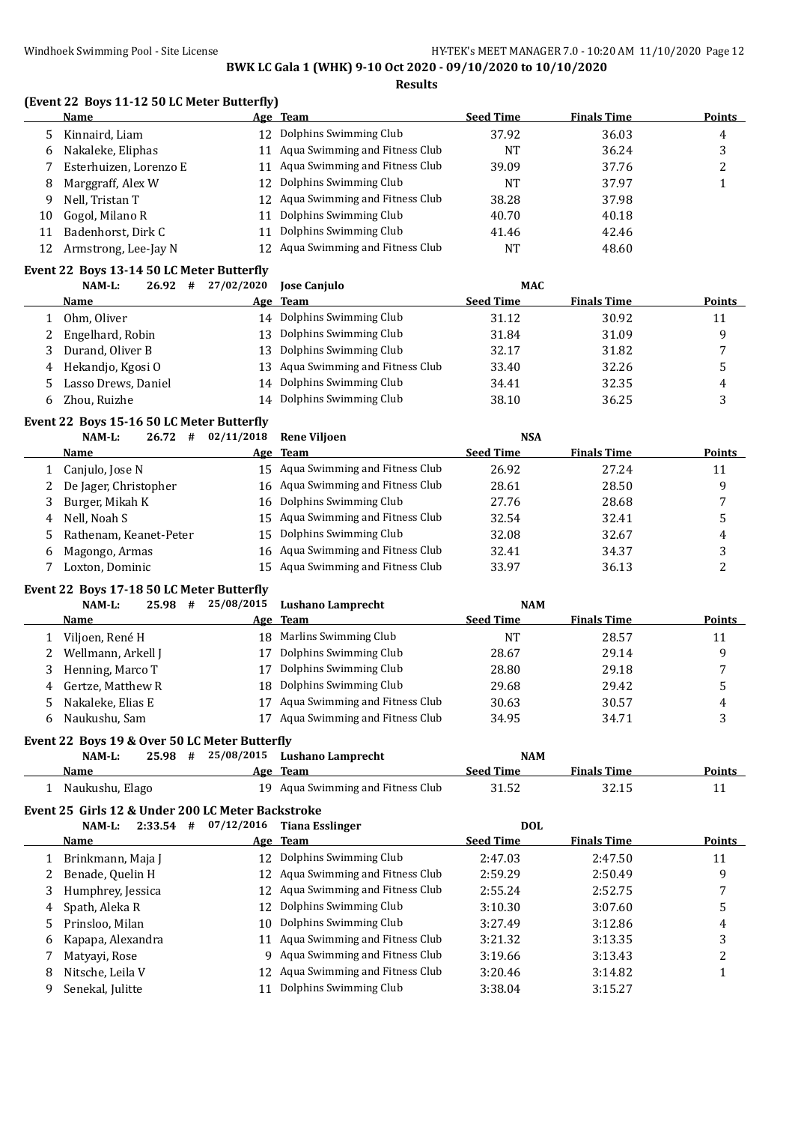**Results**

#### **(Event 22 Boys 11-12 50 LC Meter Butterfly)**

|    | Name                   |     | Age Team                          | <b>Seed Time</b> | <b>Finals Time</b> | <b>Points</b> |
|----|------------------------|-----|-----------------------------------|------------------|--------------------|---------------|
|    | Kinnaird, Liam         | 12  | Dolphins Swimming Club            | 37.92            | 36.03              | 4             |
| 6  | Nakaleke, Eliphas      |     | 11 Aqua Swimming and Fitness Club | NT               | 36.24              | 3             |
|    | Esterhuizen, Lorenzo E |     | 11 Aqua Swimming and Fitness Club | 39.09            | 37.76              | ▵             |
| 8  | Marggraff, Alex W      | 12. | Dolphins Swimming Club            | NT               | 37.97              |               |
| 9  | Nell, Tristan T        |     | 12 Aqua Swimming and Fitness Club | 38.28            | 37.98              |               |
| 10 | Gogol, Milano R        | 11  | Dolphins Swimming Club            | 40.70            | 40.18              |               |
| 11 | Badenhorst, Dirk C     | 11  | Dolphins Swimming Club            | 41.46            | 42.46              |               |
| 12 | Armstrong, Lee-Jay N   | 12. | Aqua Swimming and Fitness Club    | <b>NT</b>        | 48.60              |               |

### **Event 22 Boys 13-14 50 LC Meter Butterfly**

|    | NAM-L:<br>$26.92 +$ | 27/02/2020 | <b>Iose Caniulo</b>               | <b>MAC</b>       |                    |               |
|----|---------------------|------------|-----------------------------------|------------------|--------------------|---------------|
|    | <b>Name</b>         |            | Age Team                          | <b>Seed Time</b> | <b>Finals Time</b> | <b>Points</b> |
|    | Ohm, Oliver         | 14         | Dolphins Swimming Club            | 31.12            | 30.92              | 11            |
|    | Engelhard, Robin    | 13         | Dolphins Swimming Club            | 31.84            | 31.09              | q             |
|    | Durand, Oliver B    | 13         | Dolphins Swimming Club            | 32.17            | 31.82              | п,            |
|    | Hekandjo, Kgosi O   |            | 13 Aqua Swimming and Fitness Club | 33.40            | 32.26              | C             |
|    | Lasso Drews, Daniel | 14         | Dolphins Swimming Club            | 34.41            | 32.35              | 4             |
| 6. | Zhou, Ruizhe        | 14         | Dolphins Swimming Club            | 38.10            | 36.25              | ر             |
|    |                     |            |                                   |                  |                    |               |

# **Event 22 Boys 15-16 50 LC Meter Butterfly**

|    | NAM-L:<br>26.72#         | 02/11/2018 | <b>Rene Vilioen</b>               | <b>NSA</b>       |                    |               |
|----|--------------------------|------------|-----------------------------------|------------------|--------------------|---------------|
|    | <b>Name</b>              |            | Age Team                          | <b>Seed Time</b> | <b>Finals Time</b> | <b>Points</b> |
|    | 1 Canjulo, Jose N        |            | 15 Agua Swimming and Fitness Club | 26.92            | 27.24              | 11            |
|    | 2 De Jager, Christopher  |            | 16 Aqua Swimming and Fitness Club | 28.61            | 28.50              | q             |
|    | 3 Burger, Mikah K        |            | 16 Dolphins Swimming Club         | 27.76            | 28.68              |               |
| 4  | Nell, Noah S             |            | 15 Aqua Swimming and Fitness Club | 32.54            | 32.41              |               |
|    | 5 Rathenam, Keanet-Peter |            | 15 Dolphins Swimming Club         | 32.08            | 32.67              | 4             |
| 6. | Magongo, Armas           |            | 16 Aqua Swimming and Fitness Club | 32.41            | 34.37              | ا م           |
|    | Loxton, Dominic          |            | 15 Agua Swimming and Fitness Club | 33.97            | 36.13              |               |

#### **Event 22 Boys 17-18 50 LC Meter Butterfly**

| NAM-L:<br>25.98<br># |    |                                | <b>NAM</b>                                                                                           |                    |               |
|----------------------|----|--------------------------------|------------------------------------------------------------------------------------------------------|--------------------|---------------|
| Name                 |    |                                | <b>Seed Time</b>                                                                                     | <b>Finals Time</b> | <b>Points</b> |
| Viljoen, René H      |    |                                | NΊ                                                                                                   | 28.57              | 11            |
| Wellmann, Arkell J   | 17 | Dolphins Swimming Club         | 28.67                                                                                                | 29.14              | a             |
| Henning, Marco T     |    | Dolphins Swimming Club         | 28.80                                                                                                | 29.18              |               |
| 4 Gertze, Matthew R  |    |                                | 29.68                                                                                                | 29.42              | . .           |
| Nakaleke, Elias E    |    | Aqua Swimming and Fitness Club | 30.63                                                                                                | 30.57              | 4             |
| Naukushu, Sam        |    | Aqua Swimming and Fitness Club | 34.95                                                                                                | 34.71              | л.            |
|                      |    |                                | 25/08/2015<br>Lushano Lamprecht<br>Age Team<br>18 Marlins Swimming Club<br>18 Dolphins Swimming Club |                    |               |

#### **Event 22 Boys 19 & Over 50 LC Meter Butterfly**

| $NAM-L$ :       | 25.98 | # | 25/08/2015 Lushano Lamprecht      | <b>NAM</b>       |                    |               |
|-----------------|-------|---|-----------------------------------|------------------|--------------------|---------------|
| Name            |       |   | Age Team                          | <b>Seed Time</b> | <b>Finals Time</b> | <b>Points</b> |
| Naukushu, Elago |       |   | 19 Agua Swimming and Fitness Club | 31.52            | 32.15              |               |

#### **Event 25 Girls 12 & Under 200 LC Meter Backstroke**

|    | 2:33.54<br>NAM-L:<br># | 07/12/2016<br><b>Tiana Esslinger</b> | <b>DOL</b>       |                    |        |
|----|------------------------|--------------------------------------|------------------|--------------------|--------|
|    | <b>Name</b>            | Age Team                             | <b>Seed Time</b> | <b>Finals Time</b> | Points |
|    | Brinkmann, Maja J      | 12 Dolphins Swimming Club            | 2:47.03          | 2:47.50            | 11     |
|    | Benade, Quelin H       | 12 Aqua Swimming and Fitness Club    | 2:59.29          | 2:50.49            | 9      |
|    | Humphrey, Jessica      | 12 Aqua Swimming and Fitness Club    | 2:55.24          | 2:52.75            |        |
| 4  | Spath, Aleka R         | 12 Dolphins Swimming Club            | 3:10.30          | 3:07.60            | 5      |
| 5. | Prinsloo, Milan        | 10 Dolphins Swimming Club            | 3:27.49          | 3:12.86            | 4      |
| 6  | Kapapa, Alexandra      | Aqua Swimming and Fitness Club<br>11 | 3:21.32          | 3:13.35            | 3      |
|    | Matyayi, Rose          | Aqua Swimming and Fitness Club<br>9. | 3:19.66          | 3:13.43            |        |
| 8  | Nitsche, Leila V       | Aqua Swimming and Fitness Club<br>12 | 3:20.46          | 3:14.82            |        |
|    | Senekal, Julitte       | Dolphins Swimming Club               | 3:38.04          | 3:15.27            |        |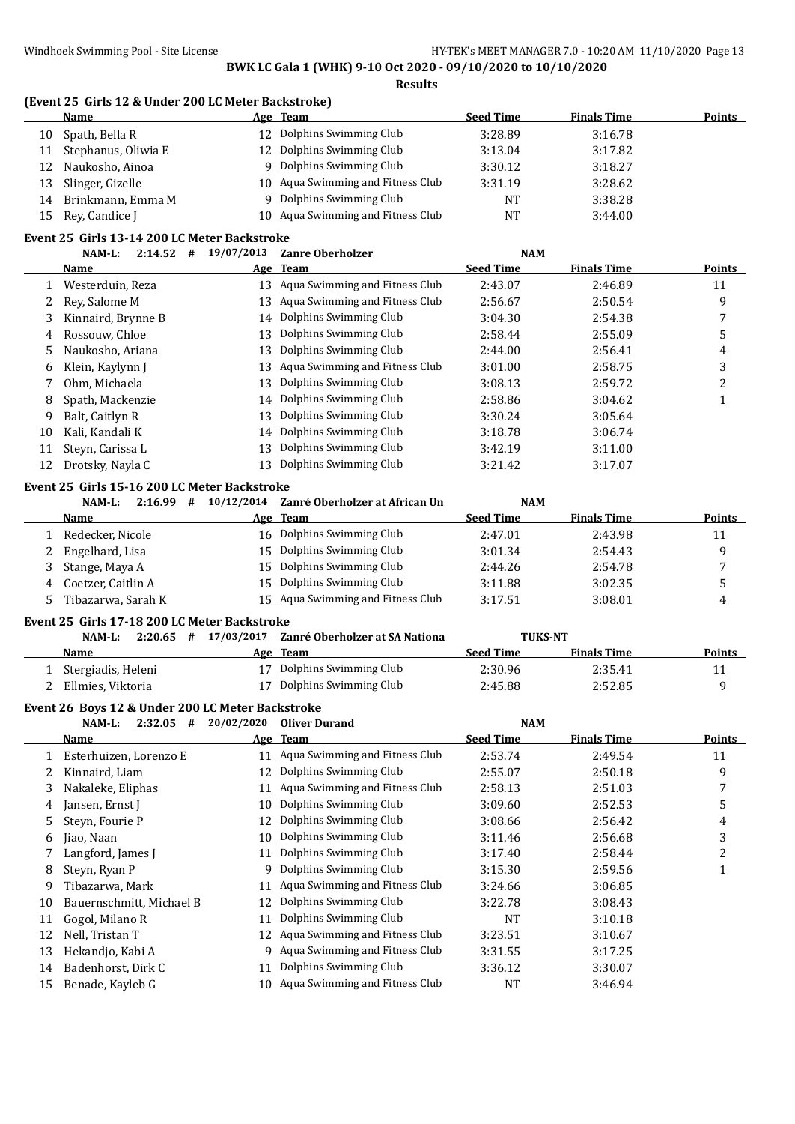#### **(Event 25 Girls 12 & Under 200 LC Meter Backstroke)**

|    | Name                | Age Team                          | <b>Seed Time</b> | <b>Finals Time</b> | <b>Points</b> |
|----|---------------------|-----------------------------------|------------------|--------------------|---------------|
| 10 | Spath, Bella R      | 12 Dolphins Swimming Club         | 3:28.89          | 3:16.78            |               |
| 11 | Stephanus, Oliwia E | 12 Dolphins Swimming Club         | 3:13.04          | 3:17.82            |               |
| 12 | Naukosho, Ainoa     | Dolphins Swimming Club            | 3:30.12          | 3:18.27            |               |
| 13 | Slinger, Gizelle    | 10 Aqua Swimming and Fitness Club | 3:31.19          | 3:28.62            |               |
| 14 | Brinkmann, Emma M   | Dolphins Swimming Club            | NT               | 3:38.28            |               |
| 15 | Rey, Candice J      | 10 Aqua Swimming and Fitness Club | NT               | 3:44.00            |               |

#### **Event 25 Girls 13-14 200 LC Meter Backstroke**

|    | 2:14.52<br>$NAM-L$ :<br># | 19/07/2013 | <b>Zanre Oberholzer</b>           | <b>NAM</b>       |                    |               |
|----|---------------------------|------------|-----------------------------------|------------------|--------------------|---------------|
|    | <b>Name</b>               |            | Age Team                          | <b>Seed Time</b> | <b>Finals Time</b> | <b>Points</b> |
|    | Westerduin, Reza          |            | 13 Agua Swimming and Fitness Club | 2:43.07          | 2:46.89            | 11            |
| 2  | Rev. Salome M             | 13         | Aqua Swimming and Fitness Club    | 2:56.67          | 2:50.54            | 9             |
| 3  | Kinnaird, Brynne B        |            | 14 Dolphins Swimming Club         | 3:04.30          | 2:54.38            |               |
| 4  | Rossouw, Chloe            | 13         | Dolphins Swimming Club            | 2:58.44          | 2:55.09            | 5             |
| 5. | Naukosho, Ariana          | 13         | Dolphins Swimming Club            | 2:44.00          | 2:56.41            | 4             |
| 6  | Klein, Kaylynn J          | 13         | Aqua Swimming and Fitness Club    | 3:01.00          | 2:58.75            | 3             |
|    | Ohm. Michaela             | 13         | Dolphins Swimming Club            | 3:08.13          | 2:59.72            | າ             |
| 8  | Spath, Mackenzie          |            | 14 Dolphins Swimming Club         | 2:58.86          | 3:04.62            |               |
| 9  | Balt, Caitlyn R           | 13         | Dolphins Swimming Club            | 3:30.24          | 3:05.64            |               |
| 10 | Kali, Kandali K           |            | 14 Dolphins Swimming Club         | 3:18.78          | 3:06.74            |               |
| 11 | Steyn, Carissa L          | 13         | Dolphins Swimming Club            | 3:42.19          | 3:11.00            |               |
| 12 | Drotsky, Nayla C          | 13         | Dolphins Swimming Club            | 3:21.42          | 3:17.07            |               |

#### **Event 25 Girls 15-16 200 LC Meter Backstroke**

|   | 2:16.99<br>NAM-L:<br># | 10/12/2014 | Zanré Oberholzer at African Un    | <b>NAM</b>       |                    |                |
|---|------------------------|------------|-----------------------------------|------------------|--------------------|----------------|
|   | <b>Name</b>            |            | Age Team                          | <b>Seed Time</b> | <b>Finals Time</b> | <b>Points</b>  |
|   | Redecker, Nicole       | 16         | Dolphins Swimming Club            | 2:47.01          | 2:43.98            | 11             |
|   | Engelhard, Lisa        |            | 15 Dolphins Swimming Club         | 3:01.34          | 2:54.43            | a              |
|   | Stange, Maya A         | 15.        | Dolphins Swimming Club            | 2:44.26          | 2:54.78            | $\overline{ }$ |
| 4 | Coetzer, Caitlin A     |            | 15 Dolphins Swimming Club         | 3:11.88          | 3:02.35            |                |
|   | Tibazarwa, Sarah K     |            | 15 Aqua Swimming and Fitness Club | 3:17.51          | 3:08.01            | 4              |
|   |                        |            |                                   |                  |                    |                |

#### **Event 25 Girls 17-18 200 LC Meter Backstroke**

| #<br>NAM-L:<br>2:20.65 | 17/03/2017<br>Zanré Oberholzer at SA Nationa | <b>TUKS-NT</b>                         |        |
|------------------------|----------------------------------------------|----------------------------------------|--------|
| Name                   | Age Team                                     | <b>Finals Time</b><br><b>Seed Time</b> | Points |
| Stergiadis, Heleni     | 17 Dolphins Swimming Club                    | 2:35.41<br>2:30.96                     |        |
| Ellmies, Viktoria      | 17 Dolphins Swimming Club                    | 2:45.88<br>2:52.85                     |        |

# **Event 26 Boys 12 & Under 200 LC Meter Backstroke**

|    | $NAM-L$ :<br>2:32.05<br># | 20/02/2020 | <b>Oliver Durand</b>           | <b>NAM</b>       |                    |        |
|----|---------------------------|------------|--------------------------------|------------------|--------------------|--------|
|    | Name                      |            | Age Team                       | <b>Seed Time</b> | <b>Finals Time</b> | Points |
|    | Esterhuizen, Lorenzo E    | 11         | Aqua Swimming and Fitness Club | 2:53.74          | 2:49.54            | 11     |
|    | Kinnaird, Liam            | 12         | Dolphins Swimming Club         | 2:55.07          | 2:50.18            | 9      |
| 3  | Nakaleke, Eliphas         | 11         | Aqua Swimming and Fitness Club | 2:58.13          | 2:51.03            | 7      |
| 4  | Jansen, Ernst J           | 10         | Dolphins Swimming Club         | 3:09.60          | 2:52.53            | 5      |
| 5  | Steyn, Fourie P           | 12         | Dolphins Swimming Club         | 3:08.66          | 2:56.42            | 4      |
| 6  | Jiao, Naan                | 10         | Dolphins Swimming Club         | 3:11.46          | 2:56.68            | 3      |
|    | Langford, James J         | 11         | Dolphins Swimming Club         | 3:17.40          | 2:58.44            | 2      |
| 8  | Steyn, Ryan P             | 9          | Dolphins Swimming Club         | 3:15.30          | 2:59.56            |        |
| 9  | Tibazarwa, Mark           | 11         | Aqua Swimming and Fitness Club | 3:24.66          | 3:06.85            |        |
| 10 | Bauernschmitt, Michael B  | 12         | Dolphins Swimming Club         | 3:22.78          | 3:08.43            |        |
| 11 | Gogol, Milano R           | 11         | Dolphins Swimming Club         | <b>NT</b>        | 3:10.18            |        |
| 12 | Nell, Tristan T           | 12         | Aqua Swimming and Fitness Club | 3:23.51          | 3:10.67            |        |
| 13 | Hekandjo, Kabi A          | 9          | Aqua Swimming and Fitness Club | 3:31.55          | 3:17.25            |        |
| 14 | Badenhorst, Dirk C        | 11         | Dolphins Swimming Club         | 3:36.12          | 3:30.07            |        |
| 15 | Benade, Kayleb G          | 10         | Aqua Swimming and Fitness Club | NT               | 3:46.94            |        |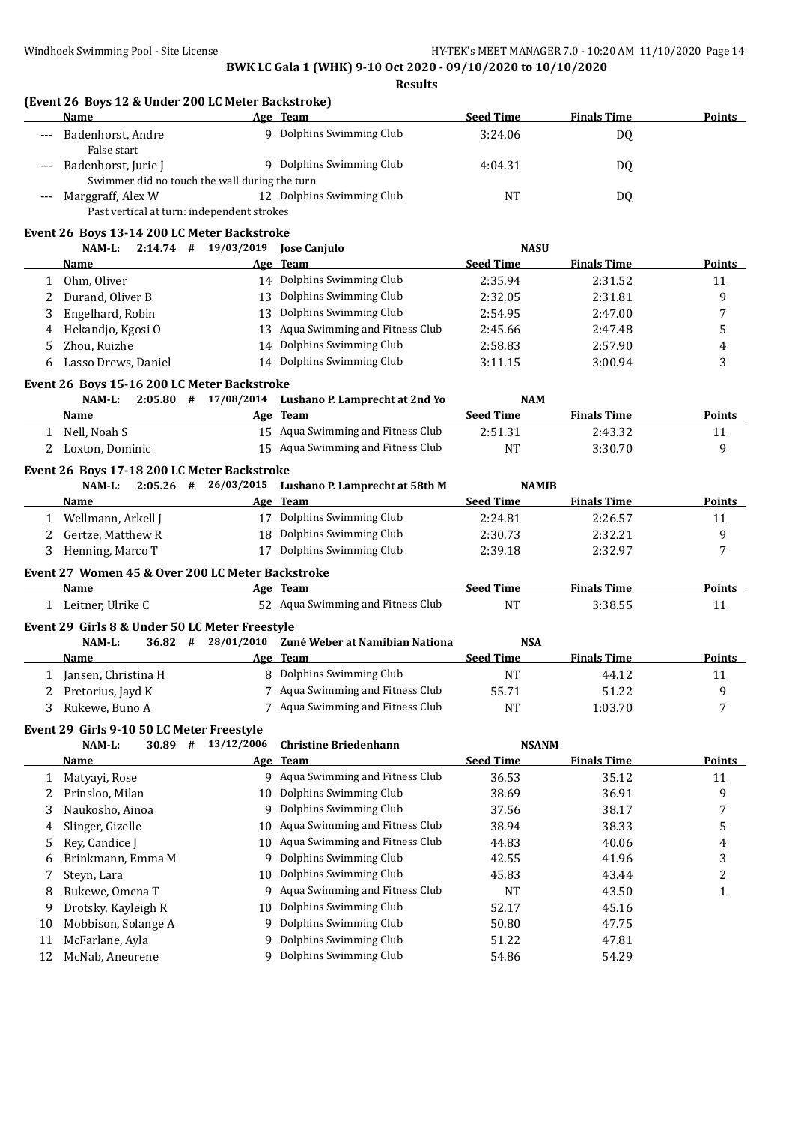|              | (Event 26 Boys 12 & Under 200 LC Meter Backstroke)<br>Name         |                                       | Age Team                                            | <b>Seed Time</b> | <b>Finals Time</b> | <b>Points</b> |
|--------------|--------------------------------------------------------------------|---------------------------------------|-----------------------------------------------------|------------------|--------------------|---------------|
| ---          | Badenhorst, Andre<br>False start                                   |                                       | 9 Dolphins Swimming Club                            | 3:24.06          | DQ                 |               |
| $---$        | Badenhorst, Jurie J                                                |                                       | 9 Dolphins Swimming Club                            | 4:04.31          | DQ                 |               |
| $---$        | Swimmer did no touch the wall during the turn<br>Marggraff, Alex W |                                       | 12 Dolphins Swimming Club                           | <b>NT</b>        | DQ                 |               |
|              | Past vertical at turn: independent strokes                         |                                       |                                                     |                  |                    |               |
|              | Event 26 Boys 13-14 200 LC Meter Backstroke                        |                                       |                                                     |                  |                    |               |
|              | NAM-L:                                                             | $2:14.74$ # $19/03/2019$ Jose Canjulo |                                                     | <b>NASU</b>      |                    |               |
|              | Name                                                               |                                       | Age Team                                            | <b>Seed Time</b> | <b>Finals Time</b> | Points        |
| $\mathbf{1}$ | Ohm, Oliver                                                        |                                       | 14 Dolphins Swimming Club                           | 2:35.94          | 2:31.52            | 11            |
| 2            | Durand, Oliver B                                                   |                                       | 13 Dolphins Swimming Club                           | 2:32.05          | 2:31.81            | 9             |
| 3            | Engelhard, Robin                                                   |                                       | 13 Dolphins Swimming Club                           | 2:54.95          | 2:47.00            | 7             |
| 4            | Hekandjo, Kgosi O                                                  |                                       | 13 Aqua Swimming and Fitness Club                   | 2:45.66          | 2:47.48            | 5             |
| 5            | Zhou, Ruizhe                                                       |                                       | 14 Dolphins Swimming Club                           | 2:58.83          | 2:57.90            | 4             |
| 6            | Lasso Drews, Daniel                                                |                                       | 14 Dolphins Swimming Club                           | 3:11.15          | 3:00.94            | 3             |
|              | Event 26 Boys 15-16 200 LC Meter Backstroke                        |                                       |                                                     |                  |                    |               |
|              | NAM-L:                                                             | $2:05.80$ # 17/08/2014                | Lushano P. Lamprecht at 2nd Yo                      | <b>NAM</b>       |                    |               |
|              | Name                                                               |                                       | Age Team                                            | <b>Seed Time</b> | <b>Finals Time</b> | Points        |
|              | 1 Nell, Noah S                                                     |                                       | 15 Aqua Swimming and Fitness Club                   | 2:51.31          | 2:43.32            | 11            |
|              | 2 Loxton, Dominic                                                  |                                       | 15 Aqua Swimming and Fitness Club                   | <b>NT</b>        | 3:30.70            | 9             |
|              | Event 26 Boys 17-18 200 LC Meter Backstroke                        |                                       |                                                     |                  |                    |               |
|              | NAM-L:                                                             |                                       | 2:05.26 # 26/03/2015 Lushano P. Lamprecht at 58th M | <b>NAMIB</b>     |                    |               |
|              | Name                                                               |                                       | Age Team                                            | <b>Seed Time</b> | <b>Finals Time</b> | Points        |
|              | 1 Wellmann, Arkell J                                               |                                       | 17 Dolphins Swimming Club                           | 2:24.81          | 2:26.57            | 11            |
|              | 2 Gertze, Matthew R                                                |                                       | 18 Dolphins Swimming Club                           | 2:30.73          | 2:32.21            | 9             |
|              | 3 Henning, Marco T                                                 |                                       | 17 Dolphins Swimming Club                           | 2:39.18          | 2:32.97            | 7             |
|              | Event 27 Women 45 & Over 200 LC Meter Backstroke                   |                                       |                                                     |                  |                    |               |
|              | Name                                                               |                                       | Age Team                                            | <b>Seed Time</b> | <b>Finals Time</b> | <b>Points</b> |
|              | 1 Leitner, Ulrike C                                                |                                       | 52 Aqua Swimming and Fitness Club                   | <b>NT</b>        | 3:38.55            | 11            |
|              | Event 29 Girls 8 & Under 50 LC Meter Freestyle                     |                                       |                                                     |                  |                    |               |
|              | NAM-L:                                                             |                                       | 36.82 # 28/01/2010 Zuné Weber at Namibian Nationa   | <b>NSA</b>       |                    |               |
|              | Name                                                               |                                       | Age Team                                            | <b>Seed Time</b> | <b>Finals Time</b> | <b>Points</b> |
|              | 1 Jansen, Christina H                                              |                                       | 8 Dolphins Swimming Club                            | <b>NT</b>        | 44.12              | 11            |
|              | 2 Pretorius, Jayd K                                                |                                       | 7 Aqua Swimming and Fitness Club                    | 55.71            | 51.22              | 9             |
| 3            | Rukewe, Buno A                                                     |                                       | 7 Aqua Swimming and Fitness Club                    | <b>NT</b>        | 1:03.70            | 7             |
|              |                                                                    |                                       |                                                     |                  |                    |               |
|              | Event 29 Girls 9-10 50 LC Meter Freestyle<br>30.89 #<br>NAM-L:     | 13/12/2006                            | <b>Christine Briedenhann</b>                        | <b>NSANM</b>     |                    |               |
|              | <u>Name</u>                                                        |                                       | Age Team                                            | <b>Seed Time</b> | <b>Finals Time</b> | <b>Points</b> |
|              |                                                                    |                                       | 9 Aqua Swimming and Fitness Club                    |                  |                    |               |
| 1            | Matyayi, Rose                                                      |                                       | Dolphins Swimming Club                              | 36.53<br>38.69   | 35.12              | 11            |
| 2            | Prinsloo, Milan<br>Naukosho, Ainoa                                 | 10                                    | Dolphins Swimming Club                              |                  | 36.91              | 9             |
| 3            |                                                                    | 9                                     | Aqua Swimming and Fitness Club                      | 37.56            | 38.17              | 7             |
| 4            | Slinger, Gizelle                                                   | 10                                    | Aqua Swimming and Fitness Club                      | 38.94            | 38.33              | 5             |
|              | Rey, Candice J<br>Brinkmann, Emma M                                | 10                                    |                                                     | 44.83            | 40.06              | 4             |
| 5            |                                                                    | 9                                     | Dolphins Swimming Club<br>Dolphins Swimming Club    | 42.55            | 41.96              | 3             |
| 6            |                                                                    |                                       |                                                     | 45.83            | 43.44              | 2             |
| 7            | Steyn, Lara                                                        | 10                                    |                                                     |                  |                    |               |
| 8            | Rukewe, Omena T                                                    | 9                                     | Aqua Swimming and Fitness Club                      | <b>NT</b>        | 43.50              | $\mathbf{1}$  |
| 9            | Drotsky, Kayleigh R                                                | 10                                    | Dolphins Swimming Club                              | 52.17            | 45.16              |               |
| 10           | Mobbison, Solange A                                                | 9                                     | Dolphins Swimming Club                              | 50.80            | 47.75              |               |
| 11<br>12     | McFarlane, Ayla<br>McNab, Aneurene                                 | 9<br>9                                | Dolphins Swimming Club<br>Dolphins Swimming Club    | 51.22<br>54.86   | 47.81<br>54.29     |               |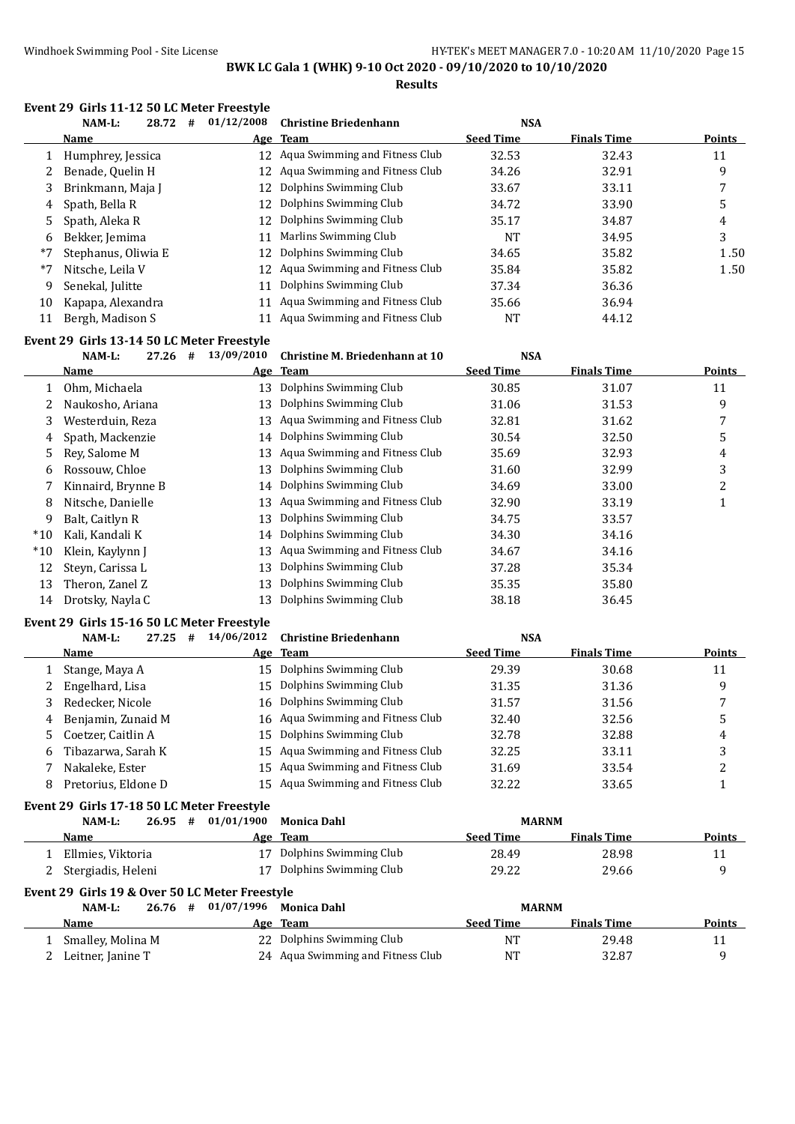#### Windhoek Swimming Pool - Site License **HY-TEK's MEET MANAGER 7.0 - 10:20 AM 11/10/2020** Page 15

**BWK LC Gala 1 (WHK) 9-10 Oct 2020 - 09/10/2020 to 10/10/2020**

**Results**

#### **Event 29 Girls 11-12 50 LC Meter Freestyle**

|      | NAM-L:<br>28.72<br># | 01/12/2008 | <b>Christine Briedenhann</b>      | <b>NSA</b>       |                    |        |
|------|----------------------|------------|-----------------------------------|------------------|--------------------|--------|
|      | <b>Name</b>          |            | Age Team                          | <b>Seed Time</b> | <b>Finals Time</b> | Points |
|      | Humphrey, Jessica    |            | 12 Agua Swimming and Fitness Club | 32.53            | 32.43              | 11     |
|      | Benade, Quelin H     |            | 12 Aqua Swimming and Fitness Club | 34.26            | 32.91              | 9      |
| 3    | Brinkmann, Maja J    |            | 12 Dolphins Swimming Club         | 33.67            | 33.11              | 7      |
| 4    | Spath, Bella R       |            | 12 Dolphins Swimming Club         | 34.72            | 33.90              | 5      |
| 5.   | Spath, Aleka R       |            | 12 Dolphins Swimming Club         | 35.17            | 34.87              | 4      |
| 6    | Bekker, Jemima       | 11         | Marlins Swimming Club             | NT               | 34.95              | 3      |
| $*7$ | Stephanus, Oliwia E  | 12.        | Dolphins Swimming Club            | 34.65            | 35.82              | 1.50   |
| $*7$ | Nitsche, Leila V     | 12         | Aqua Swimming and Fitness Club    | 35.84            | 35.82              | 1.50   |
| 9    | Senekal, Julitte     | 11         | Dolphins Swimming Club            | 37.34            | 36.36              |        |
| 10   | Kapapa, Alexandra    | 11         | Aqua Swimming and Fitness Club    | 35.66            | 36.94              |        |
| 11   | Bergh, Madison S     |            | Aqua Swimming and Fitness Club    | NT               | 44.12              |        |

#### **Event 29 Girls 13-14 50 LC Meter Freestyle**

|       | 27.26<br>NAM-L:    | # | 13/09/2010 | Christine M. Briedenhann at 10 | <b>NSA</b>       |                    |        |
|-------|--------------------|---|------------|--------------------------------|------------------|--------------------|--------|
|       | Name               |   |            | Age Team                       | <b>Seed Time</b> | <b>Finals Time</b> | Points |
|       | Ohm, Michaela      |   | 13         | Dolphins Swimming Club         | 30.85            | 31.07              | 11     |
|       | Naukosho, Ariana   |   | 13         | Dolphins Swimming Club         | 31.06            | 31.53              | 9      |
| 3     | Westerduin, Reza   |   | 13         | Aqua Swimming and Fitness Club | 32.81            | 31.62              | 7      |
| 4     | Spath, Mackenzie   |   | 14         | Dolphins Swimming Club         | 30.54            | 32.50              | 5      |
| 5.    | Rev. Salome M      |   | 13         | Aqua Swimming and Fitness Club | 35.69            | 32.93              | 4      |
| 6     | Rossouw, Chloe     |   | 13         | Dolphins Swimming Club         | 31.60            | 32.99              | 3      |
|       | Kinnaird, Brynne B |   | 14         | Dolphins Swimming Club         | 34.69            | 33.00              | 2      |
| 8     | Nitsche, Danielle  |   | 13         | Aqua Swimming and Fitness Club | 32.90            | 33.19              |        |
| 9     | Balt, Caitlyn R    |   | 13         | Dolphins Swimming Club         | 34.75            | 33.57              |        |
| $*10$ | Kali, Kandali K    |   | 14         | Dolphins Swimming Club         | 34.30            | 34.16              |        |
| $*10$ | Klein, Kaylynn J   |   | 13         | Aqua Swimming and Fitness Club | 34.67            | 34.16              |        |
| 12    | Steyn, Carissa L   |   | 13         | Dolphins Swimming Club         | 37.28            | 35.34              |        |
| 13    | Theron, Zanel Z    |   | 13         | Dolphins Swimming Club         | 35.35            | 35.80              |        |
| 14    | Drotsky, Nayla C   |   | 13         | Dolphins Swimming Club         | 38.18            | 36.45              |        |

#### **Event 29 Girls 15-16 50 LC Meter Freestyle**

|   | 27.25<br>NAM-L:<br># | 14/06/2012 | <b>Christine Briedenhann</b>      | <b>NSA</b>       |                    |               |
|---|----------------------|------------|-----------------------------------|------------------|--------------------|---------------|
|   | Name                 |            | Age Team                          | <b>Seed Time</b> | <b>Finals Time</b> | <b>Points</b> |
|   | Stange, Maya A       | 15         | Dolphins Swimming Club            | 29.39            | 30.68              | 11            |
|   | Engelhard, Lisa      | 15         | Dolphins Swimming Club            | 31.35            | 31.36              | 9             |
|   | Redecker, Nicole     | 16         | Dolphins Swimming Club            | 31.57            | 31.56              |               |
| 4 | Benjamin, Zunaid M   |            | 16 Aqua Swimming and Fitness Club | 32.40            | 32.56              | 5             |
|   | Coetzer, Caitlin A   | 15         | Dolphins Swimming Club            | 32.78            | 32.88              | 4             |
| 6 | Tibazarwa, Sarah K   |            | 15 Agua Swimming and Fitness Club | 32.25            | 33.11              | 3             |
|   | Nakaleke, Ester      |            | 15 Agua Swimming and Fitness Club | 31.69            | 33.54              |               |
| 8 | Pretorius, Eldone D  |            | 15 Agua Swimming and Fitness Club | 32.22            | 33.65              |               |

#### **Event 29 Girls 17-18 50 LC Meter Freestyle**

| NAM-L:               | 26.95 | # | 01/01/1900 | Monica Dahl               |                  | <b>MARNM</b>       |               |
|----------------------|-------|---|------------|---------------------------|------------------|--------------------|---------------|
| Name                 |       |   |            | Age Team                  | <b>Seed Time</b> | <b>Finals Time</b> | <b>Points</b> |
| Ellmies, Viktoria    |       |   |            | 17 Dolphins Swimming Club | 28.49            | 28.98              |               |
| 2 Stergiadis, Heleni |       |   |            | 17 Dolphins Swimming Club | 29.22            | 29.66              |               |

#### **Event 29 Girls 19 & Over 50 LC Meter Freestyle**

| NAM-L:            |  | 26.76 # 01/07/1996 Monica Dahl    | <b>MARNM</b>     |                    |               |
|-------------------|--|-----------------------------------|------------------|--------------------|---------------|
| Name              |  | Age Team                          | <b>Seed Time</b> | <b>Finals Time</b> | <b>Points</b> |
| Smalley, Molina M |  | 22 Dolphins Swimming Club         | NT               | 29.48              |               |
| Leitner, Janine T |  | 24 Agua Swimming and Fitness Club | NΤ               | 32.87              |               |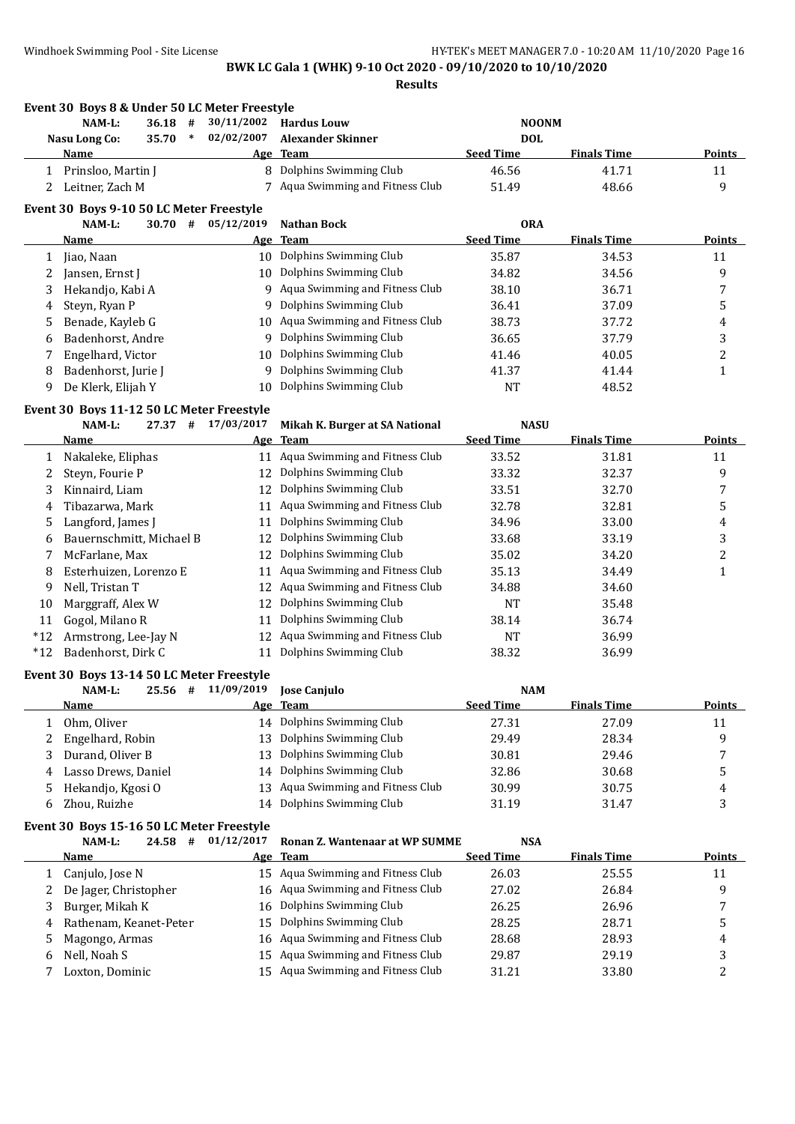|        | Event 30 Boys 8 & Under 50 LC Meter Freestyle |                    |                                                          |                                |                             |               |
|--------|-----------------------------------------------|--------------------|----------------------------------------------------------|--------------------------------|-----------------------------|---------------|
|        | $36.18$ #<br>NAM-L:                           | 30/11/2002         | <b>Hardus Louw</b>                                       | <b>NOONM</b>                   |                             |               |
|        | $\ast$<br>Nasu Long Co:<br>35.70              | 02/02/2007         | <b>Alexander Skinner</b>                                 | <b>DOL</b>                     |                             |               |
|        | Name                                          |                    | Age Team                                                 | <b>Seed Time</b>               | <b>Finals Time</b>          | Points        |
|        | 1 Prinsloo, Martin J                          |                    | 8 Dolphins Swimming Club                                 | 46.56                          | 41.71                       | 11            |
| 2      | Leitner, Zach M                               |                    | 7 Aqua Swimming and Fitness Club                         | 51.49                          | 48.66                       | 9             |
|        | Event 30 Boys 9-10 50 LC Meter Freestyle      |                    |                                                          |                                |                             |               |
|        | NAM-L:<br>30.70#                              | 05/12/2019         | <b>Nathan Bock</b>                                       | <b>ORA</b>                     |                             |               |
|        | Name                                          |                    | Age Team                                                 | <b>Seed Time</b>               | <b>Finals Time</b>          | <b>Points</b> |
| 1      | Jiao, Naan                                    |                    | 10 Dolphins Swimming Club                                | 35.87                          | 34.53                       | 11            |
| 2      | Jansen, Ernst J                               |                    | 10 Dolphins Swimming Club                                | 34.82                          | 34.56                       | 9             |
| 3      | Hekandjo, Kabi A                              |                    | 9 Aqua Swimming and Fitness Club                         | 38.10                          | 36.71                       | 7             |
| 4      | Steyn, Ryan P                                 | 9                  | Dolphins Swimming Club                                   | 36.41                          | 37.09                       | 5             |
| 5      | Benade, Kayleb G                              | 10                 | Aqua Swimming and Fitness Club                           | 38.73                          | 37.72                       | 4             |
| 6      | Badenhorst, Andre                             |                    | 9 Dolphins Swimming Club                                 | 36.65                          | 37.79                       | 3             |
| 7      | Engelhard, Victor                             | 10                 | Dolphins Swimming Club                                   | 41.46                          | 40.05                       | 2             |
| 8      | Badenhorst, Jurie J                           | 9                  | Dolphins Swimming Club<br>Dolphins Swimming Club         | 41.37                          | 41.44                       | $\mathbf{1}$  |
| 9      | De Klerk, Elijah Y                            | 10                 |                                                          | <b>NT</b>                      | 48.52                       |               |
|        | Event 30 Boys 11-12 50 LC Meter Freestyle     |                    |                                                          |                                |                             |               |
|        | NAM-L:<br>27.37 #                             | 17/03/2017         | Mikah K. Burger at SA National                           | <b>NASU</b>                    |                             |               |
|        | Name                                          |                    | Age Team                                                 | <b>Seed Time</b>               | <b>Finals Time</b>          | <b>Points</b> |
| 1      | Nakaleke, Eliphas                             | 11                 | Aqua Swimming and Fitness Club                           | 33.52                          | 31.81                       | 11            |
| 2      | Steyn, Fourie P                               | 12                 | Dolphins Swimming Club                                   | 33.32                          | 32.37                       | 9             |
| 3      | Kinnaird, Liam                                | 12                 | Dolphins Swimming Club                                   | 33.51                          | 32.70                       | 7             |
| 4      | Tibazarwa, Mark                               | 11                 | Aqua Swimming and Fitness Club<br>Dolphins Swimming Club | 32.78                          | 32.81                       | 5             |
| 5      | Langford, James J                             | 11                 | Dolphins Swimming Club                                   | 34.96                          | 33.00                       | 4             |
| 6      | Bauernschmitt, Michael B                      | 12                 | Dolphins Swimming Club                                   | 33.68                          | 33.19                       | 3             |
| 7      | McFarlane, Max<br>Esterhuizen, Lorenzo E      | 12                 | Aqua Swimming and Fitness Club                           | 35.02<br>35.13                 | 34.20<br>34.49              | 2             |
| 8<br>9 | Nell, Tristan T                               | 11<br>12           | Aqua Swimming and Fitness Club                           | 34.88                          | 34.60                       | 1             |
| 10     | Marggraff, Alex W                             | 12                 | Dolphins Swimming Club                                   | <b>NT</b>                      | 35.48                       |               |
| 11     | Gogol, Milano R                               | 11                 | Dolphins Swimming Club                                   | 38.14                          | 36.74                       |               |
| $*12$  | Armstrong, Lee-Jay N                          | 12                 | Aqua Swimming and Fitness Club                           | <b>NT</b>                      | 36.99                       |               |
| $*12$  | Badenhorst, Dirk C                            | 11                 | Dolphins Swimming Club                                   | 38.32                          | 36.99                       |               |
|        |                                               |                    |                                                          |                                |                             |               |
|        | Event 30 Boys 13-14 50 LC Meter Freestyle     |                    |                                                          |                                |                             |               |
|        | NAM-L:<br><b>Name</b>                         | 25.56 # 11/09/2019 | <b>Jose Canjulo</b>                                      | <b>NAM</b><br><b>Seed Time</b> |                             | <b>Points</b> |
| 1      | Ohm, Oliver                                   |                    | Age Team<br>14 Dolphins Swimming Club                    | 27.31                          | <b>Finals Time</b><br>27.09 | 11            |
| 2      | Engelhard, Robin                              | 13                 | Dolphins Swimming Club                                   | 29.49                          | 28.34                       | 9             |
| 3      | Durand, Oliver B                              | 13                 | Dolphins Swimming Club                                   | 30.81                          | 29.46                       | 7             |
| 4      | Lasso Drews, Daniel                           | 14                 | Dolphins Swimming Club                                   | 32.86                          | 30.68                       | 5             |
| 5      | Hekandjo, Kgosi O                             | 13                 | Aqua Swimming and Fitness Club                           | 30.99                          | 30.75                       | 4             |
| 6      | Zhou, Ruizhe                                  | 14                 | Dolphins Swimming Club                                   | 31.19                          | 31.47                       | 3             |
|        |                                               |                    |                                                          |                                |                             |               |
|        | Event 30 Boys 15-16 50 LC Meter Freestyle     |                    |                                                          |                                |                             |               |
|        | NAM-L:<br>$24.58$ #                           | 01/12/2017         | Ronan Z. Wantenaar at WP SUMME                           | <b>NSA</b><br><b>Seed Time</b> |                             |               |
|        | <b>Name</b>                                   | <u>Age</u>         | <b>Team</b><br>15 Aqua Swimming and Fitness Club         |                                | <b>Finals Time</b>          | <b>Points</b> |
| 1      | Canjulo, Jose N                               |                    | Aqua Swimming and Fitness Club                           | 26.03                          | 25.55                       | 11            |
| 2<br>3 | De Jager, Christopher<br>Burger, Mikah K      | 16                 | Dolphins Swimming Club                                   | 27.02<br>26.25                 | 26.84<br>26.96              | 9<br>7        |
| 4      | Rathenam, Keanet-Peter                        | 16<br>15           | Dolphins Swimming Club                                   | 28.25                          | 28.71                       | 5             |
| 5      | Magongo, Armas                                | 16                 | Aqua Swimming and Fitness Club                           | 28.68                          | 28.93                       | 4             |
| 6      | Nell, Noah S                                  | 15                 | Aqua Swimming and Fitness Club                           | 29.87                          | 29.19                       | 3             |
| 7      | Loxton, Dominic                               |                    | 15 Aqua Swimming and Fitness Club                        | 31.21                          | 33.80                       | 2             |
|        |                                               |                    |                                                          |                                |                             |               |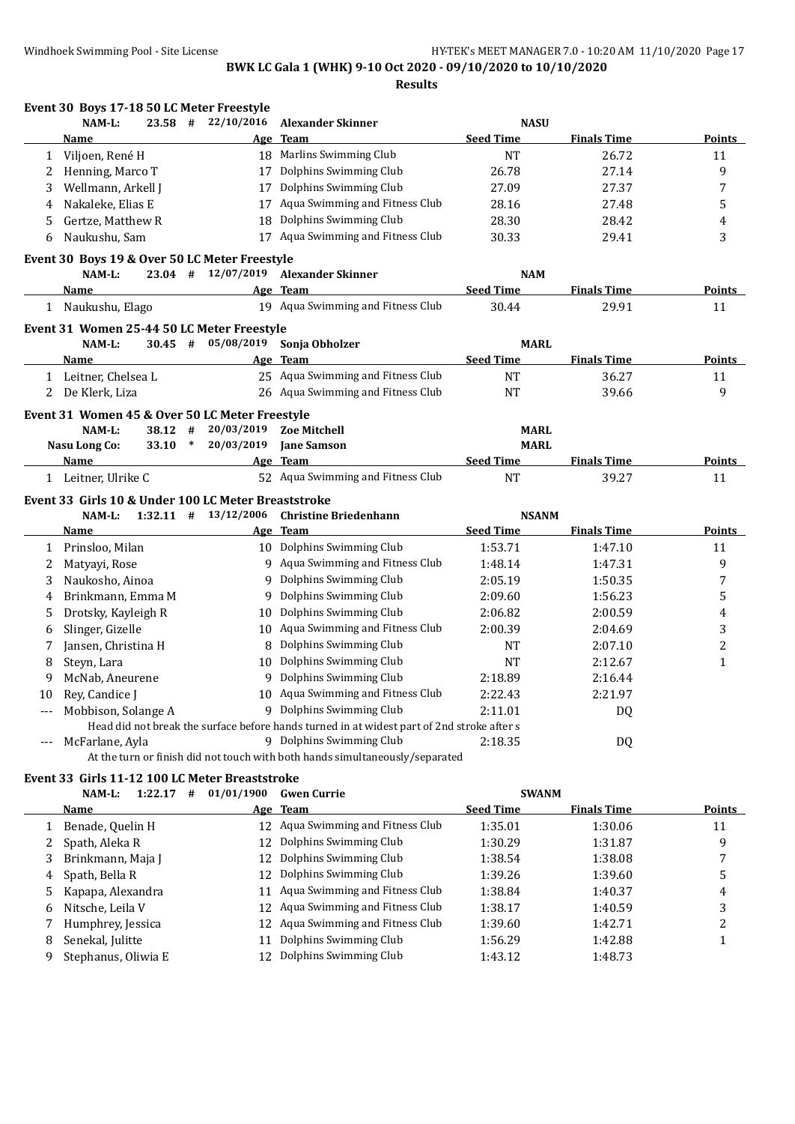|     | Event 30 Boys 17-18 50 LC Meter Freestyle           |        |                                  |                                                                                            |                  |                    |               |
|-----|-----------------------------------------------------|--------|----------------------------------|--------------------------------------------------------------------------------------------|------------------|--------------------|---------------|
|     | $23.58$ #<br>NAM-L:                                 |        | 22/10/2016                       | <b>Alexander Skinner</b>                                                                   | <b>NASU</b>      |                    |               |
|     | Name                                                |        |                                  | Age Team                                                                                   | <b>Seed Time</b> | <b>Finals Time</b> | Points        |
| 1   | Viljoen, René H                                     |        |                                  | 18 Marlins Swimming Club                                                                   | <b>NT</b>        | 26.72              | 11            |
| 2   | Henning, Marco T                                    |        | 17                               | Dolphins Swimming Club                                                                     | 26.78            | 27.14              | 9             |
| 3   | Wellmann, Arkell J                                  |        | 17                               | Dolphins Swimming Club                                                                     | 27.09            | 27.37              | 7             |
| 4   | Nakaleke, Elias E                                   |        | 17                               | Aqua Swimming and Fitness Club                                                             | 28.16            | 27.48              | 5             |
| 5   | Gertze, Matthew R                                   |        | 18                               | Dolphins Swimming Club                                                                     | 28.30            | 28.42              | 4             |
| 6   | Naukushu, Sam                                       |        |                                  | 17 Aqua Swimming and Fitness Club                                                          | 30.33            | 29.41              | 3             |
|     | Event 30 Boys 19 & Over 50 LC Meter Freestyle       |        |                                  |                                                                                            |                  |                    |               |
|     | NAM-L:                                              |        | $23.04$ # $12/07/2019$           | <b>Alexander Skinner</b>                                                                   | <b>NAM</b>       |                    |               |
|     | Name                                                |        |                                  | Age Team                                                                                   | <b>Seed Time</b> | <b>Finals Time</b> | Points        |
|     | 1 Naukushu, Elago                                   |        |                                  | 19 Aqua Swimming and Fitness Club                                                          | 30.44            | 29.91              | 11            |
|     | Event 31 Women 25-44 50 LC Meter Freestyle          |        |                                  |                                                                                            |                  |                    |               |
|     | NAM-L:<br>$30.45$ #                                 |        | 05/08/2019                       | Sonja Obholzer                                                                             | <b>MARL</b>      |                    |               |
|     | Name                                                |        | Age                              | <b>Team</b>                                                                                | <b>Seed Time</b> | <b>Finals Time</b> | Points        |
|     | 1 Leitner, Chelsea L                                |        |                                  | 25 Aqua Swimming and Fitness Club                                                          | <b>NT</b>        | 36.27              | 11            |
| 2   | De Klerk, Liza                                      |        |                                  | 26 Aqua Swimming and Fitness Club                                                          | <b>NT</b>        | 39.66              | 9             |
|     | Event 31 Women 45 & Over 50 LC Meter Freestyle      |        |                                  |                                                                                            |                  |                    |               |
|     | NAM-L:<br>38.12 #                                   |        | 20/03/2019                       | <b>Zoe Mitchell</b>                                                                        | <b>MARL</b>      |                    |               |
|     | <b>Nasu Long Co:</b><br>33.10                       | $\ast$ | 20/03/2019                       | <b>Jane Samson</b>                                                                         | <b>MARL</b>      |                    |               |
|     | Name                                                |        |                                  | Age Team                                                                                   | <b>Seed Time</b> | <b>Finals Time</b> | <b>Points</b> |
|     | 1 Leitner, Ulrike C                                 |        |                                  | 52 Aqua Swimming and Fitness Club                                                          | <b>NT</b>        | 39.27              | 11            |
|     | Event 33 Girls 10 & Under 100 LC Meter Breaststroke |        |                                  |                                                                                            |                  |                    |               |
|     | NAM-L:                                              |        | $1:32.11$ # $13/12/2006$         | <b>Christine Briedenhann</b>                                                               | <b>NSANM</b>     |                    |               |
|     | Name                                                |        |                                  | Age Team                                                                                   | <b>Seed Time</b> | <b>Finals Time</b> | Points        |
| 1   | Prinsloo, Milan                                     |        |                                  | 10 Dolphins Swimming Club                                                                  | 1:53.71          | 1:47.10            | 11            |
| 2   | Matyayi, Rose                                       |        |                                  | 9 Aqua Swimming and Fitness Club                                                           | 1:48.14          | 1:47.31            | 9             |
| 3   | Naukosho, Ainoa                                     |        |                                  | 9 Dolphins Swimming Club                                                                   | 2:05.19          | 1:50.35            | 7             |
| 4   | Brinkmann, Emma M                                   |        |                                  | 9 Dolphins Swimming Club                                                                   | 2:09.60          | 1:56.23            | 5             |
| 5   | Drotsky, Kayleigh R                                 |        | 10                               | Dolphins Swimming Club                                                                     | 2:06.82          | 2:00.59            | 4             |
| 6   | Slinger, Gizelle                                    |        |                                  | 10 Aqua Swimming and Fitness Club                                                          | 2:00.39          | 2:04.69            | 3             |
|     | Jansen, Christina H                                 |        | 8                                | Dolphins Swimming Club                                                                     | <b>NT</b>        | 2:07.10            | 2             |
| 8   | Steyn, Lara                                         |        |                                  | 10 Dolphins Swimming Club                                                                  | <b>NT</b>        | 2:12.67            | $\mathbf{1}$  |
| 9   | McNab, Aneurene                                     |        |                                  | 9 Dolphins Swimming Club                                                                   | 2:18.89          | 2:16.44            |               |
| 10  | Rey, Candice J                                      |        |                                  | 10 Aqua Swimming and Fitness Club                                                          | 2:22.43          | 2:21.97            |               |
|     | Mobbison, Solange A                                 |        |                                  | 9 Dolphins Swimming Club                                                                   | 2:11.01          | DQ                 |               |
|     |                                                     |        |                                  | Head did not break the surface before hands turned in at widest part of 2nd stroke after s |                  |                    |               |
| --- | McFarlane, Ayla                                     |        |                                  | 9 Dolphins Swimming Club                                                                   | 2:18.35          | DQ                 |               |
|     |                                                     |        |                                  | At the turn or finish did not touch with both hands simultaneously/separated               |                  |                    |               |
|     | Event 33 Girls 11-12 100 LC Meter Breaststroke      |        |                                  |                                                                                            |                  |                    |               |
|     | NAM-L:                                              |        | 1:22.17 # 01/01/1900 Gwen Currie |                                                                                            | <b>SWANM</b>     |                    |               |

| Name                |    | Age Team                          | <b>Seed Time</b>                                                                                                                                                                                                                 | <b>Finals Time</b> | <b>Points</b> |
|---------------------|----|-----------------------------------|----------------------------------------------------------------------------------------------------------------------------------------------------------------------------------------------------------------------------------|--------------------|---------------|
| Benade, Quelin H    |    | 12 Agua Swimming and Fitness Club | 1:35.01                                                                                                                                                                                                                          | 1:30.06            | 11            |
| Spath, Aleka R      |    |                                   | 1:30.29                                                                                                                                                                                                                          | 1:31.87            | 9             |
| Brinkmann, Maja J   |    |                                   | 1:38.54                                                                                                                                                                                                                          | 1:38.08            |               |
| 4 Spath, Bella R    |    |                                   | 1:39.26                                                                                                                                                                                                                          | 1:39.60            |               |
| Kapapa, Alexandra   | 11 |                                   | 1:38.84                                                                                                                                                                                                                          | 1:40.37            | 4             |
| Nitsche, Leila V    |    |                                   | 1:38.17                                                                                                                                                                                                                          | 1:40.59            | 3             |
| Humphrey, Jessica   |    |                                   | 1:39.60                                                                                                                                                                                                                          | 1:42.71            |               |
| Senekal, Julitte    |    | Dolphins Swimming Club            | 1:56.29                                                                                                                                                                                                                          | 1:42.88            |               |
| Stephanus, Oliwia E | 12 |                                   | 1:43.12                                                                                                                                                                                                                          | 1:48.73            |               |
|                     |    |                                   | Dolphins Swimming Club<br>12<br>12 Dolphins Swimming Club<br>Dolphins Swimming Club<br>12.<br>Aqua Swimming and Fitness Club<br>12 Aqua Swimming and Fitness Club<br>12 Agua Swimming and Fitness Club<br>Dolphins Swimming Club |                    |               |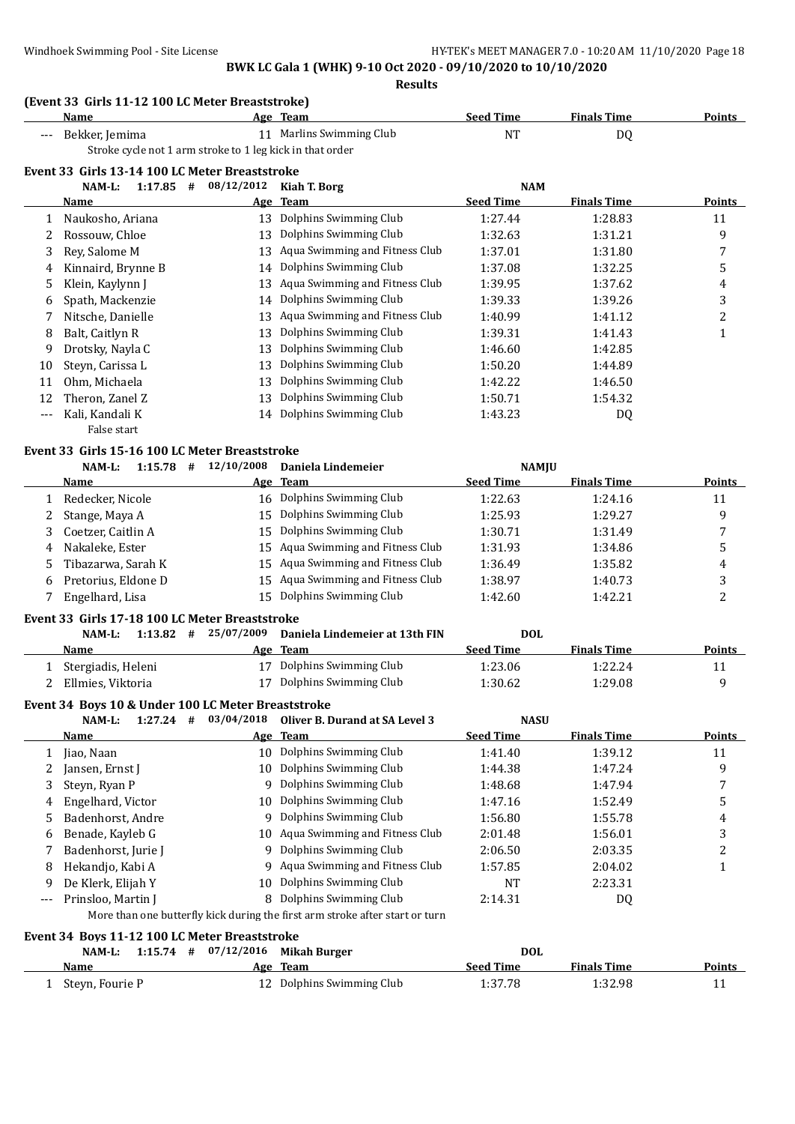**Results**

#### **(Event 33 Girls 11-12 100 LC Meter Breaststroke)**

|                                                           | Name                                            |  | Age Team              | <b>Seed Time</b> | <b>Finals Time</b> | Points        |  |  |  |  |
|-----------------------------------------------------------|-------------------------------------------------|--|-----------------------|------------------|--------------------|---------------|--|--|--|--|
|                                                           | Bekker, Jemima                                  |  | Marlins Swimming Club | NT               | DQ                 |               |  |  |  |  |
| Stroke cycle not 1 arm stroke to 1 leg kick in that order |                                                 |  |                       |                  |                    |               |  |  |  |  |
|                                                           | Event 33  Girls 13-14 100 LC Meter Breaststroke |  |                       |                  |                    |               |  |  |  |  |
|                                                           | 1:17.85 $\#$ 08/12/2012 Kiah T. Borg<br>NAM-L:  |  |                       | <b>NAM</b>       |                    |               |  |  |  |  |
|                                                           | <b>Name</b>                                     |  | Age Team              | <b>Seed Time</b> | <b>Finals Time</b> | <u>Points</u> |  |  |  |  |

|       |                    |    | ______                         |         |         |    |
|-------|--------------------|----|--------------------------------|---------|---------|----|
|       | Naukosho, Ariana   | 13 | Dolphins Swimming Club         | 1:27.44 | 1:28.83 | 11 |
|       | Rossouw. Chloe     | 13 | Dolphins Swimming Club         | 1:32.63 | 1:31.21 | 9  |
| 3     | Rev, Salome M      | 13 | Aqua Swimming and Fitness Club | 1:37.01 | 1:31.80 | 7  |
| 4     | Kinnaird, Brynne B | 14 | Dolphins Swimming Club         | 1:37.08 | 1:32.25 | 5  |
| 5.    | Klein, Kaylynn J   | 13 | Aqua Swimming and Fitness Club | 1:39.95 | 1:37.62 | 4  |
| 6     | Spath, Mackenzie   | 14 | Dolphins Swimming Club         | 1:39.33 | 1:39.26 | 3  |
|       | Nitsche, Danielle  | 13 | Aqua Swimming and Fitness Club | 1:40.99 | 1:41.12 | 2  |
| 8     | Balt, Caitlyn R    | 13 | Dolphins Swimming Club         | 1:39.31 | 1:41.43 |    |
| 9     | Drotsky, Nayla C   | 13 | Dolphins Swimming Club         | 1:46.60 | 1:42.85 |    |
| 10    | Steyn, Carissa L   | 13 | Dolphins Swimming Club         | 1:50.20 | 1:44.89 |    |
| 11    | Ohm, Michaela      | 13 | Dolphins Swimming Club         | 1:42.22 | 1:46.50 |    |
| 12    | Theron, Zanel Z    | 13 | Dolphins Swimming Club         | 1:50.71 | 1:54.32 |    |
| $---$ | Kali, Kandali K    | 14 | Dolphins Swimming Club         | 1:43.23 | DQ      |    |
|       | False start        |    |                                |         |         |    |

#### **Event 33 Girls 15-16 100 LC Meter Breaststroke**

|   | 1:15.78<br>NAM-L:<br># | 12/10/2008 | Daniela Lindemeier<br><b>NAMIU</b> |                  |                    |               |  |  |
|---|------------------------|------------|------------------------------------|------------------|--------------------|---------------|--|--|
|   | <b>Name</b>            |            | Age Team                           | <b>Seed Time</b> | <b>Finals Time</b> | <b>Points</b> |  |  |
|   | Redecker, Nicole       |            | 16 Dolphins Swimming Club          | 1:22.63          | 1:24.16            | 11            |  |  |
| 2 | Stange, Maya A         |            | 15 Dolphins Swimming Club          | 1:25.93          | 1:29.27            | 9             |  |  |
|   | Coetzer, Caitlin A     |            | 15 Dolphins Swimming Club          | 1:30.71          | 1:31.49            | п,            |  |  |
| 4 | Nakaleke, Ester        |            | 15 Aqua Swimming and Fitness Club  | 1:31.93          | 1:34.86            |               |  |  |
|   | Tibazarwa, Sarah K     |            | 15 Agua Swimming and Fitness Club  | 1:36.49          | 1:35.82            | 4             |  |  |
| 6 | Pretorius, Eldone D    |            | 15 Agua Swimming and Fitness Club  | 1:38.97          | 1:40.73            | 3             |  |  |
|   | Engelhard, Lisa        |            | 15 Dolphins Swimming Club          | 1:42.60          | 1:42.21            |               |  |  |
|   |                        |            |                                    |                  |                    |               |  |  |

### **Event 33 Girls 17-18 100 LC Meter Breaststroke**

| NAM-L:<br>1:13.82<br># | 25/07/2009<br>Daniela Lindemeier at 13th FIN | <b>DOL</b>       |                    |        |
|------------------------|----------------------------------------------|------------------|--------------------|--------|
| <b>Name</b>            | Age Team                                     | <b>Seed Time</b> | <b>Finals Time</b> | Points |
| Stergiadis, Heleni     | 17 Dolphins Swimming Club                    | 1:23.06          | 1:22.24            |        |
| Ellmies, Viktoria      | 17 Dolphins Swimming Club                    | 1:30.62          | 1:29.08            |        |

#### **Event 34 Boys 10 & Under 100 LC Meter Breaststroke**

|    | NAM-L:<br>1:27.24   | # | 03/04/2018 | Oliver B. Durand at SA Level 3    | <b>NASU</b>      |                    |               |
|----|---------------------|---|------------|-----------------------------------|------------------|--------------------|---------------|
|    | Name                |   |            | Age Team                          | <b>Seed Time</b> | <b>Finals Time</b> | <b>Points</b> |
|    | Jiao, Naan          |   | 10         | Dolphins Swimming Club            | 1:41.40          | 1:39.12            | 11            |
| 2  | Jansen, Ernst J     |   |            | 10 Dolphins Swimming Club         | 1:44.38          | 1:47.24            | 9             |
|    | Steyn, Ryan P       |   |            | 9 Dolphins Swimming Club          | 1:48.68          | 1:47.94            |               |
| 4  | Engelhard, Victor   |   |            | 10 Dolphins Swimming Club         | 1:47.16          | 1:52.49            | 5             |
| 5. | Badenhorst, Andre   |   |            | 9 Dolphins Swimming Club          | 1:56.80          | 1:55.78            | 4             |
| 6  | Benade, Kayleb G    |   |            | 10 Aqua Swimming and Fitness Club | 2:01.48          | 1:56.01            |               |
|    | Badenhorst, Jurie J |   |            | 9 Dolphins Swimming Club          | 2:06.50          | 2:03.35            |               |
| 8  | Hekandjo, Kabi A    |   |            | 9 Aqua Swimming and Fitness Club  | 1:57.85          | 2:04.02            |               |
| 9  | De Klerk, Elijah Y  |   |            | 10 Dolphins Swimming Club         | <b>NT</b>        | 2:23.31            |               |
|    | Prinsloo, Martin J  |   |            | 8 Dolphins Swimming Club          | 2:14.31          | DQ                 |               |
|    |                     |   |            |                                   |                  |                    |               |

More than one butterfly kick during the first arm stroke after start or turn

## **Event 34 Boys 11-12 100 LC Meter Breaststroke**

| NAM-L: 1:15.74 # 07/12/2016 Mikah Burger |                           | DOL              |                    |               |
|------------------------------------------|---------------------------|------------------|--------------------|---------------|
| Name                                     | Age Team                  | <b>Seed Time</b> | <b>Finals Time</b> | <b>Points</b> |
| Steyn, Fourie P                          | 12 Dolphins Swimming Club | 1:37.78          | 1:32.98            |               |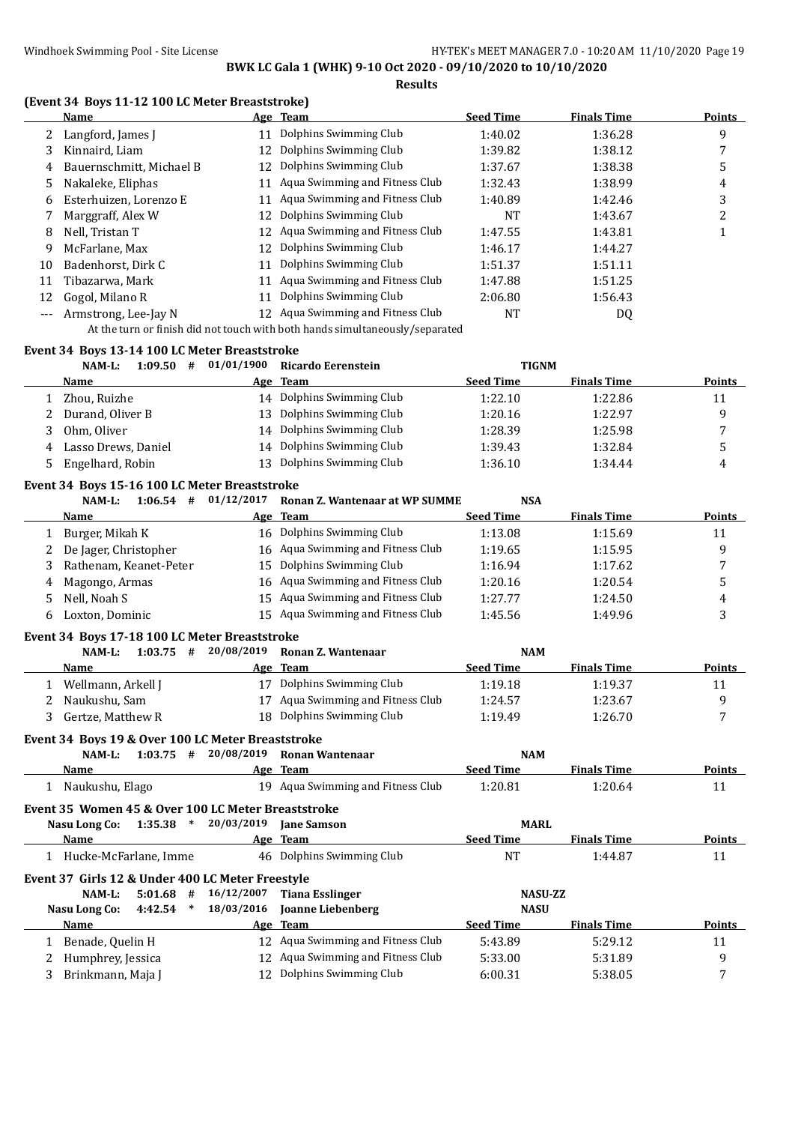**Results**

### **(Event 34 Boys 11-12 100 LC Meter Breaststroke)**

| Name                     |    |                                |                                                                                                                                                                                              |                  | <b>Points</b>      |
|--------------------------|----|--------------------------------|----------------------------------------------------------------------------------------------------------------------------------------------------------------------------------------------|------------------|--------------------|
| Langford, James J        |    | Dolphins Swimming Club         | 1:40.02                                                                                                                                                                                      | 1:36.28          | 9                  |
| Kinnaird, Liam           | 12 |                                | 1:39.82                                                                                                                                                                                      | 1:38.12          |                    |
| Bauernschmitt, Michael B | 12 |                                | 1:37.67                                                                                                                                                                                      | 1:38.38          | 5                  |
| Nakaleke, Eliphas        |    |                                | 1:32.43                                                                                                                                                                                      | 1:38.99          | 4                  |
| Esterhuizen, Lorenzo E   |    | Aqua Swimming and Fitness Club | 1:40.89                                                                                                                                                                                      | 1:42.46          | 3                  |
| Marggraff, Alex W        | 12 | Dolphins Swimming Club         | NT                                                                                                                                                                                           | 1:43.67          | ำ<br>∠             |
| Nell, Tristan T          | 12 |                                | 1:47.55                                                                                                                                                                                      | 1:43.81          |                    |
| McFarlane, Max           |    |                                | 1:46.17                                                                                                                                                                                      | 1:44.27          |                    |
| Badenhorst, Dirk C       |    | Dolphins Swimming Club         | 1:51.37                                                                                                                                                                                      | 1:51.11          |                    |
| Tibazarwa, Mark          |    | Aqua Swimming and Fitness Club | 1:47.88                                                                                                                                                                                      | 1:51.25          |                    |
| Gogol, Milano R          |    | Dolphins Swimming Club         | 2:06.80                                                                                                                                                                                      | 1:56.43          |                    |
| Armstrong, Lee-Jay N     |    |                                | NT                                                                                                                                                                                           | DQ               |                    |
|                          |    |                                | Age Team<br>Dolphins Swimming Club<br>Dolphins Swimming Club<br>Aqua Swimming and Fitness Club<br>Aqua Swimming and Fitness Club<br>Dolphins Swimming Club<br>Aqua Swimming and Fitness Club | <b>Seed Time</b> | <b>Finals Time</b> |

At the turn or finish did not touch with both hands simultaneously/separated

#### **Event 34 Boys 13-14 100 LC Meter Breaststroke**

|              | $1:09.50$ #<br>NAM-L:                              | 01/01/1900               | <b>Ricardo Eerenstein</b>             | <b>TIGNM</b>     |                    |                |
|--------------|----------------------------------------------------|--------------------------|---------------------------------------|------------------|--------------------|----------------|
|              | <b>Name</b>                                        |                          | Age Team                              | <b>Seed Time</b> | <b>Finals Time</b> | Points         |
| $\mathbf{1}$ | Zhou, Ruizhe                                       |                          | 14 Dolphins Swimming Club             | 1:22.10          | 1:22.86            | 11             |
| 2            | Durand, Oliver B                                   |                          | 13 Dolphins Swimming Club             | 1:20.16          | 1:22.97            | 9              |
| 3            | Ohm, Oliver                                        | 14                       | Dolphins Swimming Club                | 1:28.39          | 1:25.98            | 7              |
| 4            | Lasso Drews, Daniel                                | 14                       | Dolphins Swimming Club                | 1:39.43          | 1:32.84            | 5              |
| 5            | Engelhard, Robin                                   |                          | 13 Dolphins Swimming Club             | 1:36.10          | 1:34.44            | 4              |
|              | Event 34 Boys 15-16 100 LC Meter Breaststroke      |                          |                                       |                  |                    |                |
|              | NAM-L:                                             | $1:06.54$ # $01/12/2017$ | <b>Ronan Z. Wantenaar at WP SUMME</b> | <b>NSA</b>       |                    |                |
|              | Name                                               | <u>Age</u>               | <b>Team</b>                           | <b>Seed Time</b> | <b>Finals Time</b> | <b>Points</b>  |
| 1            | Burger, Mikah K                                    | 16                       | Dolphins Swimming Club                | 1:13.08          | 1:15.69            | 11             |
| 2            | De Jager, Christopher                              |                          | 16 Aqua Swimming and Fitness Club     | 1:19.65          | 1:15.95            | 9              |
| 3            | Rathenam, Keanet-Peter                             | 15                       | Dolphins Swimming Club                | 1:16.94          | 1:17.62            | 7              |
| 4            | Magongo, Armas                                     | 16                       | Aqua Swimming and Fitness Club        | 1:20.16          | 1:20.54            | 5              |
| 5            | Nell, Noah S                                       |                          | 15 Aqua Swimming and Fitness Club     | 1:27.77          | 1:24.50            | 4              |
| 6            | Loxton, Dominic                                    |                          | 15 Aqua Swimming and Fitness Club     | 1:45.56          | 1:49.96            | 3              |
|              | Event 34 Boys 17-18 100 LC Meter Breaststroke      |                          |                                       |                  |                    |                |
|              | $1:03.75$ #<br>NAM-L:                              | 20/08/2019               | <b>Ronan Z. Wantenaar</b>             | <b>NAM</b>       |                    |                |
|              | Name                                               | Age                      | <b>Team</b>                           | <b>Seed Time</b> | <b>Finals Time</b> | <b>Points</b>  |
|              | 1 Wellmann, Arkell J                               |                          | 17 Dolphins Swimming Club             | 1:19.18          | 1:19.37            | 11             |
| 2            | Naukushu, Sam                                      | 17                       | Aqua Swimming and Fitness Club        | 1:24.57          | 1:23.67            | 9              |
| 3            | Gertze, Matthew R                                  |                          | 18 Dolphins Swimming Club             | 1:19.49          | 1:26.70            | 7              |
|              | Event 34 Boys 19 & Over 100 LC Meter Breaststroke  |                          |                                       |                  |                    |                |
|              | $1:03.75$ #<br>NAM-L:                              | 20/08/2019               | <b>Ronan Wantenaar</b>                | <b>NAM</b>       |                    |                |
|              | Name                                               |                          | Age Team                              | <b>Seed Time</b> | <b>Finals Time</b> | <b>Points</b>  |
|              | 1 Naukushu, Elago                                  |                          | 19 Aqua Swimming and Fitness Club     | 1:20.81          | 1:20.64            | 11             |
|              | Event 35 Women 45 & Over 100 LC Meter Breaststroke |                          |                                       |                  |                    |                |
|              | $1:35.38$ *<br><b>Nasu Long Co:</b>                | 20/03/2019               | <b>Jane Samson</b>                    | <b>MARL</b>      |                    |                |
|              | <b>Name</b>                                        |                          | Age Team                              | <b>Seed Time</b> | <b>Finals Time</b> | Points         |
|              | 1 Hucke-McFarlane, Imme                            |                          | 46 Dolphins Swimming Club             | <b>NT</b>        | 1:44.87            | 11             |
|              | Event 37 Girls 12 & Under 400 LC Meter Freestyle   |                          |                                       |                  |                    |                |
|              | NAM-L:<br>5:01.68<br>#                             | 16/12/2007               | <b>Tiana Esslinger</b>                | <b>NASU-ZZ</b>   |                    |                |
|              | <b>Nasu Long Co:</b><br>4:42.54<br>$\ast$          | 18/03/2016               | Joanne Liebenberg                     | <b>NASU</b>      |                    |                |
|              | Name                                               |                          | Age Team                              | <b>Seed Time</b> | <b>Finals Time</b> | Points         |
|              | 1 Benade, Quelin H                                 |                          | 12 Aqua Swimming and Fitness Club     | 5:43.89          | 5:29.12            | 11             |
| 2            | Humphrey, Jessica                                  |                          | 12 Aqua Swimming and Fitness Club     | 5:33.00          | 5:31.89            | 9              |
| 3            | Brinkmann, Maja J                                  |                          | 12 Dolphins Swimming Club             | 6:00.31          | 5:38.05            | $\overline{7}$ |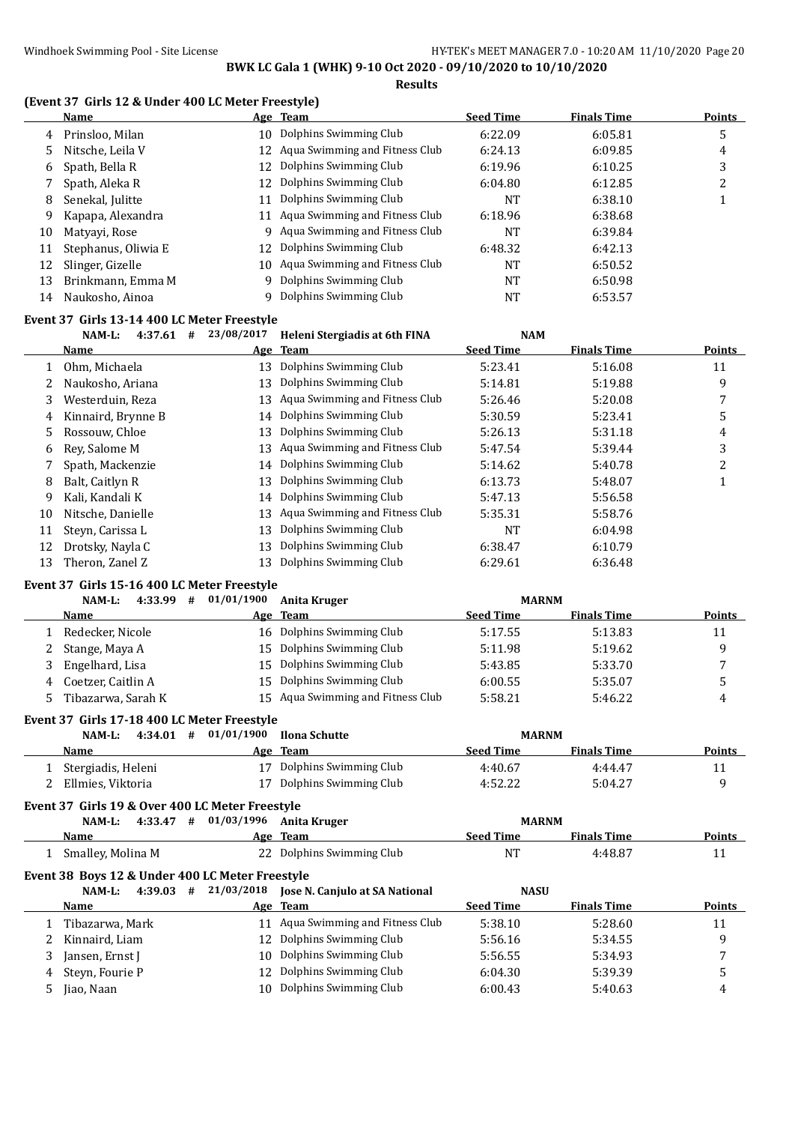**Results**

#### **(Event 37 Girls 12 & Under 400 LC Meter Freestyle)**

|    | Name                |     | Age Team                       | <b>Seed Time</b> | <b>Finals Time</b> | <b>Points</b> |
|----|---------------------|-----|--------------------------------|------------------|--------------------|---------------|
| 4  | Prinsloo, Milan     | 10. | Dolphins Swimming Club         | 6:22.09          | 6:05.81            | 5             |
| 5. | Nitsche, Leila V    | 12  | Aqua Swimming and Fitness Club | 6:24.13          | 6:09.85            | 4             |
| 6  | Spath, Bella R      | 12  | Dolphins Swimming Club         | 6:19.96          | 6:10.25            | 3             |
|    | Spath, Aleka R      | 12  | Dolphins Swimming Club         | 6:04.80          | 6:12.85            |               |
| 8  | Senekal, Julitte    | 11  | Dolphins Swimming Club         | <b>NT</b>        | 6:38.10            |               |
| 9  | Kapapa, Alexandra   | 11  | Aqua Swimming and Fitness Club | 6:18.96          | 6:38.68            |               |
| 10 | Matyayi, Rose       | q   | Aqua Swimming and Fitness Club | <b>NT</b>        | 6:39.84            |               |
| 11 | Stephanus, Oliwia E | 12. | Dolphins Swimming Club         | 6:48.32          | 6:42.13            |               |
| 12 | Slinger, Gizelle    | 10  | Aqua Swimming and Fitness Club | NT               | 6:50.52            |               |
| 13 | Brinkmann, Emma M   | Q.  | Dolphins Swimming Club         | NT               | 6:50.98            |               |
| 14 | Naukosho, Ainoa     |     | Dolphins Swimming Club         | NT               | 6:53.57            |               |
|    |                     |     |                                |                  |                    |               |

#### **Event 37 Girls 13-14 400 LC Meter Freestyle**

|    | $NAM-L$ :<br>4:37.61<br># | 23/08/2017 | Heleni Stergiadis at 6th FINA  | <b>NAM</b>       |                    |               |
|----|---------------------------|------------|--------------------------------|------------------|--------------------|---------------|
|    | <b>Name</b>               |            | Age Team                       | <b>Seed Time</b> | <b>Finals Time</b> | <b>Points</b> |
|    | Ohm, Michaela             | 13         | Dolphins Swimming Club         | 5:23.41          | 5:16.08            | 11            |
|    | Naukosho, Ariana          | 13         | Dolphins Swimming Club         | 5:14.81          | 5:19.88            | 9             |
| 3. | Westerduin, Reza          | 13         | Aqua Swimming and Fitness Club | 5:26.46          | 5:20.08            |               |
| 4  | Kinnaird, Brynne B        |            | 14 Dolphins Swimming Club      | 5:30.59          | 5:23.41            | 5             |
| 5. | Rossouw, Chloe            | 13         | Dolphins Swimming Club         | 5:26.13          | 5:31.18            | 4             |
| 6  | Rev. Salome M             | 13         | Aqua Swimming and Fitness Club | 5:47.54          | 5:39.44            | 3             |
|    | Spath, Mackenzie          | 14         | Dolphins Swimming Club         | 5:14.62          | 5:40.78            | 2             |
| 8  | Balt, Caitlyn R           | 13         | Dolphins Swimming Club         | 6:13.73          | 5:48.07            |               |
| 9  | Kali. Kandali K           | 14         | Dolphins Swimming Club         | 5:47.13          | 5:56.58            |               |
| 10 | Nitsche, Danielle         | 13         | Aqua Swimming and Fitness Club | 5:35.31          | 5:58.76            |               |
| 11 | Steyn, Carissa L          | 13         | Dolphins Swimming Club         | NT               | 6:04.98            |               |
| 12 | Drotsky, Nayla C          | 13         | Dolphins Swimming Club         | 6:38.47          | 6:10.79            |               |
| 13 | Theron, Zanel Z           | 13         | Dolphins Swimming Club         | 6:29.61          | 6:36.48            |               |

#### **Event 37 Girls 15-16 400 LC Meter Freestyle**

| NAM-L:<br>$4:33.99$ # | 01/01/1900 | Anita Kruger                      | <b>MARNM</b>     |                    |               |
|-----------------------|------------|-----------------------------------|------------------|--------------------|---------------|
| <b>Name</b>           |            | Age Team                          | <b>Seed Time</b> | <b>Finals Time</b> | <b>Points</b> |
| Redecker, Nicole      |            | 16 Dolphins Swimming Club         | 5:17.55          | 5:13.83            | 11            |
| Stange, Maya A        | 15.        | Dolphins Swimming Club            | 5:11.98          | 5:19.62            | a             |
| Engelhard, Lisa       | 15.        | Dolphins Swimming Club            | 5:43.85          | 5:33.70            |               |
| Coetzer, Caitlin A    | 15.        | Dolphins Swimming Club            | 6:00.55          | 5:35.07            |               |
| Tibazarwa, Sarah K    |            | 15 Aqua Swimming and Fitness Club | 5:58.21          | 5:46.22            | 4             |
|                       |            |                                   |                  |                    |               |

#### **Event 37 Girls 17-18 400 LC Meter Freestyle**

| NAM-L:<br>4:34.01<br># | 01/01/1900 Ilona Schutte  | <b>MARNM</b>     |                    |        |
|------------------------|---------------------------|------------------|--------------------|--------|
| <b>Name</b>            | Age Team                  | <b>Seed Time</b> | <b>Finals Time</b> | Points |
| Stergiadis, Heleni     | 17 Dolphins Swimming Club | 4:40.67          | 4:44.47            |        |
| Ellmies, Viktoria      | 17 Dolphins Swimming Club | 4:52.22          | 5:04.27            |        |
|                        |                           |                  |                    |        |

## **Event 37 Girls 19 & Over 400 LC Meter Freestyle**

| 4:33.47<br>NAM-L:<br>#                                          | 01/03/1996 Anita Kruger      | <b>MARNM</b>     |                    |        |
|-----------------------------------------------------------------|------------------------------|------------------|--------------------|--------|
| Name                                                            | Age Team                     | <b>Seed Time</b> | <b>Finals Time</b> | Points |
| .     Smalley, Molina M                                         | 22 Dolphins Swimming Club    | NT               | 4:48.87            |        |
| Event 38 Boys 12 & Under 400 LC Meter Freestyle<br>. <i>.</i> . | $1.00.00 \times 10.400$<br>. | $\cdots$         |                    |        |

|   | NAM-L:<br>4:39.03<br># |                                   | <b>NASU</b>      |                    |               |
|---|------------------------|-----------------------------------|------------------|--------------------|---------------|
|   | <b>Name</b>            | Age Team                          | <b>Seed Time</b> | <b>Finals Time</b> | <b>Points</b> |
|   | Tibazarwa, Mark        | 11 Agua Swimming and Fitness Club | 5:38.10          | 5:28.60            | 11            |
|   | Kinnaird, Liam         | 12 Dolphins Swimming Club         | 5:56.16          | 5:34.55            |               |
|   | Jansen, Ernst J        | 10 Dolphins Swimming Club         | 5:56.55          | 5:34.93            |               |
| 4 | Steyn, Fourie P        | 12 Dolphins Swimming Club         | 6:04.30          | 5:39.39            |               |
|   | Jiao, Naan             | 10 Dolphins Swimming Club         | 6:00.43          | 5:40.63            | 4             |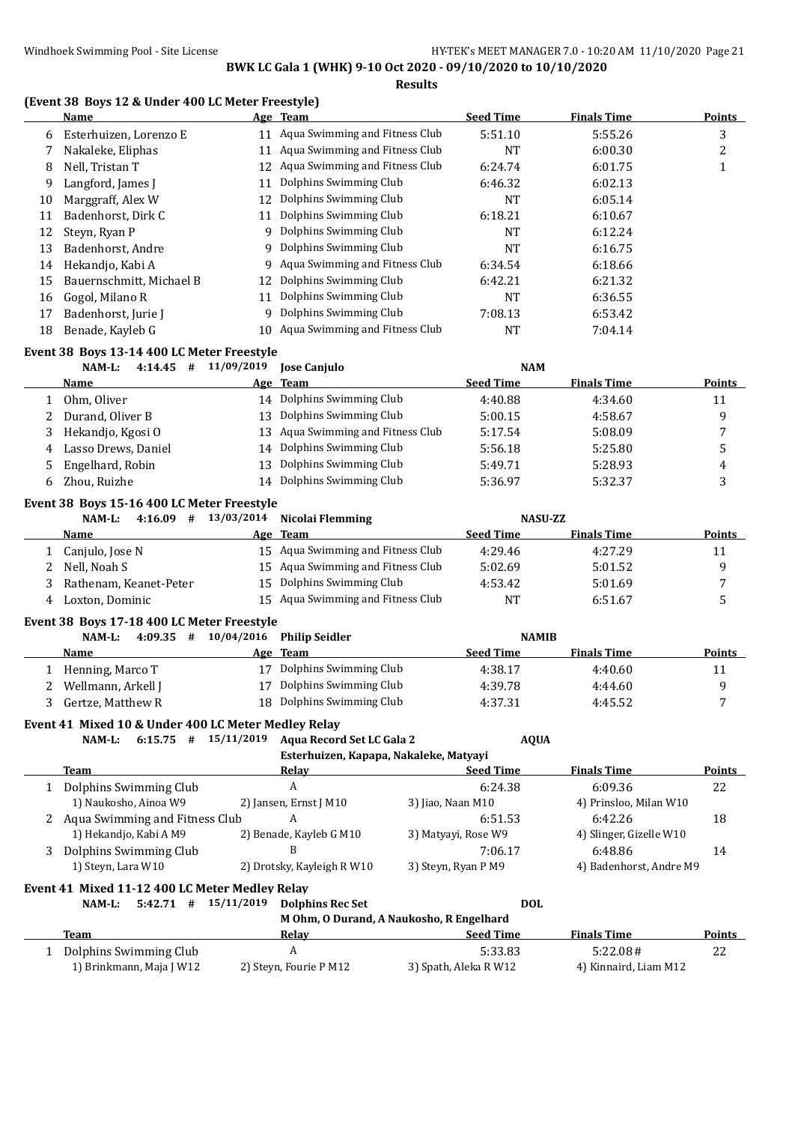**Results**

## **(Event 38 Boys 12 & Under 400 LC Meter Freestyle)**

|              | (Event 50 Doys 12 & Onder 400 LC Meter Preestyle)<br><b>Name</b> |                          | Age Team                                 | <b>Seed Time</b>      | <b>Finals Time</b>               | <b>Points</b>  |
|--------------|------------------------------------------------------------------|--------------------------|------------------------------------------|-----------------------|----------------------------------|----------------|
| 6            | Esterhuizen, Lorenzo E                                           |                          | 11 Aqua Swimming and Fitness Club        | 5:51.10               | 5:55.26                          | 3              |
| 7            | Nakaleke, Eliphas                                                |                          | 11 Aqua Swimming and Fitness Club        | <b>NT</b>             | 6:00.30                          | $\overline{c}$ |
| 8            | Nell, Tristan T                                                  | 12                       | Aqua Swimming and Fitness Club           | 6:24.74               | 6:01.75                          | $\mathbf{1}$   |
| 9            | Langford, James J                                                | 11                       | Dolphins Swimming Club                   | 6:46.32               | 6:02.13                          |                |
| 10           | Marggraff, Alex W                                                | 12                       | Dolphins Swimming Club                   | NT                    | 6:05.14                          |                |
| 11           | Badenhorst, Dirk C                                               | 11                       | Dolphins Swimming Club                   | 6:18.21               | 6:10.67                          |                |
| 12           | Steyn, Ryan P                                                    | 9                        | Dolphins Swimming Club                   | <b>NT</b>             | 6:12.24                          |                |
| 13           | Badenhorst, Andre                                                | 9                        | Dolphins Swimming Club                   | <b>NT</b>             | 6:16.75                          |                |
| 14           | Hekandjo, Kabi A                                                 | 9                        | Aqua Swimming and Fitness Club           | 6:34.54               | 6:18.66                          |                |
| 15           | Bauernschmitt, Michael B                                         | 12                       | Dolphins Swimming Club                   | 6:42.21               | 6:21.32                          |                |
| 16           | Gogol, Milano R                                                  | 11                       | Dolphins Swimming Club                   | <b>NT</b>             | 6:36.55                          |                |
| 17           | Badenhorst, Jurie J                                              | 9                        | Dolphins Swimming Club                   | 7:08.13               | 6:53.42                          |                |
| 18           | Benade, Kayleb G                                                 | 10                       | Aqua Swimming and Fitness Club           | <b>NT</b>             | 7:04.14                          |                |
|              |                                                                  |                          |                                          |                       |                                  |                |
|              | Event 38 Boys 13-14 400 LC Meter Freestyle<br>$4:14.45$ #        | 11/09/2019               |                                          |                       |                                  |                |
|              | NAM-L:<br><u>Name</u>                                            | Age                      | <b>Jose Canjulo</b><br><b>Team</b>       | <b>Seed Time</b>      | <b>NAM</b><br><b>Finals Time</b> | <b>Points</b>  |
| $\mathbf{1}$ | Ohm, Oliver                                                      |                          | 14 Dolphins Swimming Club                | 4:40.88               | 4:34.60                          | 11             |
|              |                                                                  | 13                       | Dolphins Swimming Club                   |                       |                                  |                |
| 2            | Durand, Oliver B                                                 |                          | Aqua Swimming and Fitness Club           | 5:00.15               | 4:58.67                          | 9              |
| 3            | Hekandjo, Kgosi O                                                | 13                       | Dolphins Swimming Club                   | 5:17.54               | 5:08.09                          | 7              |
| 4            | Lasso Drews, Daniel                                              | 14                       |                                          | 5:56.18               | 5:25.80                          | 5              |
| 5            | Engelhard, Robin                                                 | 13                       | Dolphins Swimming Club                   | 5:49.71               | 5:28.93                          | 4              |
| 6            | Zhou, Ruizhe                                                     |                          | 14 Dolphins Swimming Club                | 5:36.97               | 5:32.37                          | 3              |
|              | Event 38 Boys 15-16 400 LC Meter Freestyle                       |                          |                                          |                       |                                  |                |
|              | NAM-L:                                                           | $4:16.09$ # $13/03/2014$ | Nicolai Flemming                         |                       | <b>NASU-ZZ</b>                   |                |
|              | Name                                                             |                          | Age Team                                 | <b>Seed Time</b>      | <b>Finals Time</b>               | <b>Points</b>  |
| 1            | Canjulo, Jose N                                                  |                          | 15 Aqua Swimming and Fitness Club        | 4:29.46               | 4:27.29                          | 11             |
| 2            | Nell, Noah S                                                     | 15                       | Aqua Swimming and Fitness Club           | 5:02.69               | 5:01.52                          | 9              |
| 3            | Rathenam, Keanet-Peter                                           | 15                       | Dolphins Swimming Club                   | 4:53.42               | 5:01.69                          | 7              |
| 4            | Loxton, Dominic                                                  | 15                       | Aqua Swimming and Fitness Club           | <b>NT</b>             | 6:51.67                          | 5              |
|              | Event 38 Boys 17-18 400 LC Meter Freestyle                       |                          |                                          |                       |                                  |                |
|              | $4:09.35$ #<br>NAM-L:                                            | 10/04/2016               | <b>Philip Seidler</b>                    |                       | <b>NAMIB</b>                     |                |
|              | Name                                                             |                          | Age Team                                 | <b>Seed Time</b>      | <b>Finals Time</b>               | <b>Points</b>  |
| 1            | Henning, Marco T                                                 | 17                       | Dolphins Swimming Club                   | 4:38.17               | 4:40.60                          | 11             |
| 2            | Wellmann, Arkell J                                               |                          | 17 Dolphins Swimming Club                | 4:39.78               | 4:44.60                          | 9              |
|              | 3 Gertze, Matthew R                                              |                          | 18 Dolphins Swimming Club                | 4:37.31               | 4:45.52                          | 7              |
|              | Event 41 Mixed 10 & Under 400 LC Meter Medley Relay              |                          |                                          |                       |                                  |                |
|              | $6:15.75$ # $15/11/2019$<br>NAM-L:                               |                          | <b>Aqua Record Set LC Gala 2</b>         |                       | <b>AQUA</b>                      |                |
|              |                                                                  |                          | Esterhuizen, Kapapa, Nakaleke, Matyayi   |                       |                                  |                |
|              | Team                                                             |                          | <u>Relay</u>                             | <b>Seed Time</b>      | <b>Finals Time</b>               | <b>Points</b>  |
| 1            | Dolphins Swimming Club                                           |                          | A                                        | 6:24.38               | 6:09.36                          | 22             |
|              | 1) Naukosho, Ainoa W9                                            |                          | 2) Jansen, Ernst J M10                   | 3) Jiao, Naan M10     | 4) Prinsloo, Milan W10           |                |
|              | 2 Aqua Swimming and Fitness Club                                 |                          | A                                        | 6:51.53               | 6:42.26                          | 18             |
|              | 1) Hekandjo, Kabi A M9                                           |                          | 2) Benade, Kayleb G M10                  | 3) Matyayi, Rose W9   | 4) Slinger, Gizelle W10          |                |
| 3            | Dolphins Swimming Club                                           |                          | B                                        | 7:06.17               | 6:48.86                          | 14             |
|              | 1) Steyn, Lara W10                                               |                          | 2) Drotsky, Kayleigh R W10               | 3) Steyn, Ryan P M9   | 4) Badenhorst, Andre M9          |                |
|              | Event 41 Mixed 11-12 400 LC Meter Medley Relay                   |                          |                                          |                       |                                  |                |
|              | $5:42.71$ # $15/11/2019$<br>NAM-L:                               |                          | <b>Dolphins Rec Set</b>                  |                       | <b>DOL</b>                       |                |
|              |                                                                  |                          | M Ohm, O Durand, A Naukosho, R Engelhard |                       |                                  |                |
|              | Team                                                             |                          | <b>Relay</b>                             | <b>Seed Time</b>      | <b>Finals Time</b>               | <b>Points</b>  |
|              | 1 Dolphins Swimming Club                                         |                          | $\boldsymbol{A}$                         | 5:33.83               | 5:22.08#                         | 22             |
|              | 1) Brinkmann, Maja J W12                                         |                          | 2) Steyn, Fourie P M12                   | 3) Spath, Aleka R W12 | 4) Kinnaird, Liam M12            |                |
|              |                                                                  |                          |                                          |                       |                                  |                |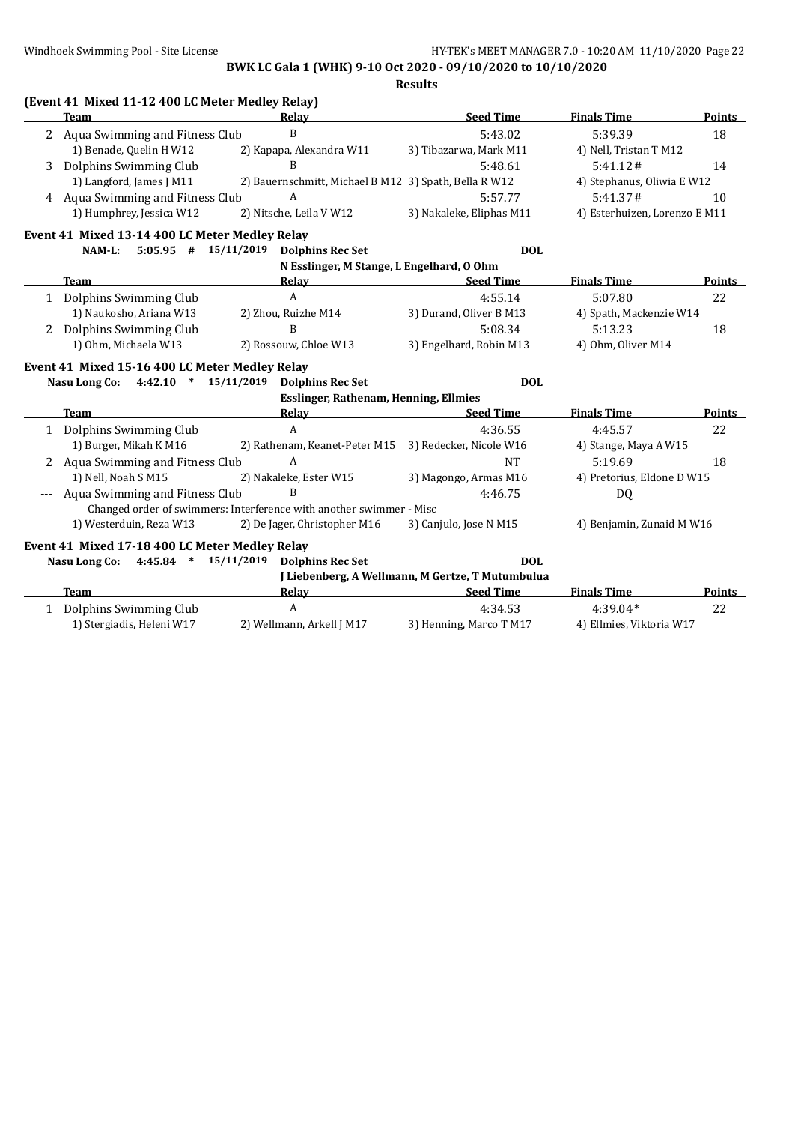|              | (Event 41 Mixed 11-12 400 LC Meter Medley Relay)    |                                                                     |                                                  |                               |               |
|--------------|-----------------------------------------------------|---------------------------------------------------------------------|--------------------------------------------------|-------------------------------|---------------|
|              | <b>Team</b>                                         | Relav                                                               | <b>Seed Time</b>                                 | <b>Finals Time</b>            | Points        |
| 2            | Aqua Swimming and Fitness Club                      | B                                                                   | 5:43.02                                          | 5:39.39                       | 18            |
|              | 1) Benade, Quelin H W12                             | 2) Kapapa, Alexandra W11                                            | 3) Tibazarwa, Mark M11                           | 4) Nell, Tristan T M12        |               |
| 3            | Dolphins Swimming Club                              | B                                                                   | 5:48.61                                          | 5:41.12#                      | 14            |
|              | 1) Langford, James J M11                            | 2) Bauernschmitt, Michael B M12 3) Spath, Bella R W12               |                                                  | 4) Stephanus, Oliwia E W12    |               |
|              | 4 Aqua Swimming and Fitness Club                    | A                                                                   | 5:57.77                                          | 5:41.37#                      | 10            |
|              | 1) Humphrey, Jessica W12                            | 2) Nitsche, Leila V W12                                             | 3) Nakaleke, Eliphas M11                         | 4) Esterhuizen, Lorenzo E M11 |               |
|              | Event 41 Mixed 13-14 400 LC Meter Medley Relay      |                                                                     |                                                  |                               |               |
|              | $5:05.95$ # $15/11/2019$<br>NAM-L:                  | <b>Dolphins Rec Set</b>                                             | <b>DOL</b>                                       |                               |               |
|              |                                                     | N Esslinger, M Stange, L Engelhard, O Ohm                           |                                                  |                               |               |
|              | <b>Team</b>                                         | Relay                                                               | <b>Seed Time</b>                                 | <b>Finals Time</b>            | Points        |
|              | 1 Dolphins Swimming Club                            | $\mathbf{A}$                                                        | 4:55.14                                          | 5:07.80                       | 22            |
|              | 1) Naukosho, Ariana W13                             | 2) Zhou, Ruizhe M14                                                 | 3) Durand, Oliver B M13                          | 4) Spath, Mackenzie W14       |               |
|              | 2 Dolphins Swimming Club                            | B                                                                   | 5:08.34                                          | 5:13.23                       | 18            |
|              | 1) Ohm, Michaela W13                                | 2) Rossouw, Chloe W13                                               | 3) Engelhard, Robin M13                          | 4) Ohm, Oliver M14            |               |
|              | Event 41 Mixed 15-16 400 LC Meter Medley Relay      |                                                                     |                                                  |                               |               |
|              | Nasu Long Co: 4:42.10 * 15/11/2019 Dolphins Rec Set |                                                                     | <b>DOL</b>                                       |                               |               |
|              |                                                     | <b>Esslinger, Rathenam, Henning, Ellmies</b>                        |                                                  |                               |               |
|              | <b>Team</b>                                         | Relav                                                               | <b>Seed Time</b>                                 | <b>Finals Time</b>            | <b>Points</b> |
|              | 1 Dolphins Swimming Club                            | $\mathbf{A}$                                                        | 4:36.55                                          | 4:45.57                       | 22            |
|              | 1) Burger, Mikah K M16                              | 2) Rathenam, Keanet-Peter M15                                       | 3) Redecker, Nicole W16                          | 4) Stange, Maya A W15         |               |
|              | 2 Aqua Swimming and Fitness Club                    | $\overline{A}$                                                      | <b>NT</b>                                        | 5:19.69                       | 18            |
|              | 1) Nell, Noah SM15                                  | 2) Nakaleke, Ester W15                                              | 3) Magongo, Armas M16                            | 4) Pretorius, Eldone D W15    |               |
|              | Aqua Swimming and Fitness Club                      | B                                                                   | 4:46.75                                          | DQ                            |               |
|              |                                                     | Changed order of swimmers: Interference with another swimmer - Misc |                                                  |                               |               |
|              | 1) Westerduin, Reza W13                             | 2) De Jager, Christopher M16                                        | 3) Canjulo, Jose N M15                           | 4) Benjamin, Zunaid M W16     |               |
|              | Event 41 Mixed 17-18 400 LC Meter Medley Relay      |                                                                     |                                                  |                               |               |
|              | Nasu Long Co: 4:45.84 * 15/11/2019                  | <b>Dolphins Rec Set</b>                                             | <b>DOL</b>                                       |                               |               |
|              |                                                     |                                                                     | J Liebenberg, A Wellmann, M Gertze, T Mutumbulua |                               |               |
|              | <b>Team</b>                                         | Relay                                                               | <b>Seed Time</b>                                 | <b>Finals Time</b>            | Points        |
| $\mathbf{1}$ | Dolphins Swimming Club                              | $\overline{A}$                                                      | 4:34.53                                          | $4:39.04*$                    | 22            |
|              | 1) Stergiadis, Heleni W17                           | 2) Wellmann, Arkell J M17                                           | 3) Henning, Marco T M17                          | 4) Ellmies, Viktoria W17      |               |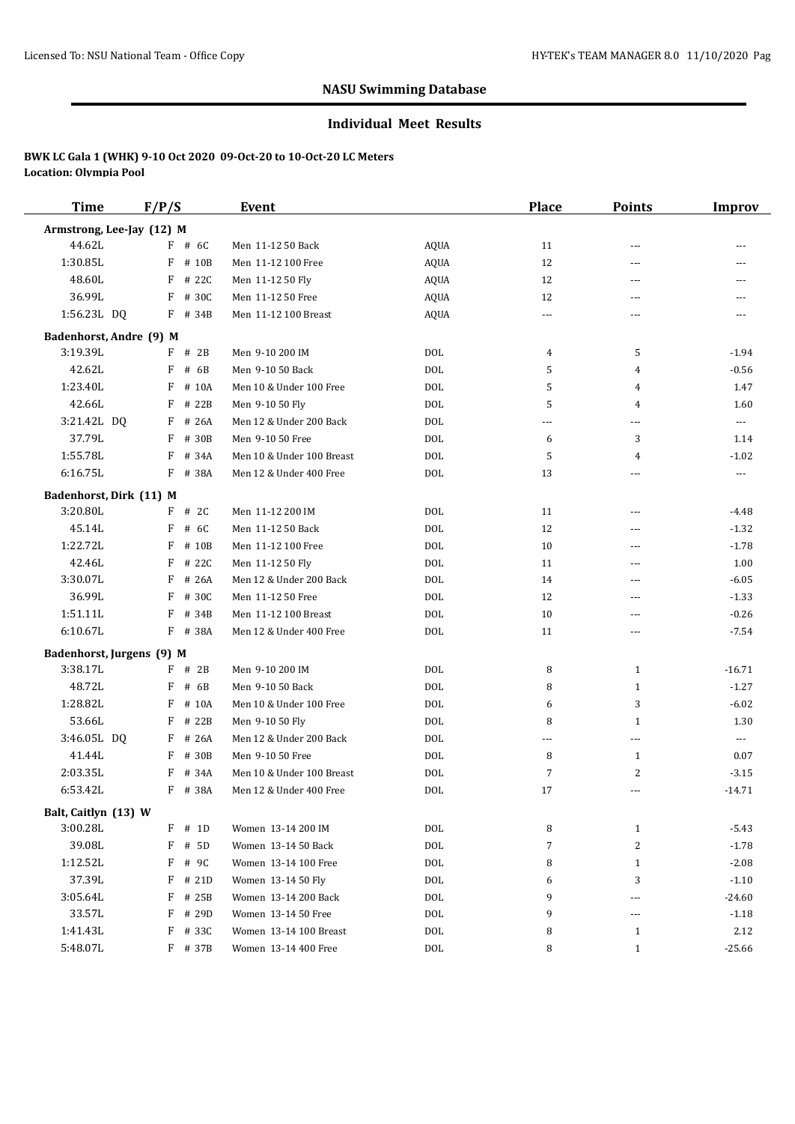#### **Individual Meet Results**

| <b>Time</b>               | F/P/S       | Event                     |             | Place          | <b>Points</b>  | <b>Improv</b>        |
|---------------------------|-------------|---------------------------|-------------|----------------|----------------|----------------------|
| Armstrong, Lee-Jay (12) M |             |                           |             |                |                |                      |
| 44.62L                    | $F$ # 6C    | Men 11-12 50 Back         | <b>AQUA</b> | 11             | ---            |                      |
| 1:30.85L                  | F<br># 10B  | Men 11-12 100 Free        | <b>AQUA</b> | 12             | ---            | ---                  |
| 48.60L                    | F<br># 22C  | Men 11-12 50 Fly          | <b>AQUA</b> | 12             | ---            | ---                  |
| 36.99L                    | F<br># 30C  | Men 11-12 50 Free         | <b>AQUA</b> | 12             | ---            | ---                  |
| 1:56.23L DQ               | F # 34B     | Men 11-12 100 Breast      | <b>AQUA</b> | $---$          | ---            |                      |
| Badenhorst, Andre (9) M   |             |                           |             |                |                |                      |
| 3:19.39L                  | # 2B<br>F   | Men 9-10 200 IM           | <b>DOL</b>  | 4              | 5              | $-1.94$              |
| 42.62L                    | F<br># $6B$ | Men 9-10 50 Back          | <b>DOL</b>  | 5              | 4              | $-0.56$              |
| 1:23.40L                  | F<br># 10A  | Men 10 & Under 100 Free   | <b>DOL</b>  | 5              | 4              | 1.47                 |
| 42.66L                    | F<br># 22B  | Men 9-10 50 Fly           | <b>DOL</b>  | 5              | $\overline{4}$ | 1.60                 |
| 3:21.42L DQ               | F<br># 26A  | Men 12 & Under 200 Back   | <b>DOL</b>  | $\overline{a}$ | ---            | $\sim$ $\sim$ $\sim$ |
| 37.79L                    | $F$ # 30B   | Men 9-10 50 Free          | <b>DOL</b>  | 6              | 3              | 1.14                 |
| 1:55.78L                  | F<br># 34A  | Men 10 & Under 100 Breast | <b>DOL</b>  | 5              | 4              | $-1.02$              |
| 6:16.75L                  | F<br># 38A  | Men 12 & Under 400 Free   | <b>DOL</b>  | 13             | ---            | ---                  |
| Badenhorst, Dirk (11) M   |             |                           |             |                |                |                      |
| 3:20.80L                  | $F$ # 2C    | Men 11-12 200 IM          | <b>DOL</b>  | 11             | ---            | -4.48                |
| 45.14L                    | # 6C<br>F   | Men 11-12 50 Back         | <b>DOL</b>  | 12             | ---            | $-1.32$              |
| 1:22.72L                  | F<br># 10B  | Men 11-12 100 Free        | <b>DOL</b>  | 10             | ---            | $-1.78$              |
| 42.46L                    | F<br># 22C  | Men 11-12 50 Fly          | <b>DOL</b>  | 11             | ---            | 1.00                 |
| 3:30.07L                  | F<br># 26A  | Men 12 & Under 200 Back   | <b>DOL</b>  | 14             | ---            | $-6.05$              |
| 36.99L                    | F<br># 30C  | Men 11-12 50 Free         | <b>DOL</b>  | 12             | ---            | $-1.33$              |
| 1:51.11L                  | F<br># 34B  | Men 11-12 100 Breast      | <b>DOL</b>  | 10             | ---            | $-0.26$              |
| 6:10.67L                  | F # 38A     | Men 12 & Under 400 Free   | <b>DOL</b>  | 11             | ---            | $-7.54$              |
| Badenhorst, Jurgens (9) M |             |                           |             |                |                |                      |
| 3:38.17L                  | $F$ # 2B    | Men 9-10 200 IM           | <b>DOL</b>  | 8              | $\mathbf{1}$   | $-16.71$             |
| 48.72L                    | F<br># 6B   | Men 9-10 50 Back          | <b>DOL</b>  | 8              | 1              | $-1.27$              |
| 1:28.82L                  | F<br># 10A  | Men 10 & Under 100 Free   | <b>DOL</b>  | 6              | 3              | $-6.02$              |
| 53.66L                    | F<br># 22B  | Men 9-10 50 Fly           | <b>DOL</b>  | 8              | 1              | 1.30                 |
| 3:46.05L DQ               | # 26A<br>F  | Men 12 & Under 200 Back   | <b>DOL</b>  | $\overline{a}$ | ---            | $\cdots$             |
| 41.44L                    | F<br># 30B  | Men 9-10 50 Free          | <b>DOL</b>  | 8              | 1              | 0.07                 |
| 2:03.35L                  | F<br># 34A  | Men 10 & Under 100 Breast | <b>DOL</b>  | 7              | 2              | $-3.15$              |
| 6:53.42L                  | F<br># 38A  | Men 12 & Under 400 Free   | <b>DOL</b>  | 17             | ---            | $-14.71$             |
| Balt, Caitlyn (13) W      |             |                           |             |                |                |                      |
| 3:00.28L                  | $F$ # 1D    | Women 13-14 200 IM        | $\rm DOL$   | 8              | $\mathbf{1}$   | $-5.43$              |
| 39.08L                    | $F$ # 5D    | Women 13-14 50 Back       | $\rm DOL$   | 7              | 2              | $-1.78$              |
| 1:12.52L                  | F<br># 9C   | Women 13-14 100 Free      | DOL         | 8              | $\mathbf{1}$   | $-2.08$              |
| 37.39L                    | F<br># 21D  | Women 13-14 50 Fly        | <b>DOL</b>  | 6              | 3              | $-1.10$              |
| 3:05.64L                  | F<br># 25B  | Women 13-14 200 Back      | <b>DOL</b>  | 9              | ---            | $-24.60$             |
| 33.57L                    | F<br># 29D  | Women 13-14 50 Free       | $\rm DOL$   | 9              | ---            | $-1.18$              |
| 1:41.43L                  | F<br># 33C  | Women 13-14 100 Breast    | <b>DOL</b>  | 8              | $\mathbf{1}$   | 2.12                 |
| 5:48.07L                  | F # 37B     | Women 13-14 400 Free      | <b>DOL</b>  | 8              | $\mathbf{1}$   | $-25.66$             |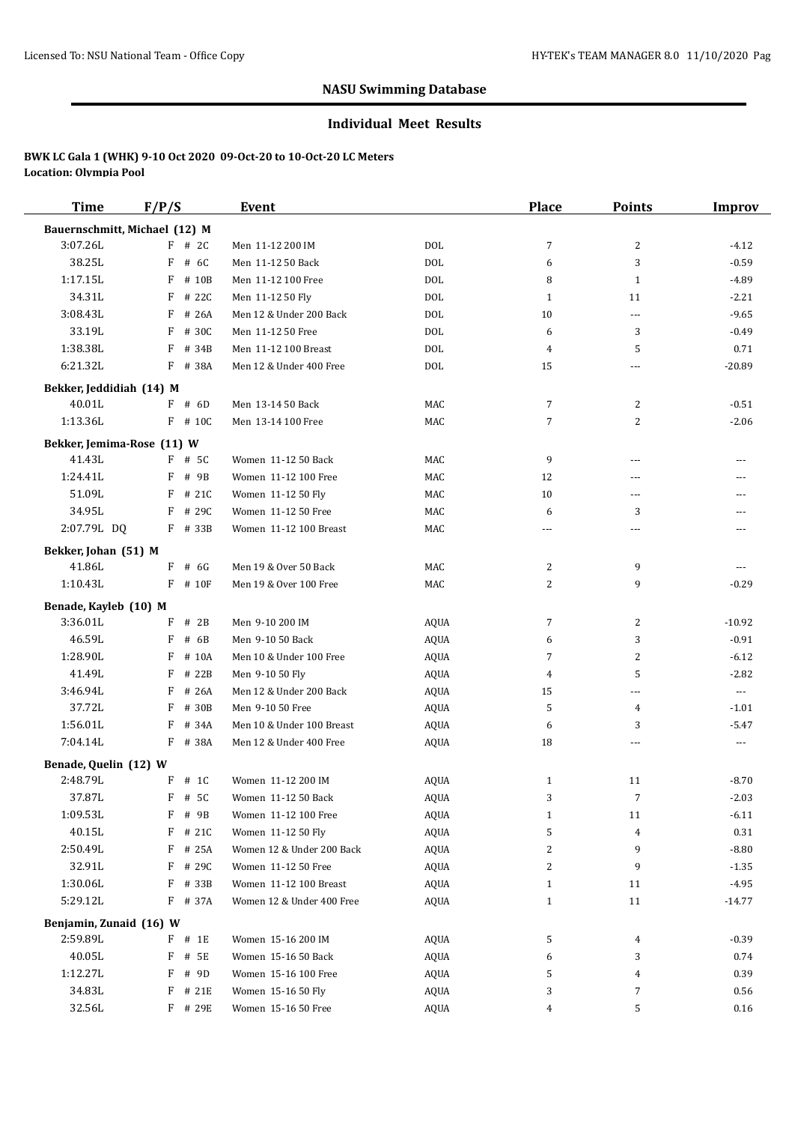#### **Individual Meet Results**

| <b>Time</b>                    | F/P/S        | <b>Event</b>              |             | <b>Place</b>   | <b>Points</b>            | <b>Improv</b>        |
|--------------------------------|--------------|---------------------------|-------------|----------------|--------------------------|----------------------|
| Bauernschmitt, Michael (12) M  |              |                           |             |                |                          |                      |
| 3:07.26L                       | $F$ # 2C     | Men 11-12 200 IM          | DOL         | 7              | 2                        | $-4.12$              |
| 38.25L                         | F<br># 6C    | Men 11-12 50 Back         | DOL         | 6              | 3                        | $-0.59$              |
| 1:17.15L                       | F<br># 10B   | Men 11-12 100 Free        | DOL         | 8              | $\mathbf{1}$             | $-4.89$              |
| 34.31L                         | # 22C<br>F   | Men 11-12 50 Fly          | <b>DOL</b>  | $\mathbf{1}$   | 11                       | $-2.21$              |
| 3:08.43L                       | F<br># 26A   | Men 12 & Under 200 Back   | <b>DOL</b>  | 10             | $\overline{\phantom{a}}$ | $-9.65$              |
| 33.19L                         | F<br># 30C   | Men 11-12 50 Free         | <b>DOL</b>  | 6              | 3                        | $-0.49$              |
| 1:38.38L                       | F<br># 34B   | Men 11-12 100 Breast      | <b>DOL</b>  | 4              | 5                        | 0.71                 |
| 6:21.32L                       | F # 38A      | Men 12 & Under 400 Free   | DOL         | 15             | ---                      | $-20.89$             |
| Bekker, Jeddidiah (14) M       |              |                           |             |                |                          |                      |
| 40.01L                         | F # 6D       | Men 13-14 50 Back         | MAC         | 7              | 2                        | $-0.51$              |
| 1:13.36L                       | $F$ # 10C    | Men 13-14 100 Free        | MAC         | 7              | $\overline{c}$           | $-2.06$              |
| Bekker, Jemima-Rose (11) W     |              |                           |             |                |                          |                      |
| 41.43L                         | $F$ # 5C     | Women 11-12 50 Back       | MAC         | 9              | ---                      | $---$                |
| 1:24.41L                       | F<br># 9B    | Women 11-12 100 Free      | MAC         | 12             | ---                      |                      |
| 51.09L                         | F<br># 21C   | Women 11-12 50 Fly        | MAC         | 10             | $\overline{a}$           | $---$                |
| 34.95L                         | F<br># 29C   | Women 11-12 50 Free       | MAC         | 6              | 3                        | $---$                |
| 2:07.79L DQ                    | F # 33B      | Women 11-12 100 Breast    | MAC         | $\overline{a}$ | ---                      | $---$                |
|                                |              |                           |             |                |                          |                      |
| Bekker, Johan (51) M<br>41.86L | $F$ # 6G     | Men 19 & Over 50 Back     | MAC         | 2              | 9                        | $\sim$ $\sim$ $\sim$ |
| 1:10.43L                       | $F$ # 10 $F$ | Men 19 & Over 100 Free    | MAC         | 2              | 9                        | $-0.29$              |
|                                |              |                           |             |                |                          |                      |
| Benade, Kayleb (10) M          |              |                           |             |                |                          |                      |
| 3:36.01L                       | F<br># 2B    | Men 9-10 200 IM           | <b>AQUA</b> | 7              | 2                        | $-10.92$             |
| 46.59L                         | F<br># 6B    | Men 9-10 50 Back          | <b>AQUA</b> | 6              | 3                        | $-0.91$              |
| 1:28.90L                       | F<br># 10A   | Men 10 & Under 100 Free   | <b>AQUA</b> | 7              | $\overline{c}$           | $-6.12$              |
| 41.49L                         | F<br># 22B   | Men 9-10 50 Fly           | AQUA        | 4              | 5                        | $-2.82$              |
| 3:46.94L                       | # 26A<br>F   | Men 12 & Under 200 Back   | AQUA        | 15             | $\ldots$                 | $\ldots$             |
| 37.72L                         | # 30B<br>F   | Men 9-10 50 Free          | AQUA        | 5              | 4                        | $-1.01$              |
| 1:56.01L                       | # 34A<br>F   | Men 10 & Under 100 Breast | AQUA        | 6              | 3                        | $-5.47$              |
| 7:04.14L                       | F<br># 38A   | Men 12 & Under 400 Free   | <b>AQUA</b> | 18             | ---                      | $\sim$ $\sim$        |
| Benade, Quelin (12) W          |              |                           |             |                |                          |                      |
| 2:48.79L                       | $F$ # 1C     | Women 11-12 200 IM        | <b>AQUA</b> | $\mathbf{1}$   | 11                       | $-8.70$              |
| 37.87L                         | $F$ # 5C     | Women 11-12 50 Back       | AQUA        | 3              | 7                        | $-2.03$              |
| 1:09.53L                       | F<br># 9B    | Women 11-12 100 Free      | AQUA        | $\mathbf{1}$   | 11                       | $-6.11$              |
| 40.15L                         | $F$ # 21C    | Women 11-12 50 Fly        | AQUA        | 5              | 4                        | 0.31                 |
| 2:50.49L                       | F<br># 25A   | Women 12 & Under 200 Back | AQUA        | 2              | 9                        | $-8.80$              |
| 32.91L                         | # 29C<br>F   | Women 11-12 50 Free       | <b>AQUA</b> | 2              | 9                        | $-1.35$              |
| 1:30.06L                       | $F$ # 33B    | Women 11-12 100 Breast    | AQUA        | 1              | 11                       | $-4.95$              |
| 5:29.12L                       | F # 37A      | Women 12 & Under 400 Free | <b>AQUA</b> | $\mathbf{1}$   | 11                       | $-14.77$             |
| Benjamin, Zunaid (16) W        |              |                           |             |                |                          |                      |
| 2:59.89L                       | $F$ # 1E     | Women 15-16 200 IM        | AQUA        | 5              | 4                        | $-0.39$              |
| 40.05L                         | F<br># 5E    | Women 15-16 50 Back       | AQUA        | 6              | 3                        | 0.74                 |
| 1:12.27L                       | F<br># 9D    | Women 15-16 100 Free      | AQUA        | 5              | 4                        | 0.39                 |
| 34.83L                         | # 21E<br>F   | Women 15-16 50 Fly        | AQUA        | 3              | 7                        | 0.56                 |
| 32.56L                         | $F$ # 29E    | Women 15-16 50 Free       | <b>AQUA</b> | 4              | 5                        | 0.16                 |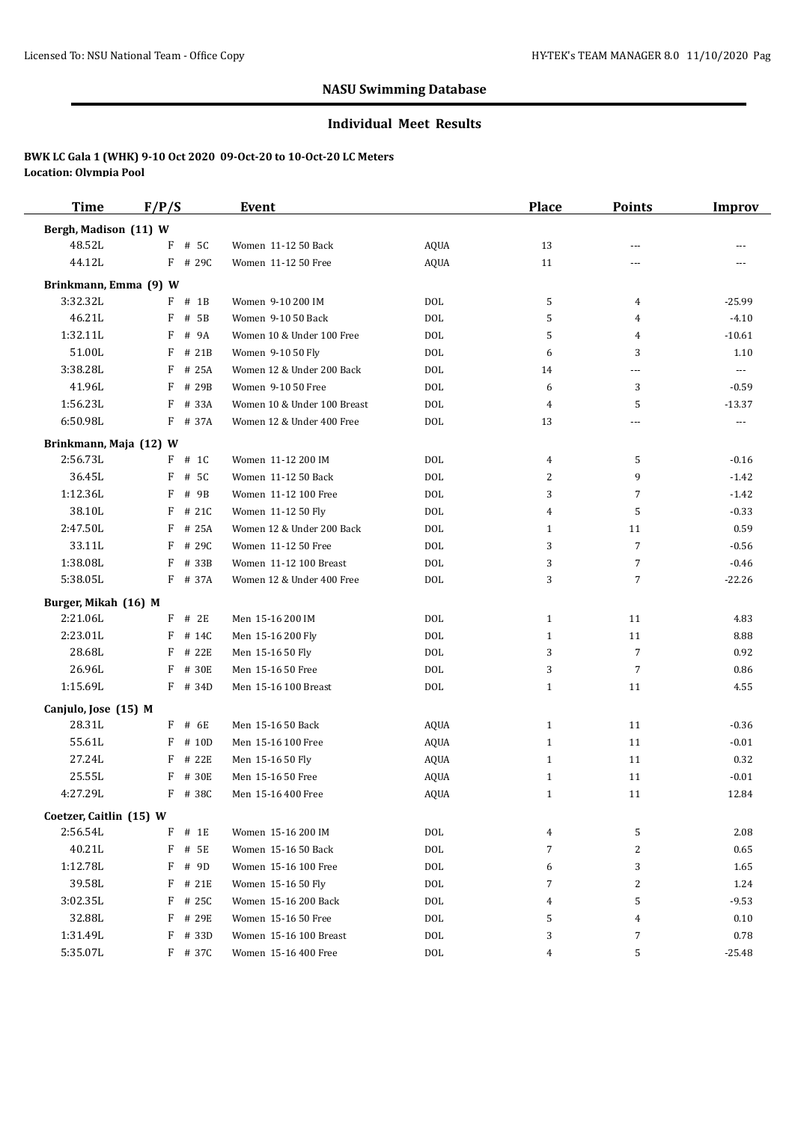#### **Individual Meet Results**

| <b>Time</b>             | F/P/S      | Event                       |             | <b>Place</b>   | <b>Points</b>  | <b>Improv</b>            |
|-------------------------|------------|-----------------------------|-------------|----------------|----------------|--------------------------|
| Bergh, Madison (11) W   |            |                             |             |                |                |                          |
| 48.52L                  | # 5C<br>F  | Women 11-12 50 Back         | <b>AQUA</b> | 13             | ---            |                          |
| 44.12L                  | $F$ # 29C  | Women 11-12 50 Free         | <b>AQUA</b> | 11             | ---            |                          |
| Brinkmann, Emma (9) W   |            |                             |             |                |                |                          |
| 3:32.32L                | $F$ # 1B   | Women 9-10 200 IM           | <b>DOL</b>  | 5              | 4              | $-25.99$                 |
| 46.21L                  | F<br># 5B  | Women 9-10 50 Back          | <b>DOL</b>  | 5              | 4              | $-4.10$                  |
| 1:32.11L                | F<br># 9A  | Women 10 & Under 100 Free   | <b>DOL</b>  | 5              | 4              | $-10.61$                 |
| 51.00L                  | F<br># 21B | Women 9-10 50 Fly           | <b>DOL</b>  | 6              | 3              | 1.10                     |
| 3:38.28L                | F<br># 25A | Women 12 & Under 200 Back   | <b>DOL</b>  | 14             | $\cdots$       | $\scriptstyle \cdots$    |
| 41.96L                  | F<br># 29B | Women 9-10 50 Free          | <b>DOL</b>  | 6              | 3              | $-0.59$                  |
| 1:56.23L                | # 33A<br>F | Women 10 & Under 100 Breast | DOL         | 4              | 5              | $-13.37$                 |
| 6:50.98L                | F # 37A    | Women 12 & Under 400 Free   | DOL         | 13             | $\cdots$       | $\overline{\phantom{a}}$ |
| Brinkmann, Maja (12) W  |            |                             |             |                |                |                          |
| 2:56.73L                | $F$ # 1C   | Women 11-12 200 IM          | <b>DOL</b>  | $\overline{4}$ | 5              | $-0.16$                  |
| 36.45L                  | F<br># 5C  | Women 11-12 50 Back         | DOL         | 2              | 9              | $-1.42$                  |
| 1:12.36L                | F<br># 9B  | Women 11-12 100 Free        | <b>DOL</b>  | 3              | $\overline{7}$ | $-1.42$                  |
| 38.10L                  | F<br># 21C | Women 11-12 50 Fly          | <b>DOL</b>  | 4              | 5              | $-0.33$                  |
| 2:47.50L                | # 25A<br>F | Women 12 & Under 200 Back   | <b>DOL</b>  | $\mathbf{1}$   | 11             | 0.59                     |
| 33.11L                  | F # 29C    | Women 11-12 50 Free         | <b>DOL</b>  | 3              | 7              | $-0.56$                  |
| 1:38.08L                | F # 33B    | Women 11-12 100 Breast      | DOL         | 3              | $\overline{7}$ | $-0.46$                  |
| 5:38.05L                | F # 37A    | Women 12 & Under 400 Free   | DOL         | 3              | $\overline{7}$ | $-22.26$                 |
| Burger, Mikah (16) M    |            |                             |             |                |                |                          |
| 2:21.06L                | $F$ # 2E   | Men 15-16 200 IM            | <b>DOL</b>  | $\mathbf{1}$   | 11             | 4.83                     |
| 2:23.01L                | $F$ # 14C  | Men 15-16 200 Fly           | <b>DOL</b>  | $\mathbf{1}$   | 11             | 8.88                     |
| 28.68L                  | # 22E<br>F | Men 15-16 50 Fly            | <b>DOL</b>  | 3              | 7              | 0.92                     |
| 26.96L                  | F<br># 30E | Men 15-16 50 Free           | <b>DOL</b>  | 3              | $\overline{7}$ | 0.86                     |
| 1:15.69L                | $F$ # 34D  | Men 15-16 100 Breast        | <b>DOL</b>  | $\mathbf{1}$   | 11             | 4.55                     |
| Canjulo, Jose (15) M    |            |                             |             |                |                |                          |
| 28.31L                  | $F$ # 6E   | Men 15-16 50 Back           | AQUA        | $\mathbf{1}$   | 11             | $-0.36$                  |
| 55.61L                  | $F$ # 10D  | Men 15-16 100 Free          | AQUA        | $\mathbf{1}$   | 11             | $-0.01$                  |
| 27.24L                  | F # 22E    | Men 15-16 50 Fly            | <b>AQUA</b> | $\mathbf{1}$   | 11             | 0.32                     |
| 25.55L                  | F # 30E    | Men 15-16 50 Free           | <b>AQUA</b> | 1              | 11             | $-0.01$                  |
| 4:27.29L                | F # 38C    | Men 15-16 400 Free          | AQUA        | $\mathbf{1}$   | 11             | 12.84                    |
| Coetzer, Caitlin (15) W |            |                             |             |                |                |                          |
| 2:56.54L                | F<br># 1E  | Women 15-16 200 IM          | $\rm DOL$   | 4              | 5              | 2.08                     |
| 40.21L                  | F<br># 5E  | Women 15-16 50 Back         | $\rm DOL$   | 7              | $\overline{c}$ | 0.65                     |
| 1:12.78L                | F # 9D     | Women 15-16 100 Free        | <b>DOL</b>  | 6              | 3              | 1.65                     |
| 39.58L                  | F # 21E    | Women 15-16 50 Fly          | DOL         | 7              | 2              | 1.24                     |
| 3:02.35L                | F # 25C    | Women 15-16 200 Back        | <b>DOL</b>  | 4              | 5              | $-9.53$                  |
| 32.88L                  | F<br># 29E | Women 15-16 50 Free         | DOL         | 5              | 4              | 0.10                     |
| 1:31.49L                | F<br># 33D | Women 15-16 100 Breast      | DOL         | 3              | 7              | 0.78                     |
| 5:35.07L                | F # 37C    | Women 15-16 400 Free        | DOL         | 4              | 5              | $-25.48$                 |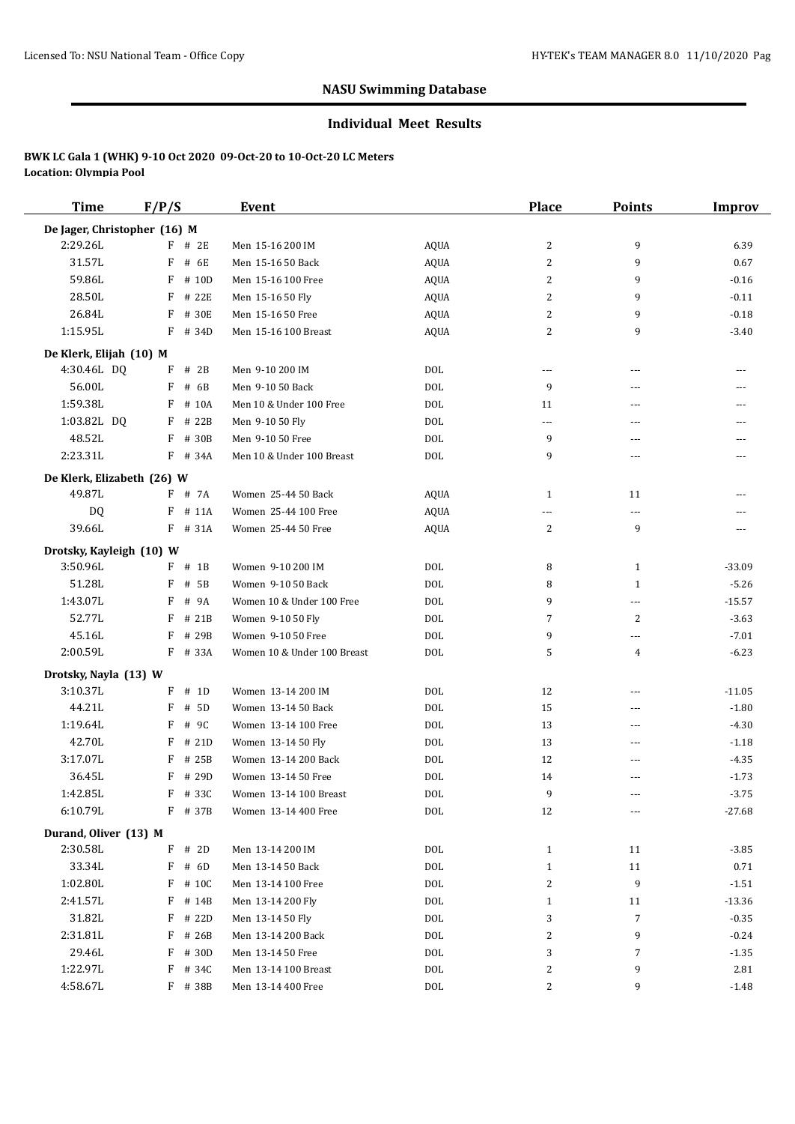#### **Individual Meet Results**

| <b>Time</b>                  | F/P/S      | <b>Event</b>                |             | <b>Place</b>             | <b>Points</b>            | <b>Improv</b> |
|------------------------------|------------|-----------------------------|-------------|--------------------------|--------------------------|---------------|
| De Jager, Christopher (16) M |            |                             |             |                          |                          |               |
| 2:29.26L                     | $F$ # 2E   | Men 15-16 200 IM            | AQUA        | 2                        | 9                        | 6.39          |
| 31.57L                       | F<br># 6E  | Men 15-16 50 Back           | AQUA        | 2                        | 9                        | 0.67          |
| 59.86L                       | F<br># 10D | Men 15-16 100 Free          | AQUA        | 2                        | 9                        | $-0.16$       |
| 28.50L                       | F # 22E    | Men 15-16 50 Fly            | AQUA        | 2                        | 9                        | $-0.11$       |
| 26.84L                       | F # 30E    | Men 15-16 50 Free           | AQUA        | 2                        | 9                        | $-0.18$       |
| 1:15.95L                     | F # 34D    | Men 15-16 100 Breast        | <b>AQUA</b> | 2                        | 9                        | $-3.40$       |
| De Klerk, Elijah (10) M      |            |                             |             |                          |                          |               |
| 4:30.46L DQ                  | $F$ # 2B   | Men 9-10 200 IM             | <b>DOL</b>  | $\overline{\phantom{a}}$ | ---                      | ---           |
| 56.00L                       | F<br># 6B  | Men 9-10 50 Back            | <b>DOL</b>  | 9                        | ---                      | ---           |
| 1:59.38L                     | F<br># 10A | Men 10 & Under 100 Free     | <b>DOL</b>  | 11                       | $\sim$ $\sim$            | ---           |
| 1:03.82L DQ                  | $F$ # 22B  | Men 9-10 50 Fly             | <b>DOL</b>  | ---                      | ---                      | ---           |
| 48.52L                       | F # 30B    | Men 9-10 50 Free            | <b>DOL</b>  | 9                        | $---$                    | ---           |
| 2:23.31L                     | F # 34A    | Men 10 & Under 100 Breast   | <b>DOL</b>  | 9                        | ---                      | ---           |
| De Klerk, Elizabeth (26) W   |            |                             |             |                          |                          |               |
| 49.87L                       | F # 7A     | Women 25-44 50 Back         | <b>AQUA</b> | $\mathbf{1}$             | 11                       |               |
| DQ                           | F<br># 11A | Women 25-44 100 Free        | AQUA        | $---$                    | $\overline{\phantom{a}}$ |               |
| 39.66L                       | F # 31A    | Women 25-44 50 Free         | <b>AQUA</b> | 2                        | 9                        |               |
| Drotsky, Kayleigh (10) W     |            |                             |             |                          |                          |               |
| 3:50.96L                     | $F$ # 1B   | Women 9-10 200 IM           | <b>DOL</b>  | 8                        | $\mathbf{1}$             | $-33.09$      |
| 51.28L                       | F<br># 5B  | Women 9-10 50 Back          | <b>DOL</b>  | 8                        | $\mathbf{1}$             | $-5.26$       |
| 1:43.07L                     | F<br># 9A  | Women 10 & Under 100 Free   | <b>DOL</b>  | 9                        | $---$                    | $-15.57$      |
| 52.77L                       | F # 21B    | Women 9-10 50 Fly           | <b>DOL</b>  | 7                        | 2                        | $-3.63$       |
| 45.16L                       | F # 29B    | Women 9-10 50 Free          | <b>DOL</b>  | 9                        | $---$                    | $-7.01$       |
| 2:00.59L                     | F # 33A    | Women 10 & Under 100 Breast | <b>DOL</b>  | 5                        | 4                        | $-6.23$       |
| Drotsky, Nayla (13) W        |            |                             |             |                          |                          |               |
| 3:10.37L                     | $F$ # 1D   | Women 13-14 200 IM          | <b>DOL</b>  | 12                       | ---                      | $-11.05$      |
| 44.21L                       | F<br># 5D  | Women 13-14 50 Back         | <b>DOL</b>  | 15                       | ---                      | $-1.80$       |
| 1:19.64L                     | F<br># 9C  | Women 13-14 100 Free        | <b>DOL</b>  | 13                       | $---$                    | $-4.30$       |
| 42.70L                       | $F$ # 21D  | Women 13-14 50 Fly          | <b>DOL</b>  | 13                       | ---                      | $-1.18$       |
| 3:17.07L                     | F<br># 25B | Women 13-14 200 Back        | DOL         | 12                       | $---$                    | $-4.35$       |
| 36.45L                       | $F$ # 29D  | Women 13-14 50 Free         | <b>DOL</b>  | 14                       | $\sim$ $\sim$            | $-1.73$       |
| 1:42.85L                     | F # 33C    | Women 13-14 100 Breast      | DOL         | 9                        | $- - -$                  | $-3.75$       |
| 6:10.79L                     | F # 37B    | Women 13-14 400 Free        | $\rm DOL$   | 12                       | ---                      | $-27.68$      |
| Durand, Oliver (13) M        |            |                             |             |                          |                          |               |
| 2:30.58L                     | $F$ # 2D   | Men 13-14 200 IM            | DOL         | $\mathbf{1}$             | 11                       | $-3.85$       |
| 33.34L                       | F # 6D     | Men 13-14 50 Back           | <b>DOL</b>  | $\mathbf{1}$             | $11\,$                   | 0.71          |
| 1:02.80L                     | F # 10C    | Men 13-14 100 Free          | <b>DOL</b>  | 2                        | 9                        | $-1.51$       |
| 2:41.57L                     | F # 14B    | Men 13-14 200 Fly           | <b>DOL</b>  | $\mathbf{1}$             | 11                       | $-13.36$      |
| 31.82L                       | F # 22D    | Men 13-14 50 Fly            | DOL         | 3                        | $\overline{7}$           | $-0.35$       |
| 2:31.81L                     | F # 26B    | Men 13-14 200 Back          | <b>DOL</b>  | 2                        | 9                        | $-0.24$       |
| 29.46L                       | F # 30D    | Men 13-14 50 Free           | DOL         | 3                        | $\overline{7}$           | $-1.35$       |
| 1:22.97L                     | F # 34C    | Men 13-14 100 Breast        | $\rm DOL$   | 2                        | 9                        | 2.81          |
| 4:58.67L                     | F # 38B    | Men 13-14 400 Free          | $\rm DOL$   | 2                        | 9                        | $-1.48$       |
|                              |            |                             |             |                          |                          |               |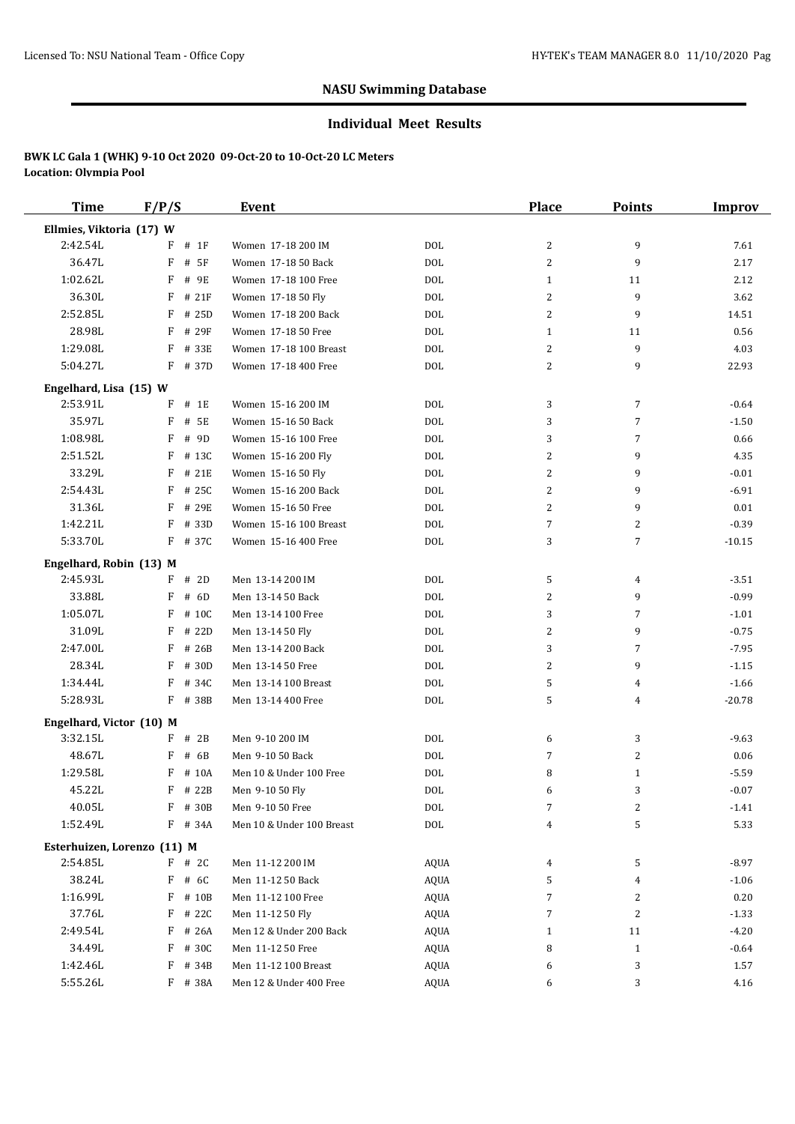#### **Individual Meet Results**

| <b>Time</b>                 | F/P/S      | Event                     |             | Place          | <b>Points</b>  | Improv   |
|-----------------------------|------------|---------------------------|-------------|----------------|----------------|----------|
| Ellmies, Viktoria (17) W    |            |                           |             |                |                |          |
| 2:42.54L                    | $F$ # 1F   | Women 17-18 200 IM        | <b>DOL</b>  | 2              | 9              | 7.61     |
| 36.47L                      | F<br># 5F  | Women 17-18 50 Back       | <b>DOL</b>  | $\overline{c}$ | 9              | 2.17     |
| 1:02.62L                    | F<br># 9E  | Women 17-18 100 Free      | <b>DOL</b>  | $\mathbf{1}$   | 11             | 2.12     |
| 36.30L                      | F<br># 21F | Women 17-18 50 Fly        | <b>DOL</b>  | 2              | 9              | 3.62     |
| 2:52.85L                    | F<br># 25D | Women 17-18 200 Back      | <b>DOL</b>  | 2              | 9              | 14.51    |
| 28.98L                      | F<br># 29F | Women 17-18 50 Free       | <b>DOL</b>  | $\mathbf{1}$   | 11             | 0.56     |
| 1:29.08L                    | F<br># 33E | Women 17-18 100 Breast    | <b>DOL</b>  | 2              | 9              | 4.03     |
| 5:04.27L                    | F # 37D    | Women 17-18 400 Free      | <b>DOL</b>  | 2              | 9              | 22.93    |
| Engelhard, Lisa (15) W      |            |                           |             |                |                |          |
| 2:53.91L                    | F<br># 1E  | Women 15-16 200 IM        | DOL         | 3              | 7              | $-0.64$  |
| 35.97L                      | F<br># 5E  | Women 15-16 50 Back       | <b>DOL</b>  | 3              | $\overline{7}$ | $-1.50$  |
| 1:08.98L                    | F<br># 9D  | Women 15-16 100 Free      | <b>DOL</b>  | 3              | $\overline{7}$ | 0.66     |
| 2:51.52L                    | F<br># 13C | Women 15-16 200 Fly       | <b>DOL</b>  | 2              | 9              | 4.35     |
| 33.29L                      | F<br># 21E | Women 15-16 50 Fly        | <b>DOL</b>  | 2              | 9              | $-0.01$  |
| 2:54.43L                    | F<br># 25C | Women 15-16 200 Back      | <b>DOL</b>  | 2              | 9              | $-6.91$  |
| 31.36L                      | F<br># 29E | Women 15-16 50 Free       | <b>DOL</b>  | 2              | 9              | 0.01     |
| 1:42.21L                    | F<br># 33D | Women 15-16 100 Breast    | <b>DOL</b>  | 7              | 2              | $-0.39$  |
| 5:33.70L                    | F<br># 37C | Women 15-16 400 Free      | <b>DOL</b>  | 3              | 7              | $-10.15$ |
| Engelhard, Robin (13) M     |            |                           |             |                |                |          |
| 2:45.93L                    | $F$ # 2D   | Men 13-14 200 IM          | <b>DOL</b>  | 5              | 4              | $-3.51$  |
| 33.88L                      | F<br># 6D  | Men 13-14 50 Back         | <b>DOL</b>  | 2              | 9              | $-0.99$  |
| 1:05.07L                    | F<br># 10C | Men 13-14 100 Free        | <b>DOL</b>  | 3              | $\overline{7}$ | $-1.01$  |
| 31.09L                      | F<br># 22D | Men 13-14 50 Fly          | <b>DOL</b>  | 2              | 9              | $-0.75$  |
| 2:47.00L                    | F<br># 26B | Men 13-14 200 Back        | <b>DOL</b>  | 3              | $\overline{7}$ | $-7.95$  |
| 28.34L                      | F<br># 30D | Men 13-14 50 Free         | <b>DOL</b>  | 2              | 9              | $-1.15$  |
| 1:34.44L                    | F<br># 34C | Men 13-14 100 Breast      | <b>DOL</b>  | 5              | 4              | $-1.66$  |
| 5:28.93L                    | F # 38B    | Men 13-14 400 Free        | <b>DOL</b>  | 5              | 4              | $-20.78$ |
| Engelhard, Victor (10) M    |            |                           |             |                |                |          |
| 3:32.15L                    | $F$ # 2B   | Men 9-10 200 IM           | <b>DOL</b>  | 6              | 3              | $-9.63$  |
| 48.67L                      | F<br># 6B  | Men 9-10 50 Back          | <b>DOL</b>  | 7              | 2              | 0.06     |
| 1:29.58L                    | F<br># 10A | Men 10 & Under 100 Free   | <b>DOL</b>  | 8              | 1              | $-5.59$  |
| 45.22L                      | F<br># 22B | Men 9-10 50 Fly           | <b>DOL</b>  | 6              | 3              | $-0.07$  |
| 40.05L                      | F # 30B    | Men 9-10 50 Free          | <b>DOL</b>  | 7              | 2              | $-1.41$  |
| 1:52.49L                    | F # 34A    | Men 10 & Under 100 Breast | $\rm DOL$   | 4              | 5              | 5.33     |
| Esterhuizen, Lorenzo (11) M |            |                           |             |                |                |          |
| 2:54.85L                    | $F$ # 2C   | Men 11-12 200 IM          | <b>AQUA</b> | 4              | 5              | $-8.97$  |
| 38.24L                      | $F$ # 6C   | Men 11-12 50 Back         | <b>AQUA</b> | 5              | 4              | $-1.06$  |
| 1:16.99L                    | F # 10B    | Men 11-12 100 Free        | <b>AQUA</b> | 7              | 2              | 0.20     |
| 37.76L                      | F # 22C    | Men 11-12 50 Fly          | <b>AQUA</b> | 7              | 2              | $-1.33$  |
| 2:49.54L                    | F # 26A    | Men 12 & Under 200 Back   | AQUA        | $\mathbf{1}$   | 11             | $-4.20$  |
| 34.49L                      | F # 30C    | Men 11-12 50 Free         | AQUA        | 8              | $\mathbf{1}$   | $-0.64$  |
| 1:42.46L                    | F<br># 34B | Men 11-12 100 Breast      | AQUA        | 6              | 3              | 1.57     |
| 5:55.26L                    | F # 38A    | Men 12 & Under 400 Free   | AQUA        | 6              | 3              | 4.16     |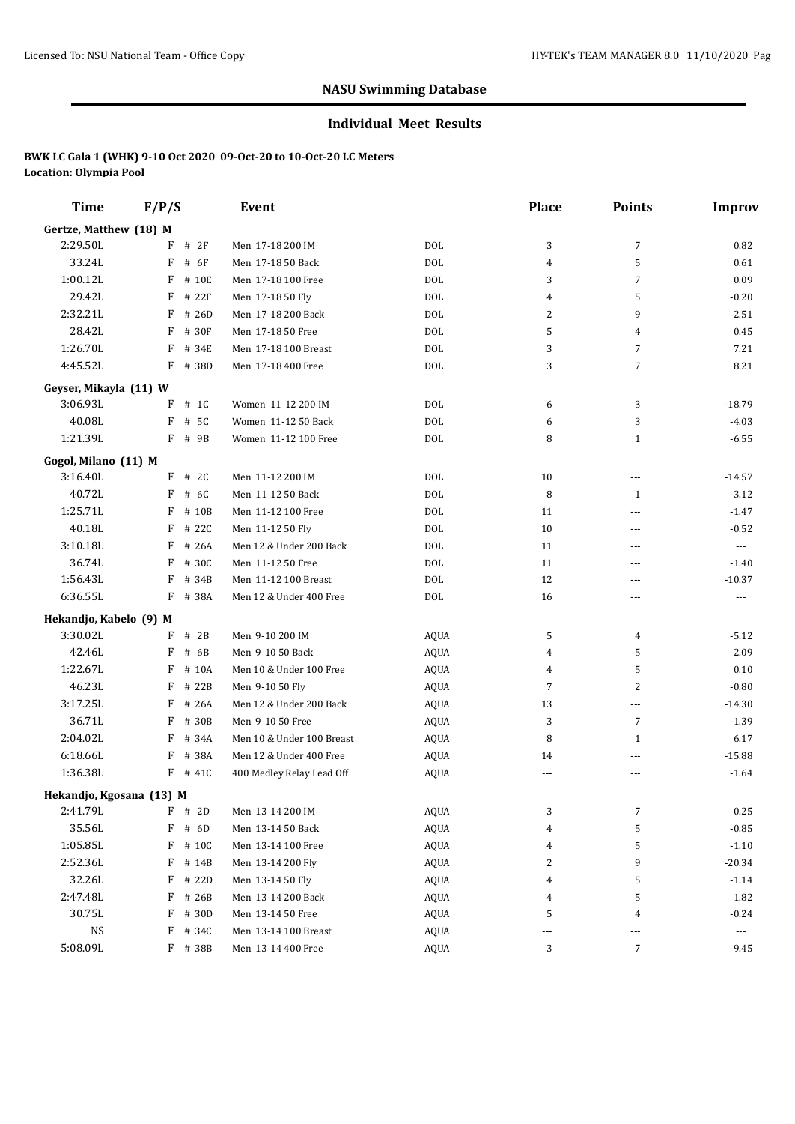#### **Individual Meet Results**

| <b>Time</b>              | F/P/S       | <b>Event</b>              |             | <b>Place</b>             | <b>Points</b>            | <b>Improv</b>         |
|--------------------------|-------------|---------------------------|-------------|--------------------------|--------------------------|-----------------------|
| Gertze, Matthew (18) M   |             |                           |             |                          |                          |                       |
| 2:29.50L                 | F<br>#2F    | Men 17-18 200 IM          | <b>DOL</b>  | 3                        | $\overline{7}$           | 0.82                  |
| 33.24L                   | F<br># 6F   | Men 17-18 50 Back         | DOL         | 4                        | 5                        | 0.61                  |
| 1:00.12L                 | F<br># 10E  | Men 17-18 100 Free        | <b>DOL</b>  | 3                        | $\overline{7}$           | 0.09                  |
| 29.42L                   | F<br># 22F  | Men 17-18 50 Fly          | <b>DOL</b>  | 4                        | 5                        | $-0.20$               |
| 2:32.21L                 | F<br># 26D  | Men 17-18 200 Back        | <b>DOL</b>  | 2                        | 9                        | 2.51                  |
| 28.42L                   | F<br># 30F  | Men 17-18 50 Free         | <b>DOL</b>  | 5                        | 4                        | 0.45                  |
| 1:26.70L                 | F<br># 34E  | Men 17-18 100 Breast      | <b>DOL</b>  | 3                        | $\overline{7}$           | 7.21                  |
| 4:45.52L                 | F<br># 38D  | Men 17-18 400 Free        | DOL         | 3                        | $\overline{7}$           | 8.21                  |
| Geyser, Mikayla (11) W   |             |                           |             |                          |                          |                       |
| 3:06.93L                 | F<br># 1C   | Women 11-12 200 IM        | <b>DOL</b>  | 6                        | 3                        | $-18.79$              |
| 40.08L                   | F<br># 5C   | Women 11-12 50 Back       | <b>DOL</b>  | 6                        | 3                        | $-4.03$               |
| 1:21.39L                 | F<br># 9B   | Women 11-12 100 Free      | DOL         | 8                        | $\mathbf{1}$             | $-6.55$               |
| Gogol, Milano (11) M     |             |                           |             |                          |                          |                       |
| 3:16.40L                 | $F$ # 2C    | Men 11-12 200 IM          | DOL         | 10                       | $\overline{\phantom{a}}$ | $-14.57$              |
| 40.72L                   | F<br># 6C   | Men 11-12 50 Back         | <b>DOL</b>  | 8                        | $\mathbf{1}$             | $-3.12$               |
| 1:25.71L                 | F<br># 10B  | Men 11-12 100 Free        | DOL         | 11                       | ---                      | $-1.47$               |
| 40.18L                   | F<br># 22C  | Men 11-12 50 Fly          | DOL         | 10                       | ---                      | $-0.52$               |
| 3:10.18L                 | F<br># 26A  | Men 12 & Under 200 Back   | DOL         | 11                       | ---                      | $\cdots$              |
| 36.74L                   | F<br># 30C  | Men 11-12 50 Free         | <b>DOL</b>  | 11                       | $\overline{\phantom{a}}$ | $-1.40$               |
| 1:56.43L                 | F<br># 34B  | Men 11-12 100 Breast      | <b>DOL</b>  | 12                       | ---                      | $-10.37$              |
| 6:36.55L                 | F # 38A     | Men 12 & Under 400 Free   | DOL         | 16                       | $---$                    | $\cdots$              |
| Hekandjo, Kabelo (9) M   |             |                           |             |                          |                          |                       |
| 3:30.02L                 | F<br># $2B$ | Men 9-10 200 IM           | AQUA        | 5                        | 4                        | $-5.12$               |
| 42.46L                   | F<br># 6B   | Men 9-10 50 Back          | AQUA        | 4                        | 5                        | $-2.09$               |
| 1:22.67L                 | F<br># 10A  | Men 10 & Under 100 Free   | AQUA        | 4                        | 5                        | 0.10                  |
| 46.23L                   | F<br># 22B  | Men 9-10 50 Fly           | AQUA        | 7                        | 2                        | $-0.80$               |
| 3:17.25L                 | F<br># 26A  | Men 12 & Under 200 Back   | <b>AQUA</b> | 13                       | $\cdots$                 | $-14.30$              |
| 36.71L                   | F<br># 30B  | Men 9-10 50 Free          | <b>AQUA</b> | 3                        | $\overline{7}$           | $-1.39$               |
| 2:04.02L                 | # 34A<br>F  | Men 10 & Under 100 Breast | AQUA        | 8                        | $\mathbf{1}$             | 6.17                  |
| 6:18.66L                 | # 38A<br>F  | Men 12 & Under 400 Free   | AQUA        | 14                       | $\overline{\phantom{a}}$ | $-15.88$              |
| 1:36.38L                 | $F$ # 41C   | 400 Medley Relay Lead Off | <b>AQUA</b> | $\overline{a}$           | ---                      | $-1.64$               |
| Hekandjo, Kgosana (13) M |             |                           |             |                          |                          |                       |
| 2:41.79L                 | F<br># 2D   | Men 13-14 200 IM          | AQUA        | 3                        | 7                        | 0.25                  |
| 35.56L                   | # 6D<br>F   | Men 13-14 50 Back         | AQUA        | 4                        | 5                        | $-0.85$               |
| 1:05.85L                 | F<br># 10C  | Men 13-14 100 Free        | AQUA        | 4                        | 5                        | $-1.10$               |
| 2:52.36L                 | F<br># 14B  | Men 13-14 200 Fly         | AQUA        | 2                        | 9                        | $-20.34$              |
| 32.26L                   | F<br># 22D  | Men 13-14 50 Fly          | AQUA        | 4                        | 5                        | $-1.14$               |
| 2:47.48L                 | F<br># 26B  | Men 13-14 200 Back        | AQUA        | 4                        | 5                        | 1.82                  |
| 30.75L                   | F<br># 30D  | Men 13-14 50 Free         | AQUA        | 5                        | 4                        | $-0.24$               |
| $_{\rm NS}$              | # 34C<br>F  | Men 13-14 100 Breast      | AQUA        | $\overline{\phantom{a}}$ | ---                      | $\scriptstyle \cdots$ |
| 5:08.09L                 | F # 38B     | Men 13-14 400 Free        | AQUA        | 3                        | 7                        | $-9.45$               |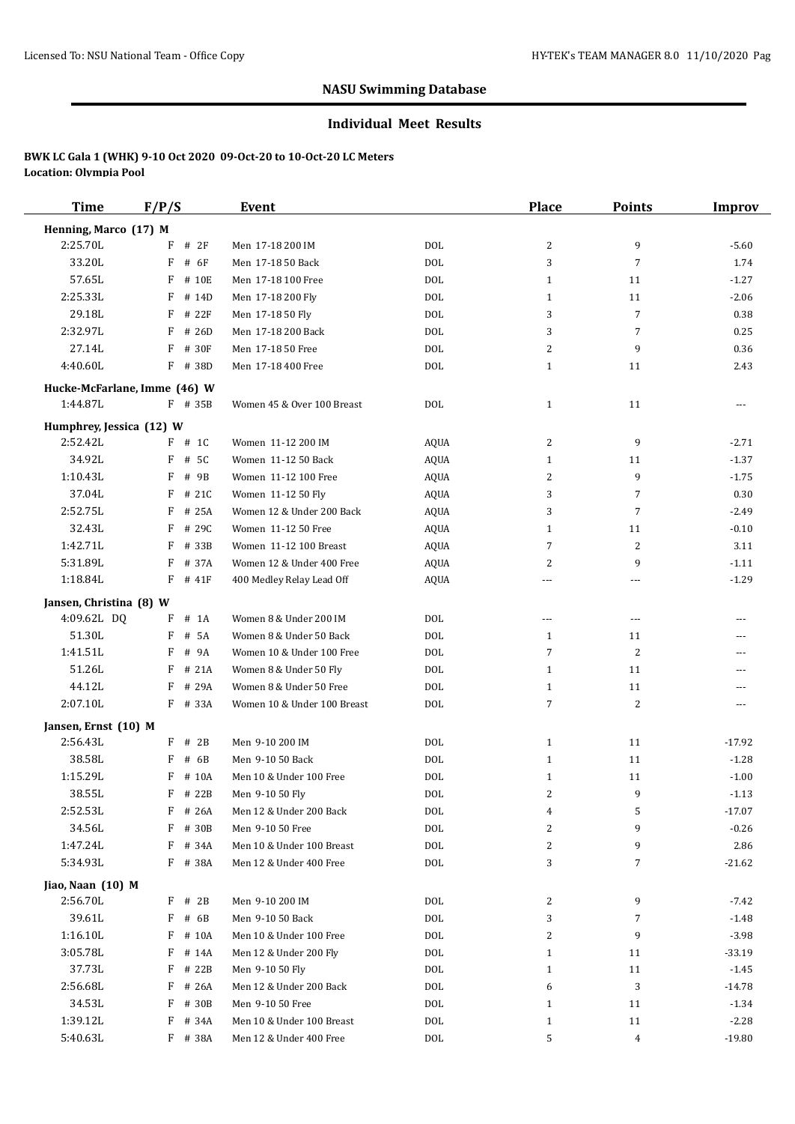#### **Individual Meet Results**

| <b>Time</b>                            | F/P/S                        | <b>Event</b>                                |                 | <b>Place</b>             | <b>Points</b>  | <b>Improv</b> |
|----------------------------------------|------------------------------|---------------------------------------------|-----------------|--------------------------|----------------|---------------|
| Henning, Marco (17) M                  |                              |                                             |                 |                          |                |               |
| 2:25.70L                               | F<br># 2F                    | Men 17-18 200 IM                            | DOL             | 2                        | 9              | $-5.60$       |
| 33.20L                                 | F<br># 6F                    | Men 17-18 50 Back                           | DOL             | 3                        | $\overline{7}$ | 1.74          |
| 57.65L                                 | F<br># 10E                   | Men 17-18 100 Free                          | <b>DOL</b>      | $\mathbf{1}$             | 11             | $-1.27$       |
| 2:25.33L                               | F<br># 14D                   | Men 17-18 200 Fly                           | <b>DOL</b>      | $\mathbf{1}$             | 11             | $-2.06$       |
| 29.18L                                 | F<br># 22F                   | Men 17-18 50 Fly                            | DOL             | 3                        | $\overline{7}$ | 0.38          |
| 2:32.97L                               | F<br># 26D                   | Men 17-18 200 Back                          | DOL             | 3                        | $\overline{7}$ | 0.25          |
| 27.14L                                 | # 30F<br>F                   | Men 17-18 50 Free                           | DOL             | 2                        | 9              | 0.36          |
| 4:40.60L                               | F<br># 38D                   | Men 17-18 400 Free                          | DOL             | $\mathbf{1}$             | 11             | 2.43          |
|                                        | Hucke-McFarlane, Imme (46) W |                                             |                 |                          |                |               |
| 1:44.87L                               | F # 35B                      | Women 45 & Over 100 Breast                  | DOL             | $\mathbf{1}$             | 11             | $\cdots$      |
| Humphrey, Jessica (12) W               |                              |                                             |                 |                          |                |               |
| 2:52.42L                               | $F$ # 1C                     | Women 11-12 200 IM                          | AQUA            | 2                        | 9              | $-2.71$       |
| 34.92L                                 | F<br># 5C                    | Women 11-12 50 Back                         | AQUA            | 1                        | 11             | $-1.37$       |
| 1:10.43L                               | F<br># 9B                    | Women 11-12 100 Free                        | AQUA            | 2                        | 9              | $-1.75$       |
| 37.04L                                 | # 21C<br>F                   | Women 11-12 50 Fly                          | <b>AQUA</b>     | 3                        | $\overline{7}$ | 0.30          |
| 2:52.75L                               | # 25A<br>F                   | Women 12 & Under 200 Back                   | AQUA            | 3                        | $\overline{7}$ | $-2.49$       |
| 32.43L                                 | F<br># 29C                   | Women 11-12 50 Free                         | AQUA            | 1                        | 11             | $-0.10$       |
| 1:42.71L                               | # 33B<br>F                   | Women 11-12 100 Breast                      | AQUA            | 7                        | 2              | 3.11          |
| 5:31.89L                               | F<br># 37A                   | Women 12 & Under 400 Free                   | AQUA            | 2                        | 9              | $-1.11$       |
| 1:18.84L                               | $F$ # 41F                    | 400 Medley Relay Lead Off                   | AQUA            | ---                      | ---            | $-1.29$       |
|                                        |                              |                                             |                 |                          |                |               |
| Jansen, Christina (8) W<br>4:09.62L DQ | F<br># 1A                    | Women 8 & Under 200 IM                      | DOL             | $\overline{\phantom{a}}$ | $\cdots$       | $---$         |
| 51.30L                                 | F<br># 5A                    | Women 8 & Under 50 Back                     | DOL             | 1                        | 11             | ---           |
| 1:41.51L                               | F<br># 9A                    | Women 10 & Under 100 Free                   | DOL             | 7                        | 2              | ---           |
| 51.26L                                 | F<br># 21A                   | Women 8 & Under 50 Fly                      | DOL             | $\mathbf{1}$             | 11             |               |
| 44.12L                                 | F<br># 29A                   | Women 8 & Under 50 Free                     | DOL             | $\mathbf{1}$             | 11             | $---$         |
| 2:07.10L                               | F # 33A                      | Women 10 & Under 100 Breast                 | <b>DOL</b>      | 7                        | 2              | $---$         |
|                                        |                              |                                             |                 |                          |                |               |
| Jansen, Ernst (10) M<br>2:56.43L       | F<br># 2B                    |                                             | DOL             | 1                        | 11             |               |
| 38.58L                                 | F                            | Men 9-10 200 IM                             |                 |                          |                | $-17.92$      |
| 1:15.29L                               | # 6B                         | Men 9-10 50 Back                            | DOL             | $\mathbf{1}$             | 11             | $-1.28$       |
|                                        | # 10A<br>F                   | Men 10 & Under 100 Free                     | <b>DOL</b>      | $\mathbf{1}$             | 11<br>9        | $-1.00$       |
| 38.55L                                 | $F$ # 22B                    | Men 9-10 50 Fly                             | DO <sub>L</sub> | 2                        |                | $-1.13$       |
| 2:52.53L<br>34.56L                     | $F$ # 26A<br># 30B           | Men 12 & Under 200 Back<br>Men 9-10 50 Free | DOL             | 4                        | 5<br>9         | $-17.07$      |
|                                        | F                            |                                             | DOL             | 2                        |                | $-0.26$       |
| 1:47.24L<br>5:34.93L                   | # 34A<br>F                   | Men 10 & Under 100 Breast                   | DOL             | 2<br>3                   | 9<br>7         | 2.86          |
|                                        | $F$ # 38A                    | Men 12 & Under 400 Free                     | DOL             |                          |                | $-21.62$      |
| Jiao, Naan (10) M                      |                              |                                             |                 |                          |                |               |
| 2:56.70L                               | # 2B<br>F                    | Men 9-10 200 IM                             | DOL             | 2                        | 9              | $-7.42$       |
| 39.61L                                 | F<br># 6B                    | Men 9-10 50 Back                            | DOL             | 3                        | 7              | $-1.48$       |
| 1:16.10L                               | F<br># 10A                   | Men 10 & Under 100 Free                     | DOL             | 2                        | 9              | $-3.98$       |
| 3:05.78L                               | F<br># 14A                   | Men 12 & Under 200 Fly                      | DOL             | $\mathbf{1}$             | 11             | $-33.19$      |
| 37.73L                                 | # 22B<br>F                   | Men 9-10 50 Fly                             | DOL             | $\mathbf{1}$             | 11             | $-1.45$       |
| 2:56.68L                               | # 26A<br>F                   | Men 12 & Under 200 Back                     | DOL             | 6                        | 3              | $-14.78$      |
| 34.53L                                 | F<br># 30B                   | Men 9-10 50 Free                            | DOL             | $\mathbf{1}$             | 11             | $-1.34$       |
| 1:39.12L                               | # 34A<br>F                   | Men 10 & Under 100 Breast                   | DOL             | $\mathbf{1}$             | 11             | $-2.28$       |
| 5:40.63L                               | F # 38A                      | Men 12 & Under 400 Free                     | DOL             | 5                        | 4              | $-19.80$      |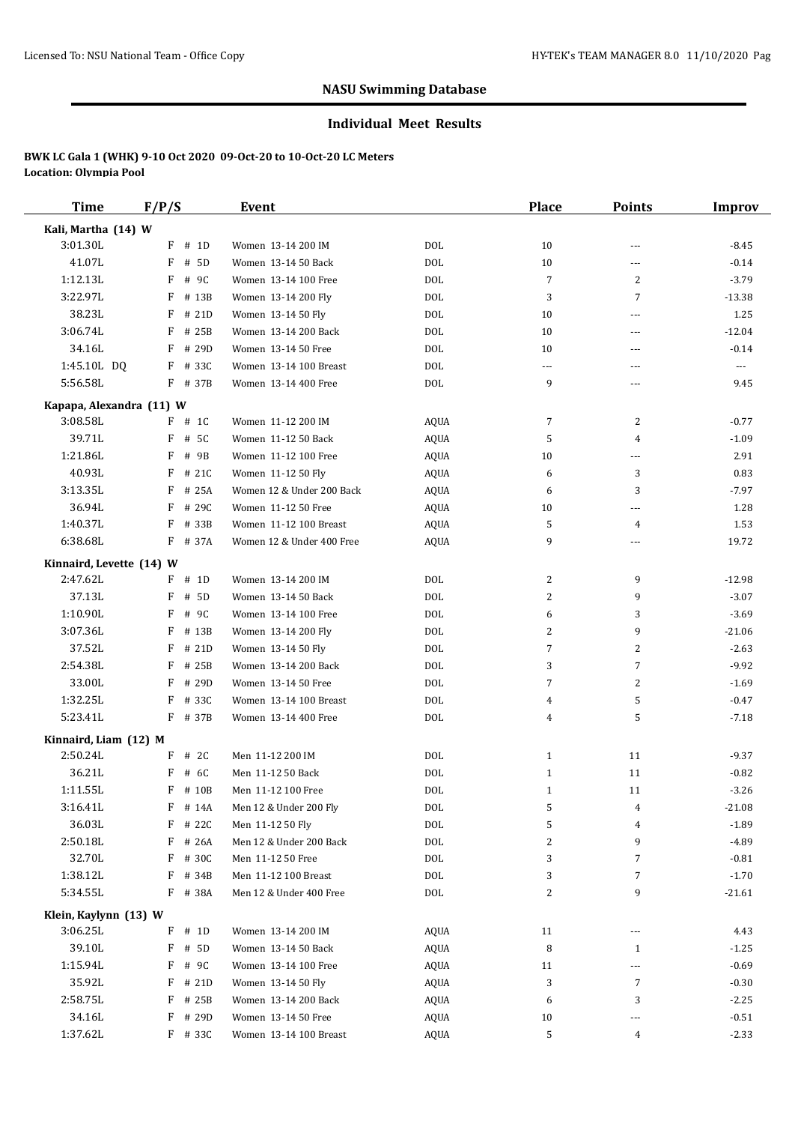#### **Individual Meet Results**

| Time                     | F/P/S      | Event                     |             | Place          | <b>Points</b>  | Improv   |
|--------------------------|------------|---------------------------|-------------|----------------|----------------|----------|
| Kali, Martha (14) W      |            |                           |             |                |                |          |
| 3:01.30L                 | $F$ # 1D   | Women 13-14 200 IM        | <b>DOL</b>  | 10             | ---            | $-8.45$  |
| 41.07L                   | F<br># 5D  | Women 13-14 50 Back       | <b>DOL</b>  | 10             | ---            | $-0.14$  |
| 1:12.13L                 | F<br># 9C  | Women 13-14 100 Free      | <b>DOL</b>  | 7              | $\overline{2}$ | $-3.79$  |
| 3:22.97L                 | F<br># 13B | Women 13-14 200 Fly       | <b>DOL</b>  | 3              | 7              | $-13.38$ |
| 38.23L                   | F<br># 21D | Women 13-14 50 Fly        | <b>DOL</b>  | 10             | ---            | 1.25     |
| 3:06.74L                 | F<br># 25B | Women 13-14 200 Back      | <b>DOL</b>  | 10             | ---            | $-12.04$ |
| 34.16L                   | F<br># 29D | Women 13-14 50 Free       | <b>DOL</b>  | 10             | ---            | $-0.14$  |
| 1:45.10L DQ              | $F$ # 33C  | Women 13-14 100 Breast    | <b>DOL</b>  | $---$          | ---            | ---      |
| 5:56.58L                 | F # 37B    | Women 13-14 400 Free      | <b>DOL</b>  | 9              | ---            | 9.45     |
|                          |            |                           |             |                |                |          |
| Kapapa, Alexandra (11) W |            |                           |             |                |                |          |
| 3:08.58L                 | $F$ # 1C   | Women 11-12 200 IM        | AQUA        | 7              | 2              | $-0.77$  |
| 39.71L                   | # 5C<br>F  | Women 11-12 50 Back       | AQUA        | 5              | 4              | $-1.09$  |
| 1:21.86L                 | F<br># 9B  | Women 11-12 100 Free      | AQUA        | 10             | ---            | 2.91     |
| 40.93L                   | F<br># 21C | Women 11-12 50 Fly        | <b>AQUA</b> | 6              | 3              | 0.83     |
| 3:13.35L                 | F # 25A    | Women 12 & Under 200 Back | <b>AQUA</b> | 6              | 3              | $-7.97$  |
| 36.94L                   | F<br># 29C | Women 11-12 50 Free       | <b>AQUA</b> | 10             | ---            | 1.28     |
| 1:40.37L                 | F<br># 33B | Women 11-12 100 Breast    | <b>AQUA</b> | 5              | 4              | 1.53     |
| 6:38.68L                 | F # 37A    | Women 12 & Under 400 Free | AQUA        | 9              | ---            | 19.72    |
| Kinnaird, Levette (14) W |            |                           |             |                |                |          |
| 2:47.62L                 | $F$ # 1D   | Women 13-14 200 IM        | DOL         | 2              | 9              | $-12.98$ |
| 37.13L                   | F<br># 5D  | Women 13-14 50 Back       | <b>DOL</b>  | 2              | 9              | $-3.07$  |
| 1:10.90L                 | F<br># 9C  | Women 13-14 100 Free      | <b>DOL</b>  | 6              | 3              | $-3.69$  |
| 3:07.36L                 | F<br># 13B | Women 13-14 200 Fly       | <b>DOL</b>  | 2              | 9              | $-21.06$ |
| 37.52L                   | F<br># 21D | Women 13-14 50 Fly        | <b>DOL</b>  | $\overline{7}$ | $\overline{2}$ | $-2.63$  |
| 2:54.38L                 | F<br># 25B | Women 13-14 200 Back      | <b>DOL</b>  | 3              | $\overline{7}$ | $-9.92$  |
| 33.00L                   | F # 29D    | Women 13-14 50 Free       | <b>DOL</b>  | 7              | 2              | $-1.69$  |
| 1:32.25L                 | F<br># 33C | Women 13-14 100 Breast    | <b>DOL</b>  | 4              | 5              | $-0.47$  |
| 5:23.41L                 | F # 37B    | Women 13-14 400 Free      | <b>DOL</b>  | 4              | 5              | $-7.18$  |
|                          |            |                           |             |                |                |          |
| Kinnaird, Liam (12) M    |            |                           |             |                |                |          |
| 2:50.24L                 | $F$ # 2C   | Men 11-12 200 IM          | <b>DOL</b>  | $\mathbf{1}$   | 11             | $-9.37$  |
| 36.21L                   | F<br># 6C  | Men 11-12 50 Back         | <b>DOL</b>  | $\mathbf{1}$   | 11             | $-0.82$  |
| 1:11.55L                 | F # 10B    | Men 11-12 100 Free        | <b>DOL</b>  | $\mathbf{1}$   | 11             | $-3.26$  |
| 3:16.41L                 | F # 14A    | Men 12 & Under 200 Fly    | $\rm DOL$   | 5              | 4              | $-21.08$ |
| 36.03L                   | # 22C<br>F | Men 11-12 50 Fly          | $\rm DOL$   | 5              | 4              | $-1.89$  |
| 2:50.18L                 | F<br># 26A | Men 12 & Under 200 Back   | $\rm DOL$   | 2              | 9              | $-4.89$  |
| 32.70L                   | F # 30C    | Men 11-12 50 Free         | <b>DOL</b>  | 3              | 7              | $-0.81$  |
| 1:38.12L                 | $F$ # 34B  | Men 11-12 100 Breast      | DOL         | 3              | 7              | $-1.70$  |
| 5:34.55L                 | F # 38A    | Men 12 & Under 400 Free   | DOL         | 2              | 9              | $-21.61$ |
| Klein, Kaylynn (13) W    |            |                           |             |                |                |          |
| 3:06.25L                 | $F$ # 1D   | Women 13-14 200 IM        | AQUA        | 11             | ---            | 4.43     |
| 39.10L                   | F<br># 5D  | Women 13-14 50 Back       | AQUA        | 8              | 1              | $-1.25$  |
| 1:15.94L                 | F<br># 9C  | Women 13-14 100 Free      | AQUA        | 11             | ---            | $-0.69$  |
| 35.92L                   | $F$ # 21D  | Women 13-14 50 Fly        | AQUA        | 3              | 7              | $-0.30$  |
| 2:58.75L                 | F<br># 25B | Women 13-14 200 Back      | AQUA        | 6              | 3              | $-2.25$  |
| 34.16L                   | F<br># 29D | Women 13-14 50 Free       | AQUA        | 10             | ---            | $-0.51$  |
| 1:37.62L                 | $F$ # 330  | Women 13-14 100 Breast    | AQUA        | 5              | 4              | $-2.33$  |
|                          |            |                           |             |                |                |          |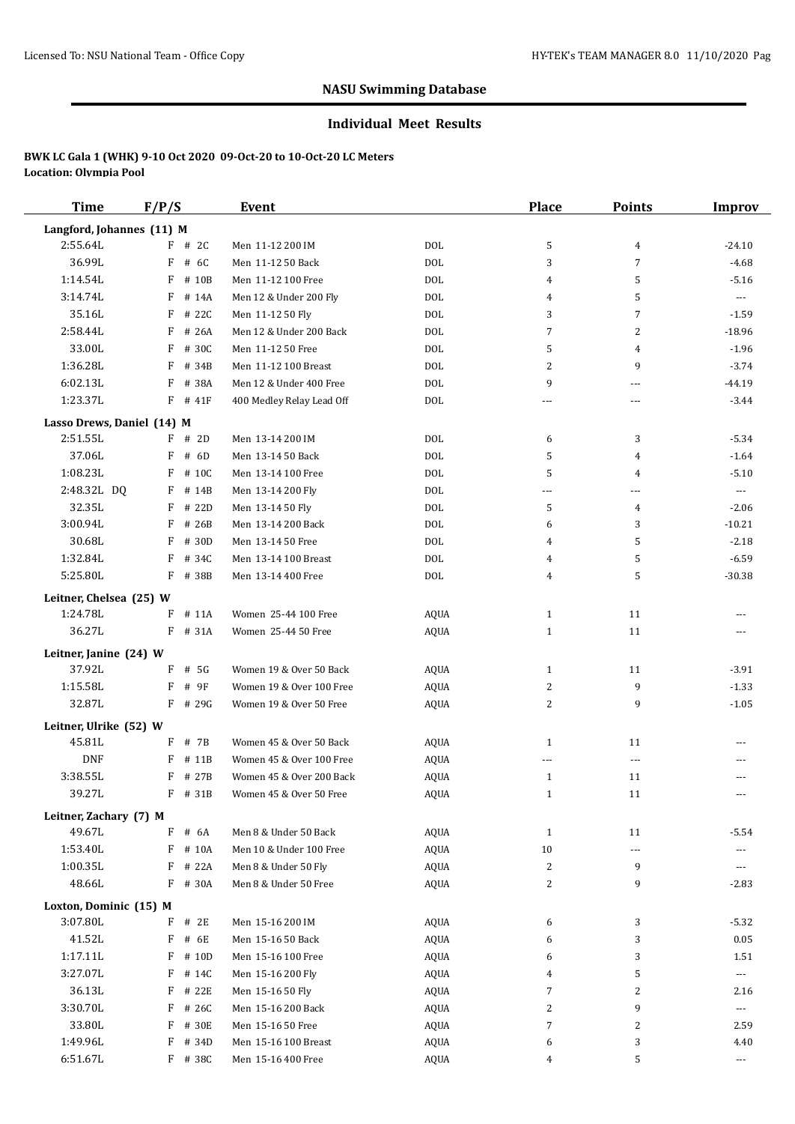#### **Individual Meet Results**

| <b>Time</b>                | F/P/S                 | Event                     |             | Place          | <b>Points</b>            | <b>Improv</b>            |
|----------------------------|-----------------------|---------------------------|-------------|----------------|--------------------------|--------------------------|
| Langford, Johannes (11) M  |                       |                           |             |                |                          |                          |
| 2:55.64L                   | $F$ # 2C              | Men 11-12 200 IM          | <b>DOL</b>  | 5              | 4                        | $-24.10$                 |
| 36.99L                     | F<br># 6C             | Men 11-12 50 Back         | <b>DOL</b>  | 3              | 7                        | $-4.68$                  |
| 1:14.54L                   | F<br># 10B            | Men 11-12 100 Free        | <b>DOL</b>  | 4              | 5                        | $-5.16$                  |
| 3:14.74L                   | F<br># 14A            | Men 12 & Under 200 Fly    | <b>DOL</b>  | 4              | 5                        | $---$                    |
| 35.16L                     | F<br># 22C            | Men 11-12 50 Fly          | <b>DOL</b>  | 3              | $\overline{7}$           | $-1.59$                  |
| 2:58.44L                   | F<br># 26A            | Men 12 & Under 200 Back   | <b>DOL</b>  | 7              | 2                        | $-18.96$                 |
| 33.00L                     | F<br># 30C            | Men 11-12 50 Free         | <b>DOL</b>  | 5              | 4                        | $-1.96$                  |
| 1:36.28L                   | F<br># 34B            | Men 11-12 100 Breast      | <b>DOL</b>  | 2              | 9                        | $-3.74$                  |
| 6:02.13L                   | F<br># 38A            | Men 12 & Under 400 Free   | <b>DOL</b>  | 9              | ---                      | $-44.19$                 |
| 1:23.37L                   | $F$ # 41F             | 400 Medley Relay Lead Off | <b>DOL</b>  | $\overline{a}$ | ---                      | -3.44                    |
| Lasso Drews, Daniel (14) M |                       |                           |             |                |                          |                          |
| 2:51.55L                   | $F$ # 2D              | Men 13-14 200 IM          | DOL         | 6              | 3                        | $-5.34$                  |
| 37.06L                     | # 6D<br>F             | Men 13-14 50 Back         | <b>DOL</b>  | 5              | 4                        | $-1.64$                  |
| 1:08.23L                   | F<br># 10C            | Men 13-14 100 Free        | <b>DOL</b>  | 5              | 4                        | $-5.10$                  |
| 2:48.32L DQ                | F # 14B               | Men 13-14 200 Fly         | <b>DOL</b>  | ---            | ---                      | $\overline{\phantom{a}}$ |
| 32.35L                     | F<br># 22D            | Men 13-14 50 Fly          | <b>DOL</b>  | 5              | 4                        | $-2.06$                  |
| 3:00.94L                   | F<br># 26B            | Men 13-14 200 Back        | <b>DOL</b>  | 6              | 3                        | $-10.21$                 |
| 30.68L                     | F<br># 30D            | Men 13-14 50 Free         | <b>DOL</b>  | 4              | 5                        | $-2.18$                  |
| 1:32.84L                   | F<br># 34C            | Men 13-14 100 Breast      | <b>DOL</b>  | 4              | 5                        | $-6.59$                  |
| 5:25.80L                   | F<br># 38B            | Men 13-14 400 Free        | <b>DOL</b>  | 4              | 5                        | $-30.38$                 |
| Leitner, Chelsea (25) W    |                       |                           |             |                |                          |                          |
| 1:24.78L                   | F<br># 11A            | Women 25-44 100 Free      | AQUA        | $\mathbf{1}$   | 11                       |                          |
| 36.27L                     | $F$ # 31A             | Women 25-44 50 Free       | <b>AQUA</b> | $\mathbf{1}$   | 11                       | ---                      |
|                            |                       |                           |             |                |                          |                          |
| Leitner, Janine (24) W     |                       |                           |             |                |                          |                          |
| 37.92L<br>1:15.58L         | $F$ # 5G<br>F<br># 9F | Women 19 & Over 50 Back   | AQUA        | $\mathbf{1}$   | 11<br>9                  | $-3.91$                  |
|                            |                       | Women 19 & Over 100 Free  | AQUA        | 2              |                          | $-1.33$                  |
| 32.87L                     | $F$ # 29G             | Women 19 & Over 50 Free   | <b>AQUA</b> | 2              | 9                        | $-1.05$                  |
| Leitner, Ulrike (52) W     |                       |                           |             |                |                          |                          |
| 45.81L                     | F # 7B                | Women 45 & Over 50 Back   | AQUA        | $\mathbf{1}$   | 11                       |                          |
| <b>DNF</b>                 | F<br># 11B            | Women 45 & Over 100 Free  | <b>AQUA</b> |                | $\overline{\phantom{a}}$ |                          |
| 3:38.55L                   | F # 27B               | Women 45 & Over 200 Back  | <b>AQUA</b> | $\mathbf{1}$   | 11                       |                          |
| 39.27L                     | $F$ # 31B             | Women 45 & Over 50 Free   | AQUA        | $\mathbf{1}$   | 11                       |                          |
| Leitner, Zachary (7) M     |                       |                           |             |                |                          |                          |
| 49.67L                     | F<br># 6A             | Men 8 & Under 50 Back     | <b>AQUA</b> | $\mathbf{1}$   | 11                       | $-5.54$                  |
| 1:53.40L                   | F<br># 10A            | Men 10 & Under 100 Free   | <b>AQUA</b> | $10\,$         | ---                      |                          |
| 1:00.35L                   | F<br># 22A            | Men 8 & Under 50 Fly      | <b>AQUA</b> | 2              | 9                        | ---                      |
| 48.66L                     | F # 30A               | Men 8 & Under 50 Free     | <b>AQUA</b> | 2              | 9                        | $-2.83$                  |
| Loxton, Dominic (15) M     |                       |                           |             |                |                          |                          |
| 3:07.80L                   | F<br># 2E             | Men 15-16 200 IM          | <b>AQUA</b> | 6              | 3                        | $-5.32$                  |
| 41.52L                     | F<br># 6E             | Men 15-16 50 Back         | <b>AQUA</b> | 6              | 3                        | 0.05                     |
| 1:17.11L                   | $F$ # 10D             | Men 15-16 100 Free        | <b>AQUA</b> | 6              | 3                        | 1.51                     |
| 3:27.07L                   | F<br># 14C            | Men 15-16 200 Fly         | <b>AQUA</b> | 4              | 5                        | $\scriptstyle \cdots$    |
| 36.13L                     | F<br># 22E            | Men 15-16 50 Fly          | <b>AQUA</b> | 7              | 2                        | 2.16                     |
| 3:30.70L                   | F<br># 26C            | Men 15-16 200 Back        | <b>AQUA</b> | 2              | 9                        | ---                      |
| 33.80L                     | F<br># 30E            | Men 15-16 50 Free         | <b>AQUA</b> | 7              | $\overline{c}$           | 2.59                     |
| 1:49.96L                   | F<br># 34D            | Men 15-16 100 Breast      | AQUA        | 6              | 3                        | 4.40                     |
| 6:51.67L                   | F # 38C               | Men 15-16 400 Free        | <b>AQUA</b> | 4              | 5                        | $\cdots$                 |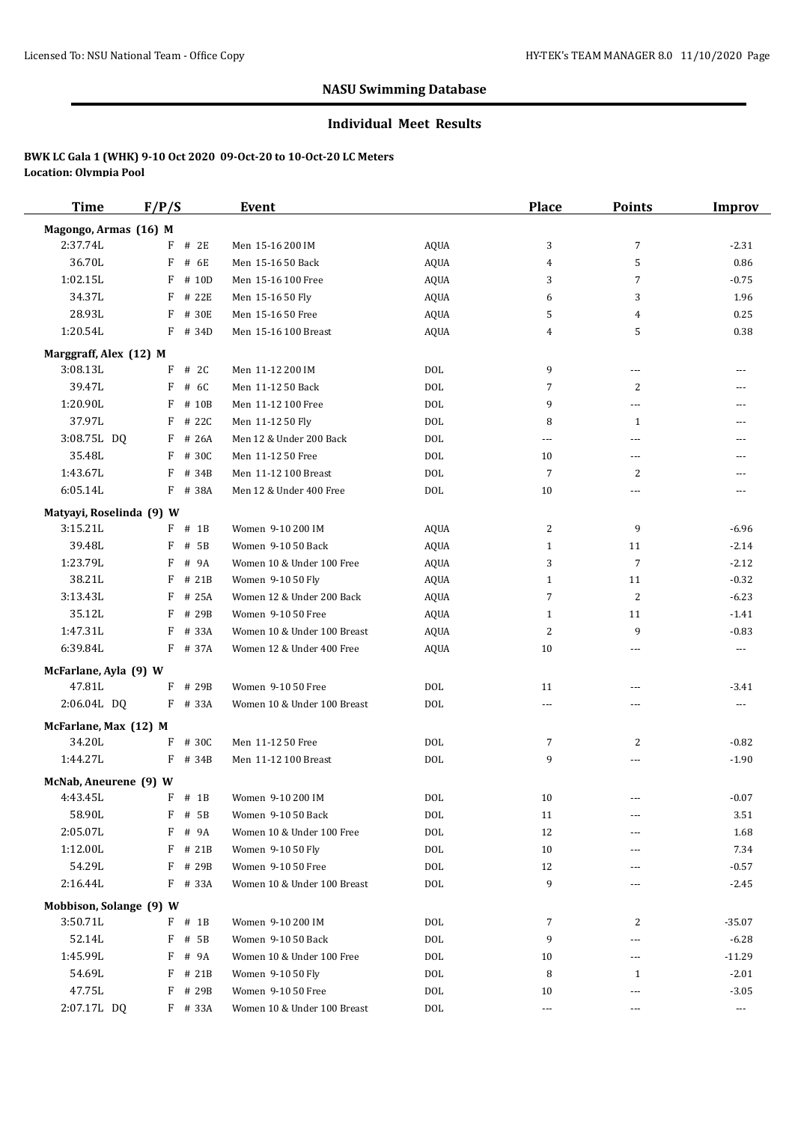#### **Individual Meet Results**

| <b>Time</b>              | F/P/S |           | <b>Event</b>                |             | <b>Place</b>           | <b>Points</b>   | <b>Improv</b>                          |
|--------------------------|-------|-----------|-----------------------------|-------------|------------------------|-----------------|----------------------------------------|
| Magongo, Armas (16) M    |       |           |                             |             |                        |                 |                                        |
| 2:37.74L                 | F     | # 2E      | Men 15-16 200 IM            | AQUA        | 3                      | $\overline{7}$  | $-2.31$                                |
| 36.70L                   | F     | # 6E      | Men 15-16 50 Back           | AQUA        | 4                      | 5               | 0.86                                   |
| 1:02.15L                 | F     | # 10D     | Men 15-16 100 Free          | <b>AQUA</b> | 3                      | 7               | $-0.75$                                |
| 34.37L                   | F     | # 22E     | Men 15-16 50 Fly            | AQUA        | 6                      | 3               | 1.96                                   |
| 28.93L                   | F     | # 30E     | Men 15-16 50 Free           | AQUA        | 5                      | 4               | 0.25                                   |
| 1:20.54L                 |       | F # 34D   | Men 15-16 100 Breast        | AQUA        | 4                      | 5               | 0.38                                   |
| Marggraff, Alex (12) M   |       |           |                             |             |                        |                 |                                        |
| 3:08.13L                 | F     | # 2C      | Men 11-12 200 IM            | DOL         | 9                      | $\cdots$        |                                        |
| 39.47L                   | F     | # 6C      | Men 11-12 50 Back           | <b>DOL</b>  | 7                      | $\overline{c}$  |                                        |
| 1:20.90L                 | F     | # 10B     | Men 11-12 100 Free          | DOL         | 9                      | ---             | ---                                    |
| 37.97L                   | F     | # 22C     | Men 11-12 50 Fly            | DOL         | 8                      | $\mathbf{1}$    | ---                                    |
| 3:08.75L DQ              | F     | # 26A     | Men 12 & Under 200 Back     | <b>DOL</b>  | ---                    | ---             | $---$                                  |
| 35.48L                   | F     | # 30C     | Men 11-12 50 Free           | DOL         | 10                     | $\cdots$        | $---$                                  |
| 1:43.67L                 | F     | # 34B     | Men 11-12 100 Breast        | <b>DOL</b>  | 7                      | 2               | $---$                                  |
| 6:05.14L                 |       | F # 38A   | Men 12 & Under 400 Free     | <b>DOL</b>  | 10                     | ---             | $---$                                  |
| Matyayi, Roselinda (9) W |       |           |                             |             |                        |                 |                                        |
| 3:15.21L                 |       | $F$ # 1B  | Women 9-10 200 IM           | AQUA        | 2                      | 9               | $-6.96$                                |
| 39.48L                   | F     | # 5B      | Women 9-10 50 Back          | AQUA        | $\mathbf{1}$           | 11              | $-2.14$                                |
| 1:23.79L                 | F     | # 9A      | Women 10 & Under 100 Free   | AQUA        | 3                      | $\overline{7}$  | $-2.12$                                |
| 38.21L                   | F     | # 21B     | Women 9-10 50 Fly           | AQUA        | 1                      | 11              | $-0.32$                                |
| 3:13.43L                 | F     | # 25A     | Women 12 & Under 200 Back   | AQUA        | 7                      | 2               | $-6.23$                                |
| 35.12L                   | F     | # 29B     | Women 9-10 50 Free          | <b>AQUA</b> | 1                      | 11              | $-1.41$                                |
| 1:47.31L                 | F     | # 33A     | Women 10 & Under 100 Breast | <b>AQUA</b> | 2                      | 9               | $-0.83$                                |
| 6:39.84L                 |       | F # 37A   | Women 12 & Under 400 Free   | <b>AQUA</b> | 10                     | ---             | $\sim$ $\sim$ $\sim$                   |
| McFarlane, Ayla (9) W    |       |           |                             |             |                        |                 |                                        |
| 47.81L                   | F     | # 29B     | Women 9-10 50 Free          | DOL         | 11                     | ---             | $-3.41$                                |
| 2:06.04L DQ              |       | F # 33A   | Women 10 & Under 100 Breast | DOL         | ---                    | ---             | $\scriptstyle\cdots\scriptstyle\cdots$ |
| McFarlane, Max (12) M    |       |           |                             |             |                        |                 |                                        |
| 34.20L                   |       | $F$ # 30C | Men 11-12 50 Free           | DOL         | 7                      | 2               | $-0.82$                                |
| 1:44.27L                 | F     | # 34B     | Men 11-12 100 Breast        | DOL         | 9                      | ---             | $-1.90$                                |
| McNab, Aneurene (9) W    |       |           |                             |             |                        |                 |                                        |
| 4:43.45L                 |       | $F$ # 1B  | Women 9-10 200 IM           | DOL         | 10                     |                 | $-0.07$                                |
| 58.90L                   |       | $F$ # 5B  | Women 9-10 50 Back          | DOL         | 11                     | ---             | 3.51                                   |
| 2:05.07L                 | F     | # 9A      | Women 10 & Under 100 Free   | DOL         | 12                     | ---             | 1.68                                   |
| 1:12.00L                 | F     | # 21B     | Women 9-10 50 Fly           | DOL         | 10                     | ---             | 7.34                                   |
| 54.29L                   | F     | # 29B     | Women 9-10 50 Free          | DOL         | 12                     |                 | $-0.57$                                |
| 2:16.44L                 |       | F # 33A   | Women 10 & Under 100 Breast | DOL         | 9                      | ---             | $-2.45$                                |
| Mobbison, Solange (9) W  |       |           |                             |             |                        |                 |                                        |
| 3:50.71L                 |       | $F$ # 1B  | Women 9-10 200 IM           | DOL         | 7                      | 2               | $-35.07$                               |
| 52.14L                   | F     | # 5B      | Women 9-10 50 Back          | <b>DOL</b>  | 9                      | ---             | $-6.28$                                |
| 1:45.99L                 | F     | # 9A      | Women 10 & Under 100 Free   | DOL         | 10                     | $-\, -\, -$     | $-11.29$                               |
| 54.69L                   | F     | # 21B     | Women 9-10 50 Fly           | DOL         | 8                      | $\mathbf{1}$    | $-2.01$                                |
| 47.75L                   |       | $F$ # 29B | Women 9-10 50 Free          | DOL         | 10                     |                 | $-3.05$                                |
| 2:07.17L DQ              |       | F # 33A   | Women 10 & Under 100 Breast | DOL         | $\scriptstyle\cdots$ . | ---<br>$\cdots$ | $\scriptstyle\cdots$                   |
|                          |       |           |                             |             |                        |                 |                                        |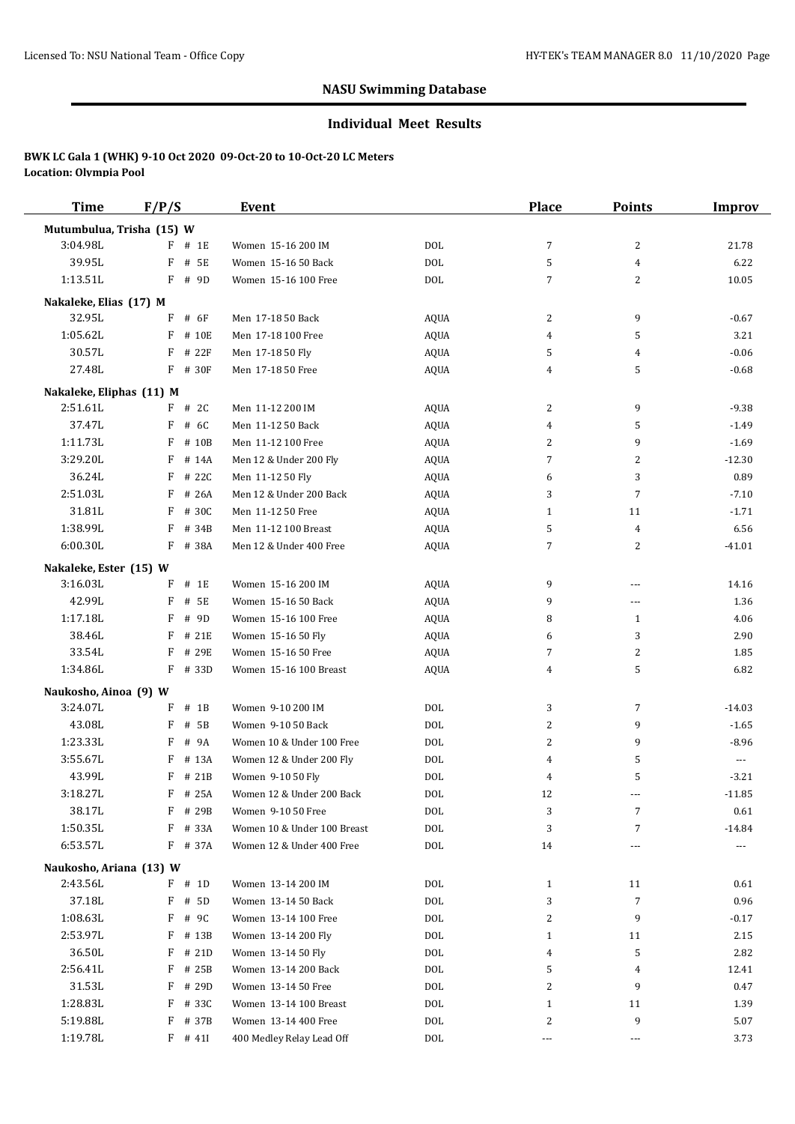#### **Individual Meet Results**

| <b>Time</b>               | F/P/S       | <b>Event</b>                |             | <b>Place</b> | <b>Points</b>  | <b>Improv</b> |
|---------------------------|-------------|-----------------------------|-------------|--------------|----------------|---------------|
| Mutumbulua, Trisha (15) W |             |                             |             |              |                |               |
| 3:04.98L                  | F<br># 1E   | Women 15-16 200 IM          | DOL         | 7            | 2              | 21.78         |
| 39.95L                    | F<br># 5E   | Women 15-16 50 Back         | DOL         | 5            | $\overline{4}$ | 6.22          |
| 1:13.51L                  | F<br># 9D   | Women 15-16 100 Free        | DOL         | 7            | 2              | 10.05         |
| Nakaleke, Elias (17) M    |             |                             |             |              |                |               |
| 32.95L                    | # 6F<br>F   | Men 17-18 50 Back           | AQUA        | 2            | 9              | $-0.67$       |
| 1:05.62L                  | F<br># 10E  | Men 17-18 100 Free          | AQUA        | 4            | 5              | 3.21          |
| 30.57L                    | # 22F<br>F  | Men 17-18 50 Fly            | AQUA        | 5            | 4              | $-0.06$       |
| 27.48L                    | F # 30F     | Men 17-18 50 Free           | AQUA        | 4            | 5              | $-0.68$       |
|                           |             |                             |             |              |                |               |
| Nakaleke, Eliphas (11) M  |             |                             |             |              |                |               |
| 2:51.61L                  | $F$ # 2C    | Men 11-12 200 IM            | AQUA        | 2            | 9              | $-9.38$       |
| 37.47L                    | F<br># 6C   | Men 11-12 50 Back           | AQUA        | 4            | 5              | $-1.49$       |
| 1:11.73L                  | F<br># 10B  | Men 11-12 100 Free          | AQUA        | 2            | 9              | $-1.69$       |
| 3:29.20L                  | F<br># 14A  | Men 12 & Under 200 Fly      | <b>AQUA</b> | 7            | 2              | $-12.30$      |
| 36.24L                    | # 22C<br>F  | Men 11-12 50 Fly            | <b>AQUA</b> | 6            | 3              | 0.89          |
| 2:51.03L                  | F<br># 26A  | Men 12 & Under 200 Back     | <b>AQUA</b> | 3            | $\overline{7}$ | $-7.10$       |
| 31.81L                    | # 30C<br>F  | Men 11-12 50 Free           | AQUA        | $\mathbf{1}$ | 11             | $-1.71$       |
| 1:38.99L                  | # 34B<br>F  | Men 11-12 100 Breast        | AQUA        | 5            | 4              | 6.56          |
| 6:00.30L                  | F # 38A     | Men 12 & Under 400 Free     | AQUA        | 7            | 2              | $-41.01$      |
| Nakaleke, Ester (15) W    |             |                             |             |              |                |               |
| 3:16.03L                  | F<br># 1E   | Women 15-16 200 IM          | AQUA        | 9            | $---$          | 14.16         |
| 42.99L                    | F<br># 5E   | Women 15-16 50 Back         | AQUA        | 9            | ---            | 1.36          |
| 1:17.18L                  | # 9D<br>F   | Women 15-16 100 Free        | <b>AQUA</b> | 8            | $\mathbf{1}$   | 4.06          |
| 38.46L                    | F<br># 21E  | Women 15-16 50 Fly          | AQUA        | 6            | 3              | 2.90          |
| 33.54L                    | # 29E<br>F  | Women 15-16 50 Free         | <b>AQUA</b> | 7            | 2              | 1.85          |
| 1:34.86L                  | F<br># 33D  | Women 15-16 100 Breast      | AQUA        | 4            | 5              | 6.82          |
| Naukosho, Ainoa (9) W     |             |                             |             |              |                |               |
| 3:24.07L                  | $#$ 1B<br>F | Women 9-10 200 IM           | DOL         | 3            | $\overline{7}$ | $-14.03$      |
| 43.08L                    | # 5B<br>F   | Women 9-10 50 Back          | DOL         | 2            | 9              | $-1.65$       |
| 1:23.33L                  | F<br># 9A   | Women 10 & Under 100 Free   | DOL         | 2            | 9              | $-8.96$       |
| 3:55.67L                  | F<br># 13A  | Women 12 & Under 200 Fly    | DOL         | 4            | 5              | $\cdots$      |
| 43.99L                    | F # 21B     | Women 9-10 50 Fly           | <b>DOL</b>  | 4            | 5              | $-3.21$       |
| 3:18.27L                  | $F$ # 25A   | Women 12 & Under 200 Back   | DOL         | 12           | ---            | $-11.85$      |
| 38.17L                    | F<br># 29B  | Women 9-10 50 Free          | DOL         | 3            | $\overline{7}$ | 0.61          |
| 1:50.35L                  | # 33A<br>F  | Women 10 & Under 100 Breast | DOL         | 3            | $\overline{7}$ | $-14.84$      |
| 6:53.57L                  | F # 37A     | Women 12 & Under 400 Free   | DOL         | 14           | ---            | $\cdots$      |
| Naukosho, Ariana (13) W   |             |                             |             |              |                |               |
| 2:43.56L                  | $F$ # 1D    | Women 13-14 200 IM          | DOL         | $\mathbf{1}$ | 11             | 0.61          |
| 37.18L                    | F<br># 5D   | Women 13-14 50 Back         | DOL         | 3            | 7              | 0.96          |
| 1:08.63L                  | F<br># 9C   | Women 13-14 100 Free        | DOL         | 2            | 9              | $-0.17$       |
| 2:53.97L                  | F<br># 13B  | Women 13-14 200 Fly         | DOL         | $\mathbf{1}$ | 11             | 2.15          |
| 36.50L                    | F<br># 21D  | Women 13-14 50 Fly          | DOL         | 4            | 5              | 2.82          |
| 2:56.41L                  | F<br># 25B  | Women 13-14 200 Back        | DOL         | 5            | 4              | 12.41         |
| 31.53L                    | F<br># 29D  | Women 13-14 50 Free         | DOL         | 2            | 9              | 0.47          |
| 1:28.83L                  | F<br># 33C  | Women 13-14 100 Breast      | DOL         | $\mathbf{1}$ | 11             | 1.39          |
| 5:19.88L                  | F<br># 37B  | Women 13-14 400 Free        | DOL         | 2            | 9              | 5.07          |
| 1:19.78L                  | $F$ # 411   | 400 Medley Relay Lead Off   | DOL         | $\cdots$     | $\ldots$       | 3.73          |
|                           |             |                             |             |              |                |               |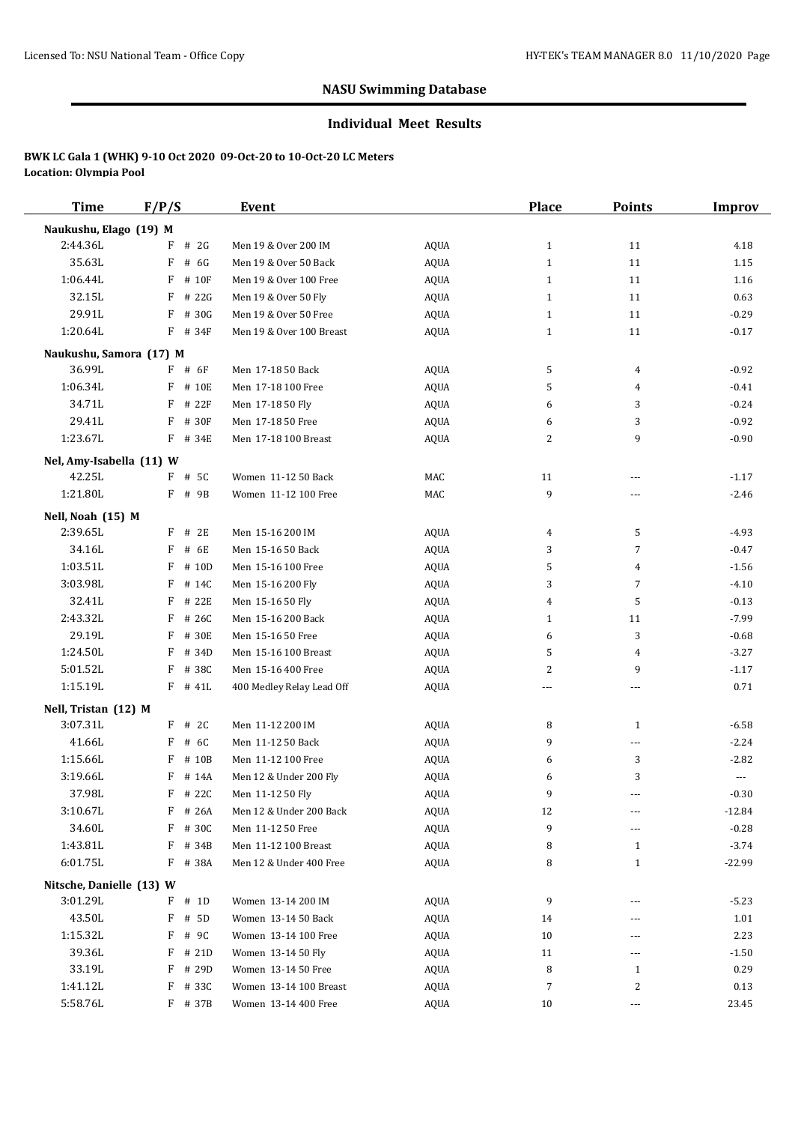#### **Individual Meet Results**

| <b>Time</b>              | F/P/S      | Event                     |             | <b>Place</b> | <b>Points</b>  | Improv   |
|--------------------------|------------|---------------------------|-------------|--------------|----------------|----------|
| Naukushu, Elago (19) M   |            |                           |             |              |                |          |
| 2:44.36L                 | $F$ # 2G   | Men 19 & Over 200 IM      | AQUA        | $\mathbf{1}$ | 11             | 4.18     |
| 35.63L                   | F<br># 6G  | Men 19 & Over 50 Back     | <b>AQUA</b> | $\mathbf{1}$ | 11             | 1.15     |
| 1:06.44L                 | F<br># 10F | Men 19 & Over 100 Free    | <b>AQUA</b> | $\mathbf{1}$ | 11             | 1.16     |
| 32.15L                   | F<br># 22G | Men 19 & Over 50 Fly      | <b>AQUA</b> | $\mathbf{1}$ | 11             | 0.63     |
| 29.91L                   | F<br># 30G | Men 19 & Over 50 Free     | <b>AQUA</b> | $\mathbf{1}$ | 11             | $-0.29$  |
| 1:20.64L                 | F # 34F    | Men 19 & Over 100 Breast  | <b>AQUA</b> | $\mathbf{1}$ | 11             | $-0.17$  |
| Naukushu, Samora (17) M  |            |                           |             |              |                |          |
| 36.99L                   | $F$ # 6F   | Men 17-18 50 Back         | AQUA        | 5            | 4              | $-0.92$  |
| 1:06.34L                 | F # 10E    | Men 17-18 100 Free        | <b>AQUA</b> | 5            | 4              | $-0.41$  |
| 34.71L                   | F<br># 22F | Men 17-18 50 Fly          | <b>AQUA</b> | 6            | 3              | $-0.24$  |
| 29.41L                   | F<br># 30F | Men 17-18 50 Free         | <b>AQUA</b> | 6            | 3              | $-0.92$  |
| 1:23.67L                 | F # 34E    | Men 17-18 100 Breast      | <b>AQUA</b> | 2            | 9              | $-0.90$  |
| Nel, Amy-Isabella (11) W |            |                           |             |              |                |          |
| 42.25L                   | F # 5C     | Women 11-12 50 Back       | MAC         | 11           | ---            | $-1.17$  |
| 1:21.80L                 | F # 9B     | Women 11-12 100 Free      | MAC         | 9            | ---            | $-2.46$  |
| Nell, Noah (15) M        |            |                           |             |              |                |          |
| 2:39.65L                 | $F$ # 2E   | Men 15-16 200 IM          | <b>AQUA</b> | 4            | 5              | $-4.93$  |
| 34.16L                   | F<br># 6E  | Men 15-16 50 Back         | <b>AQUA</b> | 3            | 7              | $-0.47$  |
| 1:03.51L                 | F<br># 10D | Men 15-16 100 Free        | <b>AQUA</b> | 5            | 4              | $-1.56$  |
| 3:03.98L                 | F<br># 14C | Men 15-16 200 Fly         | <b>AQUA</b> | 3            | $\overline{7}$ | $-4.10$  |
| 32.41L                   | F<br># 22E | Men 15-16 50 Fly          | <b>AQUA</b> | 4            | 5              | $-0.13$  |
| 2:43.32L                 | F<br># 26C | Men 15-16 200 Back        | <b>AQUA</b> | $\mathbf{1}$ | 11             | $-7.99$  |
| 29.19L                   | F<br># 30E | Men 15-16 50 Free         | <b>AQUA</b> | 6            | 3              | $-0.68$  |
| 1:24.50L                 | F<br># 34D | Men 15-16 100 Breast      | <b>AQUA</b> | 5            | 4              | $-3.27$  |
| 5:01.52L                 | F<br># 38C | Men 15-16 400 Free        | <b>AQUA</b> | 2            | 9              | $-1.17$  |
| 1:15.19L                 | $F$ # 41L  | 400 Medley Relay Lead Off | <b>AQUA</b> | ---          | ---            | 0.71     |
| Nell, Tristan (12) M     |            |                           |             |              |                |          |
| 3:07.31L                 | $F$ # 2C   | Men 11-12 200 IM          | <b>AQUA</b> | 8            | $\mathbf{1}$   | $-6.58$  |
| 41.66L                   | F<br># 6C  | Men 11-12 50 Back         | <b>AQUA</b> | 9            | ---            | $-2.24$  |
| 1:15.66L                 | F<br># 10B | Men 11-12 100 Free        | <b>AQUA</b> | 6            | 3              | $-2.82$  |
| 3:19.66L                 | F<br># 14A | Men 12 & Under 200 Fly    | <b>AQUA</b> | 6            | 3              | $---$    |
| 37.98L                   | $F$ # 22C  | Men 11-12 50 Fly          | <b>AQUA</b> | 9            | ---            | $-0.30$  |
| 3:10.67L                 | F # 26A    | Men 12 & Under 200 Back   | AQUA        | 12           | ---            | $-12.84$ |
| 34.60L                   | F # 30C    | Men 11-12 50 Free         | AQUA        | 9            | ---            | $-0.28$  |
| 1:43.81L                 | F<br># 34B | Men 11-12 100 Breast      | AQUA        | 8            | $\mathbf{1}$   | $-3.74$  |
| 6:01.75L                 | F # 38A    | Men 12 & Under 400 Free   | AQUA        | 8            | $\mathbf{1}$   | $-22.99$ |
| Nitsche, Danielle (13) W |            |                           |             |              |                |          |
| 3:01.29L                 | $F$ # 1D   | Women 13-14 200 IM        | AQUA        | 9            | ---            | $-5.23$  |
| 43.50L                   | F<br># 5D  | Women 13-14 50 Back       | AQUA        | 14           | ---            | 1.01     |
| 1:15.32L                 | F # 9C     | Women 13-14 100 Free      | AQUA        | 10           | ---            | 2.23     |
| 39.36L                   | $F$ # 21D  | Women 13-14 50 Fly        | AQUA        | 11           | ---            | $-1.50$  |
| 33.19L                   | F<br># 29D | Women 13-14 50 Free       | AQUA        | 8            | 1              | 0.29     |
| 1:41.12L                 | F # 33C    | Women 13-14 100 Breast    | AQUA        | 7            | 2              | 0.13     |
| 5:58.76L                 | F # 37B    | Women 13-14 400 Free      | AQUA        | 10           | ---            | 23.45    |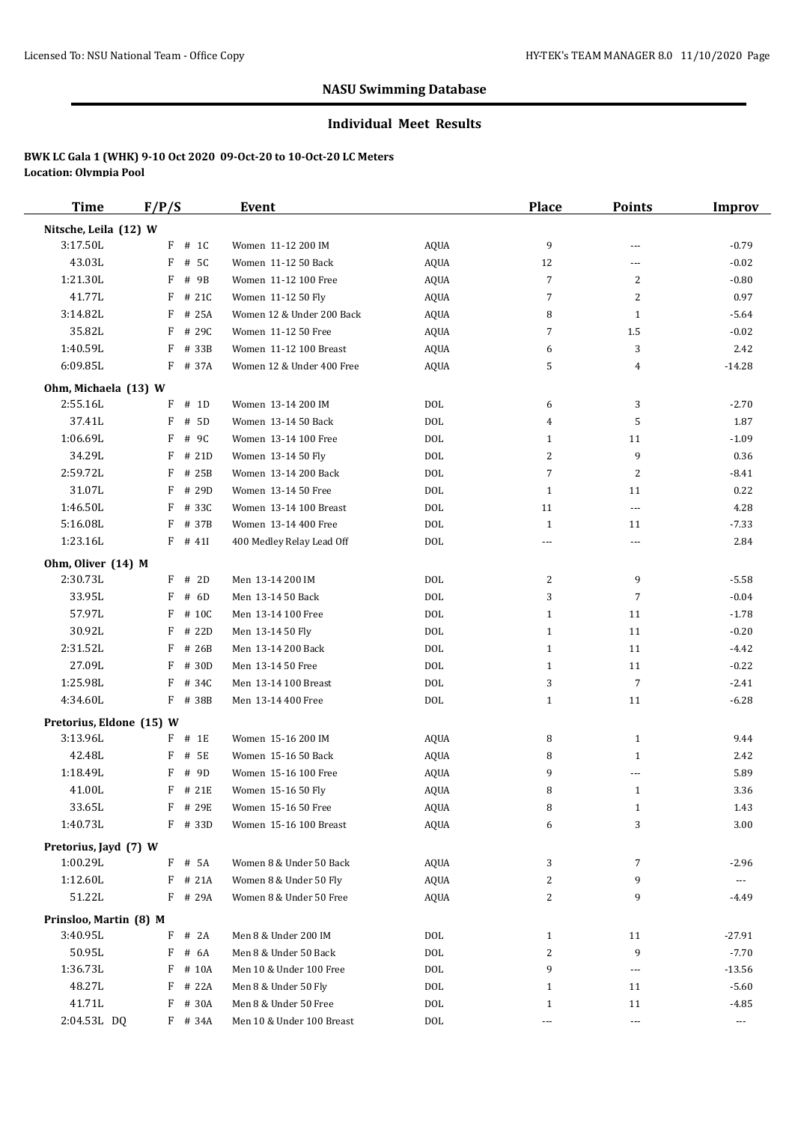#### **Individual Meet Results**

| <b>Time</b>              | F/P/S      | Event                     |             | Place                  | <b>Points</b>            | <b>Improv</b>        |
|--------------------------|------------|---------------------------|-------------|------------------------|--------------------------|----------------------|
| Nitsche, Leila (12) W    |            |                           |             |                        |                          |                      |
| 3:17.50L                 | $F$ # 1C   | Women 11-12 200 IM        | <b>AQUA</b> | 9                      | ---                      | $-0.79$              |
| 43.03L                   | F<br># 5C  | Women 11-12 50 Back       | AQUA        | 12                     | ---                      | $-0.02$              |
| 1:21.30L                 | F<br># 9B  | Women 11-12 100 Free      | AQUA        | 7                      | $\overline{2}$           | $-0.80$              |
| 41.77L                   | F<br># 21C | Women 11-12 50 Fly        | <b>AQUA</b> | 7                      | $\overline{2}$           | 0.97                 |
| 3:14.82L                 | F<br># 25A | Women 12 & Under 200 Back | <b>AQUA</b> | 8                      | $\mathbf{1}$             | $-5.64$              |
| 35.82L                   | F<br># 29C | Women 11-12 50 Free       | <b>AQUA</b> | 7                      | 1.5                      | $-0.02$              |
| 1:40.59L                 | F<br># 33B | Women 11-12 100 Breast    | <b>AQUA</b> | 6                      | 3                        | 2.42                 |
| 6:09.85L                 | F # 37A    | Women 12 & Under 400 Free | AQUA        | 5                      | 4                        | $-14.28$             |
| Ohm, Michaela (13) W     |            |                           |             |                        |                          |                      |
| 2:55.16L                 | F<br># 1D  | Women 13-14 200 IM        | DOL         | 6                      | 3                        | $-2.70$              |
| 37.41L                   | F<br># 5D  | Women 13-14 50 Back       | <b>DOL</b>  | 4                      | 5                        | 1.87                 |
| 1:06.69L                 | F<br># 9C  | Women 13-14 100 Free      | <b>DOL</b>  | $\mathbf{1}$           | 11                       | $-1.09$              |
| 34.29L                   | F<br># 21D | Women 13-14 50 Fly        | <b>DOL</b>  | 2                      | 9                        | 0.36                 |
| 2:59.72L                 | F<br># 25B | Women 13-14 200 Back      | <b>DOL</b>  | $\overline{7}$         | $\overline{2}$           | $-8.41$              |
| 31.07L                   | F<br># 29D | Women 13-14 50 Free       | <b>DOL</b>  | $\mathbf{1}$           | 11                       | 0.22                 |
| 1:46.50L                 | F<br># 33C | Women 13-14 100 Breast    | <b>DOL</b>  | 11                     | ---                      | 4.28                 |
| 5:16.08L                 | F<br># 37B | Women 13-14 400 Free      | <b>DOL</b>  | $\mathbf{1}$           | 11                       | $-7.33$              |
| 1:23.16L                 | $F$ # 411  | 400 Medley Relay Lead Off | <b>DOL</b>  | ---                    | ---                      | 2.84                 |
| Ohm, Oliver (14) M       |            |                           |             |                        |                          |                      |
| 2:30.73L                 | $F$ # 2D   | Men 13-14 200 IM          | DOL         | 2                      | 9                        | $-5.58$              |
| 33.95L                   | F<br># 6D  | Men 13-14 50 Back         | <b>DOL</b>  | 3                      | $\overline{7}$           | $-0.04$              |
| 57.97L                   | F<br># 10C | Men 13-14 100 Free        | <b>DOL</b>  | $\mathbf{1}$           | 11                       | $-1.78$              |
| 30.92L                   | F<br># 22D | Men 13-14 50 Fly          | <b>DOL</b>  | $\mathbf{1}$           | 11                       | $-0.20$              |
| 2:31.52L                 | F<br># 26B | Men 13-14 200 Back        | <b>DOL</b>  | $\mathbf{1}$           | 11                       | $-4.42$              |
| 27.09L                   | F<br># 30D | Men 13-14 50 Free         | <b>DOL</b>  | $\mathbf{1}$           | 11                       | $-0.22$              |
| 1:25.98L                 | F<br># 34C | Men 13-14 100 Breast      | <b>DOL</b>  | 3                      | $\overline{7}$           | $-2.41$              |
| 4:34.60L                 | F # 38B    | Men 13-14 400 Free        | <b>DOL</b>  | $\mathbf{1}$           | 11                       | $-6.28$              |
| Pretorius, Eldone (15) W |            |                           |             |                        |                          |                      |
| 3:13.96L                 | $F$ # 1E   | Women 15-16 200 IM        | <b>AQUA</b> | 8                      | $\mathbf{1}$             | 9.44                 |
| 42.48L                   | F<br># 5E  | Women 15-16 50 Back       | AQUA        | 8                      | 1                        | 2.42                 |
| 1:18.49L                 | F<br># 9D  | Women 15-16 100 Free      | <b>AQUA</b> | 9                      | ---                      | 5.89                 |
| 41.00L                   | F<br># 21E | Women 15-16 50 Fly        | AQUA        | 8                      | $\mathbf{1}$             | 3.36                 |
| 33.65L                   | F # 29E    | Women 15-16 50 Free       | AQUA        | 8                      | $\mathbf{1}$             | 1.43                 |
| 1:40.73L                 | F # 33D    | Women 15-16 100 Breast    | AQUA        | 6                      | 3                        | 3.00                 |
| Pretorius, Jayd (7) W    |            |                           |             |                        |                          |                      |
| 1:00.29L                 | F # 5A     | Women 8 & Under 50 Back   | <b>AQUA</b> | 3                      | 7                        | $-2.96$              |
| 1:12.60L                 | $F$ # 21A  | Women 8 & Under 50 Fly    | AQUA        | 2                      | 9                        | $\cdots$             |
| 51.22L                   | F # 29A    | Women 8 & Under 50 Free   | AQUA        | 2                      | 9                        | -4.49                |
| Prinsloo, Martin (8) M   |            |                           |             |                        |                          |                      |
| 3:40.95L                 | F<br># 2A  | Men 8 & Under 200 IM      | DOL         |                        | 11                       | $-27.91$             |
| 50.95L                   | F<br># 6A  | Men 8 & Under 50 Back     | <b>DOL</b>  | $\mathbf{1}$<br>2      | 9                        | $-7.70$              |
| 1:36.73L                 | F<br># 10A | Men 10 & Under 100 Free   | <b>DOL</b>  | 9                      | $\sim$ $\sim$ $\sim$     | $-13.56$             |
| 48.27L                   | $F$ # 22A  | Men 8 & Under 50 Fly      | $\rm DOL$   | $\mathbf{1}$           | 11                       | $-5.60$              |
| 41.71L                   | F # 30A    | Men 8 & Under 50 Free     | <b>DOL</b>  |                        | 11                       | $-4.85$              |
| 2:04.53L DQ              |            |                           |             | $\mathbf{1}$           | $\overline{\phantom{a}}$ |                      |
|                          | F # 34A    | Men 10 & Under 100 Breast | <b>DOL</b>  | $\scriptstyle\cdots$ . |                          | $\scriptstyle\cdots$ |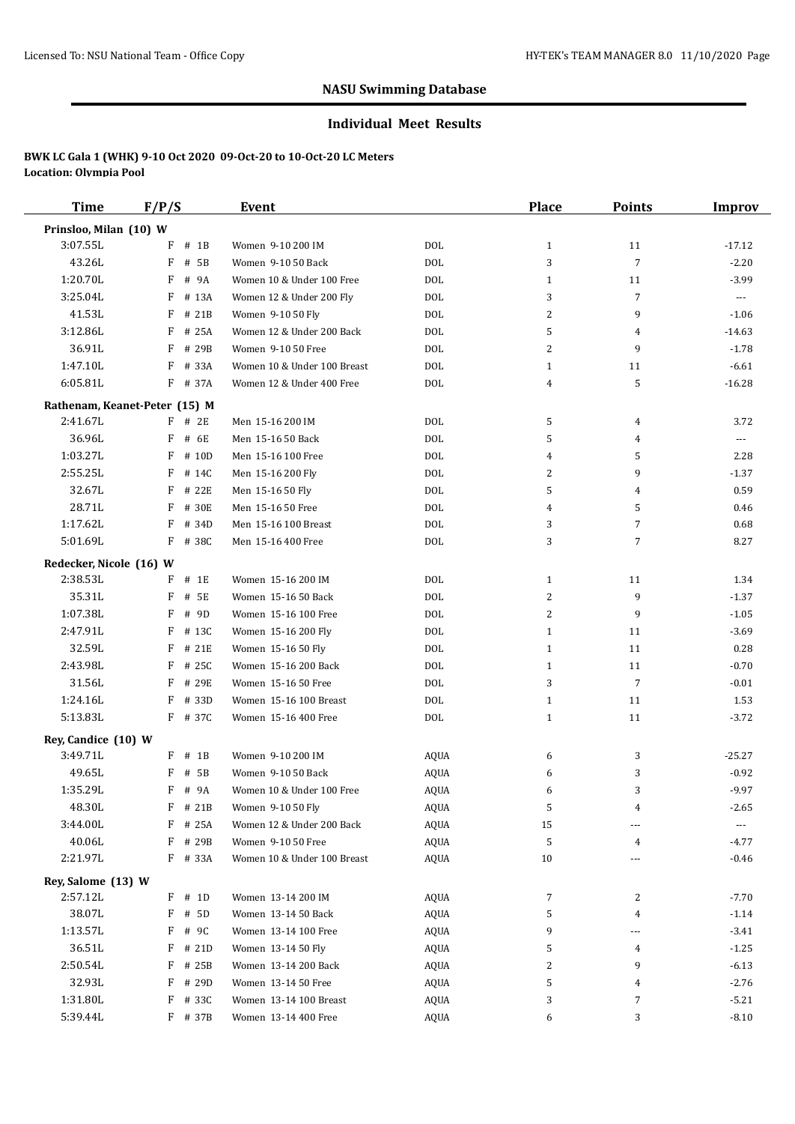#### **Individual Meet Results**

| Time                                | F/P/S                         | Event                       |             | Place        | <b>Points</b>  | Improv   |
|-------------------------------------|-------------------------------|-----------------------------|-------------|--------------|----------------|----------|
| Prinsloo, Milan (10) W              |                               |                             |             |              |                |          |
| 3:07.55L                            | $F$ # 1B                      | Women 9-10 200 IM           | <b>DOL</b>  | $\mathbf{1}$ | 11             | $-17.12$ |
| 43.26L                              | F<br># 5B                     | Women 9-10 50 Back          | <b>DOL</b>  | 3            | $\overline{7}$ | $-2.20$  |
| 1:20.70L                            | F<br># 9A                     | Women 10 & Under 100 Free   | <b>DOL</b>  | $\mathbf{1}$ | 11             | $-3.99$  |
| 3:25.04L                            | F<br># 13A                    | Women 12 & Under 200 Fly    | <b>DOL</b>  | 3            | 7              | $\cdots$ |
| 41.53L                              | F<br># 21B                    | Women 9-10 50 Fly           | <b>DOL</b>  | 2            | 9              | $-1.06$  |
| 3:12.86L                            | F<br># 25A                    | Women 12 & Under 200 Back   | <b>DOL</b>  | 5            | 4              | $-14.63$ |
| 36.91L                              | F<br># 29B                    | Women 9-10 50 Free          | <b>DOL</b>  | 2            | 9              | $-1.78$  |
| 1:47.10L                            | F<br># 33A                    | Women 10 & Under 100 Breast | <b>DOL</b>  | $\mathbf{1}$ | 11             | $-6.61$  |
| 6:05.81L                            | F # 37A                       | Women 12 & Under 400 Free   | <b>DOL</b>  | 4            | 5              | $-16.28$ |
|                                     | Rathenam, Keanet-Peter (15) M |                             |             |              |                |          |
| 2:41.67L                            | $F$ # 2E                      | Men 15-16 200 IM            | DOL         | 5            | 4              | 3.72     |
| 36.96L                              | # 6E<br>F                     | Men 15-16 50 Back           | <b>DOL</b>  | 5            | 4              | ---      |
| 1:03.27L                            | F<br># 10D                    | Men 15-16 100 Free          | <b>DOL</b>  | 4            | 5              | 2.28     |
| 2:55.25L                            | F<br># 14C                    | Men 15-16 200 Fly           | <b>DOL</b>  | 2            | 9              | $-1.37$  |
| 32.67L                              | F # 22E                       | Men 15-16 50 Fly            | <b>DOL</b>  | 5            | $\overline{4}$ | 0.59     |
| 28.71L                              | F<br># 30E                    | Men 15-16 50 Free           | <b>DOL</b>  | 4            | 5              | 0.46     |
| 1:17.62L                            | F<br># 34D                    | Men 15-16 100 Breast        | <b>DOL</b>  | 3            | $\overline{7}$ | 0.68     |
| 5:01.69L                            | F # 38C                       | Men 15-16 400 Free          | <b>DOL</b>  | 3            | $\overline{7}$ | 8.27     |
|                                     |                               |                             |             |              |                |          |
| Redecker, Nicole (16) W<br>2:38.53L | $F$ # 1E                      | Women 15-16 200 IM          | DOL         | $\mathbf{1}$ | 11             | 1.34     |
| 35.31L                              | F<br># 5E                     | Women 15-16 50 Back         | <b>DOL</b>  | 2            | 9              | $-1.37$  |
| 1:07.38L                            | F<br># 9D                     | Women 15-16 100 Free        | <b>DOL</b>  | 2            | 9              | $-1.05$  |
| 2:47.91L                            | F<br># 13C                    | Women 15-16 200 Fly         | <b>DOL</b>  | $\mathbf{1}$ | 11             | $-3.69$  |
| 32.59L                              | F<br># 21E                    | Women 15-16 50 Fly          | <b>DOL</b>  | $\mathbf{1}$ | 11             | 0.28     |
| 2:43.98L                            | F<br># 25C                    | Women 15-16 200 Back        | <b>DOL</b>  | $\mathbf{1}$ | 11             | $-0.70$  |
| 31.56L                              | F # 29E                       | Women 15-16 50 Free         | <b>DOL</b>  | 3            | 7              | $-0.01$  |
| 1:24.16L                            | F<br># 33D                    | Women 15-16 100 Breast      | <b>DOL</b>  | $\mathbf{1}$ | 11             | 1.53     |
| 5:13.83L                            | F # 37C                       | Women 15-16 400 Free        | <b>DOL</b>  | $\mathbf{1}$ | 11             | $-3.72$  |
|                                     |                               |                             |             |              |                |          |
| Rey, Candice (10) W                 |                               |                             |             |              |                |          |
| 3:49.71L                            | $F$ # 1B                      | Women 9-10 200 IM           | <b>AQUA</b> | 6            | 3              | $-25.27$ |
| 49.65L                              | F<br># 5B                     | Women 9-10 50 Back          | <b>AQUA</b> | 6            | 3              | $-0.92$  |
| 1:35.29L                            | F<br># 9A                     | Women 10 & Under 100 Free   | <b>AQUA</b> | 6            | 3              | $-9.97$  |
| 48.30L                              | F # 21B                       | Women 9-10 50 Fly           | AQUA        | 5            | 4              | $-2.65$  |
| 3:44.00L                            | F<br># 25A                    | Women 12 & Under 200 Back   | AQUA        | 15           | ---            |          |
| 40.06L                              | F<br># 29B                    | Women 9-10 50 Free          | AQUA        | 5            | 4              | -4.77    |
| 2:21.97L                            | F # 33A                       | Women 10 & Under 100 Breast | AQUA        | 10           | ---            | $-0.46$  |
| Rey, Salome (13) W                  |                               |                             |             |              |                |          |
| 2:57.12L                            | $F$ # 1D                      | Women 13-14 200 IM          | AQUA        | 7            | 2              | $-7.70$  |
| 38.07L                              | F # 5D                        | Women 13-14 50 Back         | AQUA        | 5            | 4              | $-1.14$  |
| 1:13.57L                            | F # 9C                        | Women 13-14 100 Free        | AQUA        | 9            | ---            | $-3.41$  |
| 36.51L                              | $F$ # 21D                     | Women 13-14 50 Fly          | AQUA        | 5            | 4              | $-1.25$  |
| 2:50.54L                            | F<br># 25B                    | Women 13-14 200 Back        | AQUA        | 2            | 9              | $-6.13$  |
| 32.93L                              | F<br># 29D                    | Women 13-14 50 Free         | AQUA        | 5            | 4              | $-2.76$  |
| 1:31.80L                            | F<br># 33C                    | Women 13-14 100 Breast      | AQUA        | 3            | 7              | $-5.21$  |
| 5:39.44L                            | F # 37B                       | Women 13-14 400 Free        | <b>AQUA</b> | 6            | 3              | $-8.10$  |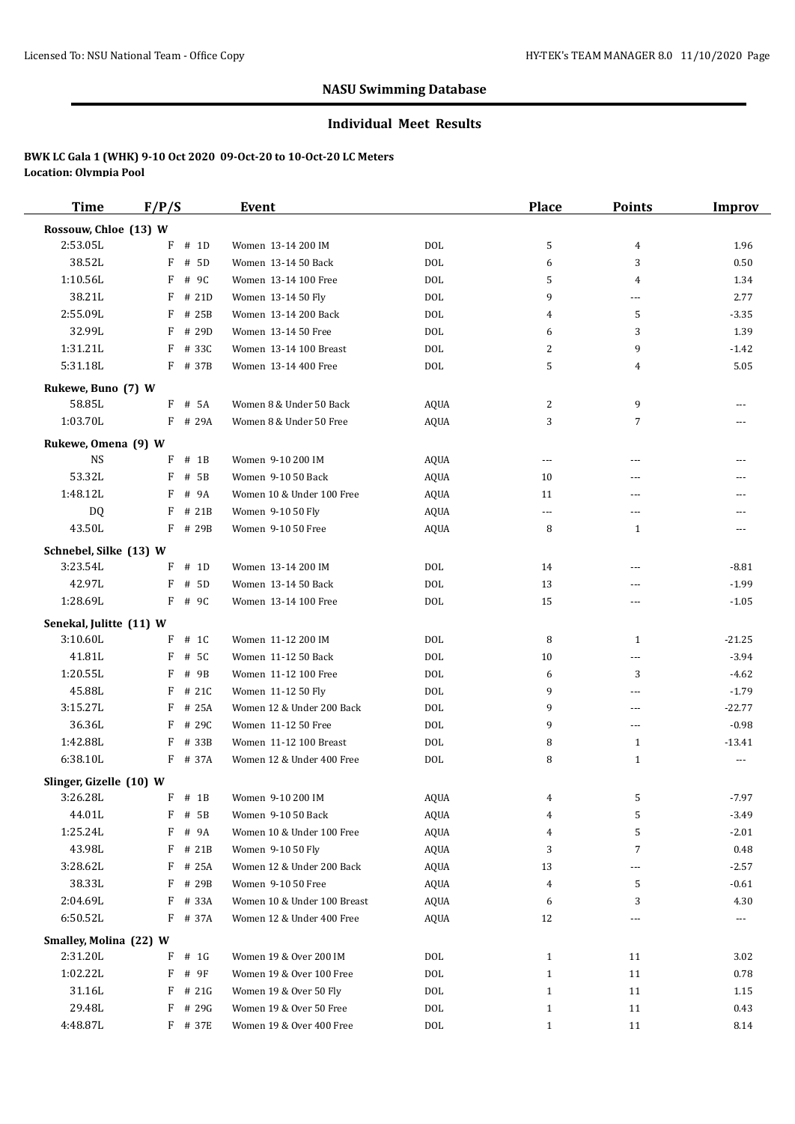#### **Individual Meet Results**

| <b>Time</b>                      | F/P/S       | <b>Event</b>                |             | <b>Place</b> | <b>Points</b>  | <b>Improv</b> |
|----------------------------------|-------------|-----------------------------|-------------|--------------|----------------|---------------|
| Rossouw, Chloe (13) W            |             |                             |             |              |                |               |
| 2:53.05L                         | F<br># 1D   | Women 13-14 200 IM          | DOL         | 5            | 4              | 1.96          |
| 38.52L                           | F<br># 5D   | Women 13-14 50 Back         | DOL         | 6            | 3              | 0.50          |
| 1:10.56L                         | F<br># 9C   | Women 13-14 100 Free        | DOL         | 5            | 4              | 1.34          |
| 38.21L                           | F<br># 21D  | Women 13-14 50 Fly          | DOL         | 9            | ---            | 2.77          |
| 2:55.09L                         | F<br># 25B  | Women 13-14 200 Back        | <b>DOL</b>  | 4            | 5              | $-3.35$       |
| 32.99L                           | F<br># 29D  | Women 13-14 50 Free         | DOL         | 6            | 3              | 1.39          |
| 1:31.21L                         | F<br># 33C  | Women 13-14 100 Breast      | DOL         | 2            | 9              | $-1.42$       |
| 5:31.18L                         | $F$ # 37B   | Women 13-14 400 Free        | DOL         | 5            | 4              | 5.05          |
| Rukewe, Buno (7) W               |             |                             |             |              |                |               |
| 58.85L                           | $F$ # 5A    | Women 8 & Under 50 Back     | AQUA        | 2            | 9              | ---           |
| 1:03.70L                         | $F$ # 29A   | Women 8 & Under 50 Free     | <b>AQUA</b> | 3            | $\overline{7}$ | ---           |
|                                  |             |                             |             |              |                |               |
| Rukewe, Omena (9) W<br><b>NS</b> | F<br>$#$ 1B | Women 9-10 200 IM           | AQUA        | $---$        | ---            |               |
| 53.32L                           | F<br># 5B   | Women 9-10 50 Back          | AQUA        | 10           | ---            | ---           |
| 1:48.12L                         | F<br># 9A   | Women 10 & Under 100 Free   | AQUA        | 11           | ---            | ---           |
| DQ                               | F<br># 21B  | Women 9-10 50 Fly           | <b>AQUA</b> | $\cdots$     | ---            | ---           |
| 43.50L                           | F<br># 29B  | Women 9-10 50 Free          | AQUA        | 8            | $\mathbf{1}$   | ---           |
|                                  |             |                             |             |              |                |               |
| Schnebel, Silke (13) W           |             |                             |             |              |                |               |
| 3:23.54L                         | F<br># 1D   | Women 13-14 200 IM          | DOL         | 14           | ---            | $-8.81$       |
| 42.97L                           | F<br># 5D   | Women 13-14 50 Back         | DOL         | 13           | ---            | $-1.99$       |
| 1:28.69L                         | F # 9C      | Women 13-14 100 Free        | <b>DOL</b>  | 15           | ---            | $-1.05$       |
| Senekal, Julitte (11) W          |             |                             |             |              |                |               |
| 3:10.60L                         | F<br># 1C   | Women 11-12 200 IM          | DOL         | 8            | $\mathbf{1}$   | $-21.25$      |
| 41.81L                           | F<br># 5C   | Women 11-12 50 Back         | DOL         | 10           | ---            | $-3.94$       |
| 1:20.55L                         | F<br># 9B   | Women 11-12 100 Free        | DOL         | 6            | 3              | $-4.62$       |
| 45.88L                           | # 21C<br>F  | Women 11-12 50 Fly          | <b>DOL</b>  | 9            | ---            | $-1.79$       |
| 3:15.27L                         | # 25A<br>F  | Women 12 & Under 200 Back   | DOL         | 9            | $---$          | $-22.77$      |
| 36.36L                           | F<br># 29C  | Women 11-12 50 Free         | <b>DOL</b>  | 9            | ---            | $-0.98$       |
| 1:42.88L                         | # 33B<br>F  | Women 11-12 100 Breast      | DOL         | 8            | $\mathbf{1}$   | $-13.41$      |
| 6:38.10L                         | F # 37A     | Women 12 & Under 400 Free   | DOL         | 8            | $\mathbf{1}$   | $\cdots$      |
| Slinger, Gizelle (10) W          |             |                             |             |              |                |               |
| 3:26.28L                         | $F$ # 1B    | Women 9-10 200 IM           | AQUA        |              | 5              | -7.97         |
| 44.01L                           | F<br># 5B   | Women 9-10 50 Back          | AQUA        | 4            | 5              | $-3.49$       |
| 1:25.24L                         | F<br># 9A   | Women 10 & Under 100 Free   | AQUA        | 4            | 5              | $-2.01$       |
| 43.98L                           | # 21B<br>F  | Women 9-10 50 Fly           | AQUA        | 3            | $\overline{7}$ | 0.48          |
| 3:28.62L                         | # 25A<br>F  | Women 12 & Under 200 Back   | AQUA        | 13           | ---            | $-2.57$       |
| 38.33L                           | # 29B<br>F  | Women 9-10 50 Free          | AQUA        | 4            | 5              | $-0.61$       |
| 2:04.69L                         | F<br># 33A  | Women 10 & Under 100 Breast | AQUA        | 6            | 3              | 4.30          |
| 6:50.52L                         | F<br># 37A  | Women 12 & Under 400 Free   | <b>AQUA</b> | 12           | ---            | ---           |
| Smalley, Molina (22) W           |             |                             |             |              |                |               |
| 2:31.20L                         | F<br># 1G   | Women 19 & Over 200 IM      | DOL         | $\mathbf{1}$ | 11             | 3.02          |
| 1:02.22L                         | F<br># 9F   | Women 19 & Over 100 Free    | DOL         | $\mathbf{1}$ | 11             | 0.78          |
| 31.16L                           | # 21G<br>F  | Women 19 & Over 50 Fly      | DOL         | $\mathbf{1}$ | 11             | 1.15          |
| 29.48L                           | F<br># 29G  | Women 19 & Over 50 Free     | DOL         | $\mathbf{1}$ | 11             | 0.43          |
| 4:48.87L                         | F # 37E     | Women 19 & Over 400 Free    | DOL         | $\mathbf{1}$ | 11             | 8.14          |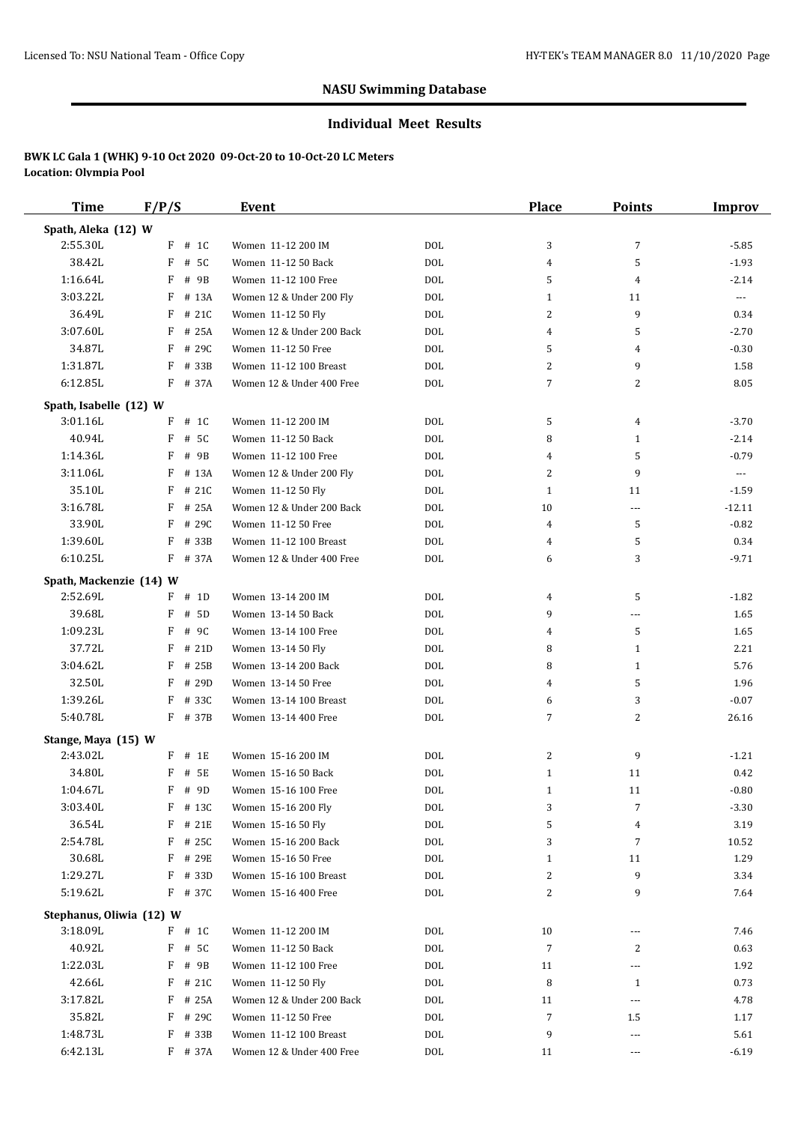#### **Individual Meet Results**

| <b>Time</b>              | F/P/S                 | Event                                          |                          | Place               | <b>Points</b>  | <b>Improv</b>    |
|--------------------------|-----------------------|------------------------------------------------|--------------------------|---------------------|----------------|------------------|
| Spath, Aleka (12) W      |                       |                                                |                          |                     |                |                  |
| 2:55.30L                 | $F$ # 1C              | Women 11-12 200 IM                             | <b>DOL</b>               | 3                   | $\overline{7}$ | $-5.85$          |
| 38.42L                   | F<br># 5C             | Women 11-12 50 Back                            | <b>DOL</b>               | $\overline{4}$      | 5              | $-1.93$          |
| 1:16.64L                 | F<br># 9B             | Women 11-12 100 Free                           | <b>DOL</b>               | 5                   | 4              | $-2.14$          |
| 3:03.22L                 | F<br># 13A            | Women 12 & Under 200 Fly                       | <b>DOL</b>               | $\mathbf{1}$        | 11             | $---$            |
| 36.49L                   | F<br># 21C            | Women 11-12 50 Fly                             | <b>DOL</b>               | 2                   | 9              | 0.34             |
| 3:07.60L                 | F<br># 25A            | Women 12 & Under 200 Back                      | <b>DOL</b>               | 4                   | 5              | $-2.70$          |
| 34.87L                   | F<br># 29C            | Women 11-12 50 Free                            | <b>DOL</b>               | 5                   | 4              | $-0.30$          |
| 1:31.87L                 | F<br># 33B            | Women 11-12 100 Breast                         | <b>DOL</b>               | 2                   | 9              | 1.58             |
| 6:12.85L                 | F<br># 37A            | Women 12 & Under 400 Free                      | <b>DOL</b>               | $\overline{7}$      | 2              | 8.05             |
| Spath, Isabelle (12) W   |                       |                                                |                          |                     |                |                  |
| 3:01.16L                 | $F$ # 1C              | Women 11-12 200 IM                             | <b>DOL</b>               | 5                   | 4              | $-3.70$          |
| 40.94L                   | F<br># 5C             | Women 11-12 50 Back                            | <b>DOL</b>               | 8                   | 1              | $-2.14$          |
| 1:14.36L                 | # 9B<br>F             | Women 11-12 100 Free                           | <b>DOL</b>               | 4                   | 5              | $-0.79$          |
| 3:11.06L                 | F<br># 13A            | Women 12 & Under 200 Fly                       | <b>DOL</b>               | 2                   | 9              | $\cdots$         |
| 35.10L                   | F<br># 21C            | Women 11-12 50 Fly                             | <b>DOL</b>               | $\mathbf{1}$        | 11             | $-1.59$          |
| 3:16.78L                 | F<br># 25A            | Women 12 & Under 200 Back                      | <b>DOL</b>               | 10                  | $---$          | $-12.11$         |
| 33.90L                   | F<br># 29C            | Women 11-12 50 Free                            | <b>DOL</b>               | 4                   | 5              | $-0.82$          |
| 1:39.60L                 | F<br># 33B            | Women 11-12 100 Breast                         | <b>DOL</b>               | 4                   | 5              | 0.34             |
| 6:10.25L                 | F # 37A               | Women 12 & Under 400 Free                      | <b>DOL</b>               | 6                   | 3              | $-9.71$          |
|                          |                       |                                                |                          |                     |                |                  |
| Spath, Mackenzie (14) W  |                       |                                                |                          |                     |                |                  |
| 2:52.69L<br>39.68L       | $F$ # 1D              | Women 13-14 200 IM                             | DOL                      | 4                   | 5              | $-1.82$          |
|                          | # 5D<br>F             | Women 13-14 50 Back                            | <b>DOL</b>               | 9                   | ---            | 1.65             |
| 1:09.23L<br>37.72L       | F<br># 9C             | Women 13-14 100 Free                           | <b>DOL</b>               | 4                   | 5              | 1.65             |
| 3:04.62L                 | F<br># 21D            | Women 13-14 50 Fly                             | <b>DOL</b>               | 8                   | 1              | 2.21             |
| 32.50L                   | F # 25B<br>F<br># 29D | Women 13-14 200 Back                           | <b>DOL</b><br><b>DOL</b> | 8<br>4              | 1<br>5         | 5.76             |
| 1:39.26L                 | F                     | Women 13-14 50 Free                            |                          |                     |                | 1.96             |
| 5:40.78L                 | # 33C<br>F # 37B      | Women 13-14 100 Breast<br>Women 13-14 400 Free | <b>DOL</b><br><b>DOL</b> | 6<br>$\overline{7}$ | 3<br>2         | $-0.07$<br>26.16 |
|                          |                       |                                                |                          |                     |                |                  |
| Stange, Maya (15) W      |                       |                                                |                          |                     |                |                  |
| 2:43.02L                 | $F$ # 1E              | Women 15-16 200 IM                             | DOL                      | 2                   | 9              | $-1.21$          |
| 34.80L                   | F<br># 5E             | Women 15-16 50 Back                            | <b>DOL</b>               | $\mathbf{1}$        | 11             | 0.42             |
| 1:04.67L                 | F # 9D                | Women 15-16 100 Free                           | <b>DOL</b>               | $\mathbf{1}$        | 11             | $-0.80$          |
| 3:03.40L                 | F # 13C               | Women 15-16 200 Fly                            | <b>DOL</b>               | 3                   | $\overline{7}$ | $-3.30$          |
| 36.54L                   | # 21E<br>F            | Women 15-16 50 Fly                             | $\rm DOL$                | 5                   | 4              | 3.19             |
| 2:54.78L                 | $F$ # 25C             | Women 15-16 200 Back                           | $\rm DOL$                | 3                   | 7              | 10.52            |
| 30.68L                   | F # 29E               | Women 15-16 50 Free                            | <b>DOL</b>               | 1                   | 11             | 1.29             |
| 1:29.27L                 | $F$ # 33D             | Women 15-16 100 Breast                         | <b>DOL</b>               | 2                   | 9              | 3.34             |
| 5:19.62L                 | $F$ # 37C             | Women 15-16 400 Free                           | DOL                      | 2                   | 9              | 7.64             |
| Stephanus, Oliwia (12) W |                       |                                                |                          |                     |                |                  |
| 3:18.09L                 | $F$ # 1C              | Women 11-12 200 IM                             | <b>DOL</b>               | 10                  | ---            | 7.46             |
| 40.92L                   | F # 5C                | Women 11-12 50 Back                            | <b>DOL</b>               | 7                   | 2              | 0.63             |
| 1:22.03L                 | F<br># 9B             | Women 11-12 100 Free                           | DOL                      | 11                  | ---            | 1.92             |
| 42.66L                   | $F$ # 210             | Women 11-12 50 Fly                             | <b>DOL</b>               | 8                   | $\mathbf{1}$   | 0.73             |
| 3:17.82L                 | F<br># 25A            | Women 12 & Under 200 Back                      | <b>DOL</b>               | 11                  | ---            | 4.78             |
| 35.82L                   | # 29C<br>F            | Women 11-12 50 Free                            | <b>DOL</b>               | 7                   | 1.5            | 1.17             |
| 1:48.73L                 | $F$ # 33B             | Women 11-12 100 Breast                         | <b>DOL</b>               | 9                   | ---            | 5.61             |
| 6:42.13L                 | F # 37A               | Women 12 & Under 400 Free                      | <b>DOL</b>               | 11                  | ---            | $-6.19$          |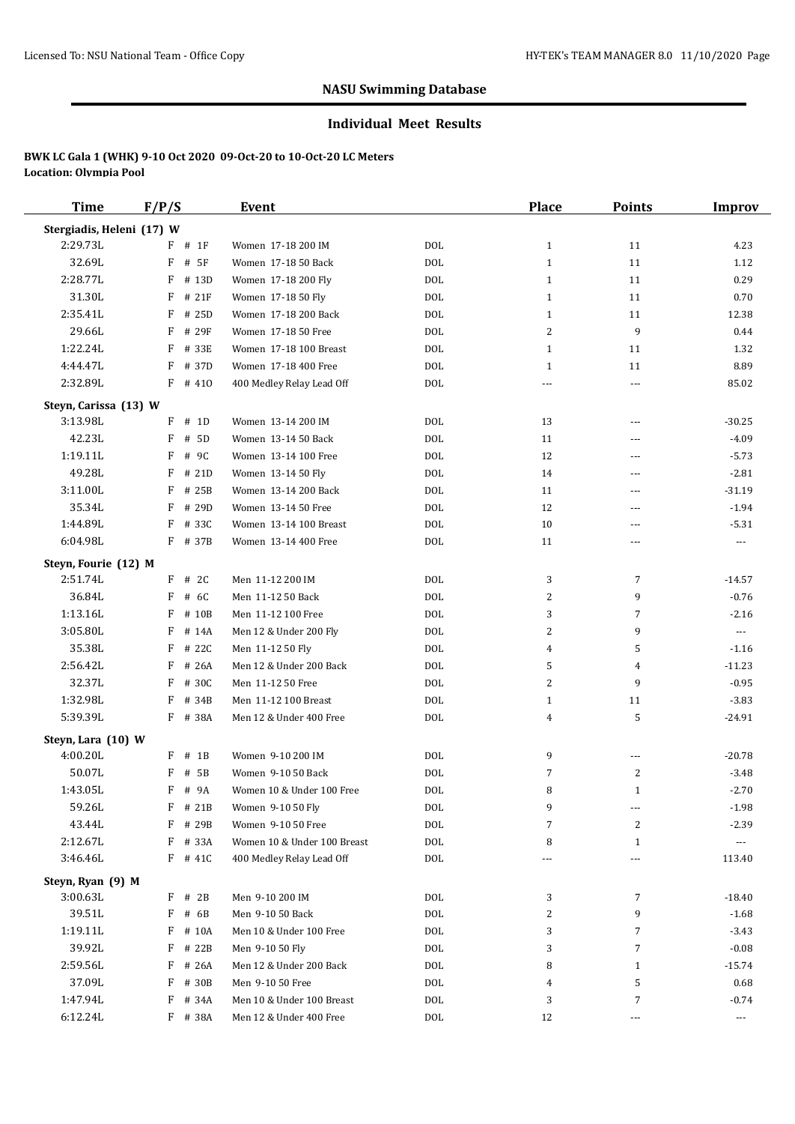#### **Individual Meet Results**

| <b>Time</b>                      | F/P/S      | Event                                      |            | Place          | <b>Points</b>  | Improv                   |
|----------------------------------|------------|--------------------------------------------|------------|----------------|----------------|--------------------------|
| Stergiadis, Heleni (17) W        |            |                                            |            |                |                |                          |
| 2:29.73L                         | $F$ # 1F   | Women 17-18 200 IM                         | <b>DOL</b> | $\mathbf{1}$   | 11             | 4.23                     |
| 32.69L                           | F<br># 5F  | Women 17-18 50 Back                        | <b>DOL</b> | $\mathbf{1}$   | 11             | 1.12                     |
| 2:28.77L                         | F<br># 13D | Women 17-18 200 Fly                        | <b>DOL</b> | $\mathbf{1}$   | 11             | 0.29                     |
| 31.30L                           | F<br># 21F | Women 17-18 50 Fly                         | <b>DOL</b> | $\mathbf{1}$   | 11             | 0.70                     |
| 2:35.41L                         | F<br># 25D | Women 17-18 200 Back                       | <b>DOL</b> | $\mathbf{1}$   | 11             | 12.38                    |
| 29.66L                           | F<br># 29F | Women 17-18 50 Free                        | <b>DOL</b> | 2              | 9              | 0.44                     |
| 1:22.24L                         | F<br># 33E | Women 17-18 100 Breast                     | <b>DOL</b> | $\mathbf{1}$   | 11             | 1.32                     |
| 4:44.47L                         | F<br># 37D | Women 17-18 400 Free                       | <b>DOL</b> | $\mathbf{1}$   | 11             | 8.89                     |
| 2:32.89L                         | $F$ # 410  | 400 Medley Relay Lead Off                  | <b>DOL</b> | $\overline{a}$ | ---            | 85.02                    |
| Steyn, Carissa (13) W            |            |                                            |            |                |                |                          |
| 3:13.98L                         | $F$ # 1D   | Women 13-14 200 IM                         | DOL        | 13             | ---            | $-30.25$                 |
| 42.23L                           | # 5D<br>F  | Women 13-14 50 Back                        | <b>DOL</b> | 11             | ---            | $-4.09$                  |
| 1:19.11L                         | F<br># 9C  | Women 13-14 100 Free                       | <b>DOL</b> | 12             | ---            | $-5.73$                  |
| 49.28L                           | F<br># 21D | Women 13-14 50 Fly                         | <b>DOL</b> | 14             | ---            | $-2.81$                  |
| 3:11.00L                         | F<br># 25B | Women 13-14 200 Back                       | <b>DOL</b> | 11             | ---            | $-31.19$                 |
| 35.34L                           | F<br># 29D | Women 13-14 50 Free                        | <b>DOL</b> | 12             | ---            | $-1.94$                  |
| 1:44.89L                         | F<br># 33C | Women 13-14 100 Breast                     | <b>DOL</b> | 10             | ---            | $-5.31$                  |
| 6:04.98L                         | F # 37B    | Women 13-14 400 Free                       | <b>DOL</b> | 11             | ---            | $---$                    |
|                                  |            |                                            |            |                |                |                          |
| Steyn, Fourie (12) M<br>2:51.74L | $F$ # 2C   | Men 11-12 200 IM                           | DOL        | 3              | 7              | $-14.57$                 |
| 36.84L                           | F<br># 6C  | Men 11-12 50 Back                          | <b>DOL</b> | 2              | 9              | $-0.76$                  |
| 1:13.16L                         | F<br># 10B | Men 11-12 100 Free                         | <b>DOL</b> | 3              | $\overline{7}$ | $-2.16$                  |
| 3:05.80L                         | F<br># 14A |                                            | <b>DOL</b> | 2              | 9              | $\overline{\phantom{a}}$ |
| 35.38L                           | F<br># 22C | Men 12 & Under 200 Fly<br>Men 11-12 50 Fly | <b>DOL</b> | $\overline{4}$ | 5              | $-1.16$                  |
| 2:56.42L                         | # 26A<br>F | Men 12 & Under 200 Back                    | <b>DOL</b> | 5              | 4              | $-11.23$                 |
| 32.37L                           | F<br># 30C | Men 11-12 50 Free                          | <b>DOL</b> | 2              | 9              | $-0.95$                  |
| 1:32.98L                         | F<br># 34B | Men 11-12 100 Breast                       | <b>DOL</b> | $\mathbf{1}$   | 11             | $-3.83$                  |
| 5:39.39L                         | F<br># 38A | Men 12 & Under 400 Free                    | <b>DOL</b> | 4              | 5              | $-24.91$                 |
|                                  |            |                                            |            |                |                |                          |
| Steyn, Lara (10) W               |            |                                            |            |                |                |                          |
| 4:00.20L                         | $F$ # 1B   | Women 9-10 200 IM                          | <b>DOL</b> | 9              | ---            | $-20.78$                 |
| 50.07L                           | F<br># 5B  | Women 9-10 50 Back                         | <b>DOL</b> | 7              | $\overline{2}$ | $-3.48$                  |
| 1:43.05L                         | F<br># 9A  | Women 10 & Under 100 Free                  | <b>DOL</b> | 8              | $\mathbf{1}$   | $-2.70$                  |
| 59.26L                           | F # 21B    | Women 9-10 50 Fly                          | $\rm DOL$  | 9              | ---            | $-1.98$                  |
| 43.44L                           | F<br># 29B | Women 9-10 50 Free                         | $\rm DOL$  | 7              | 2              | $-2.39$                  |
| 2:12.67L                         | F<br># 33A | Women 10 & Under 100 Breast                | $\rm DOL$  | 8              | $\mathbf{1}$   | ---                      |
| 3:46.46L                         | $F$ # 41C  | 400 Medley Relay Lead Off                  | $\rm DOL$  |                | ---            | 113.40                   |
| Steyn, Ryan (9) M                |            |                                            |            |                |                |                          |
| 3:00.63L                         | $F$ # 2B   | Men 9-10 200 IM                            | <b>DOL</b> | 3              | $\overline{7}$ | $-18.40$                 |
| 39.51L                           | F # 6B     | Men 9-10 50 Back                           | $\rm DOL$  | 2              | 9              | $-1.68$                  |
| 1:19.11L                         | F # 10A    | Men 10 & Under 100 Free                    | $\rm DOL$  | 3              | 7              | $-3.43$                  |
| 39.92L                           | F # 22B    | Men 9-10 50 Fly                            | <b>DOL</b> | 3              | 7              | $-0.08$                  |
| 2:59.56L                         | F<br># 26A | Men 12 & Under 200 Back                    | $\rm DOL$  | 8              | $\mathbf{1}$   | $-15.74$                 |
| 37.09L                           | F<br># 30B | Men 9-10 50 Free                           | <b>DOL</b> | 4              | 5              | 0.68                     |
| 1:47.94L                         | F<br># 34A | Men 10 & Under 100 Breast                  | <b>DOL</b> | 3              | $\overline{7}$ | $-0.74$                  |
| 6:12.24L                         | F # 38A    | Men 12 & Under 400 Free                    | <b>DOL</b> | 12             | ---            | ---                      |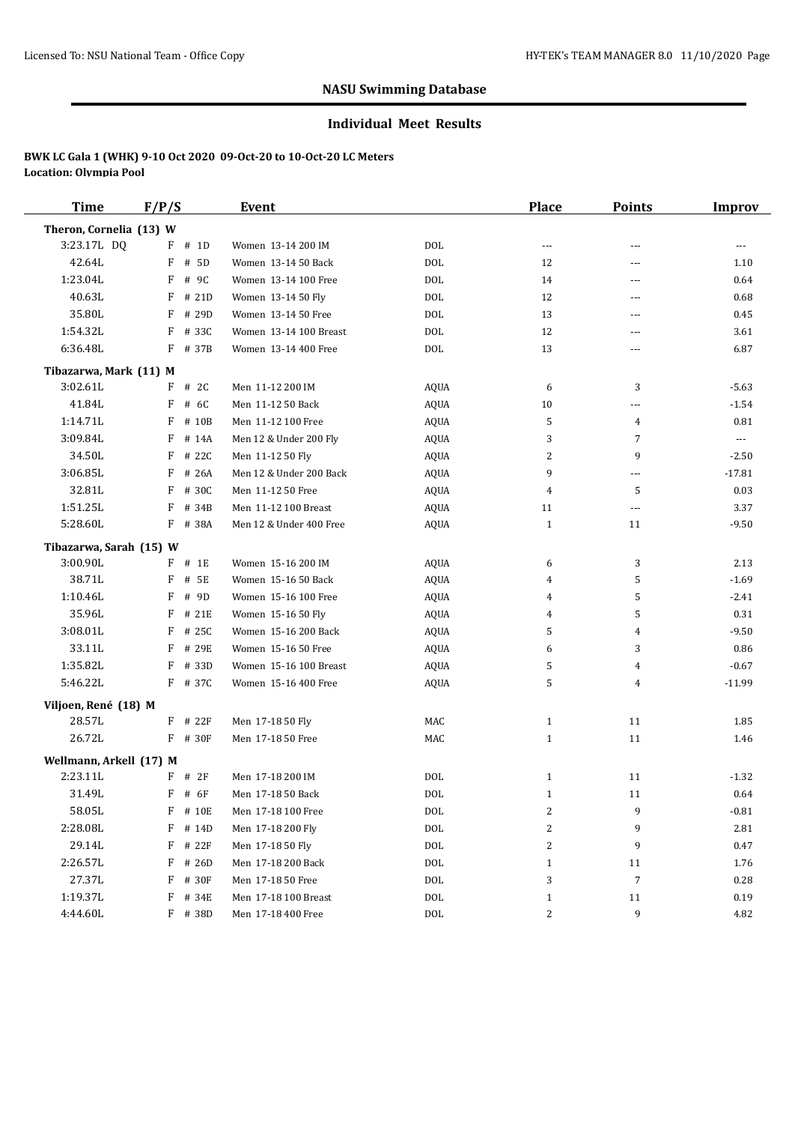#### **Individual Meet Results**

| <b>Time</b>             | F/P/S |           | Event                   |             | Place                    | <b>Points</b>  | <b>Improv</b>        |
|-------------------------|-------|-----------|-------------------------|-------------|--------------------------|----------------|----------------------|
| Theron, Cornelia (13) W |       |           |                         |             |                          |                |                      |
| 3:23.17L DQ             |       | $F$ # 1D  | Women 13-14 200 IM      | <b>DOL</b>  | $\overline{\phantom{a}}$ | ---            | ---                  |
| 42.64L                  | F     | # 5D      | Women 13-14 50 Back     | <b>DOL</b>  | 12                       | ---            | 1.10                 |
| 1:23.04L                | F     | # 9C      | Women 13-14 100 Free    | <b>DOL</b>  | 14                       | ---            | 0.64                 |
| 40.63L                  | F     | # 21D     | Women 13-14 50 Fly      | <b>DOL</b>  | 12                       | ---            | 0.68                 |
| 35.80L                  |       | F # 29D   | Women 13-14 50 Free     | <b>DOL</b>  | 13                       | ---            | 0.45                 |
| 1:54.32L                | F     | # 33C     | Women 13-14 100 Breast  | <b>DOL</b>  | 12                       | ---            | 3.61                 |
| 6:36.48L                |       | F # 37B   | Women 13-14 400 Free    | <b>DOL</b>  | 13                       | ---            | 6.87                 |
| Tibazarwa, Mark (11) M  |       |           |                         |             |                          |                |                      |
| 3:02.61L                |       | $F$ # 2C  | Men 11-12 200 IM        | AQUA        | 6                        | 3              | $-5.63$              |
| 41.84L                  | F     | # 6C      | Men 11-12 50 Back       | <b>AQUA</b> | 10                       | ---            | $-1.54$              |
| 1:14.71L                | F     | # 10B     | Men 11-12 100 Free      | <b>AQUA</b> | 5                        | 4              | 0.81                 |
| 3:09.84L                |       | $F$ # 14A | Men 12 & Under 200 Fly  | <b>AQUA</b> | 3                        | $\overline{7}$ | $\scriptstyle\cdots$ |
| 34.50L                  | F     | # 22C     | Men 11-12 50 Fly        | <b>AQUA</b> | 2                        | 9              | $-2.50$              |
| 3:06.85L                | F     | # 26A     | Men 12 & Under 200 Back | <b>AQUA</b> | 9                        | ---            | $-17.81$             |
| 32.81L                  | F     | # 30C     | Men 11-12 50 Free       | <b>AQUA</b> | 4                        | 5              | 0.03                 |
| 1:51.25L                | F     | # 34B     | Men 11-12 100 Breast    | <b>AQUA</b> | 11                       | ---            | 3.37                 |
| 5:28.60L                |       | F # 38A   | Men 12 & Under 400 Free | <b>AQUA</b> | $\mathbf{1}$             | 11             | $-9.50$              |
| Tibazarwa, Sarah (15) W |       |           |                         |             |                          |                |                      |
| 3:00.90L                |       | $F$ # 1E  | Women 15-16 200 IM      | AQUA        | 6                        | 3              | 2.13                 |
| 38.71L                  | F     | # 5E      | Women 15-16 50 Back     | AQUA        | 4                        | 5              | $-1.69$              |
| 1:10.46L                | F     | # 9D      | Women 15-16 100 Free    | <b>AQUA</b> | 4                        | 5              | $-2.41$              |
| 35.96L                  | F     | # 21E     | Women 15-16 50 Fly      | <b>AQUA</b> | 4                        | 5              | 0.31                 |
| 3:08.01L                | F     | # 25C     | Women 15-16 200 Back    | AQUA        | 5                        | 4              | $-9.50$              |
| 33.11L                  | F     | # 29E     | Women 15-16 50 Free     | <b>AQUA</b> | 6                        | 3              | 0.86                 |
| 1:35.82L                | F     | # 33D     | Women 15-16 100 Breast  | <b>AQUA</b> | 5                        | 4              | $-0.67$              |
| 5:46.22L                |       | F # 37C   | Women 15-16 400 Free    | <b>AQUA</b> | 5                        | 4              | $-11.99$             |
| Viljoen, René (18) M    |       |           |                         |             |                          |                |                      |
| 28.57L                  |       | F # 22F   | Men 17-18 50 Fly        | MAC         | $\mathbf{1}$             | 11             | 1.85                 |
| 26.72L                  |       | F # 30F   | Men 17-18 50 Free       | MAC         | $\mathbf{1}$             | 11             | 1.46                 |
| Wellmann, Arkell (17) M |       |           |                         |             |                          |                |                      |
| 2:23.11L                |       | $F$ # 2F  | Men 17-18 200 IM        | <b>DOL</b>  | $\mathbf{1}$             | 11             | $-1.32$              |
| 31.49L                  | F     | # 6F      | Men 17-18 50 Back       | <b>DOL</b>  | $\mathbf{1}$             | 11             | 0.64                 |
| 58.05L                  |       | F # 10E   | Men 17-18 100 Free      | $\rm DOL$   | 2                        | 9              | $-0.81$              |
| 2:28.08L                |       | F # 14D   | Men 17-18 200 Fly       | $\rm DOL$   | 2                        | 9              | 2.81                 |
| 29.14L                  |       | $F$ # 22F | Men 17-18 50 Fly        | $\rm DOL$   | 2                        | 9              | 0.47                 |
| 2:26.57L                |       | $F$ # 26D | Men 17-18 200 Back      | <b>DOL</b>  | $\mathbf{1}$             | 11             | 1.76                 |
| 27.37L                  |       | F # 30F   | Men 17-18 50 Free       | <b>DOL</b>  | 3                        | $\overline{7}$ | 0.28                 |
| 1:19.37L                |       | F # 34E   | Men 17-18 100 Breast    | DOL         | $\mathbf{1}$             | 11             | 0.19                 |
| 4:44.60L                |       | F # 38D   | Men 17-18 400 Free      | <b>DOL</b>  | 2                        | 9              | 4.82                 |
|                         |       |           |                         |             |                          |                |                      |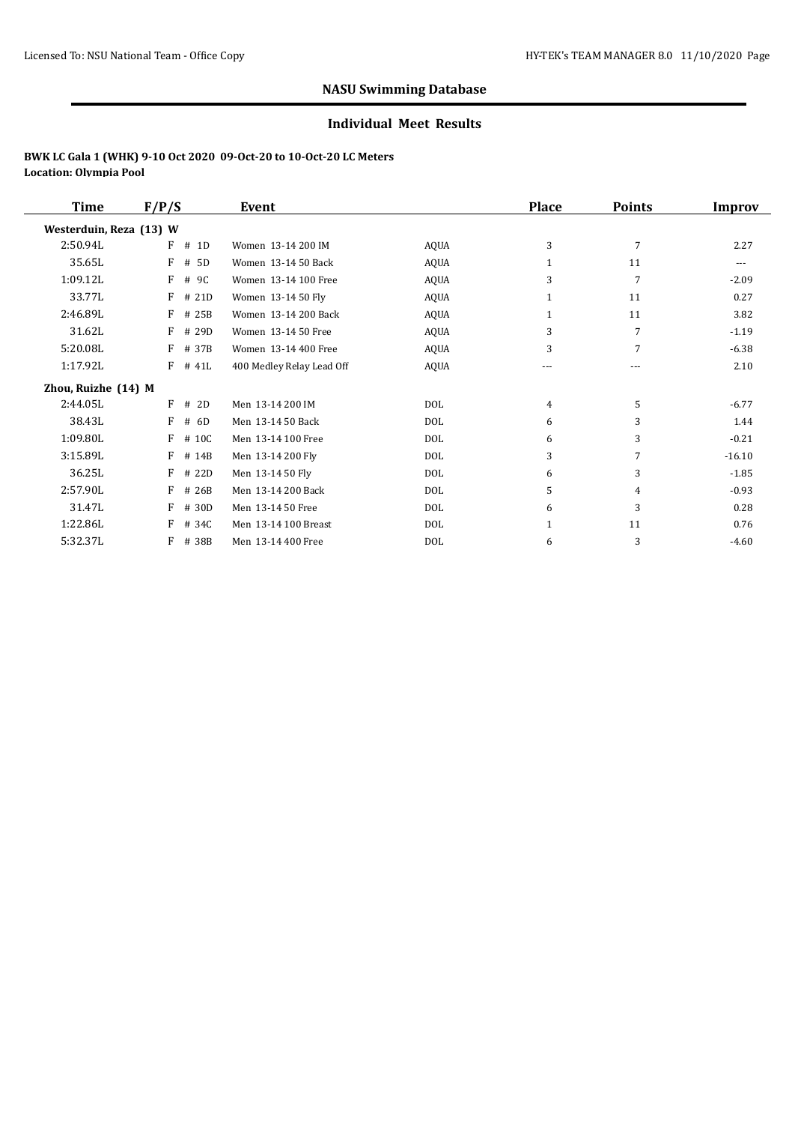#### **Individual Meet Results**

| <b>Time</b>             | F/P/S      | Event                     |             | <b>Place</b>   | <b>Points</b> | Improv   |
|-------------------------|------------|---------------------------|-------------|----------------|---------------|----------|
| Westerduin, Reza (13) W |            |                           |             |                |               |          |
| 2:50.94L                | F<br># 1D  | Women 13-14 200 IM        | <b>AQUA</b> | 3              | 7             | 2.27     |
| 35.65L                  | F<br># 5D  | Women 13-14 50 Back       | <b>AQUA</b> | 1              | 11            | ---      |
| 1:09.12L                | F<br># 9C  | Women 13-14 100 Free      | AQUA        | 3              | 7             | $-2.09$  |
| 33.77L                  | F<br># 21D | Women 13-14 50 Fly        | <b>AQUA</b> | $\mathbf{1}$   | 11            | 0.27     |
| 2:46.89L                | F<br># 25B | Women 13-14 200 Back      | <b>AQUA</b> | 1              | 11            | 3.82     |
| 31.62L                  | # 29D<br>F | Women 13-14 50 Free       | <b>AQUA</b> | 3              | 7             | $-1.19$  |
| 5:20.08L                | F<br># 37B | Women 13-14 400 Free      | <b>AQUA</b> | 3              | 7             | $-6.38$  |
| 1:17.92L                | F<br># 41L | 400 Medley Relay Lead Off | <b>AQUA</b> | ---            | ---           | 2.10     |
| Zhou, Ruizhe (14) M     |            |                           |             |                |               |          |
| 2:44.05L                | F<br># 2D  | Men 13-14 200 IM          | <b>DOL</b>  | $\overline{4}$ | 5             | $-6.77$  |
| 38.43L                  | F<br># 6D  | Men 13-14 50 Back         | <b>DOL</b>  | 6              | 3             | 1.44     |
| 1:09.80L                | F<br># 10C | Men 13-14 100 Free        | <b>DOL</b>  | 6              | 3             | $-0.21$  |
| 3:15.89L                | F<br># 14B | Men 13-14 200 Fly         | <b>DOL</b>  | 3              | 7             | $-16.10$ |
| 36.25L                  | F<br># 22D | Men 13-14 50 Fly          | <b>DOL</b>  | 6              | 3             | $-1.85$  |
| 2:57.90L                | F<br># 26B | Men 13-14 200 Back        | DOL         | 5              | 4             | $-0.93$  |
| 31.47L                  | F<br># 30D | Men 13-14 50 Free         | DOL         | 6              | 3             | 0.28     |
| 1:22.86L                | F<br># 34C | Men 13-14 100 Breast      | <b>DOL</b>  | $\mathbf{1}$   | 11            | 0.76     |
| 5:32.37L                | F<br># 38B | Men 13-14 400 Free        | <b>DOL</b>  | 6              | 3             | $-4.60$  |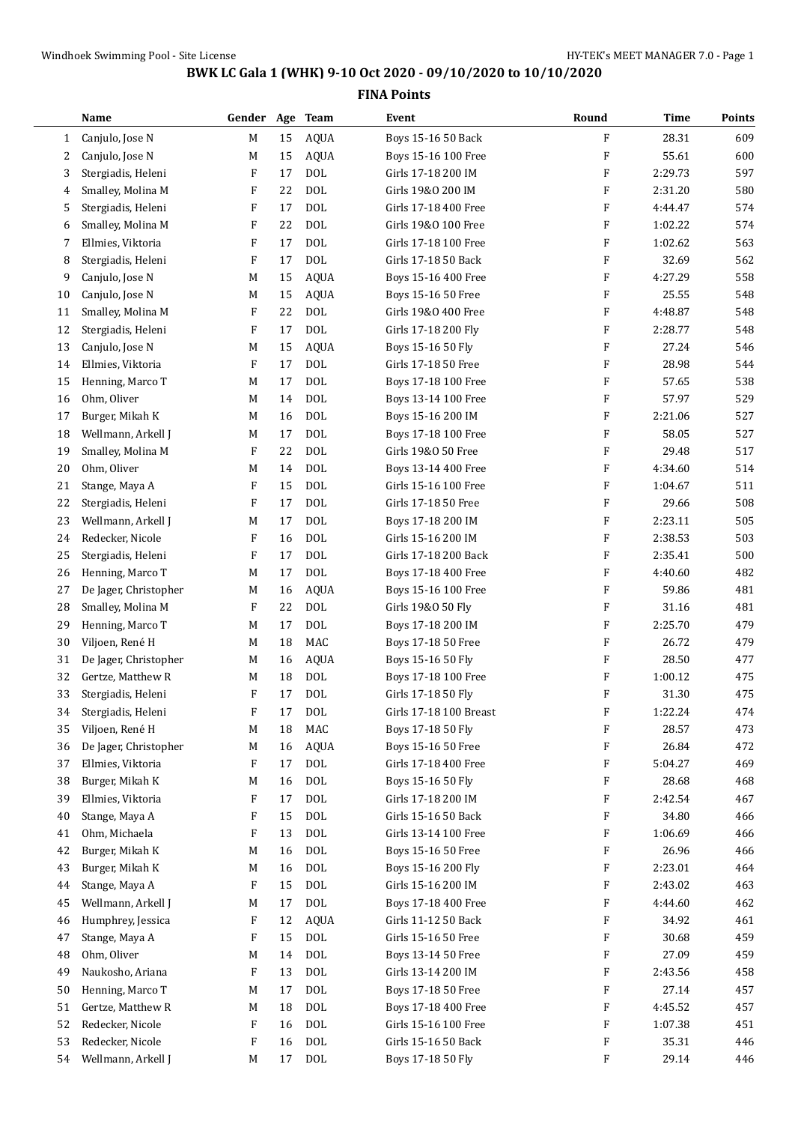$\sim$ 

## **BWK LC Gala 1 (WHK) 9-10 Oct 2020 - 09/10/2020 to 10/10/2020**

|              | Name                  | Gender                    | Age | <b>Team</b> | Event                  | Round | Time    | Points |
|--------------|-----------------------|---------------------------|-----|-------------|------------------------|-------|---------|--------|
| $\mathbf{1}$ | Canjulo, Jose N       | M                         | 15  | <b>AQUA</b> | Boys 15-16 50 Back     | F     | 28.31   | 609    |
| 2            | Canjulo, Jose N       | M                         | 15  | <b>AQUA</b> | Boys 15-16 100 Free    | F     | 55.61   | 600    |
| 3            | Stergiadis, Heleni    | F                         | 17  | <b>DOL</b>  | Girls 17-18 200 IM     | F     | 2:29.73 | 597    |
| 4            | Smalley, Molina M     | F                         | 22  | <b>DOL</b>  | Girls 19&0 200 IM      | F     | 2:31.20 | 580    |
| 5            | Stergiadis, Heleni    | F                         | 17  | <b>DOL</b>  | Girls 17-18 400 Free   | F     | 4:44.47 | 574    |
| 6            | Smalley, Molina M     | $\boldsymbol{\mathrm{F}}$ | 22  | <b>DOL</b>  | Girls 19&0 100 Free    | F     | 1:02.22 | 574    |
| 7            | Ellmies, Viktoria     | F                         | 17  | <b>DOL</b>  | Girls 17-18 100 Free   | F     | 1:02.62 | 563    |
| 8            | Stergiadis, Heleni    | F                         | 17  | <b>DOL</b>  | Girls 17-18 50 Back    | F     | 32.69   | 562    |
| 9            | Canjulo, Jose N       | M                         | 15  | AQUA        | Boys 15-16 400 Free    | F     | 4:27.29 | 558    |
| 10           | Canjulo, Jose N       | M                         | 15  | <b>AQUA</b> | Boys 15-16 50 Free     | F     | 25.55   | 548    |
| 11           | Smalley, Molina M     | F                         | 22  | <b>DOL</b>  | Girls 19&0 400 Free    | F     | 4:48.87 | 548    |
| 12           | Stergiadis, Heleni    | F                         | 17  | <b>DOL</b>  | Girls 17-18 200 Fly    | F     | 2:28.77 | 548    |
| 13           | Canjulo, Jose N       | M                         | 15  | <b>AQUA</b> | Boys 15-16 50 Fly      | F     | 27.24   | 546    |
| 14           | Ellmies, Viktoria     | F                         | 17  | <b>DOL</b>  | Girls 17-18 50 Free    | F     | 28.98   | 544    |
| 15           | Henning, Marco T      | M                         | 17  | $\rm DOL$   | Boys 17-18 100 Free    | F     | 57.65   | 538    |
| 16           | Ohm, Oliver           | М                         | 14  | DOL         | Boys 13-14 100 Free    | F     | 57.97   | 529    |
| 17           | Burger, Mikah K       | М                         | 16  | <b>DOL</b>  | Boys 15-16 200 IM      | F     | 2:21.06 | 527    |
| 18           | Wellmann, Arkell J    | M                         | 17  | <b>DOL</b>  | Boys 17-18 100 Free    | F     | 58.05   | 527    |
| 19           | Smalley, Molina M     | F                         | 22  | <b>DOL</b>  | Girls 19&0 50 Free     | F     | 29.48   | 517    |
| 20           | Ohm, Oliver           | M                         | 14  | <b>DOL</b>  | Boys 13-14 400 Free    | F     | 4:34.60 | 514    |
| 21           | Stange, Maya A        | F                         | 15  | <b>DOL</b>  | Girls 15-16 100 Free   | F     | 1:04.67 | 511    |
| 22           | Stergiadis, Heleni    | F                         | 17  | DOL         | Girls 17-18 50 Free    | F     | 29.66   | 508    |
| 23           | Wellmann, Arkell J    | М                         | 17  | <b>DOL</b>  | Boys 17-18 200 IM      | F     | 2:23.11 | 505    |
| 24           | Redecker, Nicole      | F                         | 16  | <b>DOL</b>  | Girls 15-16 200 IM     | F     | 2:38.53 | 503    |
| 25           | Stergiadis, Heleni    | F                         | 17  | <b>DOL</b>  | Girls 17-18 200 Back   | F     | 2:35.41 | 500    |
| 26           | Henning, Marco T      | М                         | 17  | <b>DOL</b>  | Boys 17-18 400 Free    | F     | 4:40.60 | 482    |
| 27           | De Jager, Christopher | М                         | 16  | <b>AQUA</b> | Boys 15-16 100 Free    | F     | 59.86   | 481    |
| 28           | Smalley, Molina M     | F                         | 22  | DOL         | Girls 19&0 50 Fly      | F     | 31.16   | 481    |
| 29           | Henning, Marco T      | М                         | 17  | <b>DOL</b>  | Boys 17-18 200 IM      | F     | 2:25.70 | 479    |
| 30           | Viljoen, René H       | М                         | 18  | MAC         | Boys 17-18 50 Free     | F     | 26.72   | 479    |
| 31           | De Jager, Christopher | М                         | 16  | <b>AQUA</b> | Boys 15-16 50 Fly      | F     | 28.50   | 477    |
| 32           | Gertze, Matthew R     | М                         | 18  | <b>DOL</b>  | Boys 17-18 100 Free    | F     | 1:00.12 | 475    |
| 33           | Stergiadis, Heleni    | F                         | 17  | <b>DOL</b>  | Girls 17-18 50 Fly     | F     | 31.30   | 475    |
| 34           | Stergiadis, Heleni    | F                         | 17  | <b>DOL</b>  | Girls 17-18 100 Breast | F     | 1:22.24 | 474    |
| 35           | Viljoen, René H       | M                         | 18  | MAC         | Boys 17-18 50 Fly      | F     | 28.57   | 473    |
| 36           | De Jager, Christopher | M                         | 16  | <b>AQUA</b> | Boys 15-16 50 Free     | F     | 26.84   | 472    |
| 37           | Ellmies, Viktoria     | F                         | 17  | <b>DOL</b>  | Girls 17-18 400 Free   | F     | 5:04.27 | 469    |
| 38           | Burger, Mikah K       | M                         | 16  | $\rm DOL$   | Boys 15-16 50 Fly      | F     | 28.68   | 468    |
| 39           | Ellmies, Viktoria     | F                         | 17  | $\rm DOL$   | Girls 17-18 200 IM     | F     | 2:42.54 | 467    |
| 40           | Stange, Maya A        | F                         | 15  | DOL         | Girls 15-16 50 Back    | F     | 34.80   | 466    |
| 41           | Ohm, Michaela         | F                         | 13  | $\rm DOL$   | Girls 13-14 100 Free   | F     | 1:06.69 | 466    |
| 42           | Burger, Mikah K       | М                         | 16  | <b>DOL</b>  | Boys 15-16 50 Free     | F     | 26.96   | 466    |
| 43           | Burger, Mikah K       | М                         | 16  | DOL         | Boys 15-16 200 Fly     | F     | 2:23.01 | 464    |
| 44           | Stange, Maya A        | F                         | 15  | <b>DOL</b>  | Girls 15-16 200 IM     | F     | 2:43.02 | 463    |
| 45           | Wellmann, Arkell J    | М                         | 17  | $\rm DOL$   | Boys 17-18 400 Free    | F     | 4:44.60 | 462    |
| 46           | Humphrey, Jessica     | F                         | 12  | <b>AQUA</b> | Girls 11-12 50 Back    | F     | 34.92   | 461    |
| 47           | Stange, Maya A        | F                         | 15  | <b>DOL</b>  | Girls 15-16 50 Free    | F     | 30.68   | 459    |
| 48           | Ohm, Oliver           | М                         | 14  | <b>DOL</b>  | Boys 13-14 50 Free     | F     | 27.09   | 459    |
| 49           | Naukosho, Ariana      | F                         | 13  | $\rm DOL$   | Girls 13-14 200 IM     | F     | 2:43.56 | 458    |
| 50           | Henning, Marco T      | M                         | 17  | <b>DOL</b>  | Boys 17-18 50 Free     | F     | 27.14   | 457    |
| 51           | Gertze, Matthew R     | М                         | 18  | $\rm DOL$   | Boys 17-18 400 Free    | F     | 4:45.52 | 457    |
| 52           | Redecker, Nicole      | F                         | 16  | DOL         | Girls 15-16 100 Free   | F     | 1:07.38 | 451    |
| 53           | Redecker, Nicole      | F                         | 16  | DOL         | Girls 15-16 50 Back    | F     | 35.31   | 446    |
| 54           | Wellmann, Arkell J    | M                         | 17  | $\rm DOL$   | Boys 17-18 50 Fly      | F     | 29.14   | 446    |
|              |                       |                           |     |             |                        |       |         |        |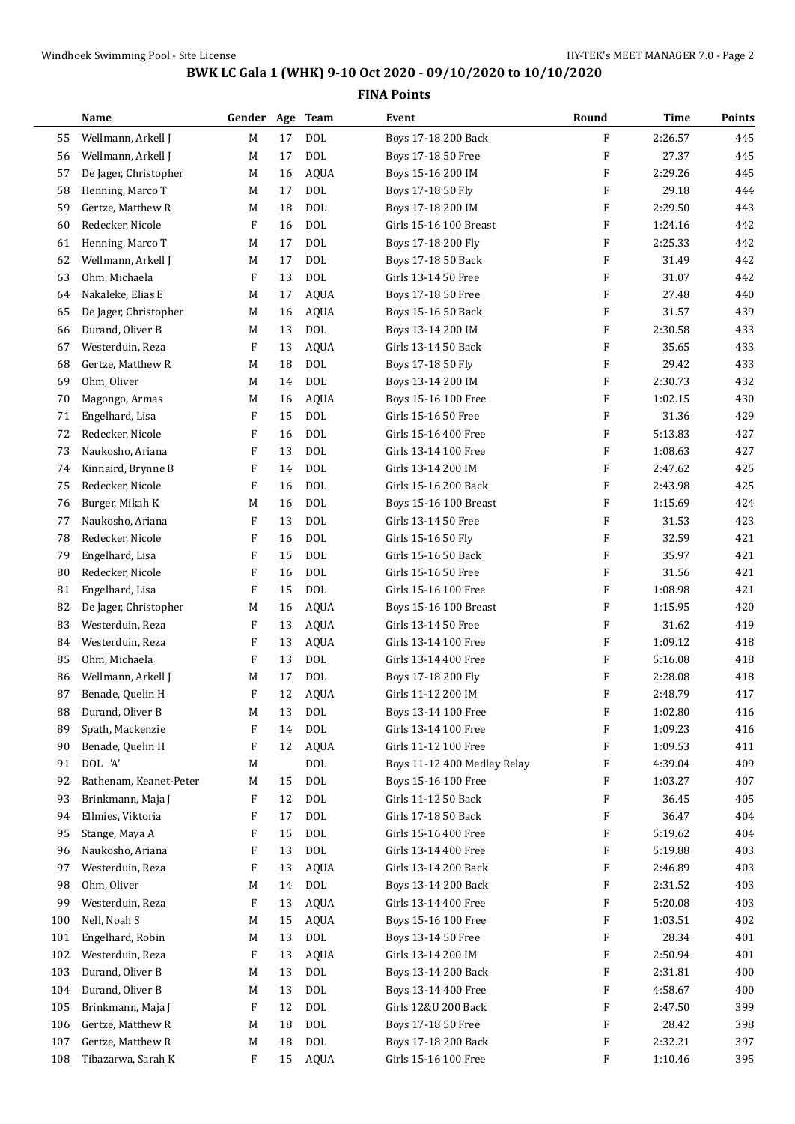$\sim$ 

## **BWK LC Gala 1 (WHK) 9-10 Oct 2020 - 09/10/2020 to 10/10/2020**

|     | Name                   | Gender  | Age | <b>Team</b>  | Event                       | Round                     | <b>Time</b> | Points |
|-----|------------------------|---------|-----|--------------|-----------------------------|---------------------------|-------------|--------|
| 55  | Wellmann, Arkell J     | M       | 17  | <b>DOL</b>   | Boys 17-18 200 Back         | $\boldsymbol{\mathrm{F}}$ | 2:26.57     | 445    |
| 56  | Wellmann, Arkell J     | M       | 17  | <b>DOL</b>   | Boys 17-18 50 Free          | $\boldsymbol{\mathrm{F}}$ | 27.37       | 445    |
| 57  | De Jager, Christopher  | M       | 16  | <b>AQUA</b>  | Boys 15-16 200 IM           | $\boldsymbol{\mathrm{F}}$ | 2:29.26     | 445    |
| 58  | Henning, Marco T       | М       | 17  | DOL          | Boys 17-18 50 Fly           | $\boldsymbol{\mathrm{F}}$ | 29.18       | 444    |
| 59  | Gertze, Matthew R      | М       | 18  | <b>DOL</b>   | Boys 17-18 200 IM           | F                         | 2:29.50     | 443    |
| 60  | Redecker, Nicole       | $\rm F$ | 16  | <b>DOL</b>   | Girls 15-16 100 Breast      | F                         | 1:24.16     | 442    |
| 61  | Henning, Marco T       | М       | 17  | <b>DOL</b>   | Boys 17-18 200 Fly          | F                         | 2:25.33     | 442    |
| 62  | Wellmann, Arkell J     | М       | 17  | <b>DOL</b>   | Boys 17-18 50 Back          | F                         | 31.49       | 442    |
| 63  | Ohm, Michaela          | F       | 13  | $\text{DOL}$ | Girls 13-14 50 Free         | $\boldsymbol{\mathrm{F}}$ | 31.07       | 442    |
| 64  | Nakaleke, Elias E      | М       | 17  | <b>AQUA</b>  | Boys 17-18 50 Free          | F                         | 27.48       | 440    |
| 65  | De Jager, Christopher  | М       | 16  | <b>AQUA</b>  | Boys 15-16 50 Back          | F                         | 31.57       | 439    |
| 66  | Durand, Oliver B       | М       | 13  | DOL          | Boys 13-14 200 IM           | F                         | 2:30.58     | 433    |
| 67  | Westerduin, Reza       | F       | 13  | <b>AQUA</b>  | Girls 13-14 50 Back         | $\boldsymbol{\mathrm{F}}$ | 35.65       | 433    |
| 68  | Gertze, Matthew R      | М       | 18  | <b>DOL</b>   | Boys 17-18 50 Fly           | $\boldsymbol{\mathrm{F}}$ | 29.42       | 433    |
| 69  | Ohm, Oliver            | M       | 14  | <b>DOL</b>   | Boys 13-14 200 IM           | $\boldsymbol{\mathrm{F}}$ | 2:30.73     | 432    |
| 70  | Magongo, Armas         | М       | 16  | <b>AQUA</b>  | Boys 15-16 100 Free         | $\boldsymbol{\mathrm{F}}$ | 1:02.15     | 430    |
| 71  | Engelhard, Lisa        | F       | 15  | $\rm DOL$    | Girls 15-16 50 Free         | F                         | 31.36       | 429    |
| 72  | Redecker, Nicole       | F       | 16  | <b>DOL</b>   | Girls 15-16 400 Free        | F                         | 5:13.83     | 427    |
| 73  | Naukosho, Ariana       | F       | 13  | <b>DOL</b>   | Girls 13-14 100 Free        | $\boldsymbol{\mathrm{F}}$ | 1:08.63     | 427    |
| 74  | Kinnaird, Brynne B     | F       | 14  | <b>DOL</b>   | Girls 13-14 200 IM          | $\boldsymbol{\mathrm{F}}$ | 2:47.62     | 425    |
| 75  | Redecker, Nicole       | F       | 16  | $\text{DOL}$ | Girls 15-16 200 Back        | $\boldsymbol{\mathrm{F}}$ | 2:43.98     | 425    |
| 76  | Burger, Mikah K        | М       | 16  | <b>DOL</b>   | Boys 15-16 100 Breast       | F                         | 1:15.69     | 424    |
| 77  | Naukosho, Ariana       | F       | 13  | $\rm DOL$    | Girls 13-14 50 Free         | F                         | 31.53       | 423    |
| 78  | Redecker, Nicole       | F       | 16  | <b>DOL</b>   | Girls 15-16 50 Fly          | F                         | 32.59       | 421    |
| 79  | Engelhard, Lisa        | F       | 15  | <b>DOL</b>   | Girls 15-16 50 Back         | $\boldsymbol{\mathrm{F}}$ | 35.97       | 421    |
| 80  | Redecker, Nicole       | F       | 16  | <b>DOL</b>   | Girls 15-16 50 Free         | $\boldsymbol{\mathrm{F}}$ | 31.56       | 421    |
| 81  | Engelhard, Lisa        | F       | 15  | <b>DOL</b>   | Girls 15-16 100 Free        | $\boldsymbol{\mathrm{F}}$ | 1:08.98     | 421    |
| 82  | De Jager, Christopher  | М       | 16  | <b>AQUA</b>  | Boys 15-16 100 Breast       | F                         | 1:15.95     | 420    |
| 83  | Westerduin, Reza       | F       | 13  | <b>AQUA</b>  | Girls 13-14 50 Free         | F                         | 31.62       | 419    |
| 84  | Westerduin, Reza       | F       | 13  | <b>AQUA</b>  | Girls 13-14 100 Free        | F                         | 1:09.12     | 418    |
| 85  | Ohm, Michaela          | F       | 13  | <b>DOL</b>   | Girls 13-14 400 Free        | F                         | 5:16.08     | 418    |
| 86  | Wellmann, Arkell J     | М       | 17  | $\text{DOL}$ | Boys 17-18 200 Fly          | F                         | 2:28.08     | 418    |
| 87  | Benade, Quelin H       | F       | 12  | <b>AQUA</b>  | Girls 11-12 200 IM          | F                         | 2:48.79     | 417    |
| 88  | Durand, Oliver B       | M       | 13  | <b>DOL</b>   | Boys 13-14 100 Free         | F                         | 1:02.80     | 416    |
| 89  | Spath, Mackenzie       | F       | 14  | DOL          | Girls 13-14 100 Free        | F                         | 1:09.23     | 416    |
| 90  | Benade, Quelin H       | F       | 12  | <b>AQUA</b>  | Girls 11-12 100 Free        | F                         | 1:09.53     | 411    |
| 91  | DOL 'A'                | M       |     | DOL          | Boys 11-12 400 Medley Relay | F                         | 4:39.04     | 409    |
| 92  | Rathenam, Keanet-Peter | M       | 15  | DOL          | Boys 15-16 100 Free         | F                         | 1:03.27     | 407    |
| 93  | Brinkmann, Maja J      | F       | 12  | DOL          | Girls 11-12 50 Back         | F                         | 36.45       | 405    |
| 94  | Ellmies, Viktoria      | F       | 17  | DOL          | Girls 17-18 50 Back         | F                         | 36.47       | 404    |
| 95  | Stange, Maya A         | F       | 15  | DOL          | Girls 15-16 400 Free        | F                         | 5:19.62     | 404    |
| 96  | Naukosho, Ariana       | F       | 13  | $\rm DOL$    | Girls 13-14 400 Free        | F                         | 5:19.88     | 403    |
| 97  | Westerduin, Reza       | F       | 13  | <b>AQUA</b>  | Girls 13-14 200 Back        | F                         | 2:46.89     | 403    |
| 98  | Ohm, Oliver            | M       | 14  | $\rm DOL$    | Boys 13-14 200 Back         | F                         | 2:31.52     | 403    |
| 99  | Westerduin, Reza       | F       | 13  | <b>AQUA</b>  | Girls 13-14 400 Free        | F                         | 5:20.08     | 403    |
| 100 | Nell, Noah S           | M       | 15  | AQUA         | Boys 15-16 100 Free         | F                         | 1:03.51     | 402    |
| 101 | Engelhard, Robin       | M       | 13  | $\rm DOL$    | Boys 13-14 50 Free          | F                         | 28.34       | 401    |
| 102 | Westerduin, Reza       | F       | 13  | <b>AQUA</b>  | Girls 13-14 200 IM          | F                         | 2:50.94     | 401    |
| 103 | Durand, Oliver B       | M       | 13  | DOL          | Boys 13-14 200 Back         | F                         | 2:31.81     | 400    |
| 104 | Durand, Oliver B       | M       | 13  | DOL          | Boys 13-14 400 Free         | F                         | 4:58.67     | 400    |
| 105 | Brinkmann, Maja J      | F       | 12  | DOL          | Girls 12&U 200 Back         | F                         | 2:47.50     | 399    |
| 106 | Gertze, Matthew R      | M       | 18  | DOL          | Boys 17-18 50 Free          | F                         | 28.42       | 398    |
| 107 | Gertze, Matthew R      | M       | 18  | DOL          | Boys 17-18 200 Back         | F                         | 2:32.21     | 397    |
| 108 | Tibazarwa, Sarah K     | F       | 15  | AQUA         | Girls 15-16 100 Free        | F                         | 1:10.46     | 395    |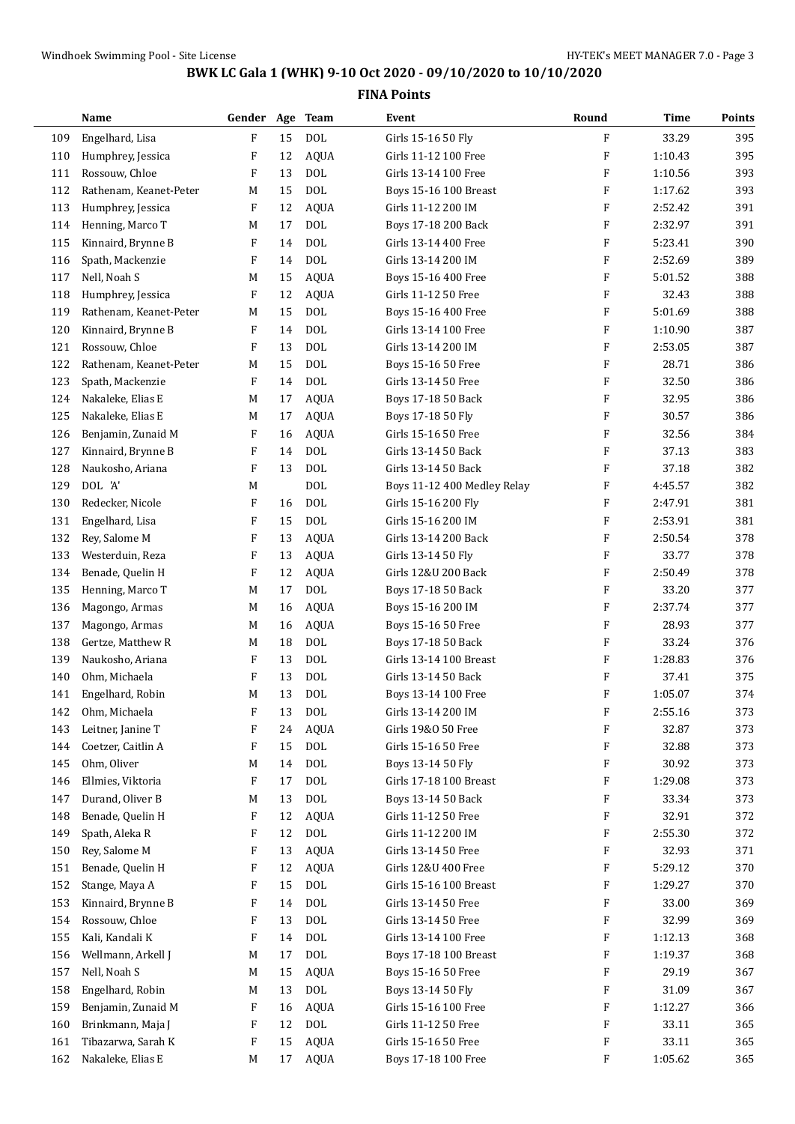|     | Name                   | Gender Age |    | <b>Team</b>  | Event                       | Round                     | <b>Time</b> | Points |
|-----|------------------------|------------|----|--------------|-----------------------------|---------------------------|-------------|--------|
| 109 | Engelhard, Lisa        | $\rm F$    | 15 | <b>DOL</b>   | Girls 15-16 50 Fly          | F                         | 33.29       | 395    |
| 110 | Humphrey, Jessica      | F          | 12 | <b>AQUA</b>  | Girls 11-12 100 Free        | F                         | 1:10.43     | 395    |
| 111 | Rossouw, Chloe         | F          | 13 | <b>DOL</b>   | Girls 13-14 100 Free        | F                         | 1:10.56     | 393    |
| 112 | Rathenam, Keanet-Peter | M          | 15 | <b>DOL</b>   | Boys 15-16 100 Breast       | $\boldsymbol{\mathrm{F}}$ | 1:17.62     | 393    |
| 113 | Humphrey, Jessica      | F          | 12 | <b>AQUA</b>  | Girls 11-12 200 IM          | F                         | 2:52.42     | 391    |
| 114 | Henning, Marco T       | M          | 17 | <b>DOL</b>   | Boys 17-18 200 Back         | F                         | 2:32.97     | 391    |
| 115 | Kinnaird, Brynne B     | F          | 14 | <b>DOL</b>   | Girls 13-14 400 Free        | F                         | 5:23.41     | 390    |
| 116 | Spath, Mackenzie       | F          | 14 | <b>DOL</b>   | Girls 13-14 200 IM          | F                         | 2:52.69     | 389    |
| 117 | Nell, Noah S           | M          | 15 | <b>AQUA</b>  | Boys 15-16 400 Free         | F                         | 5:01.52     | 388    |
| 118 | Humphrey, Jessica      | F          | 12 | <b>AQUA</b>  | Girls 11-12 50 Free         | F                         | 32.43       | 388    |
| 119 | Rathenam, Keanet-Peter | M          | 15 | <b>DOL</b>   | Boys 15-16 400 Free         | F                         | 5:01.69     | 388    |
| 120 | Kinnaird, Brynne B     | F          | 14 | <b>DOL</b>   | Girls 13-14 100 Free        | F                         | 1:10.90     | 387    |
| 121 | Rossouw, Chloe         | F          | 13 | <b>DOL</b>   | Girls 13-14 200 IM          | F                         | 2:53.05     | 387    |
| 122 | Rathenam, Keanet-Peter | M          | 15 | <b>DOL</b>   | Boys 15-16 50 Free          | F                         | 28.71       | 386    |
| 123 | Spath, Mackenzie       | F          | 14 | <b>DOL</b>   | Girls 13-14 50 Free         | F                         | 32.50       | 386    |
| 124 | Nakaleke, Elias E      | M          | 17 | <b>AQUA</b>  | Boys 17-18 50 Back          | F                         | 32.95       | 386    |
| 125 | Nakaleke, Elias E      | M          | 17 | <b>AQUA</b>  | Boys 17-18 50 Fly           | F                         | 30.57       | 386    |
| 126 | Benjamin, Zunaid M     | F          | 16 | <b>AQUA</b>  | Girls 15-16 50 Free         | F                         | 32.56       | 384    |
| 127 | Kinnaird, Brynne B     | F          | 14 | <b>DOL</b>   | Girls 13-14 50 Back         | F                         | 37.13       | 383    |
| 128 | Naukosho, Ariana       | F          | 13 | <b>DOL</b>   | Girls 13-14 50 Back         | F                         | 37.18       | 382    |
| 129 | DOL 'A'                | M          |    | <b>DOL</b>   | Boys 11-12 400 Medley Relay | F                         | 4:45.57     | 382    |
| 130 | Redecker, Nicole       | F          | 16 | <b>DOL</b>   | Girls 15-16 200 Fly         | F                         | 2:47.91     | 381    |
| 131 | Engelhard, Lisa        | F          | 15 | <b>DOL</b>   | Girls 15-16 200 IM          | F                         | 2:53.91     | 381    |
| 132 | Rey, Salome M          | F          | 13 | <b>AQUA</b>  | Girls 13-14 200 Back        | F                         | 2:50.54     | 378    |
| 133 | Westerduin, Reza       | F          | 13 | <b>AQUA</b>  | Girls 13-14 50 Fly          | F                         | 33.77       | 378    |
| 134 | Benade, Quelin H       | F          | 12 | <b>AQUA</b>  | Girls 12&U 200 Back         | F                         | 2:50.49     | 378    |
| 135 | Henning, Marco T       | M          | 17 | <b>DOL</b>   | Boys 17-18 50 Back          | F                         | 33.20       | 377    |
| 136 | Magongo, Armas         | M          | 16 | <b>AQUA</b>  | Boys 15-16 200 IM           | F                         | 2:37.74     | 377    |
| 137 | Magongo, Armas         | M          | 16 | <b>AQUA</b>  | Boys 15-16 50 Free          | F                         | 28.93       | 377    |
| 138 | Gertze, Matthew R      | M          | 18 | <b>DOL</b>   | Boys 17-18 50 Back          | F                         | 33.24       | 376    |
| 139 | Naukosho, Ariana       | F          | 13 | <b>DOL</b>   | Girls 13-14 100 Breast      | F                         | 1:28.83     | 376    |
| 140 | Ohm, Michaela          | F          | 13 | <b>DOL</b>   | Girls 13-14 50 Back         | F                         | 37.41       | 375    |
| 141 | Engelhard, Robin       | M          | 13 | <b>DOL</b>   | Boys 13-14 100 Free         | F                         | 1:05.07     | 374    |
| 142 | Ohm, Michaela          | F          | 13 | $\rm DOL$    | Girls 13-14 200 IM          | F                         | 2:55.16     | 373    |
| 143 | Leitner, Janine T      | F          | 24 | <b>AQUA</b>  | Girls 19&0 50 Free          | F                         | 32.87       | 373    |
| 144 | Coetzer, Caitlin A     | F          | 15 | <b>DOL</b>   | Girls 15-16 50 Free         | F                         | 32.88       | 373    |
| 145 | Ohm, Oliver            | M          | 14 | <b>DOL</b>   | Boys 13-14 50 Fly           | F                         | 30.92       | 373    |
| 146 | Ellmies, Viktoria      | F          | 17 | <b>DOL</b>   | Girls 17-18 100 Breast      | F                         | 1:29.08     | 373    |
| 147 | Durand, Oliver B       | M          | 13 | $\text{DOL}$ | Boys 13-14 50 Back          | F                         | 33.34       | 373    |
| 148 | Benade, Quelin H       | F          | 12 | AQUA         | Girls 11-12 50 Free         | F                         | 32.91       | 372    |
| 149 | Spath, Aleka R         | F          | 12 | DOL          | Girls 11-12 200 IM          | F                         | 2:55.30     | 372    |
| 150 | Rey, Salome M          | F          | 13 | <b>AQUA</b>  | Girls 13-14 50 Free         | F                         | 32.93       | 371    |
| 151 | Benade, Quelin H       | F          | 12 | <b>AQUA</b>  | Girls 12&U 400 Free         | F                         | 5:29.12     | 370    |
| 152 | Stange, Maya A         | F          | 15 | DOL          | Girls 15-16 100 Breast      | F                         | 1:29.27     | 370    |
| 153 | Kinnaird, Brynne B     | F          | 14 | <b>DOL</b>   | Girls 13-14 50 Free         | F                         | 33.00       | 369    |
| 154 | Rossouw, Chloe         | F          | 13 | <b>DOL</b>   | Girls 13-14 50 Free         | F                         | 32.99       | 369    |
| 155 | Kali, Kandali K        | F          | 14 | $\text{DOL}$ | Girls 13-14 100 Free        | F                         | 1:12.13     | 368    |
| 156 | Wellmann, Arkell J     | M          | 17 | $\rm DOL$    | Boys 17-18 100 Breast       | F                         | 1:19.37     | 368    |
| 157 | Nell, Noah S           | M          | 15 | <b>AQUA</b>  | Boys 15-16 50 Free          | F                         | 29.19       | 367    |
| 158 | Engelhard, Robin       | M          | 13 | <b>DOL</b>   | Boys 13-14 50 Fly           | F                         | 31.09       | 367    |
| 159 | Benjamin, Zunaid M     | F          | 16 | <b>AQUA</b>  | Girls 15-16 100 Free        | F                         | 1:12.27     | 366    |
| 160 | Brinkmann, Maja J      | F          | 12 | $\rm DOL$    | Girls 11-12 50 Free         | F                         | 33.11       | 365    |
| 161 | Tibazarwa, Sarah K     | F          | 15 | <b>AQUA</b>  | Girls 15-16 50 Free         | F                         | 33.11       | 365    |
| 162 | Nakaleke, Elias E      | M          | 17 | AQUA         | Boys 17-18 100 Free         | F                         | 1:05.62     | 365    |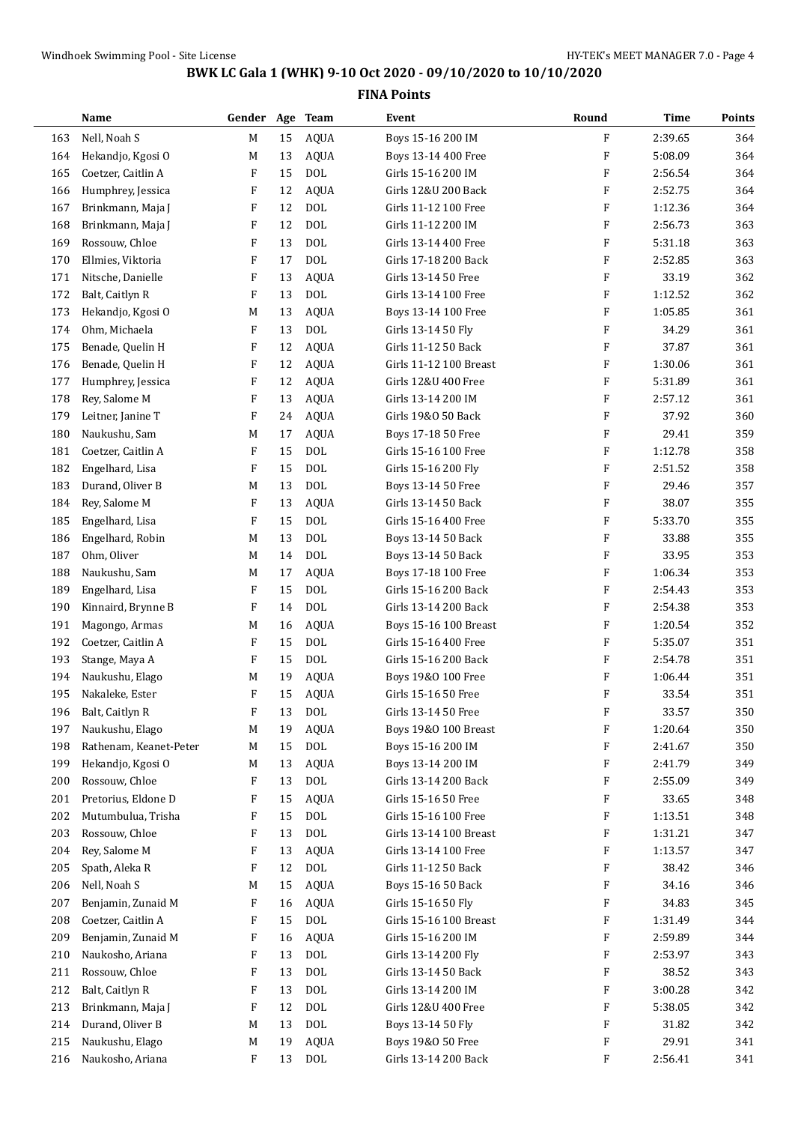|     | Name                   | Gender Age Team |    |              | Event                  | Round                     | <b>Time</b> | <b>Points</b> |
|-----|------------------------|-----------------|----|--------------|------------------------|---------------------------|-------------|---------------|
| 163 | Nell, Noah S           | M               | 15 | <b>AQUA</b>  | Boys 15-16 200 IM      | F                         | 2:39.65     | 364           |
| 164 | Hekandjo, Kgosi O      | M               | 13 | <b>AQUA</b>  | Boys 13-14 400 Free    | F                         | 5:08.09     | 364           |
| 165 | Coetzer, Caitlin A     | F               | 15 | <b>DOL</b>   | Girls 15-16 200 IM     | $\boldsymbol{\mathrm{F}}$ | 2:56.54     | 364           |
| 166 | Humphrey, Jessica      | F               | 12 | <b>AQUA</b>  | Girls 12&U 200 Back    | F                         | 2:52.75     | 364           |
| 167 | Brinkmann, Maja J      | F               | 12 | <b>DOL</b>   | Girls 11-12 100 Free   | F                         | 1:12.36     | 364           |
| 168 | Brinkmann, Maja J      | F               | 12 | <b>DOL</b>   | Girls 11-12 200 IM     | F                         | 2:56.73     | 363           |
| 169 | Rossouw, Chloe         | F               | 13 | <b>DOL</b>   | Girls 13-14 400 Free   | F                         | 5:31.18     | 363           |
| 170 | Ellmies, Viktoria      | F               | 17 | <b>DOL</b>   | Girls 17-18 200 Back   | F                         | 2:52.85     | 363           |
| 171 | Nitsche, Danielle      | F               | 13 | <b>AQUA</b>  | Girls 13-14 50 Free    | F                         | 33.19       | 362           |
| 172 | Balt, Caitlyn R        | F               | 13 | <b>DOL</b>   | Girls 13-14 100 Free   | F                         | 1:12.52     | 362           |
| 173 | Hekandjo, Kgosi O      | М               | 13 | <b>AQUA</b>  | Boys 13-14 100 Free    | F                         | 1:05.85     | 361           |
| 174 | Ohm, Michaela          | F               | 13 | <b>DOL</b>   | Girls 13-14 50 Fly     | F                         | 34.29       | 361           |
| 175 | Benade, Quelin H       | F               | 12 | <b>AQUA</b>  | Girls 11-12 50 Back    | ${\bf F}$                 | 37.87       | 361           |
| 176 | Benade, Quelin H       | F               | 12 | <b>AQUA</b>  | Girls 11-12 100 Breast | $\boldsymbol{\mathrm{F}}$ | 1:30.06     | 361           |
| 177 | Humphrey, Jessica      | F               | 12 | <b>AQUA</b>  | Girls 12&U 400 Free    | $\boldsymbol{\mathrm{F}}$ | 5:31.89     | 361           |
| 178 | Rey, Salome M          | F               | 13 | <b>AQUA</b>  | Girls 13-14 200 IM     | F                         | 2:57.12     | 361           |
| 179 | Leitner, Janine T      | F               | 24 | <b>AQUA</b>  | Girls 19&0 50 Back     | F                         | 37.92       | 360           |
| 180 | Naukushu, Sam          | M               | 17 | <b>AQUA</b>  | Boys 17-18 50 Free     | F                         | 29.41       | 359           |
| 181 | Coetzer, Caitlin A     | F               | 15 | <b>DOL</b>   | Girls 15-16 100 Free   | F                         | 1:12.78     | 358           |
| 182 | Engelhard, Lisa        | F               | 15 | <b>DOL</b>   | Girls 15-16 200 Fly    | $\boldsymbol{\mathrm{F}}$ | 2:51.52     | 358           |
| 183 | Durand, Oliver B       | M               | 13 | <b>DOL</b>   | Boys 13-14 50 Free     | F                         | 29.46       | 357           |
| 184 | Rey, Salome M          | F               | 13 | <b>AQUA</b>  | Girls 13-14 50 Back    | F                         | 38.07       | 355           |
| 185 | Engelhard, Lisa        | F               | 15 | <b>DOL</b>   | Girls 15-16 400 Free   | F                         | 5:33.70     | 355           |
| 186 | Engelhard, Robin       | M               | 13 | <b>DOL</b>   | Boys 13-14 50 Back     | F                         | 33.88       | 355           |
| 187 | Ohm, Oliver            | M               | 14 | <b>DOL</b>   | Boys 13-14 50 Back     | F                         | 33.95       | 353           |
| 188 | Naukushu, Sam          | M               | 17 | <b>AQUA</b>  | Boys 17-18 100 Free    | $\boldsymbol{\mathrm{F}}$ | 1:06.34     | 353           |
| 189 | Engelhard, Lisa        | F               | 15 | <b>DOL</b>   | Girls 15-16 200 Back   | F                         | 2:54.43     | 353           |
| 190 | Kinnaird, Brynne B     | F               | 14 | <b>DOL</b>   | Girls 13-14 200 Back   | F                         | 2:54.38     | 353           |
| 191 | Magongo, Armas         | M               | 16 | <b>AQUA</b>  | Boys 15-16 100 Breast  | $\boldsymbol{\mathrm{F}}$ | 1:20.54     | 352           |
| 192 | Coetzer, Caitlin A     | F               | 15 | <b>DOL</b>   | Girls 15-16 400 Free   | F                         | 5:35.07     | 351           |
| 193 | Stange, Maya A         | F               | 15 | <b>DOL</b>   | Girls 15-16 200 Back   | F                         | 2:54.78     | 351           |
| 194 | Naukushu, Elago        | M               | 19 | <b>AQUA</b>  | Boys 19&0 100 Free     | $\boldsymbol{\mathrm{F}}$ | 1:06.44     | 351           |
| 195 | Nakaleke, Ester        | F               | 15 | <b>AQUA</b>  | Girls 15-16 50 Free    | F                         | 33.54       | 351           |
| 196 | Balt, Caitlyn R        | F               | 13 | $\rm DOL$    | Girls 13-14 50 Free    | F                         | 33.57       | 350           |
| 197 | Naukushu, Elago        | M               | 19 | <b>AQUA</b>  | Boys 19&0 100 Breast   | F                         | 1:20.64     | 350           |
| 198 | Rathenam, Keanet-Peter | M               | 15 | $\text{DOL}$ | Boys 15-16 200 IM      | F                         | 2:41.67     | 350           |
| 199 | Hekandjo, Kgosi O      | M               | 13 | <b>AQUA</b>  | Boys 13-14 200 IM      | F                         | 2:41.79     | 349           |
| 200 | Rossouw, Chloe         | F               | 13 | $\rm DOL$    | Girls 13-14 200 Back   | F                         | 2:55.09     | 349           |
| 201 | Pretorius, Eldone D    | F               | 15 | <b>AQUA</b>  | Girls 15-16 50 Free    | F                         | 33.65       | 348           |
| 202 | Mutumbulua, Trisha     | F               | 15 | $\rm DOL$    | Girls 15-16 100 Free   | F                         | 1:13.51     | 348           |
| 203 | Rossouw, Chloe         | F               | 13 | $\rm DOL$    | Girls 13-14 100 Breast | F                         | 1:31.21     | 347           |
| 204 | Rey, Salome M          | F               | 13 | <b>AQUA</b>  | Girls 13-14 100 Free   | F                         | 1:13.57     | 347           |
| 205 | Spath, Aleka R         | F               | 12 | $\rm DOL$    | Girls 11-12 50 Back    | F                         | 38.42       | 346           |
| 206 | Nell, Noah S           | M               | 15 | <b>AQUA</b>  | Boys 15-16 50 Back     | F                         | 34.16       | 346           |
| 207 | Benjamin, Zunaid M     | F               | 16 | <b>AQUA</b>  | Girls 15-16 50 Fly     | F                         | 34.83       | 345           |
| 208 | Coetzer, Caitlin A     | F               | 15 | $\rm DOL$    | Girls 15-16 100 Breast | F                         | 1:31.49     | 344           |
| 209 | Benjamin, Zunaid M     | F               | 16 | <b>AQUA</b>  | Girls 15-16 200 IM     | F                         | 2:59.89     | 344           |
| 210 | Naukosho, Ariana       | F               | 13 | <b>DOL</b>   | Girls 13-14 200 Fly    | F                         | 2:53.97     | 343           |
| 211 | Rossouw, Chloe         | F               | 13 | <b>DOL</b>   | Girls 13-14 50 Back    | F                         | 38.52       | 343           |
| 212 | Balt, Caitlyn R        | F               | 13 | <b>DOL</b>   | Girls 13-14 200 IM     | F                         | 3:00.28     | 342           |
| 213 | Brinkmann, Maja J      | F               | 12 | $\text{DOL}$ | Girls 12&U 400 Free    | F                         | 5:38.05     | 342           |
| 214 | Durand, Oliver B       | M               | 13 | $\rm DOL$    | Boys 13-14 50 Fly      | F                         | 31.82       | 342           |
| 215 | Naukushu, Elago        | M               | 19 | <b>AQUA</b>  | Boys 19&0 50 Free      | F                         | 29.91       | 341           |
| 216 | Naukosho, Ariana       | F               | 13 | $\rm DOL$    | Girls 13-14 200 Back   | F                         | 2:56.41     | 341           |
|     |                        |                 |    |              |                        |                           |             |               |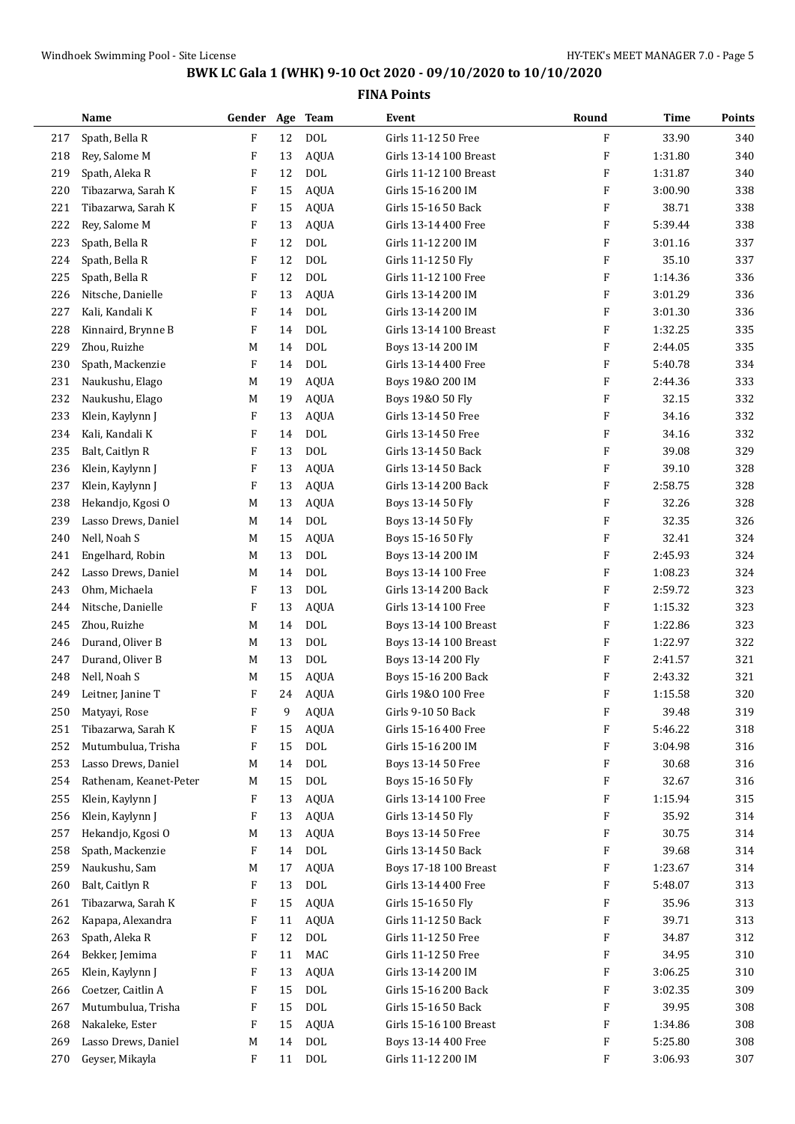|     | Name                   | Gender Age Team |    |              | Event                  | Round                     | Time    | Points |
|-----|------------------------|-----------------|----|--------------|------------------------|---------------------------|---------|--------|
| 217 | Spath, Bella R         | F               | 12 | <b>DOL</b>   | Girls 11-12 50 Free    | F                         | 33.90   | 340    |
| 218 | Rey, Salome M          | F               | 13 | <b>AQUA</b>  | Girls 13-14 100 Breast | $\boldsymbol{\mathrm{F}}$ | 1:31.80 | 340    |
| 219 | Spath, Aleka R         | F               | 12 | <b>DOL</b>   | Girls 11-12 100 Breast | $\boldsymbol{\mathrm{F}}$ | 1:31.87 | 340    |
| 220 | Tibazarwa, Sarah K     | F               | 15 | <b>AQUA</b>  | Girls 15-16 200 IM     | F                         | 3:00.90 | 338    |
| 221 | Tibazarwa, Sarah K     | F               | 15 | <b>AQUA</b>  | Girls 15-16 50 Back    | $\boldsymbol{\mathrm{F}}$ | 38.71   | 338    |
| 222 | Rey, Salome M          | F               | 13 | <b>AQUA</b>  | Girls 13-14 400 Free   | $\boldsymbol{\mathrm{F}}$ | 5:39.44 | 338    |
| 223 | Spath, Bella R         | F               | 12 | <b>DOL</b>   | Girls 11-12 200 IM     | $\boldsymbol{\mathrm{F}}$ | 3:01.16 | 337    |
| 224 | Spath, Bella R         | F               | 12 | <b>DOL</b>   | Girls 11-12 50 Fly     | $\boldsymbol{\mathrm{F}}$ | 35.10   | 337    |
| 225 | Spath, Bella R         | F               | 12 | <b>DOL</b>   | Girls 11-12 100 Free   | $\boldsymbol{\mathrm{F}}$ | 1:14.36 | 336    |
| 226 | Nitsche, Danielle      | F               | 13 | <b>AQUA</b>  | Girls 13-14 200 IM     | F                         | 3:01.29 | 336    |
| 227 | Kali, Kandali K        | F               | 14 | <b>DOL</b>   | Girls 13-14 200 IM     | F                         | 3:01.30 | 336    |
| 228 | Kinnaird, Brynne B     | F               | 14 | <b>DOL</b>   | Girls 13-14 100 Breast | $\boldsymbol{\mathrm{F}}$ | 1:32.25 | 335    |
| 229 | Zhou, Ruizhe           | M               | 14 | <b>DOL</b>   | Boys 13-14 200 IM      | $\boldsymbol{\mathrm{F}}$ | 2:44.05 | 335    |
| 230 | Spath, Mackenzie       | F               | 14 | <b>DOL</b>   | Girls 13-14 400 Free   | $\boldsymbol{\mathrm{F}}$ | 5:40.78 | 334    |
| 231 | Naukushu, Elago        | M               | 19 | <b>AQUA</b>  | Boys 19&0 200 IM       | $\boldsymbol{\mathrm{F}}$ | 2:44.36 | 333    |
| 232 | Naukushu, Elago        | M               | 19 | <b>AQUA</b>  | Boys 19&0 50 Fly       | F                         | 32.15   | 332    |
| 233 | Klein, Kaylynn J       | F               | 13 | <b>AQUA</b>  | Girls 13-14 50 Free    | F                         | 34.16   | 332    |
| 234 | Kali, Kandali K        | F               | 14 | <b>DOL</b>   | Girls 13-14 50 Free    | $\boldsymbol{\mathrm{F}}$ | 34.16   | 332    |
| 235 | Balt, Caitlyn R        | F               | 13 | <b>DOL</b>   | Girls 13-14 50 Back    | $\boldsymbol{\mathrm{F}}$ | 39.08   | 329    |
| 236 | Klein, Kaylynn J       | F               | 13 | <b>AQUA</b>  | Girls 13-14 50 Back    | $\boldsymbol{\mathrm{F}}$ | 39.10   | 328    |
| 237 | Klein, Kaylynn J       | F               | 13 | <b>AQUA</b>  | Girls 13-14 200 Back   | $\boldsymbol{\mathrm{F}}$ | 2:58.75 | 328    |
| 238 | Hekandjo, Kgosi O      | M               | 13 | <b>AQUA</b>  | Boys 13-14 50 Fly      | F                         | 32.26   | 328    |
| 239 | Lasso Drews, Daniel    | M               | 14 | <b>DOL</b>   | Boys 13-14 50 Fly      | F                         | 32.35   | 326    |
| 240 | Nell, Noah S           | M               | 15 | <b>AQUA</b>  | Boys 15-16 50 Fly      | $\boldsymbol{\mathrm{F}}$ | 32.41   | 324    |
| 241 | Engelhard, Robin       | M               | 13 | <b>DOL</b>   | Boys 13-14 200 IM      | $\boldsymbol{\mathrm{F}}$ | 2:45.93 | 324    |
| 242 | Lasso Drews, Daniel    | M               | 14 | <b>DOL</b>   | Boys 13-14 100 Free    | $\boldsymbol{\mathrm{F}}$ | 1:08.23 | 324    |
| 243 | Ohm, Michaela          | F               | 13 | <b>DOL</b>   | Girls 13-14 200 Back   | $\boldsymbol{\mathrm{F}}$ | 2:59.72 | 323    |
| 244 | Nitsche, Danielle      | F               | 13 | <b>AQUA</b>  | Girls 13-14 100 Free   | F                         | 1:15.32 | 323    |
| 245 | Zhou, Ruizhe           | M               | 14 | <b>DOL</b>   | Boys 13-14 100 Breast  | F                         | 1:22.86 | 323    |
| 246 | Durand, Oliver B       | M               | 13 | <b>DOL</b>   | Boys 13-14 100 Breast  | F                         | 1:22.97 | 322    |
| 247 | Durand, Oliver B       | M               | 13 | <b>DOL</b>   | Boys 13-14 200 Fly     | $\boldsymbol{\mathrm{F}}$ | 2:41.57 | 321    |
| 248 | Nell, Noah S           | M               | 15 | <b>AQUA</b>  | Boys 15-16 200 Back    | F                         | 2:43.32 | 321    |
| 249 | Leitner, Janine T      | F               | 24 | AQUA         | Girls 19&0 100 Free    | F                         | 1:15.58 | 320    |
| 250 | Matyayi, Rose          | F               | 9  | AQUA         | Girls 9-10 50 Back     | F                         | 39.48   | 319    |
| 251 | Tibazarwa, Sarah K     | F               | 15 | AQUA         | Girls 15-16 400 Free   | F                         | 5:46.22 | 318    |
| 252 | Mutumbulua, Trisha     | F               | 15 | <b>DOL</b>   | Girls 15-16 200 IM     | F                         | 3:04.98 | 316    |
| 253 | Lasso Drews, Daniel    | M               | 14 | <b>DOL</b>   | Boys 13-14 50 Free     | F                         | 30.68   | 316    |
| 254 | Rathenam, Keanet-Peter | M               | 15 | $\text{DOL}$ | Boys 15-16 50 Fly      | F                         | 32.67   | 316    |
| 255 | Klein, Kaylynn J       | F               | 13 | AQUA         | Girls 13-14 100 Free   | F                         | 1:15.94 | 315    |
| 256 | Klein, Kaylynn J       | F               | 13 | <b>AQUA</b>  | Girls 13-14 50 Fly     | F                         | 35.92   | 314    |
| 257 | Hekandjo, Kgosi O      | M               | 13 | <b>AQUA</b>  | Boys 13-14 50 Free     | F                         | 30.75   | 314    |
| 258 | Spath, Mackenzie       | F               | 14 | $\text{DOL}$ | Girls 13-14 50 Back    | F                         | 39.68   | 314    |
| 259 | Naukushu, Sam          | M               | 17 | AQUA         | Boys 17-18 100 Breast  | F                         | 1:23.67 | 314    |
| 260 | Balt, Caitlyn R        | F               | 13 | $\text{DOL}$ | Girls 13-14 400 Free   | F                         | 5:48.07 | 313    |
| 261 | Tibazarwa, Sarah K     | F               | 15 | <b>AQUA</b>  | Girls 15-16 50 Fly     | F                         | 35.96   | 313    |
| 262 | Kapapa, Alexandra      | F               | 11 | <b>AQUA</b>  | Girls 11-12 50 Back    | F                         | 39.71   | 313    |
| 263 | Spath, Aleka R         | F               | 12 | <b>DOL</b>   | Girls 11-12 50 Free    | F                         | 34.87   | 312    |
| 264 | Bekker, Jemima         | F               | 11 | MAC          | Girls 11-12 50 Free    | F                         | 34.95   | 310    |
| 265 | Klein, Kaylynn J       | F               | 13 | <b>AQUA</b>  | Girls 13-14 200 IM     | F                         | 3:06.25 | 310    |
| 266 | Coetzer, Caitlin A     | F               | 15 | $\text{DOL}$ | Girls 15-16 200 Back   | F                         | 3:02.35 | 309    |
| 267 | Mutumbulua, Trisha     | F               | 15 | $\text{DOL}$ | Girls 15-16 50 Back    | F                         | 39.95   | 308    |
| 268 | Nakaleke, Ester        | F               | 15 | AQUA         | Girls 15-16 100 Breast | F                         | 1:34.86 | 308    |
| 269 | Lasso Drews, Daniel    | M               | 14 | <b>DOL</b>   | Boys 13-14 400 Free    | F                         | 5:25.80 | 308    |
| 270 | Geyser, Mikayla        | F               | 11 | DOL          | Girls 11-12 200 IM     | F                         | 3:06.93 | 307    |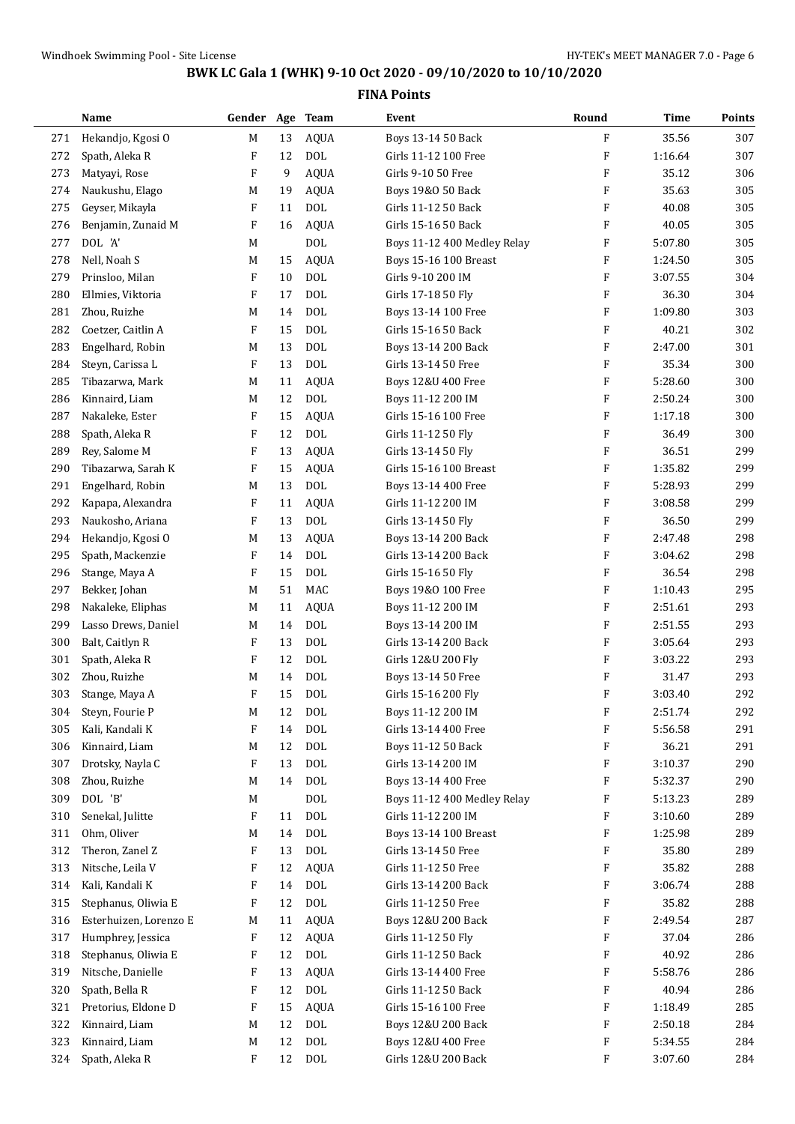|     | Name                   | Gender Age Team |    |             | Event                       | Round                     | <b>Time</b> | Points |
|-----|------------------------|-----------------|----|-------------|-----------------------------|---------------------------|-------------|--------|
| 271 | Hekandjo, Kgosi O      | M               | 13 | <b>AQUA</b> | Boys 13-14 50 Back          | F                         | 35.56       | 307    |
| 272 | Spath, Aleka R         | F               | 12 | <b>DOL</b>  | Girls 11-12 100 Free        | $\boldsymbol{\mathrm{F}}$ | 1:16.64     | 307    |
| 273 | Matyayi, Rose          | F               | 9  | <b>AQUA</b> | Girls 9-10 50 Free          | $\boldsymbol{\mathrm{F}}$ | 35.12       | 306    |
| 274 | Naukushu, Elago        | M               | 19 | <b>AQUA</b> | Boys 19&0 50 Back           | $\boldsymbol{\mathrm{F}}$ | 35.63       | 305    |
| 275 | Geyser, Mikayla        | F               | 11 | <b>DOL</b>  | Girls 11-12 50 Back         | F                         | 40.08       | 305    |
| 276 | Benjamin, Zunaid M     | F               | 16 | <b>AQUA</b> | Girls 15-16 50 Back         | $\boldsymbol{\mathrm{F}}$ | 40.05       | 305    |
| 277 | DOL 'A'                | M               |    | <b>DOL</b>  | Boys 11-12 400 Medley Relay | $\boldsymbol{\mathrm{F}}$ | 5:07.80     | 305    |
| 278 | Nell, Noah S           | M               | 15 | AQUA        | Boys 15-16 100 Breast       | $\boldsymbol{\mathrm{F}}$ | 1:24.50     | 305    |
| 279 | Prinsloo, Milan        | F               | 10 | <b>DOL</b>  | Girls 9-10 200 IM           | F                         | 3:07.55     | 304    |
| 280 | Ellmies, Viktoria      | F               | 17 | <b>DOL</b>  | Girls 17-18 50 Fly          | $\boldsymbol{\mathrm{F}}$ | 36.30       | 304    |
| 281 | Zhou, Ruizhe           | M               | 14 | <b>DOL</b>  | Boys 13-14 100 Free         | F                         | 1:09.80     | 303    |
| 282 | Coetzer, Caitlin A     | F               | 15 | <b>DOL</b>  | Girls 15-16 50 Back         | F                         | 40.21       | 302    |
| 283 | Engelhard, Robin       | M               | 13 | <b>DOL</b>  | Boys 13-14 200 Back         | $\boldsymbol{\mathrm{F}}$ | 2:47.00     | 301    |
| 284 | Steyn, Carissa L       | F               | 13 | <b>DOL</b>  | Girls 13-14 50 Free         | $\boldsymbol{\mathrm{F}}$ | 35.34       | 300    |
| 285 | Tibazarwa, Mark        | M               | 11 | <b>AQUA</b> | Boys 12&U 400 Free          | F                         | 5:28.60     | 300    |
| 286 | Kinnaird, Liam         | M               | 12 | <b>DOL</b>  | Boys 11-12 200 IM           | $\boldsymbol{\mathrm{F}}$ | 2:50.24     | 300    |
| 287 | Nakaleke, Ester        | F               | 15 | <b>AQUA</b> | Girls 15-16 100 Free        | $\boldsymbol{\mathrm{F}}$ | 1:17.18     | 300    |
| 288 | Spath, Aleka R         | F               | 12 | <b>DOL</b>  | Girls 11-12 50 Fly          | $\boldsymbol{\mathrm{F}}$ | 36.49       | 300    |
| 289 | Rey, Salome M          | F               | 13 | <b>AQUA</b> | Girls 13-14 50 Fly          | $\boldsymbol{\mathrm{F}}$ | 36.51       | 299    |
| 290 | Tibazarwa, Sarah K     | F               | 15 | AQUA        | Girls 15-16 100 Breast      | $\boldsymbol{\mathrm{F}}$ | 1:35.82     | 299    |
| 291 | Engelhard, Robin       | M               | 13 | <b>DOL</b>  | Boys 13-14 400 Free         | F                         | 5:28.93     | 299    |
| 292 | Kapapa, Alexandra      | F               | 11 | <b>AQUA</b> | Girls 11-12 200 IM          | $\boldsymbol{\mathrm{F}}$ | 3:08.58     | 299    |
| 293 | Naukosho, Ariana       | F               | 13 | <b>DOL</b>  | Girls 13-14 50 Fly          | $\boldsymbol{\mathrm{F}}$ | 36.50       | 299    |
| 294 | Hekandjo, Kgosi O      | M               | 13 | <b>AQUA</b> | Boys 13-14 200 Back         | $\boldsymbol{\mathrm{F}}$ | 2:47.48     | 298    |
| 295 | Spath, Mackenzie       | F               | 14 | <b>DOL</b>  | Girls 13-14 200 Back        | $\boldsymbol{\mathrm{F}}$ | 3:04.62     | 298    |
| 296 | Stange, Maya A         | F               | 15 | <b>DOL</b>  | Girls 15-16 50 Fly          | $\boldsymbol{\mathrm{F}}$ | 36.54       | 298    |
| 297 | Bekker, Johan          | M               | 51 | MAC         | Boys 19&0 100 Free          | F                         | 1:10.43     | 295    |
| 298 | Nakaleke, Eliphas      | M               | 11 | <b>AQUA</b> | Boys 11-12 200 IM           | $\boldsymbol{\mathrm{F}}$ | 2:51.61     | 293    |
| 299 | Lasso Drews, Daniel    | M               | 14 | <b>DOL</b>  | Boys 13-14 200 IM           | F                         | 2:51.55     | 293    |
| 300 | Balt, Caitlyn R        | F               | 13 | <b>DOL</b>  | Girls 13-14 200 Back        | $\boldsymbol{\mathrm{F}}$ | 3:05.64     | 293    |
| 301 | Spath, Aleka R         | F               | 12 | <b>DOL</b>  | Girls 12&U 200 Fly          | $\boldsymbol{\mathrm{F}}$ | 3:03.22     | 293    |
| 302 | Zhou, Ruizhe           | M               | 14 | <b>DOL</b>  | Boys 13-14 50 Free          | $\boldsymbol{\mathrm{F}}$ | 31.47       | 293    |
| 303 | Stange, Maya A         | F               | 15 | <b>DOL</b>  | Girls 15-16 200 Fly         | $\boldsymbol{\mathrm{F}}$ | 3:03.40     | 292    |
| 304 | Steyn, Fourie P        | M               | 12 | <b>DOL</b>  | Boys 11-12 200 IM           | F                         | 2:51.74     | 292    |
| 305 | Kali, Kandali K        | F               | 14 | <b>DOL</b>  | Girls 13-14 400 Free        | F                         | 5:56.58     | 291    |
| 306 | Kinnaird, Liam         | M               | 12 | <b>DOL</b>  | Boys 11-12 50 Back          | F                         | 36.21       | 291    |
| 307 | Drotsky, Nayla C       | F               | 13 | <b>DOL</b>  | Girls 13-14 200 IM          | F                         | 3:10.37     | 290    |
| 308 | Zhou, Ruizhe           | M               | 14 | DOL         | Boys 13-14 400 Free         | F                         | 5:32.37     | 290    |
| 309 | DOL 'B'                | M               |    | <b>DOL</b>  | Boys 11-12 400 Medley Relay | F                         | 5:13.23     | 289    |
| 310 | Senekal, Julitte       | F               | 11 | <b>DOL</b>  | Girls 11-12 200 IM          | F                         | 3:10.60     | 289    |
| 311 | Ohm, Oliver            | M               | 14 | <b>DOL</b>  | Boys 13-14 100 Breast       | F                         | 1:25.98     | 289    |
| 312 | Theron, Zanel Z        | F               | 13 | <b>DOL</b>  | Girls 13-14 50 Free         | F                         | 35.80       | 289    |
| 313 | Nitsche, Leila V       | F               | 12 | <b>AQUA</b> | Girls 11-12 50 Free         | F                         | 35.82       | 288    |
| 314 | Kali, Kandali K        | F               | 14 | <b>DOL</b>  | Girls 13-14 200 Back        | F                         | 3:06.74     | 288    |
| 315 | Stephanus, Oliwia E    | F               | 12 | <b>DOL</b>  | Girls 11-12 50 Free         | F                         | 35.82       | 288    |
| 316 | Esterhuizen, Lorenzo E | M               | 11 | AQUA        | Boys 12&U 200 Back          | F                         | 2:49.54     | 287    |
| 317 | Humphrey, Jessica      | F               | 12 | <b>AQUA</b> | Girls 11-12 50 Fly          | F                         | 37.04       | 286    |
| 318 | Stephanus, Oliwia E    | F               | 12 | <b>DOL</b>  | Girls 11-12 50 Back         | F                         | 40.92       | 286    |
| 319 | Nitsche, Danielle      | F               | 13 | <b>AQUA</b> | Girls 13-14 400 Free        | F                         | 5:58.76     | 286    |
| 320 | Spath, Bella R         | F               | 12 | <b>DOL</b>  | Girls 11-12 50 Back         | F                         | 40.94       | 286    |
| 321 | Pretorius, Eldone D    | F               | 15 | <b>AQUA</b> | Girls 15-16 100 Free        | F                         | 1:18.49     | 285    |
| 322 | Kinnaird, Liam         | M               | 12 | <b>DOL</b>  | Boys 12&U 200 Back          | F                         | 2:50.18     | 284    |
| 323 | Kinnaird, Liam         | M               | 12 | <b>DOL</b>  | Boys 12&U 400 Free          | F                         | 5:34.55     | 284    |
| 324 | Spath, Aleka R         | F               | 12 | DOL         | Girls 12&U 200 Back         | F                         | 3:07.60     | 284    |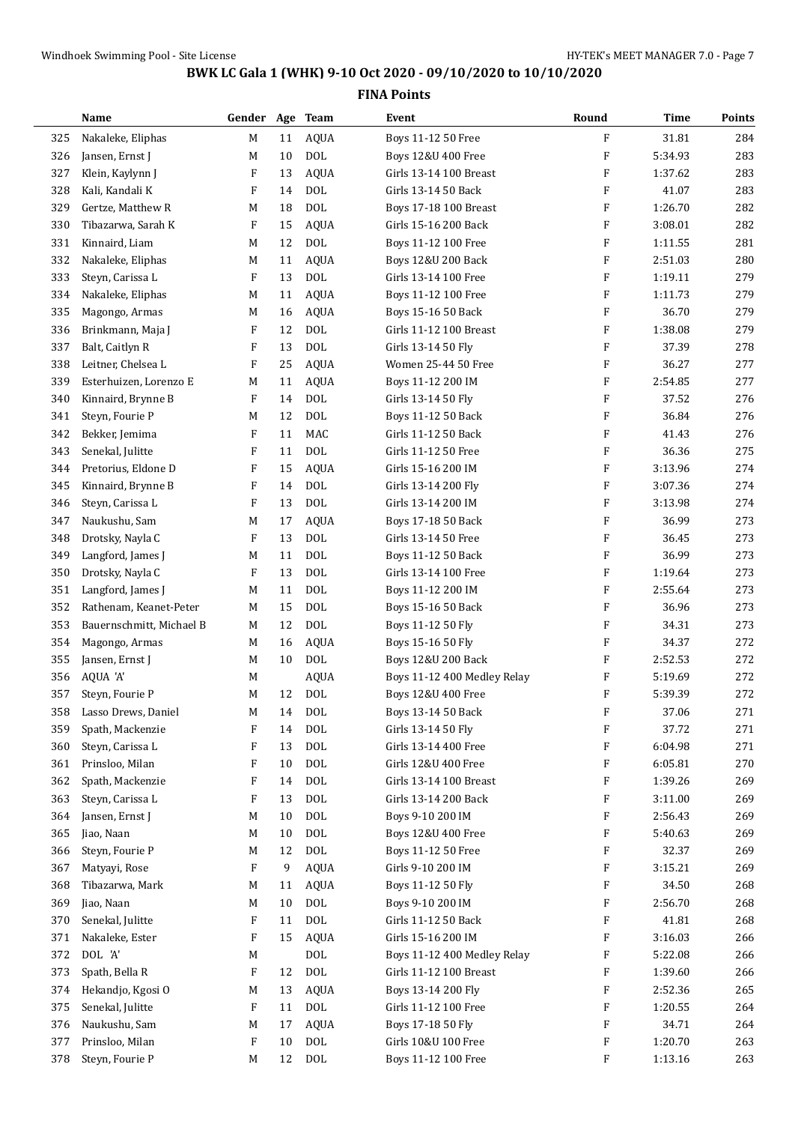|     | Name                     | Gender Age Team |    |             | Event                         | Round                     | Time    | Points |
|-----|--------------------------|-----------------|----|-------------|-------------------------------|---------------------------|---------|--------|
| 325 | Nakaleke, Eliphas        | M               | 11 | <b>AQUA</b> | Boys 11-12 50 Free            | $\mathbf{F}$              | 31.81   | 284    |
| 326 | Jansen, Ernst J          | M               | 10 | <b>DOL</b>  | Boys 12&U 400 Free            | $\boldsymbol{\mathrm{F}}$ | 5:34.93 | 283    |
| 327 | Klein, Kaylynn J         | F               | 13 | <b>AQUA</b> | Girls 13-14 100 Breast        | $\boldsymbol{\mathrm{F}}$ | 1:37.62 | 283    |
| 328 | Kali, Kandali K          | F               | 14 | <b>DOL</b>  | Girls 13-14 50 Back           | $\boldsymbol{\mathrm{F}}$ | 41.07   | 283    |
| 329 | Gertze, Matthew R        | M               | 18 | <b>DOL</b>  | Boys 17-18 100 Breast         | F                         | 1:26.70 | 282    |
| 330 | Tibazarwa, Sarah K       | F               | 15 | <b>AQUA</b> | Girls 15-16 200 Back          | $\boldsymbol{\mathrm{F}}$ | 3:08.01 | 282    |
| 331 | Kinnaird, Liam           | M               | 12 | <b>DOL</b>  | Boys 11-12 100 Free           | $\boldsymbol{\mathrm{F}}$ | 1:11.55 | 281    |
| 332 | Nakaleke, Eliphas        | M               | 11 | <b>AQUA</b> | <b>Boys 12&amp;U 200 Back</b> | $\boldsymbol{\mathrm{F}}$ | 2:51.03 | 280    |
| 333 | Steyn, Carissa L         | F               | 13 | <b>DOL</b>  | Girls 13-14 100 Free          | $\boldsymbol{\mathrm{F}}$ | 1:19.11 | 279    |
| 334 | Nakaleke, Eliphas        | M               | 11 | <b>AQUA</b> | Boys 11-12 100 Free           | $\boldsymbol{\mathrm{F}}$ | 1:11.73 | 279    |
| 335 | Magongo, Armas           | M               | 16 | <b>AQUA</b> | Boys 15-16 50 Back            | F                         | 36.70   | 279    |
| 336 | Brinkmann, Maja J        | F               | 12 | <b>DOL</b>  | Girls 11-12 100 Breast        | $\boldsymbol{\mathrm{F}}$ | 1:38.08 | 279    |
| 337 | Balt, Caitlyn R          | F               | 13 | <b>DOL</b>  | Girls 13-14 50 Fly            | $\boldsymbol{\mathrm{F}}$ | 37.39   | 278    |
| 338 | Leitner, Chelsea L       | F               | 25 | <b>AQUA</b> | Women 25-44 50 Free           | $\boldsymbol{\mathrm{F}}$ | 36.27   | 277    |
| 339 | Esterhuizen, Lorenzo E   | M               | 11 | <b>AQUA</b> | Boys 11-12 200 IM             | $\boldsymbol{\mathrm{F}}$ | 2:54.85 | 277    |
| 340 | Kinnaird, Brynne B       | F               | 14 | <b>DOL</b>  | Girls 13-14 50 Fly            | $\boldsymbol{\mathrm{F}}$ | 37.52   | 276    |
| 341 | Steyn, Fourie P          | M               | 12 | <b>DOL</b>  | Boys 11-12 50 Back            | $\boldsymbol{\mathrm{F}}$ | 36.84   | 276    |
| 342 | Bekker, Jemima           | F               | 11 | MAC         | Girls 11-12 50 Back           | $\boldsymbol{\mathrm{F}}$ | 41.43   | 276    |
| 343 | Senekal, Julitte         | F               | 11 | <b>DOL</b>  | Girls 11-12 50 Free           | $\boldsymbol{\mathrm{F}}$ | 36.36   | 275    |
| 344 | Pretorius, Eldone D      | F               | 15 | <b>AQUA</b> | Girls 15-16 200 IM            | $\boldsymbol{\mathrm{F}}$ | 3:13.96 | 274    |
| 345 | Kinnaird, Brynne B       | F               | 14 | <b>DOL</b>  | Girls 13-14 200 Fly           | $\boldsymbol{\mathrm{F}}$ | 3:07.36 | 274    |
| 346 | Steyn, Carissa L         | F               | 13 | <b>DOL</b>  | Girls 13-14 200 IM            | $\boldsymbol{\mathrm{F}}$ | 3:13.98 | 274    |
| 347 | Naukushu, Sam            | M               | 17 | <b>AQUA</b> | Boys 17-18 50 Back            | F                         | 36.99   | 273    |
| 348 | Drotsky, Nayla C         | F               | 13 | <b>DOL</b>  | Girls 13-14 50 Free           | $\boldsymbol{\mathrm{F}}$ | 36.45   | 273    |
| 349 | Langford, James J        | M               | 11 | <b>DOL</b>  | Boys 11-12 50 Back            | $\boldsymbol{\mathrm{F}}$ | 36.99   | 273    |
| 350 | Drotsky, Nayla C         | F               | 13 | <b>DOL</b>  | Girls 13-14 100 Free          | $\boldsymbol{\mathrm{F}}$ | 1:19.64 | 273    |
| 351 | Langford, James J        | M               | 11 | <b>DOL</b>  | Boys 11-12 200 IM             | $\boldsymbol{\mathrm{F}}$ | 2:55.64 | 273    |
| 352 | Rathenam, Keanet-Peter   | M               | 15 | <b>DOL</b>  | Boys 15-16 50 Back            | $\boldsymbol{\mathrm{F}}$ | 36.96   | 273    |
| 353 | Bauernschmitt, Michael B | M               | 12 | <b>DOL</b>  | Boys 11-12 50 Fly             | F                         | 34.31   | 273    |
| 354 | Magongo, Armas           | M               | 16 | <b>AQUA</b> | Boys 15-16 50 Fly             | F                         | 34.37   | 272    |
| 355 | Jansen, Ernst J          | M               | 10 | <b>DOL</b>  | <b>Boys 12&amp;U 200 Back</b> | $\boldsymbol{\mathrm{F}}$ | 2:52.53 | 272    |
| 356 | AQUA 'A'                 | M               |    | <b>AQUA</b> | Boys 11-12 400 Medley Relay   | F                         | 5:19.69 | 272    |
| 357 | Steyn, Fourie P          | M               | 12 | <b>DOL</b>  | Boys 12&U 400 Free            | F                         | 5:39.39 | 272    |
| 358 | Lasso Drews, Daniel      | M               | 14 | DOL         | Boys 13-14 50 Back            | F                         | 37.06   | 271    |
| 359 | Spath, Mackenzie         | F               | 14 | DOL         | Girls 13-14 50 Fly            | F                         | 37.72   | 271    |
| 360 | Steyn, Carissa L         | F               | 13 | <b>DOL</b>  | Girls 13-14 400 Free          | F                         | 6:04.98 | 271    |
| 361 | Prinsloo, Milan          | F               | 10 | <b>DOL</b>  | Girls 12&U 400 Free           | F                         | 6:05.81 | 270    |
| 362 | Spath, Mackenzie         | F               | 14 | <b>DOL</b>  | Girls 13-14 100 Breast        | F                         | 1:39.26 | 269    |
| 363 | Steyn, Carissa L         | F               | 13 | <b>DOL</b>  | Girls 13-14 200 Back          | F                         | 3:11.00 | 269    |
| 364 | Jansen, Ernst J          | M               | 10 | <b>DOL</b>  | Boys 9-10 200 IM              | F                         | 2:56.43 | 269    |
| 365 | Jiao, Naan               | M               | 10 | <b>DOL</b>  | Boys 12&U 400 Free            | F                         | 5:40.63 | 269    |
| 366 | Steyn, Fourie P          | M               | 12 | $\rm DOL$   | Boys 11-12 50 Free            | F                         | 32.37   | 269    |
| 367 | Matyayi, Rose            | F               | 9  | <b>AQUA</b> | Girls 9-10 200 IM             | F                         | 3:15.21 | 269    |
| 368 | Tibazarwa, Mark          | M               | 11 | <b>AQUA</b> | Boys 11-12 50 Fly             | F                         | 34.50   | 268    |
| 369 | Jiao, Naan               | M               | 10 | <b>DOL</b>  | Boys 9-10 200 IM              | F                         | 2:56.70 | 268    |
| 370 | Senekal, Julitte         | F               | 11 | <b>DOL</b>  | Girls 11-12 50 Back           | F                         | 41.81   | 268    |
| 371 | Nakaleke, Ester          | F               | 15 | <b>AQUA</b> | Girls 15-16 200 IM            | F                         | 3:16.03 | 266    |
| 372 | DOL 'A'                  | M               |    | <b>DOL</b>  | Boys 11-12 400 Medley Relay   | F                         | 5:22.08 | 266    |
| 373 | Spath, Bella R           | F               | 12 | <b>DOL</b>  | Girls 11-12 100 Breast        | F                         | 1:39.60 | 266    |
| 374 | Hekandjo, Kgosi O        | M               | 13 | <b>AQUA</b> | Boys 13-14 200 Fly            | F                         | 2:52.36 | 265    |
| 375 | Senekal, Julitte         | F               | 11 | $\rm DOL$   | Girls 11-12 100 Free          | F                         | 1:20.55 | 264    |
| 376 | Naukushu, Sam            | M               | 17 | <b>AQUA</b> | Boys 17-18 50 Fly             | F                         | 34.71   | 264    |
| 377 | Prinsloo, Milan          | F               | 10 | $\rm DOL$   | Girls 10&U 100 Free           | F                         | 1:20.70 | 263    |
| 378 | Steyn, Fourie P          | M               | 12 | $\rm DOL$   | Boys 11-12 100 Free           | $\boldsymbol{\mathrm{F}}$ | 1:13.16 | 263    |
|     |                          |                 |    |             |                               |                           |         |        |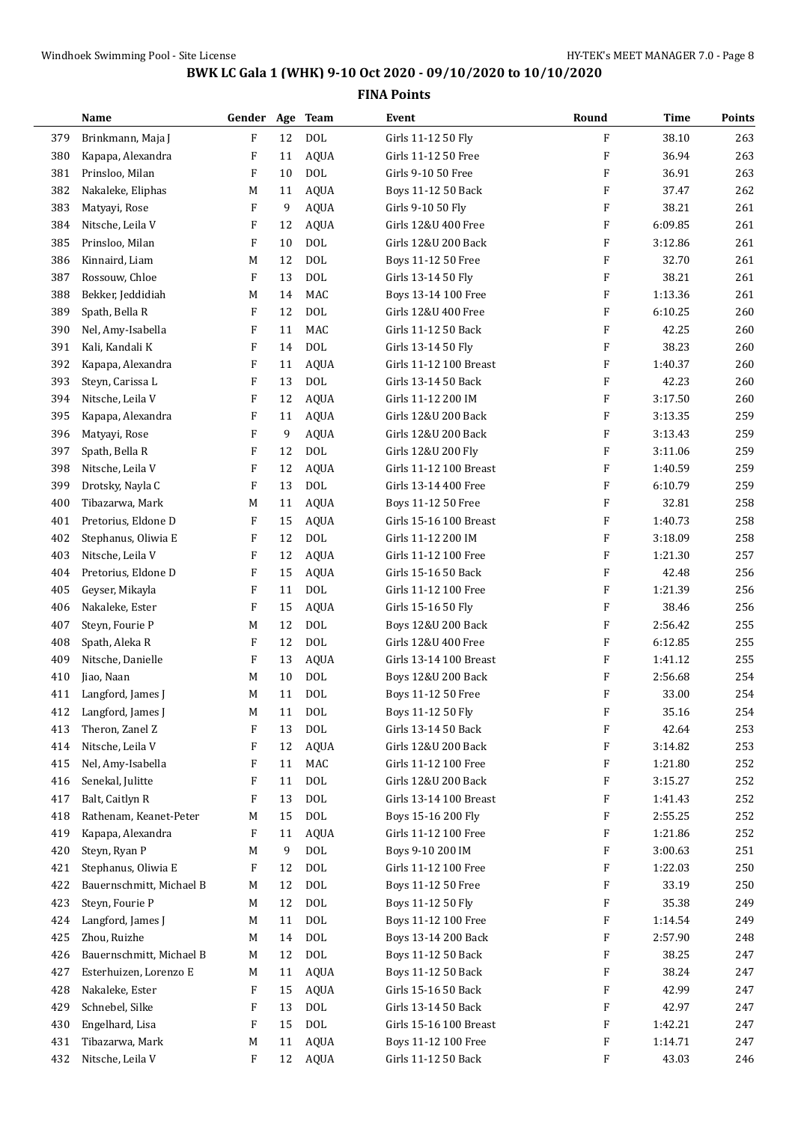|     | Name                     | Gender Age                |        | <b>Team</b>  | Event                  | Round   | Time    | Points |
|-----|--------------------------|---------------------------|--------|--------------|------------------------|---------|---------|--------|
| 379 | Brinkmann, Maja J        | F                         | 12     | <b>DOL</b>   | Girls 11-12 50 Fly     | F       | 38.10   | 263    |
| 380 | Kapapa, Alexandra        | F                         | 11     | <b>AQUA</b>  | Girls 11-12 50 Free    | F       | 36.94   | 263    |
| 381 | Prinsloo, Milan          | F                         | 10     | <b>DOL</b>   | Girls 9-10 50 Free     | F       | 36.91   | 263    |
| 382 | Nakaleke, Eliphas        | M                         | 11     | <b>AQUA</b>  | Boys 11-12 50 Back     | F       | 37.47   | 262    |
| 383 | Matyayi, Rose            | F                         | 9      | <b>AQUA</b>  | Girls 9-10 50 Fly      | F       | 38.21   | 261    |
| 384 | Nitsche, Leila V         | F                         | 12     | <b>AQUA</b>  | Girls 12&U 400 Free    | F       | 6:09.85 | 261    |
| 385 | Prinsloo, Milan          | F                         | 10     | <b>DOL</b>   | Girls 12&U 200 Back    | F       | 3:12.86 | 261    |
| 386 | Kinnaird, Liam           | M                         | 12     | <b>DOL</b>   | Boys 11-12 50 Free     | F       | 32.70   | 261    |
| 387 | Rossouw, Chloe           | F                         | 13     | <b>DOL</b>   | Girls 13-14 50 Fly     | F       | 38.21   | 261    |
| 388 | Bekker, Jeddidiah        | M                         | 14     | MAC          | Boys 13-14 100 Free    | F       | 1:13.36 | 261    |
| 389 | Spath, Bella R           | F                         | 12     | <b>DOL</b>   | Girls 12&U 400 Free    | F       | 6:10.25 | 260    |
| 390 | Nel, Amy-Isabella        | F                         | 11     | MAC          | Girls 11-12 50 Back    | F       | 42.25   | 260    |
| 391 | Kali, Kandali K          | F                         | 14     | <b>DOL</b>   | Girls 13-14 50 Fly     | F       | 38.23   | 260    |
| 392 | Kapapa, Alexandra        | F                         | 11     | <b>AQUA</b>  | Girls 11-12 100 Breast | F       | 1:40.37 | 260    |
| 393 | Steyn, Carissa L         | $\boldsymbol{\mathrm{F}}$ | 13     | <b>DOL</b>   | Girls 13-14 50 Back    | F       | 42.23   | 260    |
| 394 | Nitsche, Leila V         | F                         | 12     | <b>AQUA</b>  | Girls 11-12 200 IM     | F       | 3:17.50 | 260    |
| 395 | Kapapa, Alexandra        | F                         | 11     | <b>AQUA</b>  | Girls 12&U 200 Back    | F       | 3:13.35 | 259    |
| 396 | Matyayi, Rose            | $\boldsymbol{\mathrm{F}}$ | 9      | <b>AQUA</b>  | Girls 12&U 200 Back    | F       | 3:13.43 | 259    |
| 397 | Spath, Bella R           | F                         | 12     | <b>DOL</b>   | Girls 12&U 200 Fly     | F       | 3:11.06 | 259    |
| 398 | Nitsche, Leila V         | F                         | 12     | <b>AQUA</b>  | Girls 11-12 100 Breast | F       | 1:40.59 | 259    |
| 399 | Drotsky, Nayla C         | $\boldsymbol{\mathrm{F}}$ | 13     | <b>DOL</b>   | Girls 13-14 400 Free   | F       | 6:10.79 | 259    |
| 400 | Tibazarwa, Mark          | M                         | 11     | <b>AQUA</b>  | Boys 11-12 50 Free     | F       | 32.81   | 258    |
| 401 | Pretorius, Eldone D      | F                         | 15     | <b>AQUA</b>  | Girls 15-16 100 Breast | F       | 1:40.73 | 258    |
| 402 | Stephanus, Oliwia E      | $\boldsymbol{\mathrm{F}}$ | 12     | <b>DOL</b>   | Girls 11-12 200 IM     | F       | 3:18.09 | 258    |
| 403 | Nitsche, Leila V         | F                         | 12     | <b>AQUA</b>  | Girls 11-12 100 Free   | F       | 1:21.30 | 257    |
| 404 | Pretorius, Eldone D      | F                         | 15     | <b>AQUA</b>  | Girls 15-16 50 Back    | F       | 42.48   | 256    |
| 405 | Geyser, Mikayla          | F                         | 11     | <b>DOL</b>   | Girls 11-12 100 Free   | F       | 1:21.39 | 256    |
| 406 | Nakaleke, Ester          | F                         | 15     | <b>AQUA</b>  | Girls 15-16 50 Fly     | F       | 38.46   | 256    |
| 407 | Steyn, Fourie P          | M                         | 12     | <b>DOL</b>   | Boys 12&U 200 Back     | F       | 2:56.42 | 255    |
| 408 | Spath, Aleka R           | F                         | 12     | <b>DOL</b>   | Girls 12&U 400 Free    | F       | 6:12.85 | 255    |
| 409 | Nitsche, Danielle        | F                         | 13     | <b>AQUA</b>  | Girls 13-14 100 Breast | F       | 1:41.12 | 255    |
| 410 | Jiao, Naan               | M                         | 10     | <b>DOL</b>   | Boys 12&U 200 Back     | F       | 2:56.68 | 254    |
| 411 | Langford, James J        | М                         | 11     | <b>DOL</b>   | Boys 11-12 50 Free     | F       | 33.00   | 254    |
| 412 | Langford, James J        | M                         | $11\,$ | <b>DOL</b>   | Boys 11-12 50 Fly      | F       | 35.16   | 254    |
| 413 | Theron, Zanel Z          | F                         | 13     | $\rm DOL$    | Girls 13-14 50 Back    | F       | 42.64   | 253    |
| 414 | Nitsche, Leila V         | F                         | 12     | <b>AQUA</b>  | Girls 12&U 200 Back    | F       | 3:14.82 | 253    |
| 415 | Nel, Amy-Isabella        | F                         | 11     | MAC          | Girls 11-12 100 Free   | F       | 1:21.80 | 252    |
| 416 | Senekal, Julitte         | F                         | 11     | $\text{DOL}$ | Girls 12&U 200 Back    | F       | 3:15.27 | 252    |
| 417 | Balt, Caitlyn R          | F                         | 13     | $\rm DOL$    | Girls 13-14 100 Breast | F       | 1:41.43 | 252    |
| 418 | Rathenam, Keanet-Peter   | M                         | 15     | $\text{DOL}$ | Boys 15-16 200 Fly     | F       | 2:55.25 | 252    |
| 419 | Kapapa, Alexandra        | F                         | 11     | <b>AQUA</b>  | Girls 11-12 100 Free   | F       | 1:21.86 | 252    |
| 420 | Steyn, Ryan P            | М                         | 9      | $\rm DOL$    | Boys 9-10 200 IM       | F       | 3:00.63 | 251    |
| 421 | Stephanus, Oliwia E      | F                         | 12     | <b>DOL</b>   | Girls 11-12 100 Free   | F       | 1:22.03 | 250    |
| 422 | Bauernschmitt, Michael B | M                         | 12     | <b>DOL</b>   | Boys 11-12 50 Free     | F       | 33.19   | 250    |
| 423 | Steyn, Fourie P          | М                         | 12     | $\rm DOL$    | Boys 11-12 50 Fly      | F       | 35.38   | 249    |
| 424 | Langford, James J        | M                         | 11     | $\text{DOL}$ | Boys 11-12 100 Free    | F       | 1:14.54 | 249    |
| 425 | Zhou, Ruizhe             | М                         | 14     | $\rm DOL$    | Boys 13-14 200 Back    | F       | 2:57.90 | 248    |
| 426 | Bauernschmitt, Michael B | М                         | 12     | <b>DOL</b>   | Boys 11-12 50 Back     | F       | 38.25   | 247    |
| 427 | Esterhuizen, Lorenzo E   | М                         | 11     | <b>AQUA</b>  | Boys 11-12 50 Back     | F       | 38.24   | 247    |
| 428 | Nakaleke, Ester          | F                         | 15     | <b>AQUA</b>  | Girls 15-16 50 Back    | F       | 42.99   | 247    |
| 429 | Schnebel, Silke          | F                         | 13     | $\rm DOL$    | Girls 13-14 50 Back    | F       | 42.97   | 247    |
| 430 | Engelhard, Lisa          | F                         | 15     | $\text{DOL}$ | Girls 15-16 100 Breast | F       | 1:42.21 | 247    |
| 431 | Tibazarwa, Mark          | M                         | 11     | <b>AQUA</b>  | Boys 11-12 100 Free    | F       | 1:14.71 | 247    |
| 432 | Nitsche, Leila V         | $\mathbf{F}$              | 12     | AQUA         | Girls 11-12 50 Back    | $\rm F$ | 43.03   | 246    |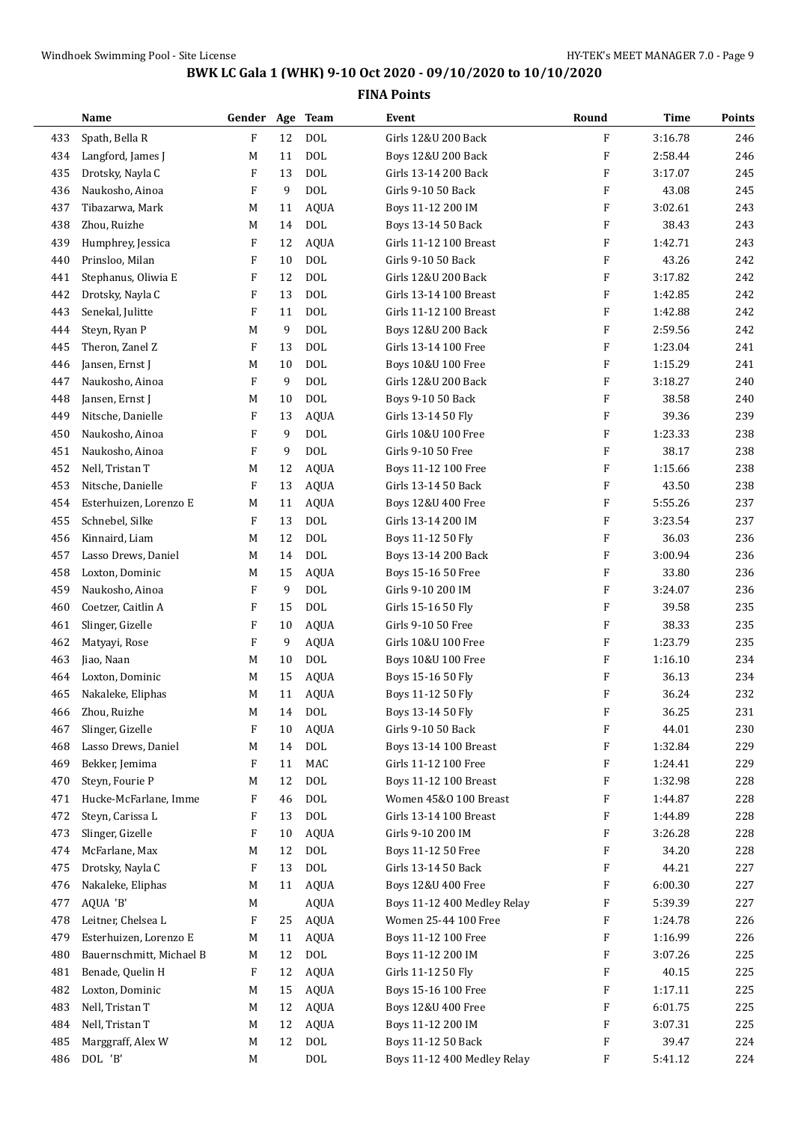|            | Name                                     | Gender Age Team |          |                           | Event                                                 | Round                     | <b>Time</b>        | Points     |
|------------|------------------------------------------|-----------------|----------|---------------------------|-------------------------------------------------------|---------------------------|--------------------|------------|
| 433        | Spath, Bella R                           | ${\bf F}$       | 12       | <b>DOL</b>                | Girls 12&U 200 Back                                   | $\mathbf{F}$              | 3:16.78            | 246        |
| 434        | Langford, James J                        | M               | 11       | <b>DOL</b>                | Boys 12&U 200 Back                                    | $\boldsymbol{\mathrm{F}}$ | 2:58.44            | 246        |
| 435        | Drotsky, Nayla C                         | F               | 13       | <b>DOL</b>                | Girls 13-14 200 Back                                  | $\boldsymbol{\mathrm{F}}$ | 3:17.07            | 245        |
| 436        | Naukosho, Ainoa                          | F               | 9        | <b>DOL</b>                | Girls 9-10 50 Back                                    | $\boldsymbol{\mathrm{F}}$ | 43.08              | 245        |
| 437        | Tibazarwa, Mark                          | M               | 11       | <b>AQUA</b>               | Boys 11-12 200 IM                                     | F                         | 3:02.61            | 243        |
| 438        | Zhou, Ruizhe                             | M               | 14       | <b>DOL</b>                | Boys 13-14 50 Back                                    | $\boldsymbol{\mathrm{F}}$ | 38.43              | 243        |
| 439        | Humphrey, Jessica                        | F               | 12       | <b>AQUA</b>               | Girls 11-12 100 Breast                                | $\boldsymbol{\mathrm{F}}$ | 1:42.71            | 243        |
| 440        | Prinsloo, Milan                          | F               | 10       | <b>DOL</b>                | Girls 9-10 50 Back                                    | $\boldsymbol{\mathrm{F}}$ | 43.26              | 242        |
| 441        | Stephanus, Oliwia E                      | F               | 12       | <b>DOL</b>                | Girls 12&U 200 Back                                   | $\boldsymbol{\mathrm{F}}$ | 3:17.82            | 242        |
| 442        | Drotsky, Nayla C                         | F               | 13       | <b>DOL</b>                | Girls 13-14 100 Breast                                | F                         | 1:42.85            | 242        |
| 443        | Senekal, Julitte                         | F               | 11       | <b>DOL</b>                | Girls 11-12 100 Breast                                | F                         | 1:42.88            | 242        |
| 444        | Steyn, Ryan P                            | M               | 9        | <b>DOL</b>                | Boys 12&U 200 Back                                    | $\boldsymbol{\mathrm{F}}$ | 2:59.56            | 242        |
| 445        | Theron, Zanel Z                          | F               | 13       | <b>DOL</b>                | Girls 13-14 100 Free                                  | $\boldsymbol{\mathrm{F}}$ | 1:23.04            | 241        |
| 446        | Jansen, Ernst J                          | M               | 10       | <b>DOL</b>                | Boys 10&U 100 Free                                    | $\boldsymbol{\mathrm{F}}$ | 1:15.29            | 241        |
| 447        | Naukosho, Ainoa                          | F               | 9        | <b>DOL</b>                | Girls 12&U 200 Back                                   | $\boldsymbol{\mathrm{F}}$ | 3:18.27            | 240        |
| 448        | Jansen, Ernst J                          | M               | 10       | <b>DOL</b>                | Boys 9-10 50 Back                                     | $\boldsymbol{\mathrm{F}}$ | 38.58              | 240        |
| 449        | Nitsche, Danielle                        | F               | 13       | <b>AQUA</b>               | Girls 13-14 50 Fly                                    | $\boldsymbol{\mathrm{F}}$ | 39.36              | 239        |
| 450        | Naukosho, Ainoa                          | F               | 9        | <b>DOL</b>                | Girls 10&U 100 Free                                   | $\boldsymbol{\mathrm{F}}$ | 1:23.33            | 238        |
| 451        | Naukosho, Ainoa                          | F               | 9        | <b>DOL</b>                | Girls 9-10 50 Free                                    | $\boldsymbol{\mathrm{F}}$ | 38.17              | 238        |
| 452        | Nell, Tristan T                          | M               | 12       | <b>AQUA</b>               | Boys 11-12 100 Free                                   | $\boldsymbol{\mathrm{F}}$ | 1:15.66            | 238        |
| 453        | Nitsche, Danielle                        | F               | 13       | <b>AQUA</b>               | Girls 13-14 50 Back                                   | $\boldsymbol{\mathrm{F}}$ | 43.50              | 238        |
| 454        | Esterhuizen, Lorenzo E                   | M               | 11       | <b>AQUA</b>               | Boys 12&U 400 Free                                    | $\boldsymbol{\mathrm{F}}$ | 5:55.26            | 237        |
| 455        | Schnebel, Silke                          | F               | 13       | <b>DOL</b>                | Girls 13-14 200 IM                                    | F                         | 3:23.54            | 237        |
| 456        | Kinnaird, Liam                           | M               | 12       | <b>DOL</b>                | Boys 11-12 50 Fly                                     | $\boldsymbol{\mathrm{F}}$ | 36.03              | 236        |
| 457        | Lasso Drews, Daniel                      | M               | 14       | <b>DOL</b>                | Boys 13-14 200 Back                                   | $\boldsymbol{\mathrm{F}}$ | 3:00.94            | 236        |
| 458        | Loxton, Dominic                          | M               | 15       | <b>AQUA</b>               | Boys 15-16 50 Free                                    | $\boldsymbol{\mathrm{F}}$ | 33.80              | 236        |
| 459        | Naukosho, Ainoa                          | F               | 9        | <b>DOL</b>                | Girls 9-10 200 IM                                     | $\boldsymbol{\mathrm{F}}$ | 3:24.07            | 236        |
| 460        | Coetzer, Caitlin A                       | F               | 15       | <b>DOL</b>                | Girls 15-16 50 Fly                                    | $\boldsymbol{\mathrm{F}}$ | 39.58              | 235        |
| 461        | Slinger, Gizelle                         | F               | 10       | <b>AQUA</b>               | Girls 9-10 50 Free                                    | $\boldsymbol{\mathrm{F}}$ | 38.33              | 235        |
| 462        | Matyayi, Rose                            | F               | 9        | <b>AQUA</b>               | Girls 10&U 100 Free                                   | F                         | 1:23.79            | 235        |
| 463        | Jiao, Naan                               | M               | 10       | <b>DOL</b>                | Boys 10&U 100 Free                                    | $\boldsymbol{\mathrm{F}}$ | 1:16.10            | 234        |
| 464        | Loxton, Dominic                          | M               | 15       | <b>AQUA</b>               | Boys 15-16 50 Fly                                     | $\boldsymbol{\mathrm{F}}$ | 36.13              | 234        |
| 465        | Nakaleke, Eliphas                        | M               | 11       | <b>AQUA</b>               | Boys 11-12 50 Fly                                     | F                         | 36.24              | 232        |
|            | Zhou, Ruizhe                             |                 |          |                           | Boys 13-14 50 Fly                                     |                           |                    | 231        |
| 466<br>467 | Slinger, Gizelle                         | M<br>F          | 14<br>10 | <b>DOL</b><br><b>AQUA</b> | Girls 9-10 50 Back                                    | F<br>F                    | 36.25<br>44.01     | 230        |
|            | Lasso Drews, Daniel                      |                 | 14       | <b>DOL</b>                | Boys 13-14 100 Breast                                 | F                         |                    | 229        |
| 468<br>469 | Bekker, Jemima                           | M<br>F          | 11       | MAC                       | Girls 11-12 100 Free                                  | F                         | 1:32.84<br>1:24.41 | 229        |
|            |                                          |                 |          | <b>DOL</b>                |                                                       | F                         |                    |            |
| 470        | Steyn, Fourie P<br>Hucke-McFarlane, Imme | M               | 12       | <b>DOL</b>                | <b>Boys 11-12 100 Breast</b><br>Women 45&0 100 Breast |                           | 1:32.98            | 228        |
| 471<br>472 | Steyn, Carissa L                         | F<br>F          | 46<br>13 | $\rm DOL$                 | Girls 13-14 100 Breast                                | F<br>F                    | 1:44.87<br>1:44.89 | 228<br>228 |
|            |                                          | F               |          |                           |                                                       | F                         | 3:26.28            |            |
| 473        | Slinger, Gizelle                         |                 | 10<br>12 | <b>AQUA</b><br><b>DOL</b> | Girls 9-10 200 IM                                     | F                         |                    | 228        |
| 474        | McFarlane, Max                           | M               |          | $\rm DOL$                 | Boys 11-12 50 Free<br>Girls 13-14 50 Back             | F                         | 34.20              | 228        |
| 475        | Drotsky, Nayla C                         | F               | 13       |                           |                                                       |                           | 44.21              | 227        |
| 476        | Nakaleke, Eliphas                        | M               | 11       | <b>AQUA</b>               | Boys 12&U 400 Free                                    | F                         | 6:00.30            | 227        |
| 477        | AQUA 'B'                                 | M               |          | <b>AQUA</b>               | Boys 11-12 400 Medley Relay                           | F                         | 5:39.39            | 227        |
| 478        | Leitner, Chelsea L                       | F               | 25       | AQUA                      | Women 25-44 100 Free                                  | F                         | 1:24.78            | 226        |
| 479        | Esterhuizen, Lorenzo E                   | M               | 11       | <b>AQUA</b>               | Boys 11-12 100 Free                                   | F                         | 1:16.99            | 226        |
| 480        | Bauernschmitt, Michael B                 | М               | 12       | <b>DOL</b>                | Boys 11-12 200 IM                                     | F                         | 3:07.26            | 225        |
| 481        | Benade, Quelin H                         | F               | 12       | <b>AQUA</b>               | Girls 11-12 50 Fly                                    | F                         | 40.15              | 225        |
| 482        | Loxton, Dominic                          | M               | 15       | <b>AQUA</b>               | Boys 15-16 100 Free                                   | F                         | 1:17.11            | 225        |
| 483        | Nell, Tristan T                          | M               | 12       | <b>AQUA</b>               | Boys 12&U 400 Free                                    | F                         | 6:01.75            | 225        |
| 484        | Nell, Tristan T                          | M               | 12       | <b>AQUA</b>               | Boys 11-12 200 IM                                     | F                         | 3:07.31            | 225        |
| 485        | Marggraff, Alex W                        | M               | 12       | $\rm DOL$                 | Boys 11-12 50 Back                                    | F                         | 39.47              | 224        |
| 486        | DOL 'B'                                  | M               |          | $\rm DOL$                 | Boys 11-12 400 Medley Relay                           | F                         | 5:41.12            | 224        |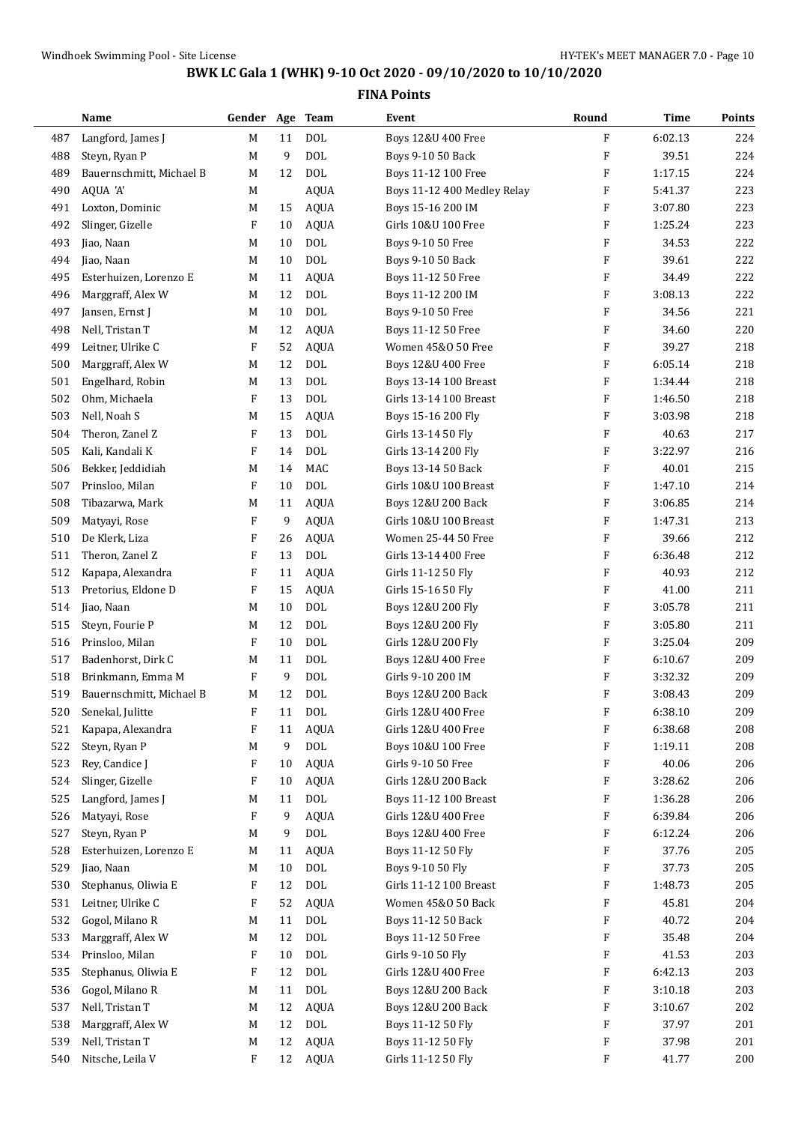|     | Name                     | Gender Age Team |    |             | Event                        | Round                     | Time    | <b>Points</b> |
|-----|--------------------------|-----------------|----|-------------|------------------------------|---------------------------|---------|---------------|
| 487 | Langford, James J        | M               | 11 | <b>DOL</b>  | Boys 12&U 400 Free           | F                         | 6:02.13 | 224           |
| 488 | Steyn, Ryan P            | M               | 9  | <b>DOL</b>  | Boys 9-10 50 Back            | $\boldsymbol{\mathrm{F}}$ | 39.51   | 224           |
| 489 | Bauernschmitt, Michael B | M               | 12 | <b>DOL</b>  | Boys 11-12 100 Free          | F                         | 1:17.15 | 224           |
| 490 | AQUA 'A'                 | M               |    | <b>AQUA</b> | Boys 11-12 400 Medley Relay  | F                         | 5:41.37 | 223           |
| 491 | Loxton, Dominic          | M               | 15 | <b>AQUA</b> | Boys 15-16 200 IM            | F                         | 3:07.80 | 223           |
| 492 | Slinger, Gizelle         | F               | 10 | AQUA        | Girls 10&U 100 Free          | F                         | 1:25.24 | 223           |
| 493 | Jiao, Naan               | M               | 10 | <b>DOL</b>  | Boys 9-10 50 Free            | $\boldsymbol{\mathrm{F}}$ | 34.53   | 222           |
| 494 | Jiao, Naan               | M               | 10 | <b>DOL</b>  | Boys 9-10 50 Back            | $\boldsymbol{\mathrm{F}}$ | 39.61   | 222           |
| 495 | Esterhuizen, Lorenzo E   | M               | 11 | <b>AQUA</b> | Boys 11-12 50 Free           | F                         | 34.49   | 222           |
| 496 | Marggraff, Alex W        | M               | 12 | <b>DOL</b>  | Boys 11-12 200 IM            | F                         | 3:08.13 | 222           |
| 497 | Jansen, Ernst J          | M               | 10 | <b>DOL</b>  | Boys 9-10 50 Free            | F                         | 34.56   | 221           |
| 498 | Nell, Tristan T          | M               | 12 | AQUA        | Boys 11-12 50 Free           | F                         | 34.60   | 220           |
| 499 | Leitner, Ulrike C        | F               | 52 | <b>AQUA</b> | Women 45&O 50 Free           | $\boldsymbol{\mathrm{F}}$ | 39.27   | 218           |
| 500 | Marggraff, Alex W        | M               | 12 | <b>DOL</b>  | Boys 12&U 400 Free           | $\boldsymbol{\mathrm{F}}$ | 6:05.14 | 218           |
| 501 | Engelhard, Robin         | M               | 13 | <b>DOL</b>  | Boys 13-14 100 Breast        | F                         | 1:34.44 | 218           |
| 502 | Ohm, Michaela            | F               | 13 | <b>DOL</b>  | Girls 13-14 100 Breast       | F                         | 1:46.50 | 218           |
| 503 | Nell, Noah S             | M               | 15 | <b>AQUA</b> | Boys 15-16 200 Fly           | $\boldsymbol{\mathrm{F}}$ | 3:03.98 | 218           |
| 504 | Theron, Zanel Z          | F               | 13 | <b>DOL</b>  | Girls 13-14 50 Fly           | F                         | 40.63   | 217           |
| 505 | Kali, Kandali K          | F               | 14 | <b>DOL</b>  | Girls 13-14 200 Fly          | $\boldsymbol{\mathrm{F}}$ | 3:22.97 | 216           |
| 506 | Bekker, Jeddidiah        | M               | 14 | <b>MAC</b>  | Boys 13-14 50 Back           | $\boldsymbol{\mathrm{F}}$ | 40.01   | 215           |
| 507 | Prinsloo, Milan          | F               | 10 | <b>DOL</b>  | Girls 10&U 100 Breast        | F                         | 1:47.10 | 214           |
| 508 | Tibazarwa, Mark          | M               | 11 | <b>AQUA</b> | Boys 12&U 200 Back           | F                         | 3:06.85 | 214           |
| 509 | Matyayi, Rose            | F               | 9  | <b>AQUA</b> | Girls 10&U 100 Breast        | F                         | 1:47.31 | 213           |
| 510 | De Klerk, Liza           | F               | 26 | <b>AQUA</b> | Women 25-44 50 Free          | F                         | 39.66   | 212           |
| 511 | Theron, Zanel Z          | F               | 13 | <b>DOL</b>  | Girls 13-14 400 Free         | $\boldsymbol{\mathrm{F}}$ | 6:36.48 | 212           |
| 512 | Kapapa, Alexandra        | F               | 11 | AQUA        | Girls 11-12 50 Fly           | $\boldsymbol{\mathrm{F}}$ | 40.93   | 212           |
| 513 | Pretorius, Eldone D      | F               | 15 | <b>AQUA</b> | Girls 15-16 50 Fly           | $\boldsymbol{\mathrm{F}}$ | 41.00   | 211           |
| 514 | Jiao, Naan               | M               | 10 | <b>DOL</b>  | Boys 12&U 200 Fly            | F                         | 3:05.78 | 211           |
| 515 | Steyn, Fourie P          | M               | 12 | <b>DOL</b>  | Boys 12&U 200 Fly            | F                         | 3:05.80 | 211           |
| 516 | Prinsloo, Milan          | F               | 10 | <b>DOL</b>  | Girls 12&U 200 Fly           | $\boldsymbol{\mathrm{F}}$ | 3:25.04 | 209           |
| 517 | Badenhorst, Dirk C       | M               | 11 | <b>DOL</b>  | Boys 12&U 400 Free           | F                         | 6:10.67 | 209           |
| 518 | Brinkmann, Emma M        | F               | 9  | <b>DOL</b>  | Girls 9-10 200 IM            | F                         | 3:32.32 | 209           |
| 519 | Bauernschmitt, Michael B | M               | 12 | <b>DOL</b>  | Boys 12&U 200 Back           | $\boldsymbol{\mathrm{F}}$ | 3:08.43 | 209           |
| 520 | Senekal, Julitte         | F               | 11 | <b>DOL</b>  | Girls 12&U 400 Free          | F                         | 6:38.10 | 209           |
| 521 | Kapapa, Alexandra        | F               | 11 | <b>AQUA</b> | Girls 12&U 400 Free          | F                         | 6:38.68 | 208           |
| 522 | Steyn, Ryan P            | M               | 9  | <b>DOL</b>  | Boys 10&U 100 Free           | $\boldsymbol{\mathrm{F}}$ | 1:19.11 | 208           |
| 523 | Rey, Candice J           | F               | 10 | AQUA        | Girls 9-10 50 Free           | F                         | 40.06   | 206           |
| 524 | Slinger, Gizelle         | F               | 10 | AQUA        | Girls 12&U 200 Back          | F                         | 3:28.62 | 206           |
| 525 | Langford, James J        | M               | 11 | $\rm DOL$   | <b>Boys 11-12 100 Breast</b> | F                         | 1:36.28 | 206           |
| 526 | Matyayi, Rose            | F               | 9  | <b>AQUA</b> | Girls 12&U 400 Free          | F                         | 6:39.84 | 206           |
| 527 | Steyn, Ryan P            | M               | 9  | <b>DOL</b>  | Boys 12&U 400 Free           | F                         | 6:12.24 | 206           |
| 528 | Esterhuizen, Lorenzo E   | M               | 11 | AQUA        | Boys 11-12 50 Fly            | F                         | 37.76   | 205           |
| 529 | Jiao, Naan               | M               | 10 | DOL         | Boys 9-10 50 Fly             | F                         | 37.73   | 205           |
| 530 | Stephanus, Oliwia E      | F               | 12 | <b>DOL</b>  | Girls 11-12 100 Breast       | F                         | 1:48.73 | 205           |
| 531 | Leitner, Ulrike C        | F               | 52 | AQUA        | Women 45&0 50 Back           | F                         | 45.81   | 204           |
| 532 | Gogol, Milano R          | M               | 11 | <b>DOL</b>  | Boys 11-12 50 Back           | F                         | 40.72   | 204           |
| 533 | Marggraff, Alex W        | M               | 12 | <b>DOL</b>  | Boys 11-12 50 Free           | F                         | 35.48   | 204           |
| 534 | Prinsloo, Milan          | F               | 10 | <b>DOL</b>  | Girls 9-10 50 Fly            | $\boldsymbol{\mathrm{F}}$ | 41.53   | 203           |
| 535 | Stephanus, Oliwia E      | F               | 12 | <b>DOL</b>  | Girls 12&U 400 Free          | F                         | 6:42.13 | 203           |
| 536 | Gogol, Milano R          | M               | 11 | <b>DOL</b>  | Boys 12&U 200 Back           | F                         | 3:10.18 | 203           |
| 537 | Nell, Tristan T          | M               | 12 | AQUA        | Boys 12&U 200 Back           | F                         | 3:10.67 | 202           |
| 538 | Marggraff, Alex W        | M               | 12 | <b>DOL</b>  | Boys 11-12 50 Fly            | F                         | 37.97   | 201           |
| 539 | Nell, Tristan T          | M               | 12 | AQUA        | Boys 11-12 50 Fly            | F                         | 37.98   | 201           |
| 540 | Nitsche, Leila V         | F               | 12 | AQUA        | Girls 11-12 50 Fly           | F                         | 41.77   | 200           |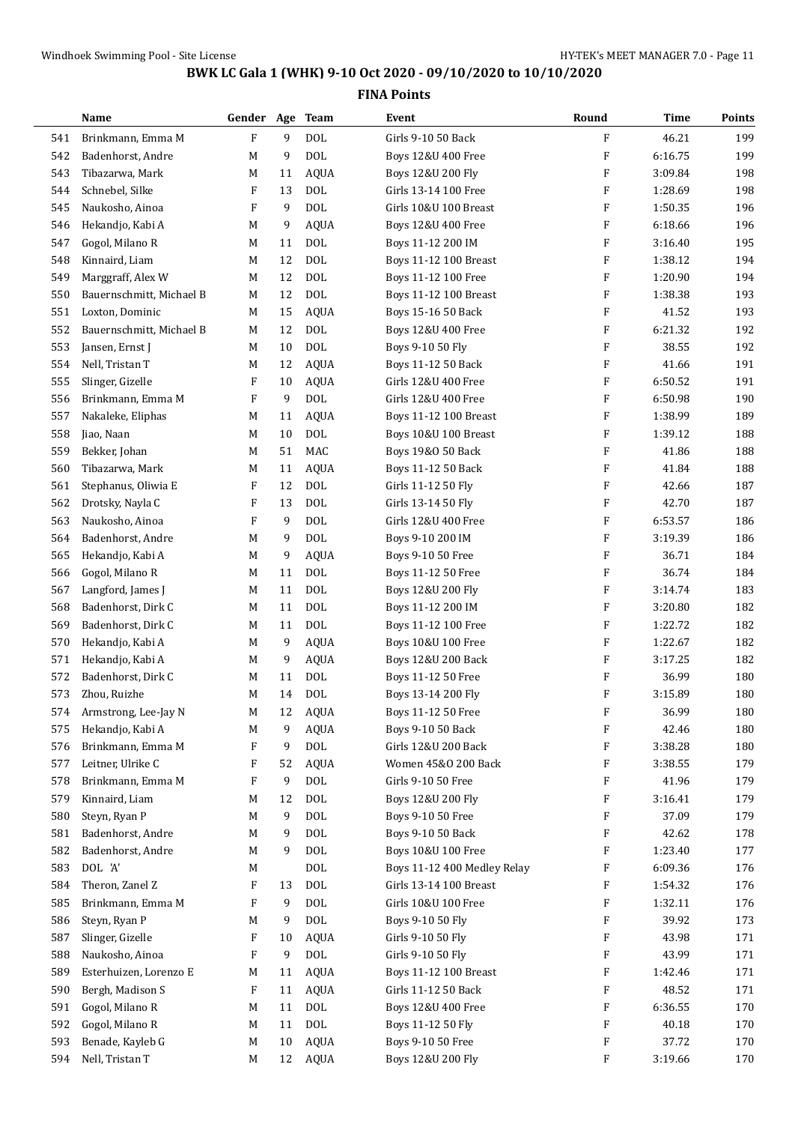|            | Name                                      | Gender Age |         | <b>Team</b> | Event                                             | Round                     | Time             | Points     |
|------------|-------------------------------------------|------------|---------|-------------|---------------------------------------------------|---------------------------|------------------|------------|
| 541        | Brinkmann, Emma M                         | ${\bf F}$  | 9       | <b>DOL</b>  | Girls 9-10 50 Back                                | F                         | 46.21            | 199        |
| 542        | Badenhorst, Andre                         | M          | 9       | <b>DOL</b>  | Boys 12&U 400 Free                                | $\boldsymbol{\mathrm{F}}$ | 6:16.75          | 199        |
| 543        | Tibazarwa, Mark                           | M          | 11      | <b>AQUA</b> | Boys 12&U 200 Fly                                 | $\boldsymbol{\mathrm{F}}$ | 3:09.84          | 198        |
| 544        | Schnebel, Silke                           | F          | 13      | <b>DOL</b>  | Girls 13-14 100 Free                              | $\boldsymbol{\mathrm{F}}$ | 1:28.69          | 198        |
| 545        | Naukosho, Ainoa                           | F          | 9       | <b>DOL</b>  | Girls 10&U 100 Breast                             | F                         | 1:50.35          | 196        |
| 546        | Hekandjo, Kabi A                          | M          | 9       | <b>AQUA</b> | Boys 12&U 400 Free                                | $\boldsymbol{\mathrm{F}}$ | 6:18.66          | 196        |
| 547        | Gogol, Milano R                           | M          | 11      | <b>DOL</b>  | Boys 11-12 200 IM                                 | $\boldsymbol{\mathrm{F}}$ | 3:16.40          | 195        |
| 548        | Kinnaird, Liam                            | M          | 12      | <b>DOL</b>  | Boys 11-12 100 Breast                             | $\boldsymbol{\mathrm{F}}$ | 1:38.12          | 194        |
| 549        | Marggraff, Alex W                         | M          | 12      | <b>DOL</b>  | Boys 11-12 100 Free                               | F                         | 1:20.90          | 194        |
| 550        | Bauernschmitt, Michael B                  | М          | 12      | <b>DOL</b>  | <b>Boys 11-12 100 Breast</b>                      | F                         | 1:38.38          | 193        |
| 551        | Loxton, Dominic                           | M          | 15      | <b>AQUA</b> | Boys 15-16 50 Back                                | F                         | 41.52            | 193        |
| 552        | Bauernschmitt, Michael B                  | M          | 12      | <b>DOL</b>  | Boys 12&U 400 Free                                | F                         | 6:21.32          | 192        |
| 553        | Jansen, Ernst J                           | M          | 10      | <b>DOL</b>  | Boys 9-10 50 Fly                                  | $\boldsymbol{\mathrm{F}}$ | 38.55            | 192        |
| 554        | Nell, Tristan T                           | M          | 12      | <b>AQUA</b> | Boys 11-12 50 Back                                | $\boldsymbol{\mathrm{F}}$ | 41.66            | 191        |
| 555        | Slinger, Gizelle                          | F          | 10      | <b>AQUA</b> | Girls 12&U 400 Free                               | $\boldsymbol{\mathrm{F}}$ | 6:50.52          | 191        |
| 556        | Brinkmann, Emma M                         | F          | 9       | <b>DOL</b>  | Girls 12&U 400 Free                               | $\boldsymbol{\mathrm{F}}$ | 6:50.98          | 190        |
| 557        | Nakaleke, Eliphas                         | M          | 11      | <b>AQUA</b> | Boys 11-12 100 Breast                             | F                         | 1:38.99          | 189        |
| 558        | Jiao, Naan                                | M          | 10      | <b>DOL</b>  | Boys 10&U 100 Breast                              | F                         | 1:39.12          | 188        |
| 559        | Bekker, Johan                             | M          | 51      | MAC         | Boys 19&0 50 Back                                 | $\boldsymbol{\mathrm{F}}$ | 41.86            | 188        |
| 560        | Tibazarwa, Mark                           | M          | 11      | AQUA        | Boys 11-12 50 Back                                | $\boldsymbol{\mathrm{F}}$ | 41.84            | 188        |
| 561        | Stephanus, Oliwia E                       | F          | 12      | <b>DOL</b>  | Girls 11-12 50 Fly                                | F                         | 42.66            | 187        |
| 562        | Drotsky, Nayla C                          | F          | 13      | <b>DOL</b>  | Girls 13-14 50 Fly                                | $\boldsymbol{\mathrm{F}}$ | 42.70            | 187        |
| 563        | Naukosho, Ainoa                           | F          | 9       | <b>DOL</b>  | Girls 12&U 400 Free                               | F                         | 6:53.57          | 186        |
| 564        | Badenhorst, Andre                         | M          | 9       | <b>DOL</b>  | Boys 9-10 200 IM                                  | F                         | 3:19.39          | 186        |
| 565        | Hekandjo, Kabi A                          | M          | 9       | <b>AQUA</b> | Boys 9-10 50 Free                                 | $\boldsymbol{\mathrm{F}}$ | 36.71            | 184        |
| 566        | Gogol, Milano R                           | M          | 11      | <b>DOL</b>  | Boys 11-12 50 Free                                | $\boldsymbol{\mathrm{F}}$ | 36.74            | 184        |
| 567        | Langford, James J                         | M          | 11      | <b>DOL</b>  | Boys 12&U 200 Fly                                 | $\boldsymbol{\mathrm{F}}$ | 3:14.74          | 183        |
| 568        | Badenhorst, Dirk C                        | M          | 11      | <b>DOL</b>  | Boys 11-12 200 IM                                 | $\boldsymbol{\mathrm{F}}$ | 3:20.80          | 182        |
| 569        | Badenhorst, Dirk C                        | M          | 11      | <b>DOL</b>  | Boys 11-12 100 Free                               | F                         | 1:22.72          | 182        |
| 570        | Hekandjo, Kabi A                          | M          | 9       | <b>AQUA</b> | Boys 10&U 100 Free                                | F                         | 1:22.67          | 182        |
| 571        | Hekandjo, Kabi A                          | M          | 9       | AQUA        | Boys 12&U 200 Back                                | $\boldsymbol{\mathrm{F}}$ | 3:17.25          | 182        |
| 572        | Badenhorst, Dirk C                        | M          | 11      | <b>DOL</b>  | Boys 11-12 50 Free                                | F                         | 36.99            | 180        |
| 573        | Zhou, Ruizhe                              | M          | 14      | <b>DOL</b>  | Boys 13-14 200 Fly                                | F                         | 3:15.89          | 180        |
| 574        | Armstrong, Lee-Jay N                      | M          | 12      | AQUA        | Boys 11-12 50 Free                                | F                         | 36.99            | 180        |
| 575        | Hekandjo, Kabi A                          | M          | 9       | <b>AQUA</b> | Boys 9-10 50 Back                                 | F                         | 42.46            | 180        |
| 576        | Brinkmann, Emma M                         | F          | 9       | <b>DOL</b>  | Girls 12&U 200 Back                               | F                         | 3:38.28          | 180        |
| 577        | Leitner, Ulrike C                         | F          | 52      | <b>AQUA</b> | Women 45&0 200 Back                               | F                         | 3:38.55          | 179        |
| 578        | Brinkmann, Emma M                         | F          | 9       | <b>DOL</b>  | Girls 9-10 50 Free                                | F                         | 41.96            | 179        |
| 579        | Kinnaird, Liam                            | M          | 12      | <b>DOL</b>  | Boys 12&U 200 Fly                                 | F                         | 3:16.41          | 179        |
| 580        | Steyn, Ryan P                             | M          | 9       | <b>DOL</b>  | Boys 9-10 50 Free                                 | F                         | 37.09            | 179        |
| 581        | Badenhorst, Andre                         | M          | 9       | <b>DOL</b>  | Boys 9-10 50 Back                                 | F                         | 42.62            | 178        |
| 582        | Badenhorst, Andre                         | M          | 9       | <b>DOL</b>  | Boys 10&U 100 Free                                | F                         | 1:23.40          | 177        |
| 583        | DOL 'A'                                   | M          |         | <b>DOL</b>  | Boys 11-12 400 Medley Relay                       | F                         | 6:09.36          | 176        |
| 584        | Theron, Zanel Z                           | F          | 13      | <b>DOL</b>  | Girls 13-14 100 Breast                            | F                         | 1:54.32          | 176        |
| 585        | Brinkmann, Emma M                         | F          | 9       | <b>DOL</b>  | Girls 10&U 100 Free                               | F                         | 1:32.11          | 176        |
| 586        | Steyn, Ryan P                             | M          | 9       | <b>DOL</b>  | Boys 9-10 50 Fly                                  | F                         | 39.92            | 173        |
| 587        | Slinger, Gizelle                          | F          | 10      | <b>AQUA</b> | Girls 9-10 50 Fly                                 | F                         | 43.98            | 171        |
|            |                                           | F          |         | <b>DOL</b>  |                                                   | F                         |                  |            |
| 588<br>589 | Naukosho, Ainoa<br>Esterhuizen, Lorenzo E | M          | 9<br>11 | AQUA        | Girls 9-10 50 Fly<br><b>Boys 11-12 100 Breast</b> | F                         | 43.99<br>1:42.46 | 171<br>171 |
|            | Bergh, Madison S                          | F          | 11      | AQUA        | Girls 11-12 50 Back                               | F                         | 48.52            | 171        |
| 590<br>591 | Gogol, Milano R                           | M          | 11      | <b>DOL</b>  | Boys 12&U 400 Free                                | F                         | 6:36.55          | 170        |
| 592        | Gogol, Milano R                           | M          | 11      | <b>DOL</b>  | Boys 11-12 50 Fly                                 | F                         | 40.18            | 170        |
| 593        | Benade, Kayleb G                          | M          | 10      | <b>AQUA</b> | Boys 9-10 50 Free                                 | F                         | 37.72            | 170        |
|            |                                           |            |         |             |                                                   | F                         |                  |            |
| 594        | Nell, Tristan T                           | M          | 12      | AQUA        | Boys 12&U 200 Fly                                 |                           | 3:19.66          | 170        |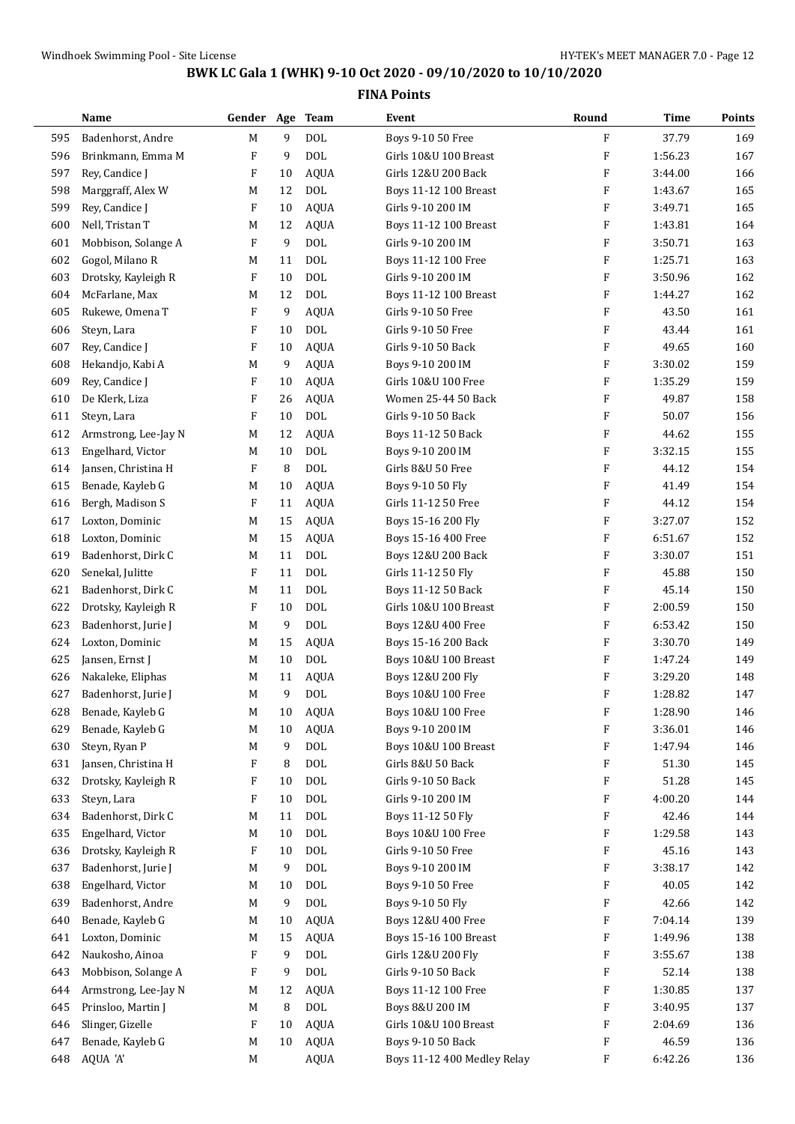|     | Name                 | Gender Age  |    | <b>Team</b> | Event                       | Round                     | Time    | Points |
|-----|----------------------|-------------|----|-------------|-----------------------------|---------------------------|---------|--------|
| 595 | Badenhorst, Andre    | $\mathbf M$ | 9  | <b>DOL</b>  | Boys 9-10 50 Free           | F                         | 37.79   | 169    |
| 596 | Brinkmann, Emma M    | F           | 9  | <b>DOL</b>  | Girls 10&U 100 Breast       | $\boldsymbol{\mathrm{F}}$ | 1:56.23 | 167    |
| 597 | Rey, Candice J       | F           | 10 | <b>AQUA</b> | Girls 12&U 200 Back         | $\boldsymbol{\mathrm{F}}$ | 3:44.00 | 166    |
| 598 | Marggraff, Alex W    | M           | 12 | <b>DOL</b>  | Boys 11-12 100 Breast       | F                         | 1:43.67 | 165    |
| 599 | Rey, Candice J       | F           | 10 | <b>AQUA</b> | Girls 9-10 200 IM           | F                         | 3:49.71 | 165    |
| 600 | Nell, Tristan T      | M           | 12 | <b>AQUA</b> | Boys 11-12 100 Breast       | $\boldsymbol{\mathrm{F}}$ | 1:43.81 | 164    |
| 601 | Mobbison, Solange A  | F           | 9  | <b>DOL</b>  | Girls 9-10 200 IM           | $\boldsymbol{\mathrm{F}}$ | 3:50.71 | 163    |
| 602 | Gogol, Milano R      | M           | 11 | <b>DOL</b>  | Boys 11-12 100 Free         | $\boldsymbol{\mathrm{F}}$ | 1:25.71 | 163    |
| 603 | Drotsky, Kayleigh R  | F           | 10 | <b>DOL</b>  | Girls 9-10 200 IM           | $\boldsymbol{\mathrm{F}}$ | 3:50.96 | 162    |
| 604 | McFarlane, Max       | M           | 12 | <b>DOL</b>  | Boys 11-12 100 Breast       | F                         | 1:44.27 | 162    |
| 605 | Rukewe, Omena T      | F           | 9  | <b>AQUA</b> | Girls 9-10 50 Free          | F                         | 43.50   | 161    |
| 606 | Steyn, Lara          | F           | 10 | <b>DOL</b>  | Girls 9-10 50 Free          | F                         | 43.44   | 161    |
| 607 | Rey, Candice J       | F           | 10 | <b>AQUA</b> | Girls 9-10 50 Back          | $\boldsymbol{\mathrm{F}}$ | 49.65   | 160    |
| 608 | Hekandjo, Kabi A     | M           | 9  | <b>AQUA</b> | Boys 9-10 200 IM            | $\boldsymbol{\mathrm{F}}$ | 3:30.02 | 159    |
| 609 | Rey, Candice J       | F           | 10 | <b>AQUA</b> | Girls 10&U 100 Free         | $\boldsymbol{\mathrm{F}}$ | 1:35.29 | 159    |
| 610 | De Klerk, Liza       | F           | 26 | <b>AQUA</b> | Women 25-44 50 Back         | $\boldsymbol{\mathrm{F}}$ | 49.87   | 158    |
| 611 | Steyn, Lara          | F           | 10 | <b>DOL</b>  | Girls 9-10 50 Back          | $\boldsymbol{\mathrm{F}}$ | 50.07   | 156    |
| 612 | Armstrong, Lee-Jay N | M           | 12 | <b>AQUA</b> | Boys 11-12 50 Back          | $\boldsymbol{\mathrm{F}}$ | 44.62   | 155    |
| 613 | Engelhard, Victor    | M           | 10 | <b>DOL</b>  | Boys 9-10 200 IM            | $\boldsymbol{\mathrm{F}}$ | 3:32.15 | 155    |
| 614 | Jansen, Christina H  | F           | 8  | <b>DOL</b>  | Girls 8&U 50 Free           | $\boldsymbol{\mathrm{F}}$ | 44.12   | 154    |
| 615 | Benade, Kayleb G     | M           | 10 | AQUA        | Boys 9-10 50 Fly            | $\boldsymbol{\mathrm{F}}$ | 41.49   | 154    |
| 616 | Bergh, Madison S     | F           | 11 | <b>AQUA</b> | Girls 11-12 50 Free         | $\boldsymbol{\mathrm{F}}$ | 44.12   | 154    |
| 617 | Loxton, Dominic      | M           | 15 | <b>AQUA</b> | Boys 15-16 200 Fly          | F                         | 3:27.07 | 152    |
| 618 | Loxton, Dominic      | M           | 15 | <b>AQUA</b> | Boys 15-16 400 Free         | F                         | 6:51.67 | 152    |
| 619 | Badenhorst, Dirk C   | M           | 11 | <b>DOL</b>  | Boys 12&U 200 Back          | $\boldsymbol{\mathrm{F}}$ | 3:30.07 | 151    |
| 620 | Senekal, Julitte     | F           | 11 | <b>DOL</b>  | Girls 11-12 50 Fly          | $\boldsymbol{\mathrm{F}}$ | 45.88   | 150    |
| 621 | Badenhorst, Dirk C   | M           | 11 | <b>DOL</b>  | Boys 11-12 50 Back          | $\boldsymbol{\mathrm{F}}$ | 45.14   | 150    |
| 622 | Drotsky, Kayleigh R  | F           | 10 | <b>DOL</b>  | Girls 10&U 100 Breast       | $\boldsymbol{\mathrm{F}}$ | 2:00.59 | 150    |
| 623 | Badenhorst, Jurie J  | M           | 9  | <b>DOL</b>  | Boys 12&U 400 Free          | F                         | 6:53.42 | 150    |
| 624 | Loxton, Dominic      | M           | 15 | <b>AQUA</b> | Boys 15-16 200 Back         | F                         | 3:30.70 | 149    |
| 625 | Jansen, Ernst J      | M           | 10 | <b>DOL</b>  | Boys 10&U 100 Breast        | $\boldsymbol{\mathrm{F}}$ | 1:47.24 | 149    |
| 626 | Nakaleke, Eliphas    | M           | 11 | AQUA        | Boys 12&U 200 Fly           | F                         | 3:29.20 | 148    |
| 627 | Badenhorst, Jurie J  | M           | 9  | <b>DOL</b>  | Boys 10&U 100 Free          | F                         | 1:28.82 | 147    |
| 628 | Benade, Kayleb G     | M           | 10 | AQUA        | Boys 10&U 100 Free          | F                         | 1:28.90 | 146    |
| 629 | Benade, Kayleb G     | M           | 10 | <b>AQUA</b> | Boys 9-10 200 IM            | F                         | 3:36.01 | 146    |
| 630 | Steyn, Ryan P        | M           | 9  | <b>DOL</b>  | Boys 10&U 100 Breast        | F                         | 1:47.94 | 146    |
| 631 | Jansen, Christina H  | F           | 8  | <b>DOL</b>  | Girls 8&U 50 Back           | F                         | 51.30   | 145    |
| 632 | Drotsky, Kayleigh R  | F           | 10 | <b>DOL</b>  | Girls 9-10 50 Back          | F                         | 51.28   | 145    |
| 633 | Steyn, Lara          | F           | 10 | <b>DOL</b>  | Girls 9-10 200 IM           | F                         | 4:00.20 | 144    |
| 634 | Badenhorst, Dirk C   | M           | 11 | <b>DOL</b>  | Boys 11-12 50 Fly           | F                         | 42.46   | 144    |
| 635 | Engelhard, Victor    | M           | 10 | <b>DOL</b>  | Boys 10&U 100 Free          | F                         | 1:29.58 | 143    |
| 636 | Drotsky, Kayleigh R  | F           | 10 | <b>DOL</b>  | Girls 9-10 50 Free          | F                         | 45.16   | 143    |
| 637 | Badenhorst, Jurie J  | M           | 9  | <b>DOL</b>  | Boys 9-10 200 IM            | F                         | 3:38.17 | 142    |
| 638 | Engelhard, Victor    | M           | 10 | <b>DOL</b>  | Boys 9-10 50 Free           | F                         | 40.05   | 142    |
| 639 | Badenhorst, Andre    | M           | 9  | <b>DOL</b>  | Boys 9-10 50 Fly            | F                         | 42.66   | 142    |
| 640 | Benade, Kayleb G     | M           | 10 | <b>AQUA</b> | Boys 12&U 400 Free          | F                         | 7:04.14 | 139    |
| 641 | Loxton, Dominic      | M           | 15 | <b>AQUA</b> | Boys 15-16 100 Breast       | F                         | 1:49.96 | 138    |
| 642 | Naukosho, Ainoa      | F           | 9  | <b>DOL</b>  | Girls 12&U 200 Fly          | F                         | 3:55.67 | 138    |
| 643 | Mobbison, Solange A  | F           | 9  | <b>DOL</b>  | Girls 9-10 50 Back          | F                         | 52.14   | 138    |
| 644 | Armstrong, Lee-Jay N | M           | 12 | AQUA        | Boys 11-12 100 Free         | F                         | 1:30.85 | 137    |
| 645 | Prinsloo, Martin J   | M           | 8  | <b>DOL</b>  | Boys 8&U 200 IM             | F                         | 3:40.95 | 137    |
| 646 | Slinger, Gizelle     | F           | 10 | AQUA        | Girls 10&U 100 Breast       | F                         | 2:04.69 | 136    |
| 647 | Benade, Kayleb G     | M           | 10 | <b>AQUA</b> | Boys 9-10 50 Back           | F                         | 46.59   | 136    |
| 648 | AQUA 'A'             | M           |    | AQUA        | Boys 11-12 400 Medley Relay | F                         | 6:42.26 | 136    |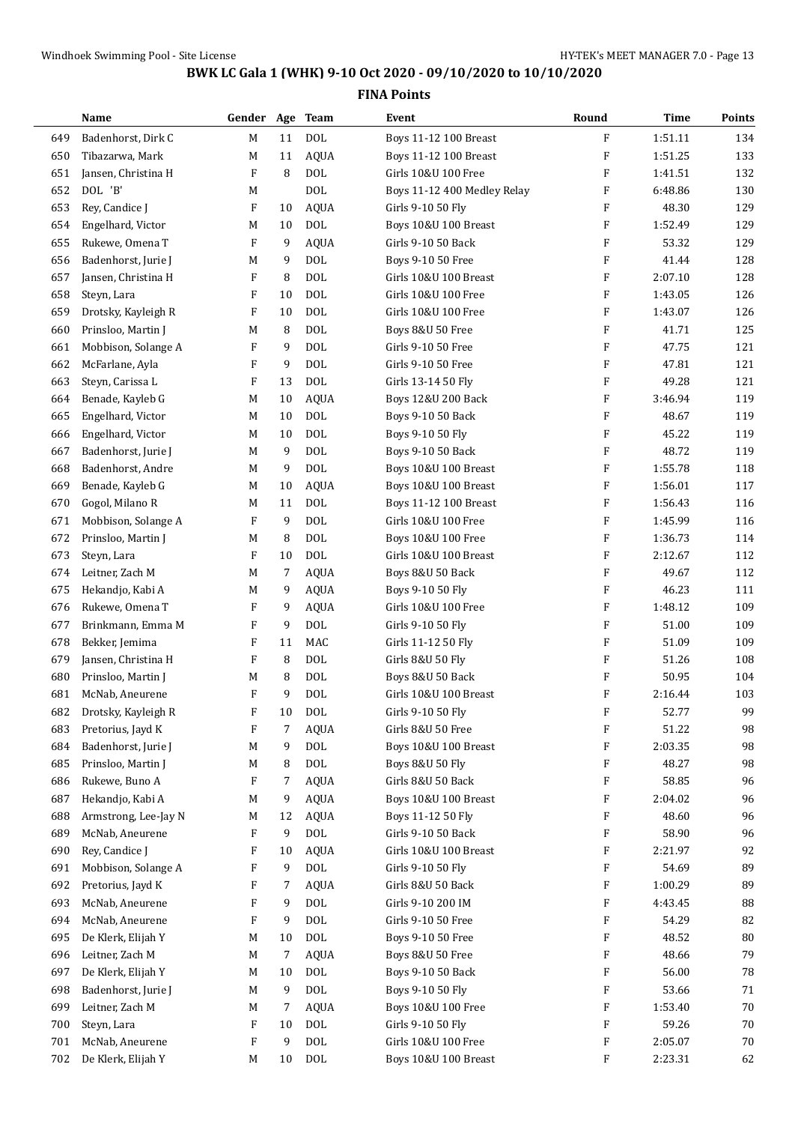|     | Name                 | Gender Age Team |    |             | Event                        | Round                     | <b>Time</b> | Points |
|-----|----------------------|-----------------|----|-------------|------------------------------|---------------------------|-------------|--------|
| 649 | Badenhorst, Dirk C   | M               | 11 | <b>DOL</b>  | Boys 11-12 100 Breast        | $\boldsymbol{\mathrm{F}}$ | 1:51.11     | 134    |
| 650 | Tibazarwa, Mark      | M               | 11 | <b>AQUA</b> | <b>Boys 11-12 100 Breast</b> | $\boldsymbol{\mathrm{F}}$ | 1:51.25     | 133    |
| 651 | Jansen, Christina H  | F               | 8  | <b>DOL</b>  | Girls 10&U 100 Free          | $\boldsymbol{\mathrm{F}}$ | 1:41.51     | 132    |
| 652 | DOL 'B'              | M               |    | <b>DOL</b>  | Boys 11-12 400 Medley Relay  | F                         | 6:48.86     | 130    |
| 653 | Rey, Candice J       | F               | 10 | <b>AQUA</b> | Girls 9-10 50 Fly            | F                         | 48.30       | 129    |
| 654 | Engelhard, Victor    | M               | 10 | <b>DOL</b>  | Boys 10&U 100 Breast         | $\boldsymbol{\mathrm{F}}$ | 1:52.49     | 129    |
| 655 | Rukewe, Omena T      | F               | 9  | <b>AQUA</b> | Girls 9-10 50 Back           | $\boldsymbol{\mathrm{F}}$ | 53.32       | 129    |
| 656 | Badenhorst, Jurie J  | M               | 9  | <b>DOL</b>  | Boys 9-10 50 Free            | $\boldsymbol{\mathrm{F}}$ | 41.44       | 128    |
| 657 | Jansen, Christina H  | F               | 8  | <b>DOL</b>  | Girls 10&U 100 Breast        | $\boldsymbol{\mathrm{F}}$ | 2:07.10     | 128    |
| 658 | Steyn, Lara          | F               | 10 | <b>DOL</b>  | Girls 10&U 100 Free          | F                         | 1:43.05     | 126    |
| 659 | Drotsky, Kayleigh R  | F               | 10 | <b>DOL</b>  | Girls 10&U 100 Free          | F                         | 1:43.07     | 126    |
| 660 | Prinsloo, Martin J   | M               | 8  | <b>DOL</b>  | Boys 8&U 50 Free             | $\boldsymbol{\mathrm{F}}$ | 41.71       | 125    |
| 661 | Mobbison, Solange A  | F               | 9  | <b>DOL</b>  | Girls 9-10 50 Free           | $\boldsymbol{\mathrm{F}}$ | 47.75       | 121    |
| 662 | McFarlane, Ayla      | F               | 9  | <b>DOL</b>  | Girls 9-10 50 Free           | $\boldsymbol{\mathrm{F}}$ | 47.81       | 121    |
| 663 | Steyn, Carissa L     | F               | 13 | <b>DOL</b>  | Girls 13-14 50 Fly           | $\boldsymbol{\mathrm{F}}$ | 49.28       | 121    |
| 664 | Benade, Kayleb G     | M               | 10 | <b>AQUA</b> | Boys 12&U 200 Back           | $\boldsymbol{\mathrm{F}}$ | 3:46.94     | 119    |
| 665 | Engelhard, Victor    | M               | 10 | <b>DOL</b>  | Boys 9-10 50 Back            | F                         | 48.67       | 119    |
| 666 | Engelhard, Victor    | M               | 10 | <b>DOL</b>  | Boys 9-10 50 Fly             | $\boldsymbol{\mathrm{F}}$ | 45.22       | 119    |
| 667 | Badenhorst, Jurie J  | M               | 9  | <b>DOL</b>  | Boys 9-10 50 Back            | $\boldsymbol{\mathrm{F}}$ | 48.72       | 119    |
| 668 | Badenhorst, Andre    | M               | 9  | <b>DOL</b>  | Boys 10&U 100 Breast         | $\boldsymbol{\mathrm{F}}$ | 1:55.78     | 118    |
| 669 | Benade, Kayleb G     | M               | 10 | <b>AQUA</b> | Boys 10&U 100 Breast         | $\boldsymbol{\mathrm{F}}$ | 1:56.01     | 117    |
| 670 | Gogol, Milano R      | M               | 11 | <b>DOL</b>  | Boys 11-12 100 Breast        | F                         | 1:56.43     | 116    |
| 671 | Mobbison, Solange A  | F               | 9  | <b>DOL</b>  | Girls 10&U 100 Free          | F                         | 1:45.99     | 116    |
| 672 | Prinsloo, Martin J   | M               | 8  | <b>DOL</b>  | Boys 10&U 100 Free           | F                         | 1:36.73     | 114    |
| 673 | Steyn, Lara          | F               | 10 | <b>DOL</b>  | Girls 10&U 100 Breast        | $\boldsymbol{\mathrm{F}}$ | 2:12.67     | 112    |
| 674 | Leitner, Zach M      | M               | 7  | <b>AQUA</b> | Boys 8&U 50 Back             | $\boldsymbol{\mathrm{F}}$ | 49.67       | 112    |
| 675 | Hekandjo, Kabi A     | M               | 9  | <b>AQUA</b> | Boys 9-10 50 Fly             | $\boldsymbol{\mathrm{F}}$ | 46.23       | 111    |
| 676 | Rukewe, Omena T      | F               | 9  | <b>AQUA</b> | Girls 10&U 100 Free          | $\boldsymbol{\mathrm{F}}$ | 1:48.12     | 109    |
| 677 | Brinkmann, Emma M    | F               | 9  | <b>DOL</b>  | Girls 9-10 50 Fly            | F                         | 51.00       | 109    |
| 678 | Bekker, Jemima       | F               | 11 | MAC         | Girls 11-12 50 Fly           | F                         | 51.09       | 109    |
| 679 | Jansen, Christina H  | F               | 8  | <b>DOL</b>  | Girls 8&U 50 Fly             | $\boldsymbol{\mathrm{F}}$ | 51.26       | 108    |
| 680 | Prinsloo, Martin J   | M               | 8  | DOL         | Boys 8&U 50 Back             | F                         | 50.95       | 104    |
| 681 | McNab, Aneurene      | F               | 9  | <b>DOL</b>  | Girls 10&U 100 Breast        | F                         | 2:16.44     | 103    |
| 682 | Drotsky, Kayleigh R  | F               | 10 | DOL         | Girls 9-10 50 Fly            | F                         | 52.77       | 99     |
| 683 | Pretorius, Jayd K    | F               | 7  | <b>AQUA</b> | Girls 8&U 50 Free            | F                         | 51.22       | 98     |
| 684 | Badenhorst, Jurie J  | M               | 9  | <b>DOL</b>  | Boys 10&U 100 Breast         | F                         | 2:03.35     | 98     |
| 685 | Prinsloo, Martin J   | M               | 8  | <b>DOL</b>  | <b>Boys 8&amp;U 50 Fly</b>   | F                         | 48.27       | 98     |
| 686 | Rukewe, Buno A       | F               | 7  | <b>AQUA</b> | Girls 8&U 50 Back            | F                         | 58.85       | 96     |
| 687 | Hekandjo, Kabi A     | M               | 9  | <b>AQUA</b> | Boys 10&U 100 Breast         | F                         | 2:04.02     | 96     |
| 688 | Armstrong, Lee-Jay N | M               | 12 | AQUA        | Boys 11-12 50 Fly            | F                         | 48.60       | 96     |
| 689 | McNab, Aneurene      | F               | 9  | $\rm DOL$   | Girls 9-10 50 Back           | F                         | 58.90       | 96     |
| 690 | Rey, Candice J       | F               | 10 | <b>AQUA</b> | Girls 10&U 100 Breast        | F                         | 2:21.97     | 92     |
| 691 | Mobbison, Solange A  | F               | 9  | <b>DOL</b>  | Girls 9-10 50 Fly            | F                         | 54.69       | 89     |
| 692 | Pretorius, Jayd K    | F               | 7  | <b>AQUA</b> | Girls 8&U 50 Back            | F                         | 1:00.29     | 89     |
|     |                      |                 |    | <b>DOL</b>  |                              |                           |             |        |
| 693 | McNab, Aneurene      | F               | 9  | <b>DOL</b>  | Girls 9-10 200 IM            | F                         | 4:43.45     | 88     |
| 694 | McNab, Aneurene      | F               | 9  |             | Girls 9-10 50 Free           | F                         | 54.29       | 82     |
| 695 | De Klerk, Elijah Y   | M               | 10 | DOL         | Boys 9-10 50 Free            | F                         | 48.52       | 80     |
| 696 | Leitner, Zach M      | M               | 7  | <b>AQUA</b> | Boys 8&U 50 Free             | F                         | 48.66       | 79     |
| 697 | De Klerk, Elijah Y   | M               | 10 | DOL         | Boys 9-10 50 Back            | F                         | 56.00       | 78     |
| 698 | Badenhorst, Jurie J  | M               | 9  | <b>DOL</b>  | Boys 9-10 50 Fly             | F                         | 53.66       | 71     |
| 699 | Leitner, Zach M      | M               | 7  | <b>AQUA</b> | Boys 10&U 100 Free           | F                         | 1:53.40     | $70\,$ |
| 700 | Steyn, Lara          | F               | 10 | DOL         | Girls 9-10 50 Fly            | F                         | 59.26       | $70\,$ |
| 701 | McNab, Aneurene      | F               | 9  | $\rm DOL$   | Girls 10&U 100 Free          | F                         | 2:05.07     | 70     |
| 702 | De Klerk, Elijah Y   | M               | 10 | $\rm DOL$   | Boys 10&U 100 Breast         | F                         | 2:23.31     | 62     |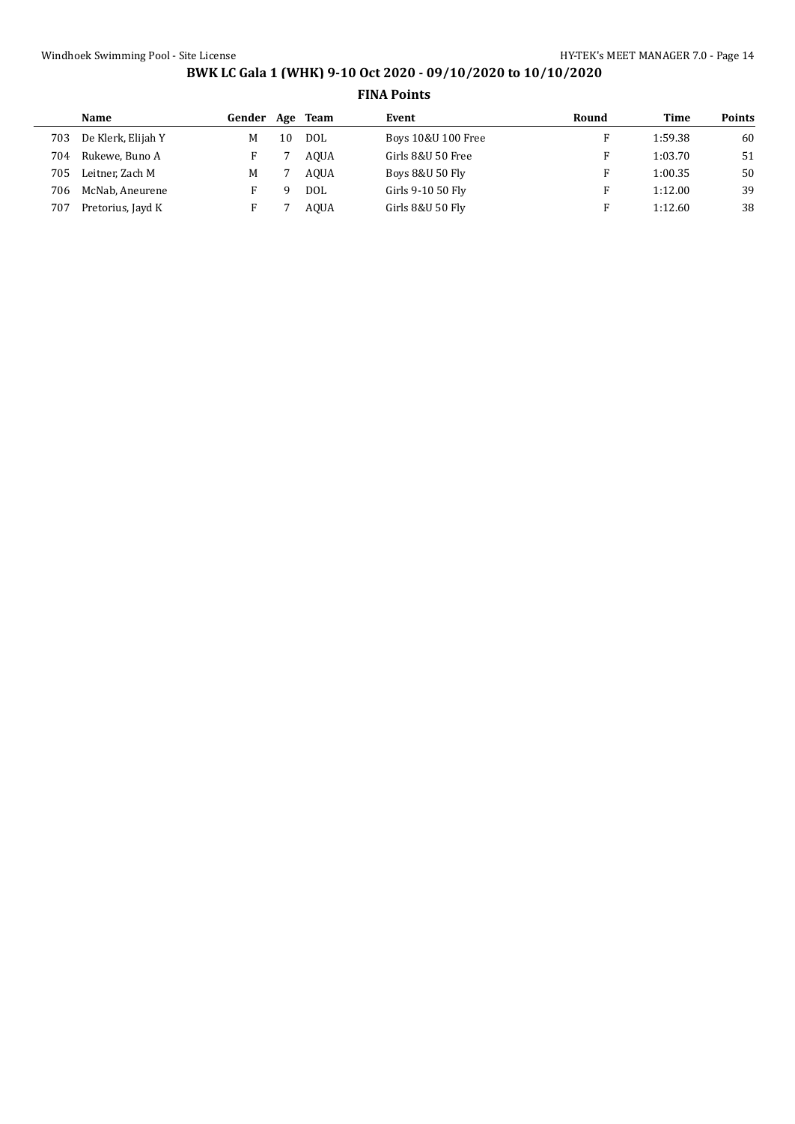|     | Name               | Gender | Age | Team        | Event              | Round | <b>Time</b> | <b>Points</b> |
|-----|--------------------|--------|-----|-------------|--------------------|-------|-------------|---------------|
| 703 | De Klerk, Elijah Y | м      | 10  | DOL         | Boys 10&U 100 Free |       | 1:59.38     | 60            |
| 704 | Rukewe, Buno A     |        |     | <b>AOUA</b> | Girls 8&U 50 Free  |       | 1:03.70     | 51            |
| 705 | Leitner. Zach M    | М      |     | <b>AOUA</b> | Boys 8&U 50 Fly    |       | 1:00.35     | 50            |
| 706 | McNab, Aneurene    |        |     | DOL         | Girls 9-10 50 Fly  |       | 1:12.00     | 39            |
| 707 | Pretorius, Jayd K  |        |     | <b>AOUA</b> | Girls 8&U 50 Fly   |       | 1:12.60     | 38            |